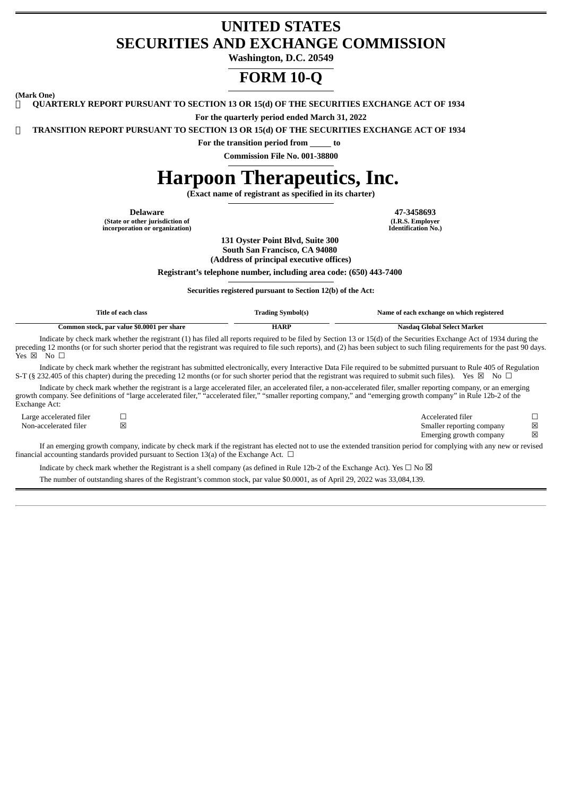# **UNITED STATES SECURITIES AND EXCHANGE COMMISSION**

**Washington, D.C. 20549**

# **FORM 10-Q**

**(Mark One)**

**QUARTERLY REPORT PURSUANT TO SECTION 13 OR 15(d) OF THE SECURITIES EXCHANGE ACT OF 1934**

**For the quarterly period ended March 31, 2022**

**TRANSITION REPORT PURSUANT TO SECTION 13 OR 15(d) OF THE SECURITIES EXCHANGE ACT OF 1934**

**For the transition period from to Commission File No. 001-38800**

# **Harpoon Therapeutics, Inc.**

**(Exact name of registrant as specified in its charter)**

**Delaware 47-3458693 (State or other jurisdiction of incorporation or organization)**

**(I.R.S. Employer Identification No.)**

**131 Oyster Point Blvd, Suite 300 South San Francisco, CA 94080 (Address of principal executive offices)**

**Registrant's telephone number, including area code: (650) 443-7400**

**Securities registered pursuant to Section 12(b) of the Act:**

|                              | Title of each class                                                                           | <b>Trading Symbol(s)</b> | Name of each exchange on which registered                                                                                                                                                                                                                                                                                                                   |        |  |  |
|------------------------------|-----------------------------------------------------------------------------------------------|--------------------------|-------------------------------------------------------------------------------------------------------------------------------------------------------------------------------------------------------------------------------------------------------------------------------------------------------------------------------------------------------------|--------|--|--|
|                              | Common stock, par value \$0.0001 per share                                                    | <b>HARP</b>              | Nasdag Global Select Market                                                                                                                                                                                                                                                                                                                                 |        |  |  |
| Yes $\boxtimes$ No $\square$ |                                                                                               |                          | Indicate by check mark whether the registrant (1) has filed all reports required to be filed by Section 13 or 15(d) of the Securities Exchange Act of 1934 during the<br>preceding 12 months (or for such shorter period that the registrant was required to file such reports), and (2) has been subject to such filing requirements for the past 90 days. |        |  |  |
|                              |                                                                                               |                          | Indicate by check mark whether the registrant has submitted electronically, every Interactive Data File required to be submitted pursuant to Rule 405 of Regulation<br>S-T (§ 232.405 of this chapter) during the preceding 12 months (or for such shorter period that the registrant was required to submit such files). Yes $\boxtimes$ No $\Box$         |        |  |  |
| Exchange Act:                |                                                                                               |                          | Indicate by check mark whether the registrant is a large accelerated filer, an accelerated filer, a non-accelerated filer, smaller reporting company, or an emerging<br>growth company. See definitions of "large accelerated filer," "accelerated filer," "smaller reporting company," and "emerging growth company" in Rule 12b-2 of the                  |        |  |  |
| Large accelerated filer      |                                                                                               |                          | Accelerated filer                                                                                                                                                                                                                                                                                                                                           |        |  |  |
| Non-accelerated filer        | ×                                                                                             |                          | Smaller reporting company<br>Emerging growth company                                                                                                                                                                                                                                                                                                        | X<br>X |  |  |
|                              | financial accounting standards provided pursuant to Section 13(a) of the Exchange Act. $\Box$ |                          | If an emerging growth company, indicate by check mark if the registrant has elected not to use the extended transition period for complying with any new or revised                                                                                                                                                                                         |        |  |  |

Indicate by check mark whether the Registrant is a shell company (as defined in Rule 12b-2 of the Exchange Act). Yes  $\Box$  No  $\boxtimes$ The number of outstanding shares of the Registrant's common stock, par value \$0.0001, as of April 29, 2022 was 33,084,139.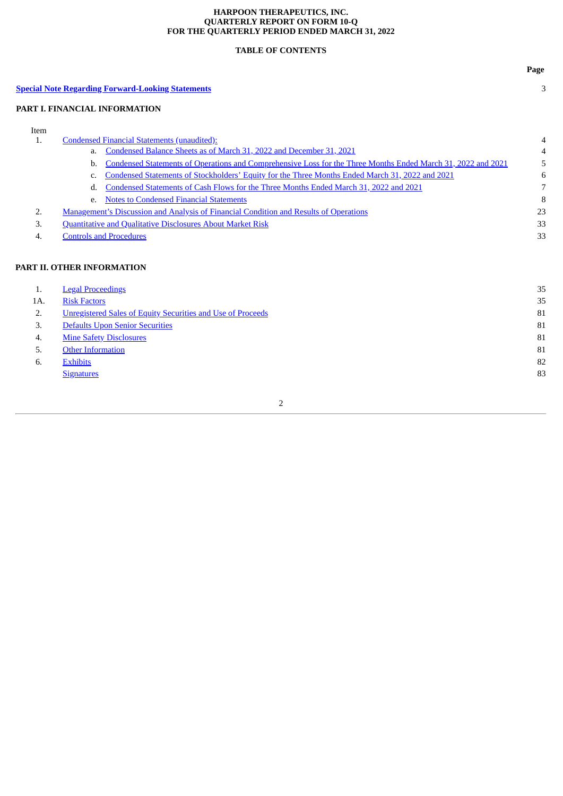# **HARPOON THERAPEUTICS, INC. QUARTERLY REPORT ON FORM 10-Q FOR THE QUARTERLY PERIOD ENDED MARCH 31, 2022**

# **TABLE OF CONTENTS**

|      |                                                                                                                    | Page |
|------|--------------------------------------------------------------------------------------------------------------------|------|
|      | <b>Special Note Regarding Forward-Looking Statements</b>                                                           | 3    |
|      | PART I. FINANCIAL INFORMATION                                                                                      |      |
| Item |                                                                                                                    |      |
| 1.   | <b>Condensed Financial Statements (unaudited):</b>                                                                 | 4    |
|      | Condensed Balance Sheets as of March 31, 2022 and December 31, 2021<br>a.                                          | 4    |
|      | Condensed Statements of Operations and Comprehensive Loss for the Three Months Ended March 31, 2022 and 2021<br>b. | 5    |
|      | Condensed Statements of Stockholders' Equity for the Three Months Ended March 31, 2022 and 2021<br>c.              | 6    |
|      | Condensed Statements of Cash Flows for the Three Months Ended March 31, 2022 and 2021<br>d.                        | 7    |
|      | <b>Notes to Condensed Financial Statements</b><br>e.                                                               | 8    |
| 2.   | <b>Management's Discussion and Analysis of Financial Condition and Results of Operations</b>                       | 23   |
| 3.   | <b>Quantitative and Qualitative Disclosures About Market Risk</b>                                                  | 33   |
| 4.   | <b>Controls and Procedures</b>                                                                                     | 33   |
|      | PART II. OTHER INFORMATION                                                                                         |      |
| 1.   | <b>Legal Proceedings</b>                                                                                           | 35   |
| 1A.  | <b>Risk Factors</b>                                                                                                | 35   |
| 2.   | <b>Unregistered Sales of Equity Securities and Use of Proceeds</b>                                                 | 81   |
| 3.   | <b>Defaults Upon Senior Securities</b>                                                                             | 81   |
| 4.   | <b>Mine Safety Disclosures</b>                                                                                     | 81   |
| 5.   | <b>Other Information</b>                                                                                           | 81   |
| 6.   | <b>Exhibits</b>                                                                                                    | 82   |
|      | <b>Signatures</b>                                                                                                  | 83   |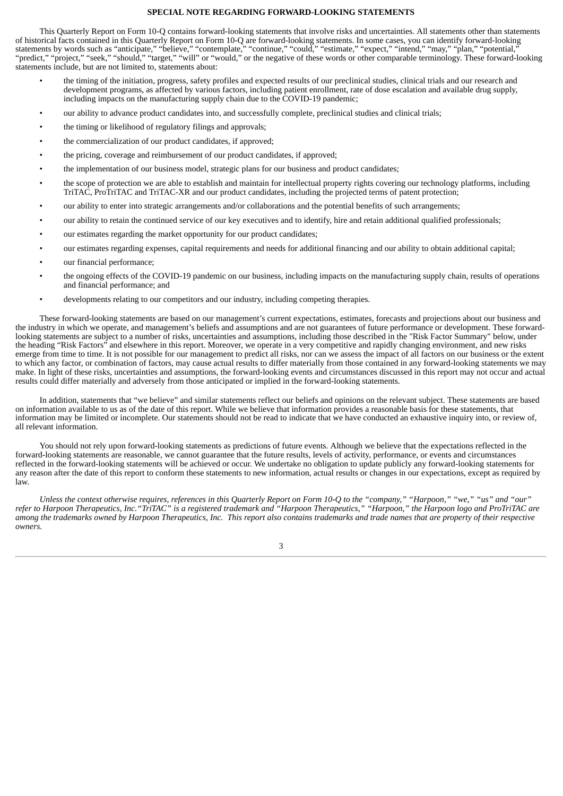## **SPECIAL NOTE REGARDING FORWARD-LOOKING STATEMENTS**

<span id="page-2-0"></span>This Quarterly Report on Form 10-Q contains forward-looking statements that involve risks and uncertainties. All statements other than statements of historical facts contained in this Quarterly Report on Form 10-Q are forward-looking statements. In some cases, you can identify forward-looking statements by words such as "anticipate," "believe," "contemplate," "continue," "could," "estimate," "expect," "intend," "may," "plan," "potential," "predict," "project," "seek," "should," "target," "will" or "would," or the negative of these words or other comparable terminology. These forward-looking statements include, but are not limited to, statements about:

- the timing of the initiation, progress, safety profiles and expected results of our preclinical studies, clinical trials and our research and development programs, as affected by various factors, including patient enrollment, rate of dose escalation and available drug supply, including impacts on the manufacturing supply chain due to the COVID-19 pandemic;
- our ability to advance product candidates into, and successfully complete, preclinical studies and clinical trials;
- the timing or likelihood of regulatory filings and approvals;
- the commercialization of our product candidates, if approved;
- the pricing, coverage and reimbursement of our product candidates, if approved;
- the implementation of our business model, strategic plans for our business and product candidates;
- the scope of protection we are able to establish and maintain for intellectual property rights covering our technology platforms, including TriTAC, ProTriTAC and TriTAC-XR and our product candidates, including the projected terms of patent protection;
- our ability to enter into strategic arrangements and/or collaborations and the potential benefits of such arrangements;
- our ability to retain the continued service of our key executives and to identify, hire and retain additional qualified professionals;
- our estimates regarding the market opportunity for our product candidates;
- our estimates regarding expenses, capital requirements and needs for additional financing and our ability to obtain additional capital;
- our financial performance;
- the ongoing effects of the COVID-19 pandemic on our business, including impacts on the manufacturing supply chain, results of operations and financial performance; and
- developments relating to our competitors and our industry, including competing therapies.

These forward-looking statements are based on our management's current expectations, estimates, forecasts and projections about our business and the industry in which we operate, and management's beliefs and assumptions and are not guarantees of future performance or development. These forwardlooking statements are subject to a number of risks, uncertainties and assumptions, including those described in the "Risk Factor Summary" below, under the heading "Risk Factors" and elsewhere in this report. Moreover, we operate in a very competitive and rapidly changing environment, and new risks emerge from time to time. It is not possible for our management to predict all risks, nor can we assess the impact of all factors on our business or the extent to which any factor, or combination of factors, may cause actual results to differ materially from those contained in any forward-looking statements we may make. In light of these risks, uncertainties and assumptions, the forward-looking events and circumstances discussed in this report may not occur and actual results could differ materially and adversely from those anticipated or implied in the forward-looking statements.

In addition, statements that "we believe" and similar statements reflect our beliefs and opinions on the relevant subject. These statements are based on information available to us as of the date of this report. While we believe that information provides a reasonable basis for these statements, that information may be limited or incomplete. Our statements should not be read to indicate that we have conducted an exhaustive inquiry into, or review of, all relevant information.

You should not rely upon forward-looking statements as predictions of future events. Although we believe that the expectations reflected in the forward-looking statements are reasonable, we cannot guarantee that the future results, levels of activity, performance, or events and circumstances reflected in the forward-looking statements will be achieved or occur. We undertake no obligation to update publicly any forward-looking statements for any reason after the date of this report to conform these statements to new information, actual results or changes in our expectations, except as required by law.

Unless the context otherwise requires, references in this Quarterly Report on Form 10-Q to the "company," "Harpoon," "we," "us" and "our" refer to Harpoon Therapeutics, Inc."TriTAC" is a registered trademark and "Harpoon Therapeutics," "Harpoon," the Harpoon logo and ProTriTAC are among the trademarks owned by Harpoon Therapeutics, Inc. This report also contains trademarks and trade names that are property of their respective *owners.*

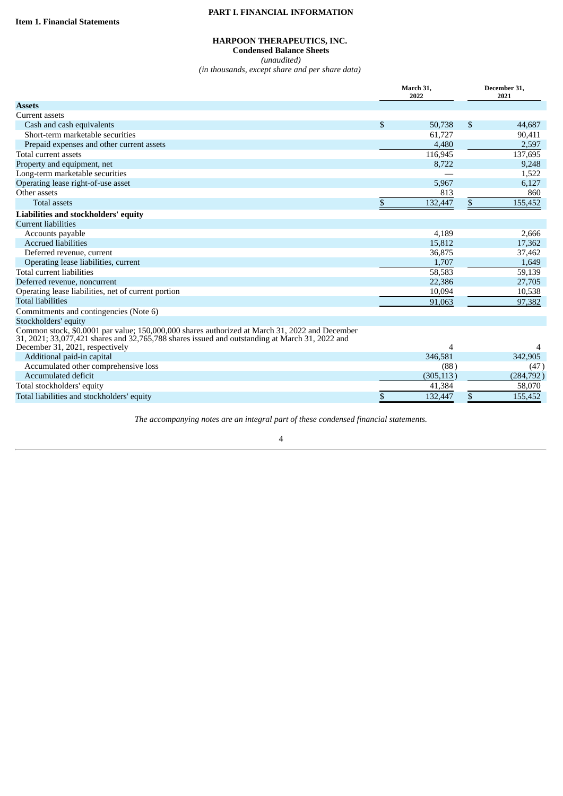# **PART I. FINANCIAL INFORMATION**

# **HARPOON THERAPEUTICS, INC.**

**Condensed Balance Sheets** *(unaudited)*

*(in thousands, except share and per share data)*

<span id="page-3-1"></span><span id="page-3-0"></span>

|                                                                                                                                                                                                  |               | March 31,<br>2022 | December 31,<br>2021 |
|--------------------------------------------------------------------------------------------------------------------------------------------------------------------------------------------------|---------------|-------------------|----------------------|
| <b>Assets</b>                                                                                                                                                                                    |               |                   |                      |
| Current assets                                                                                                                                                                                   |               |                   |                      |
| Cash and cash equivalents                                                                                                                                                                        | $\mathcal{S}$ | 50,738            | \$<br>44,687         |
| Short-term marketable securities                                                                                                                                                                 |               | 61,727            | 90,411               |
| Prepaid expenses and other current assets                                                                                                                                                        |               | 4,480             | 2,597                |
| Total current assets                                                                                                                                                                             |               | 116,945           | 137,695              |
| Property and equipment, net                                                                                                                                                                      |               | 8,722             | 9,248                |
| Long-term marketable securities                                                                                                                                                                  |               |                   | 1,522                |
| Operating lease right-of-use asset                                                                                                                                                               |               | 5,967             | 6,127                |
| Other assets                                                                                                                                                                                     |               | 813               | 860                  |
| <b>Total assets</b>                                                                                                                                                                              | \$            | 132,447           | \$<br>155,452        |
| Liabilities and stockholders' equity                                                                                                                                                             |               |                   |                      |
| <b>Current liabilities</b>                                                                                                                                                                       |               |                   |                      |
| Accounts payable                                                                                                                                                                                 |               | 4,189             | 2,666                |
| <b>Accrued liabilities</b>                                                                                                                                                                       |               | 15,812            | 17,362               |
| Deferred revenue, current                                                                                                                                                                        |               | 36,875            | 37,462               |
| Operating lease liabilities, current                                                                                                                                                             |               | 1,707             | 1,649                |
| Total current liabilities                                                                                                                                                                        |               | 58,583            | 59,139               |
| Deferred revenue, noncurrent                                                                                                                                                                     |               | 22,386            | 27,705               |
| Operating lease liabilities, net of current portion                                                                                                                                              |               | 10,094            | 10,538               |
| <b>Total liabilities</b>                                                                                                                                                                         |               | 91,063            | 97,382               |
| Commitments and contingencies (Note 6)                                                                                                                                                           |               |                   |                      |
| Stockholders' equity                                                                                                                                                                             |               |                   |                      |
| Common stock, \$0.0001 par value; 150,000,000 shares authorized at March 31, 2022 and December<br>31, 2021; 33,077,421 shares and 32,765,788 shares issued and outstanding at March 31, 2022 and |               |                   |                      |
| December 31, 2021, respectively                                                                                                                                                                  |               | 4                 |                      |
| Additional paid-in capital                                                                                                                                                                       |               | 346,581           | 342,905              |
| Accumulated other comprehensive loss                                                                                                                                                             |               | (88)              | (47)                 |
| Accumulated deficit                                                                                                                                                                              |               | (305, 113)        | (284, 792)           |
| Total stockholders' equity                                                                                                                                                                       |               | 41,384            | 58,070               |
| Total liabilities and stockholders' equity                                                                                                                                                       | \$            | 132,447           | \$<br>155,452        |

*The accompanying notes are an integral part of these condensed financial statements.*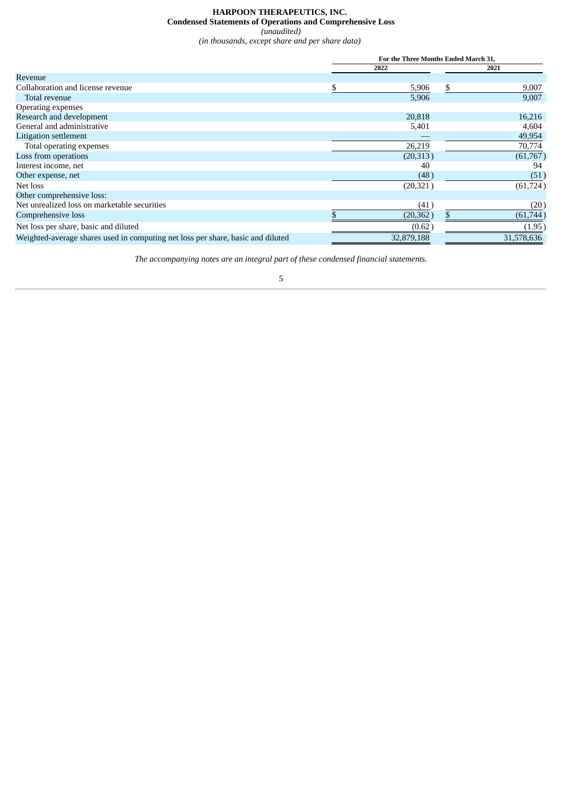# **HARPOON THERAPEUTICS, INC. Condensed Statements of Operations and Comprehensive Loss**

*(unaudited)*

*(in thousands, except share and per share data)*

<span id="page-4-0"></span>

|                                                                                 | For the Three Months Ended March 31, |             |
|---------------------------------------------------------------------------------|--------------------------------------|-------------|
|                                                                                 | 2022                                 | 2021        |
| Revenue                                                                         |                                      |             |
| Collaboration and license revenue                                               | \$<br>5,906                          | \$<br>9,007 |
| Total revenue                                                                   | 5,906                                | 9,007       |
| Operating expenses                                                              |                                      |             |
| Research and development                                                        | 20,818                               | 16,216      |
| General and administrative                                                      | 5,401                                | 4,604       |
| Litigation settlement                                                           |                                      | 49,954      |
| Total operating expenses                                                        | 26,219                               | 70,774      |
| Loss from operations                                                            | (20, 313)                            | (61,767)    |
| Interest income, net                                                            | 40                                   | 94          |
| Other expense, net                                                              | (48)                                 | (51)        |
| Net loss                                                                        | (20, 321)                            | (61, 724)   |
| Other comprehensive loss:                                                       |                                      |             |
| Net unrealized loss on marketable securities                                    | (41)                                 | (20)        |
| Comprehensive loss                                                              | (20, 362)                            | (61, 744)   |
| Net loss per share, basic and diluted                                           | (0.62)                               | (1.95)      |
| Weighted-average shares used in computing net loss per share, basic and diluted | 32,879,188                           | 31,578,636  |

*The accompanying notes are an integral part of these condensed financial statements.*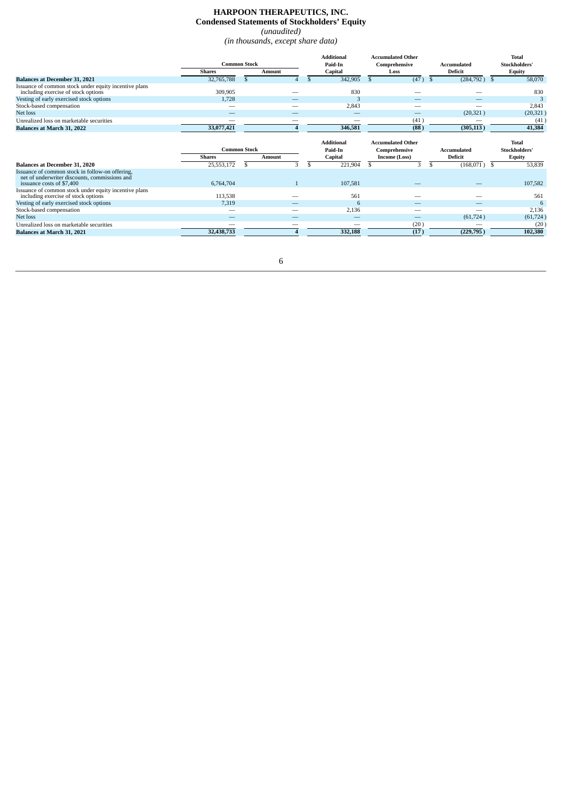# **HARPOON THERAPEUTICS, INC. Condensed Statements of Stockholders' Equity**

*(unaudited) (in thousands, except share data)*

<span id="page-5-0"></span>

|                                                                                                                               | <b>Common Stock</b>     |                               |                | <b>Additional</b>  | <b>Accumulated Other</b>       |                               | <b>Total</b>             |                               |                                |
|-------------------------------------------------------------------------------------------------------------------------------|-------------------------|-------------------------------|----------------|--------------------|--------------------------------|-------------------------------|--------------------------|-------------------------------|--------------------------------|
|                                                                                                                               | <b>Shares</b>           |                               |                | <b>Amount</b>      |                                | Paid-In<br>Capital            | Comprehensive<br>Loss    | Accumulated<br><b>Deficit</b> | Stockholders'<br><b>Equity</b> |
| <b>Balances at December 31, 2021</b>                                                                                          | 32,765,788              | \$.                           |                | 342,905            | (47)<br>\$.                    | (284, 792)<br><sup>\$</sup>   | 58,070<br>-S             |                               |                                |
| Issuance of common stock under equity incentive plans<br>including exercise of stock options                                  | 309,905                 |                               |                | 830                |                                |                               | 830                      |                               |                                |
| Vesting of early exercised stock options                                                                                      | 1,728                   |                               |                | 3                  | $\overline{\phantom{a}}$       | -                             | 3                        |                               |                                |
| Stock-based compensation                                                                                                      | -                       |                               |                | 2,843              |                                |                               | 2,843                    |                               |                                |
| Net loss                                                                                                                      |                         |                               |                |                    |                                | (20, 321)                     | (20, 321)                |                               |                                |
| Unrealized loss on marketable securities                                                                                      |                         |                               |                | _                  | (41)                           |                               | (41)                     |                               |                                |
| Balances at March 31, 2022                                                                                                    | 33,077,421              |                               |                | 346,581            | (88)                           | (305, 113)                    | 41,384                   |                               |                                |
|                                                                                                                               |                         |                               |                | <b>Additional</b>  | <b>Accumulated Other</b>       |                               | <b>Total</b>             |                               |                                |
|                                                                                                                               | <b>Shares</b>           | <b>Common Stock</b><br>Amount |                | Paid-In            | Comprehensive<br>Income (Loss) | Accumulated<br><b>Deficit</b> | Stockholders'            |                               |                                |
| <b>Balances at December 31, 2020</b>                                                                                          |                         | \$                            | 3              | Capital<br>S.      | \$.<br>3                       | \$                            | Equity<br>53,839<br>- \$ |                               |                                |
| Issuance of common stock in follow-on offering,<br>net of underwriter discounts, commissions and<br>issuance costs of \$7,400 | 25,553,172<br>6,764,704 |                               | $\overline{1}$ | 221,904<br>107,581 |                                | (168,071)                     | 107,582                  |                               |                                |
| Issuance of common stock under equity incentive plans<br>including exercise of stock options                                  | 113,538                 |                               |                | 561                |                                |                               | 561                      |                               |                                |
| Vesting of early exercised stock options                                                                                      | 7,319                   |                               |                | 6                  | $\overline{\phantom{a}}$       |                               | 6                        |                               |                                |
| Stock-based compensation                                                                                                      | _                       |                               |                | 2,136              |                                |                               | 2,136                    |                               |                                |
| Net loss                                                                                                                      | _                       |                               |                |                    |                                | (61, 724)                     | (61, 724)                |                               |                                |
| Unrealized loss on marketable securities                                                                                      |                         |                               |                |                    | (20)                           |                               | (20)                     |                               |                                |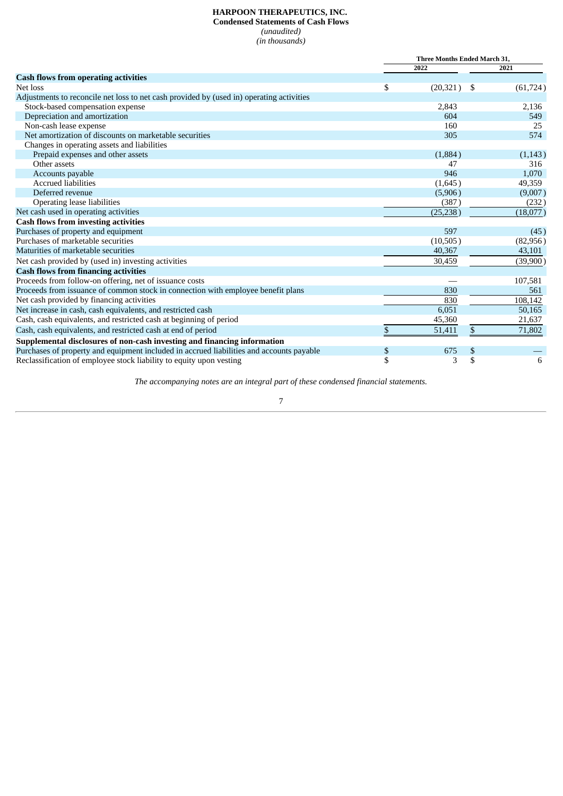# **HARPOON THERAPEUTICS, INC. Condensed Statements of Cash Flows** *(unaudited)*

*(in thousands)*

<span id="page-6-0"></span>

|                                                                                          | Three Months Ended March 31, |           |              |           |
|------------------------------------------------------------------------------------------|------------------------------|-----------|--------------|-----------|
|                                                                                          |                              | 2022      |              | 2021      |
| <b>Cash flows from operating activities</b>                                              |                              |           |              |           |
| Net loss                                                                                 | \$                           | (20, 321) | -\$          | (61, 724) |
| Adjustments to reconcile net loss to net cash provided by (used in) operating activities |                              |           |              |           |
| Stock-based compensation expense                                                         |                              | 2,843     |              | 2,136     |
| Depreciation and amortization                                                            |                              | 604       |              | 549       |
| Non-cash lease expense                                                                   |                              | 160       |              | 25        |
| Net amortization of discounts on marketable securities                                   |                              | 305       |              | 574       |
| Changes in operating assets and liabilities                                              |                              |           |              |           |
| Prepaid expenses and other assets                                                        |                              | (1,884)   |              | (1,143)   |
| Other assets                                                                             |                              | 47        |              | 316       |
| Accounts payable                                                                         |                              | 946       |              | 1,070     |
| <b>Accrued liabilities</b>                                                               |                              | (1,645)   |              | 49,359    |
| Deferred revenue                                                                         |                              | (5,906)   |              | (9,007)   |
| Operating lease liabilities                                                              |                              | (387)     |              | (232)     |
| Net cash used in operating activities                                                    |                              | (25, 238) |              | (18,077)  |
| <b>Cash flows from investing activities</b>                                              |                              |           |              |           |
| Purchases of property and equipment                                                      |                              | 597       |              | (45)      |
| Purchases of marketable securities                                                       |                              | (10,505)  |              | (82,956)  |
| Maturities of marketable securities                                                      |                              | 40,367    |              | 43,101    |
| Net cash provided by (used in) investing activities                                      |                              | 30,459    |              | (39,900)  |
| <b>Cash flows from financing activities</b>                                              |                              |           |              |           |
| Proceeds from follow-on offering, net of issuance costs                                  |                              |           |              | 107,581   |
| Proceeds from issuance of common stock in connection with employee benefit plans         |                              | 830       |              | 561       |
| Net cash provided by financing activities                                                |                              | 830       |              | 108,142   |
| Net increase in cash, cash equivalents, and restricted cash                              |                              | 6,051     |              | 50,165    |
| Cash, cash equivalents, and restricted cash at beginning of period                       |                              | 45,360    |              | 21,637    |
| Cash, cash equivalents, and restricted cash at end of period                             | \$                           | 51,411    | $\mathbb{S}$ | 71,802    |
| Supplemental disclosures of non-cash investing and financing information                 |                              |           |              |           |
| Purchases of property and equipment included in accrued liabilities and accounts payable | \$                           | 675       | \$           |           |
| Reclassification of employee stock liability to equity upon vesting                      | \$                           | 3         | \$           | 6         |

*The accompanying notes are an integral part of these condensed financial statements.*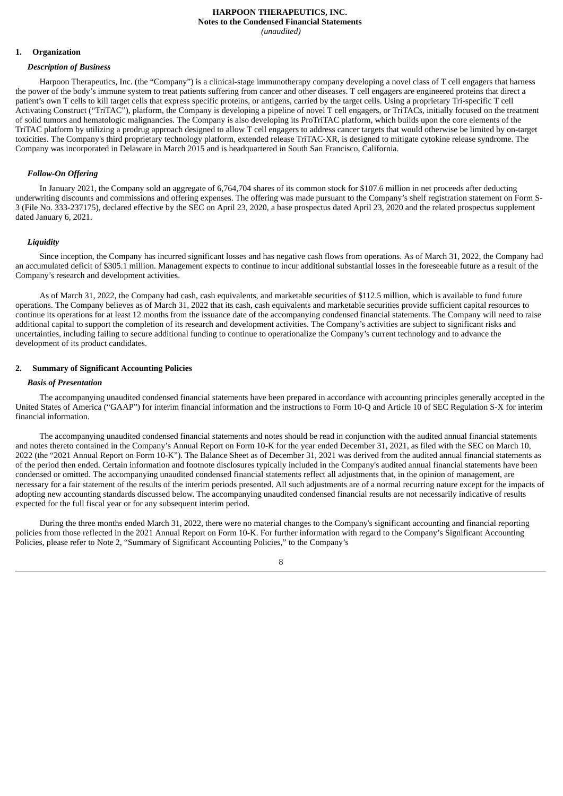#### **HARPOON THERAPEUTICS, INC. Notes to the Condensed Financial Statements** *(unaudited)*

#### <span id="page-7-0"></span>**1. Organization**

#### *Description of Business*

Harpoon Therapeutics, Inc. (the "Company") is a clinical-stage immunotherapy company developing a novel class of T cell engagers that harness the power of the body's immune system to treat patients suffering from cancer and other diseases. T cell engagers are engineered proteins that direct a patient's own T cells to kill target cells that express specific proteins, or antigens, carried by the target cells. Using a proprietary Tri-specific T cell Activating Construct ("TriTAC"), platform, the Company is developing a pipeline of novel T cell engagers, or TriTACs, initially focused on the treatment of solid tumors and hematologic malignancies. The Company is also developing its ProTriTAC platform, which builds upon the core elements of the TriTAC platform by utilizing a prodrug approach designed to allow T cell engagers to address cancer targets that would otherwise be limited by on-target toxicities. The Company's third proprietary technology platform, extended release TriTAC-XR, is designed to mitigate cytokine release syndrome. The Company was incorporated in Delaware in March 2015 and is headquartered in South San Francisco, California.

# *Follow-On Offering*

In January 2021, the Company sold an aggregate of 6,764,704 shares of its common stock for \$107.6 million in net proceeds after deducting underwriting discounts and commissions and offering expenses. The offering was made pursuant to the Company's shelf registration statement on Form S-3 (File No. 333-237175), declared effective by the SEC on April 23, 2020, a base prospectus dated April 23, 2020 and the related prospectus supplement dated January 6, 2021.

#### *Liquidity*

Since inception, the Company has incurred significant losses and has negative cash flows from operations. As of March 31, 2022, the Company had an accumulated deficit of \$305.1 million. Management expects to continue to incur additional substantial losses in the foreseeable future as a result of the Company's research and development activities.

As of March 31, 2022, the Company had cash, cash equivalents, and marketable securities of \$112.5 million, which is available to fund future operations. The Company believes as of March 31, 2022 that its cash, cash equivalents and marketable securities provide sufficient capital resources to continue its operations for at least 12 months from the issuance date of the accompanying condensed financial statements. The Company will need to raise additional capital to support the completion of its research and development activities. The Company's activities are subject to significant risks and uncertainties, including failing to secure additional funding to continue to operationalize the Company's current technology and to advance the development of its product candidates.

# **2. Summary of Significant Accounting Policies**

#### *Basis of Presentation*

The accompanying unaudited condensed financial statements have been prepared in accordance with accounting principles generally accepted in the United States of America ("GAAP") for interim financial information and the instructions to Form 10-Q and Article 10 of SEC Regulation S-X for interim financial information.

The accompanying unaudited condensed financial statements and notes should be read in conjunction with the audited annual financial statements and notes thereto contained in the Company's Annual Report on Form 10-K for the year ended December 31, 2021, as filed with the SEC on March 10, 2022 (the "2021 Annual Report on Form 10-K"). The Balance Sheet as of December 31, 2021 was derived from the audited annual financial statements as of the period then ended. Certain information and footnote disclosures typically included in the Company's audited annual financial statements have been condensed or omitted. The accompanying unaudited condensed financial statements reflect all adjustments that, in the opinion of management, are necessary for a fair statement of the results of the interim periods presented. All such adjustments are of a normal recurring nature except for the impacts of adopting new accounting standards discussed below. The accompanying unaudited condensed financial results are not necessarily indicative of results expected for the full fiscal year or for any subsequent interim period.

During the three months ended March 31, 2022, there were no material changes to the Company's significant accounting and financial reporting policies from those reflected in the 2021 Annual Report on Form 10-K. For further information with regard to the Company's Significant Accounting Policies, please refer to Note 2, "Summary of Significant Accounting Policies," to the Company's

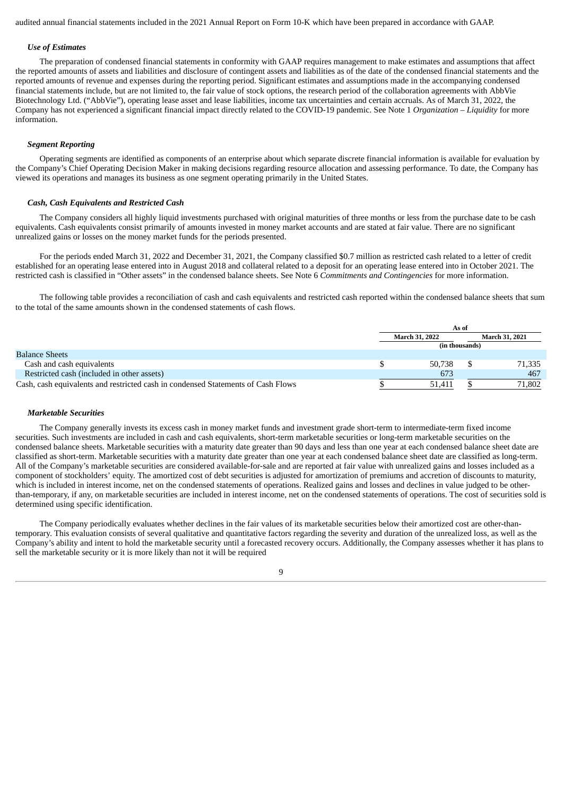audited annual financial statements included in the 2021 Annual Report on Form 10-K which have been prepared in accordance with GAAP.

# *Use of Estimates*

The preparation of condensed financial statements in conformity with GAAP requires management to make estimates and assumptions that affect the reported amounts of assets and liabilities and disclosure of contingent assets and liabilities as of the date of the condensed financial statements and the reported amounts of revenue and expenses during the reporting period. Significant estimates and assumptions made in the accompanying condensed financial statements include, but are not limited to, the fair value of stock options, the research period of the collaboration agreements with AbbVie Biotechnology Ltd. ("AbbVie"), operating lease asset and lease liabilities, income tax uncertainties and certain accruals. As of March 31, 2022, the Company has not experienced a significant financial impact directly related to the COVID-19 pandemic. See Note 1 *Organization – Liquidity* for more information.

# *Segment Reporting*

Operating segments are identified as components of an enterprise about which separate discrete financial information is available for evaluation by the Company's Chief Operating Decision Maker in making decisions regarding resource allocation and assessing performance. To date, the Company has viewed its operations and manages its business as one segment operating primarily in the United States.

# *Cash, Cash Equivalents and Restricted Cash*

The Company considers all highly liquid investments purchased with original maturities of three months or less from the purchase date to be cash equivalents. Cash equivalents consist primarily of amounts invested in money market accounts and are stated at fair value. There are no significant unrealized gains or losses on the money market funds for the periods presented.

For the periods ended March 31, 2022 and December 31, 2021, the Company classified \$0.7 million as restricted cash related to a letter of credit established for an operating lease entered into in August 2018 and collateral related to a deposit for an operating lease entered into in October 2021. The restricted cash is classified in "Other assets" in the condensed balance sheets. See Note 6 *Commitments and Contingencies* for more information.

The following table provides a reconciliation of cash and cash equivalents and restricted cash reported within the condensed balance sheets that sum to the total of the same amounts shown in the condensed statements of cash flows.

|                                                                                  | As of                 |        |  |                |  |
|----------------------------------------------------------------------------------|-----------------------|--------|--|----------------|--|
|                                                                                  | <b>March 31, 2022</b> |        |  | March 31, 2021 |  |
|                                                                                  | (in thousands)        |        |  |                |  |
| <b>Balance Sheets</b>                                                            |                       |        |  |                |  |
| Cash and cash equivalents                                                        |                       | 50.738 |  | 71,335         |  |
| Restricted cash (included in other assets)                                       |                       | 673    |  | 467            |  |
| Cash, cash equivalents and restricted cash in condensed Statements of Cash Flows |                       | 51.411 |  | 71,802         |  |

# *Marketable Securities*

The Company generally invests its excess cash in money market funds and investment grade short-term to intermediate-term fixed income securities. Such investments are included in cash and cash equivalents, short-term marketable securities or long-term marketable securities on the condensed balance sheets. Marketable securities with a maturity date greater than 90 days and less than one year at each condensed balance sheet date are classified as short-term. Marketable securities with a maturity date greater than one year at each condensed balance sheet date are classified as long-term. All of the Company's marketable securities are considered available-for-sale and are reported at fair value with unrealized gains and losses included as a component of stockholders' equity. The amortized cost of debt securities is adjusted for amortization of premiums and accretion of discounts to maturity, which is included in interest income, net on the condensed statements of operations. Realized gains and losses and declines in value judged to be otherthan-temporary, if any, on marketable securities are included in interest income, net on the condensed statements of operations. The cost of securities sold is determined using specific identification.

The Company periodically evaluates whether declines in the fair values of its marketable securities below their amortized cost are other-thantemporary. This evaluation consists of several qualitative and quantitative factors regarding the severity and duration of the unrealized loss, as well as the Company's ability and intent to hold the marketable security until a forecasted recovery occurs. Additionally, the Company assesses whether it has plans to sell the marketable security or it is more likely than not it will be required

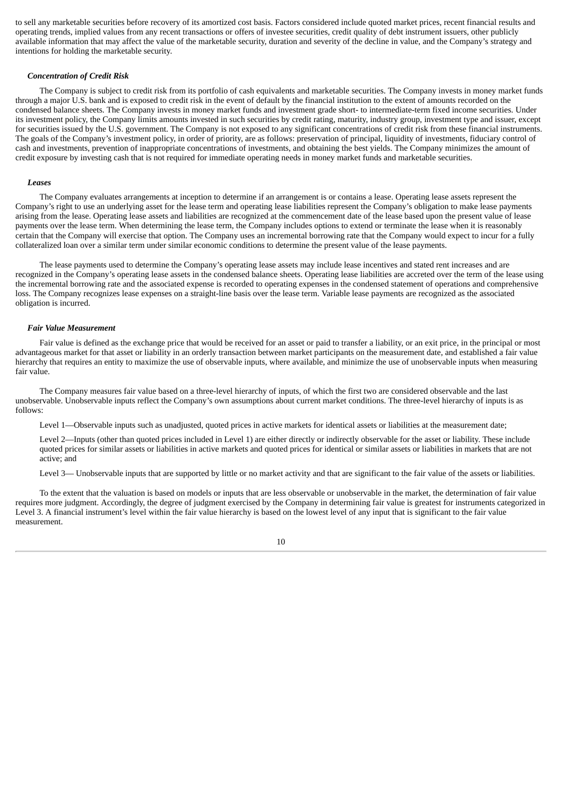to sell any marketable securities before recovery of its amortized cost basis. Factors considered include quoted market prices, recent financial results and operating trends, implied values from any recent transactions or offers of investee securities, credit quality of debt instrument issuers, other publicly available information that may affect the value of the marketable security, duration and severity of the decline in value, and the Company's strategy and intentions for holding the marketable security.

#### *Concentration of Credit Risk*

The Company is subject to credit risk from its portfolio of cash equivalents and marketable securities. The Company invests in money market funds through a major U.S. bank and is exposed to credit risk in the event of default by the financial institution to the extent of amounts recorded on the condensed balance sheets. The Company invests in money market funds and investment grade short- to intermediate-term fixed income securities. Under its investment policy, the Company limits amounts invested in such securities by credit rating, maturity, industry group, investment type and issuer, except for securities issued by the U.S. government. The Company is not exposed to any significant concentrations of credit risk from these financial instruments. The goals of the Company's investment policy, in order of priority, are as follows: preservation of principal, liquidity of investments, fiduciary control of cash and investments, prevention of inappropriate concentrations of investments, and obtaining the best yields. The Company minimizes the amount of credit exposure by investing cash that is not required for immediate operating needs in money market funds and marketable securities.

#### *Leases*

The Company evaluates arrangements at inception to determine if an arrangement is or contains a lease. Operating lease assets represent the Company's right to use an underlying asset for the lease term and operating lease liabilities represent the Company's obligation to make lease payments arising from the lease. Operating lease assets and liabilities are recognized at the commencement date of the lease based upon the present value of lease payments over the lease term. When determining the lease term, the Company includes options to extend or terminate the lease when it is reasonably certain that the Company will exercise that option. The Company uses an incremental borrowing rate that the Company would expect to incur for a fully collateralized loan over a similar term under similar economic conditions to determine the present value of the lease payments.

The lease payments used to determine the Company's operating lease assets may include lease incentives and stated rent increases and are recognized in the Company's operating lease assets in the condensed balance sheets. Operating lease liabilities are accreted over the term of the lease using the incremental borrowing rate and the associated expense is recorded to operating expenses in the condensed statement of operations and comprehensive loss. The Company recognizes lease expenses on a straight-line basis over the lease term. Variable lease payments are recognized as the associated obligation is incurred.

#### *Fair Value Measurement*

Fair value is defined as the exchange price that would be received for an asset or paid to transfer a liability, or an exit price, in the principal or most advantageous market for that asset or liability in an orderly transaction between market participants on the measurement date, and established a fair value hierarchy that requires an entity to maximize the use of observable inputs, where available, and minimize the use of unobservable inputs when measuring fair value.

The Company measures fair value based on a three-level hierarchy of inputs, of which the first two are considered observable and the last unobservable. Unobservable inputs reflect the Company's own assumptions about current market conditions. The three-level hierarchy of inputs is as follows:

Level 1—Observable inputs such as unadjusted, quoted prices in active markets for identical assets or liabilities at the measurement date;

Level 2—Inputs (other than quoted prices included in Level 1) are either directly or indirectly observable for the asset or liability. These include quoted prices for similar assets or liabilities in active markets and quoted prices for identical or similar assets or liabilities in markets that are not active; and

Level 3— Unobservable inputs that are supported by little or no market activity and that are significant to the fair value of the assets or liabilities.

To the extent that the valuation is based on models or inputs that are less observable or unobservable in the market, the determination of fair value requires more judgment. Accordingly, the degree of judgment exercised by the Company in determining fair value is greatest for instruments categorized in Level 3. A financial instrument's level within the fair value hierarchy is based on the lowest level of any input that is significant to the fair value measurement.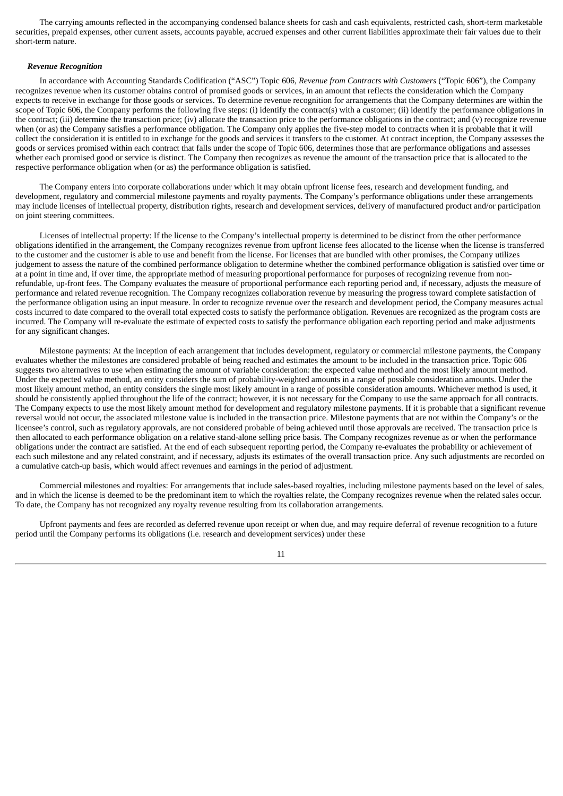The carrying amounts reflected in the accompanying condensed balance sheets for cash and cash equivalents, restricted cash, short-term marketable securities, prepaid expenses, other current assets, accounts payable, accrued expenses and other current liabilities approximate their fair values due to their short-term nature.

# *Revenue Recognition*

In accordance with Accounting Standards Codification ("ASC") Topic 606, *Revenue from Contracts with Customers* ("Topic 606"), the Company recognizes revenue when its customer obtains control of promised goods or services, in an amount that reflects the consideration which the Company expects to receive in exchange for those goods or services. To determine revenue recognition for arrangements that the Company determines are within the scope of Topic 606, the Company performs the following five steps: (i) identify the contract(s) with a customer; (ii) identify the performance obligations in the contract; (iii) determine the transaction price; (iv) allocate the transaction price to the performance obligations in the contract; and (v) recognize revenue when (or as) the Company satisfies a performance obligation. The Company only applies the five-step model to contracts when it is probable that it will collect the consideration it is entitled to in exchange for the goods and services it transfers to the customer. At contract inception, the Company assesses the goods or services promised within each contract that falls under the scope of Topic 606, determines those that are performance obligations and assesses whether each promised good or service is distinct. The Company then recognizes as revenue the amount of the transaction price that is allocated to the respective performance obligation when (or as) the performance obligation is satisfied.

The Company enters into corporate collaborations under which it may obtain upfront license fees, research and development funding, and development, regulatory and commercial milestone payments and royalty payments. The Company's performance obligations under these arrangements may include licenses of intellectual property, distribution rights, research and development services, delivery of manufactured product and/or participation on joint steering committees.

Licenses of intellectual property: If the license to the Company's intellectual property is determined to be distinct from the other performance obligations identified in the arrangement, the Company recognizes revenue from upfront license fees allocated to the license when the license is transferred to the customer and the customer is able to use and benefit from the license. For licenses that are bundled with other promises, the Company utilizes judgement to assess the nature of the combined performance obligation to determine whether the combined performance obligation is satisfied over time or at a point in time and, if over time, the appropriate method of measuring proportional performance for purposes of recognizing revenue from nonrefundable, up-front fees. The Company evaluates the measure of proportional performance each reporting period and, if necessary, adjusts the measure of performance and related revenue recognition. The Company recognizes collaboration revenue by measuring the progress toward complete satisfaction of the performance obligation using an input measure. In order to recognize revenue over the research and development period, the Company measures actual costs incurred to date compared to the overall total expected costs to satisfy the performance obligation. Revenues are recognized as the program costs are incurred. The Company will re-evaluate the estimate of expected costs to satisfy the performance obligation each reporting period and make adjustments for any significant changes.

Milestone payments: At the inception of each arrangement that includes development, regulatory or commercial milestone payments, the Company evaluates whether the milestones are considered probable of being reached and estimates the amount to be included in the transaction price. Topic 606 suggests two alternatives to use when estimating the amount of variable consideration: the expected value method and the most likely amount method. Under the expected value method, an entity considers the sum of probability-weighted amounts in a range of possible consideration amounts. Under the most likely amount method, an entity considers the single most likely amount in a range of possible consideration amounts. Whichever method is used, it should be consistently applied throughout the life of the contract; however, it is not necessary for the Company to use the same approach for all contracts. The Company expects to use the most likely amount method for development and regulatory milestone payments. If it is probable that a significant revenue reversal would not occur, the associated milestone value is included in the transaction price. Milestone payments that are not within the Company's or the licensee's control, such as regulatory approvals, are not considered probable of being achieved until those approvals are received. The transaction price is then allocated to each performance obligation on a relative stand-alone selling price basis. The Company recognizes revenue as or when the performance obligations under the contract are satisfied. At the end of each subsequent reporting period, the Company re-evaluates the probability or achievement of each such milestone and any related constraint, and if necessary, adjusts its estimates of the overall transaction price. Any such adjustments are recorded on a cumulative catch-up basis, which would affect revenues and earnings in the period of adjustment.

Commercial milestones and royalties: For arrangements that include sales-based royalties, including milestone payments based on the level of sales, and in which the license is deemed to be the predominant item to which the royalties relate, the Company recognizes revenue when the related sales occur. To date, the Company has not recognized any royalty revenue resulting from its collaboration arrangements.

Upfront payments and fees are recorded as deferred revenue upon receipt or when due, and may require deferral of revenue recognition to a future period until the Company performs its obligations (i.e. research and development services) under these

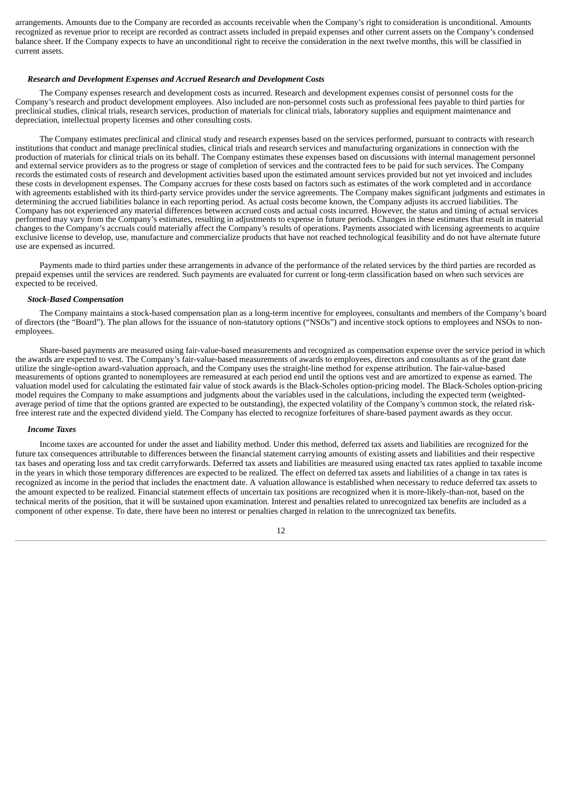arrangements. Amounts due to the Company are recorded as accounts receivable when the Company's right to consideration is unconditional. Amounts recognized as revenue prior to receipt are recorded as contract assets included in prepaid expenses and other current assets on the Company's condensed balance sheet. If the Company expects to have an unconditional right to receive the consideration in the next twelve months, this will be classified in current assets.

#### *Research and Development Expenses and Accrued Research and Development Costs*

The Company expenses research and development costs as incurred. Research and development expenses consist of personnel costs for the Company's research and product development employees. Also included are non-personnel costs such as professional fees payable to third parties for preclinical studies, clinical trials, research services, production of materials for clinical trials, laboratory supplies and equipment maintenance and depreciation, intellectual property licenses and other consulting costs.

The Company estimates preclinical and clinical study and research expenses based on the services performed, pursuant to contracts with research institutions that conduct and manage preclinical studies, clinical trials and research services and manufacturing organizations in connection with the production of materials for clinical trials on its behalf. The Company estimates these expenses based on discussions with internal management personnel and external service providers as to the progress or stage of completion of services and the contracted fees to be paid for such services. The Company records the estimated costs of research and development activities based upon the estimated amount services provided but not yet invoiced and includes these costs in development expenses. The Company accrues for these costs based on factors such as estimates of the work completed and in accordance with agreements established with its third-party service provides under the service agreements. The Company makes significant judgments and estimates in determining the accrued liabilities balance in each reporting period. As actual costs become known, the Company adjusts its accrued liabilities. The Company has not experienced any material differences between accrued costs and actual costs incurred. However, the status and timing of actual services performed may vary from the Company's estimates, resulting in adjustments to expense in future periods. Changes in these estimates that result in material changes to the Company's accruals could materially affect the Company's results of operations. Payments associated with licensing agreements to acquire exclusive license to develop, use, manufacture and commercialize products that have not reached technological feasibility and do not have alternate future use are expensed as incurred.

Payments made to third parties under these arrangements in advance of the performance of the related services by the third parties are recorded as prepaid expenses until the services are rendered. Such payments are evaluated for current or long-term classification based on when such services are expected to be received.

#### *Stock-Based Compensation*

The Company maintains a stock-based compensation plan as a long-term incentive for employees, consultants and members of the Company's board of directors (the "Board"). The plan allows for the issuance of non-statutory options ("NSOs") and incentive stock options to employees and NSOs to nonemployees.

Share-based payments are measured using fair-value-based measurements and recognized as compensation expense over the service period in which the awards are expected to vest. The Company's fair-value-based measurements of awards to employees, directors and consultants as of the grant date utilize the single-option award-valuation approach, and the Company uses the straight-line method for expense attribution. The fair-value-based measurements of options granted to nonemployees are remeasured at each period end until the options vest and are amortized to expense as earned. The valuation model used for calculating the estimated fair value of stock awards is the Black-Scholes option-pricing model. The Black-Scholes option-pricing model requires the Company to make assumptions and judgments about the variables used in the calculations, including the expected term (weightedaverage period of time that the options granted are expected to be outstanding), the expected volatility of the Company's common stock, the related riskfree interest rate and the expected dividend yield. The Company has elected to recognize forfeitures of share-based payment awards as they occur.

# *Income Taxes*

Income taxes are accounted for under the asset and liability method. Under this method, deferred tax assets and liabilities are recognized for the future tax consequences attributable to differences between the financial statement carrying amounts of existing assets and liabilities and their respective tax bases and operating loss and tax credit carryforwards. Deferred tax assets and liabilities are measured using enacted tax rates applied to taxable income in the years in which those temporary differences are expected to be realized. The effect on deferred tax assets and liabilities of a change in tax rates is recognized as income in the period that includes the enactment date. A valuation allowance is established when necessary to reduce deferred tax assets to the amount expected to be realized. Financial statement effects of uncertain tax positions are recognized when it is more-likely-than-not, based on the technical merits of the position, that it will be sustained upon examination. Interest and penalties related to unrecognized tax benefits are included as a component of other expense. To date, there have been no interest or penalties charged in relation to the unrecognized tax benefits.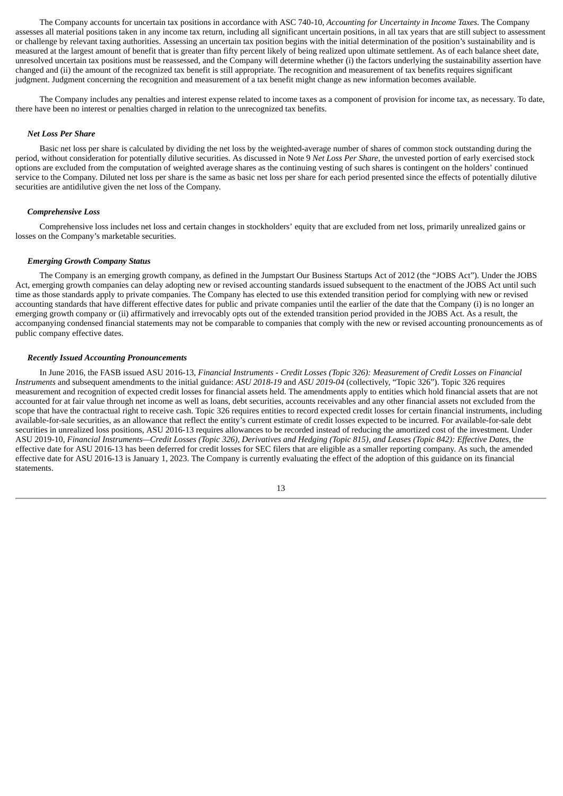The Company accounts for uncertain tax positions in accordance with ASC 740-10, *Accounting for Uncertainty in Income Taxes*. The Company assesses all material positions taken in any income tax return, including all significant uncertain positions, in all tax years that are still subject to assessment or challenge by relevant taxing authorities. Assessing an uncertain tax position begins with the initial determination of the position's sustainability and is measured at the largest amount of benefit that is greater than fifty percent likely of being realized upon ultimate settlement. As of each balance sheet date, unresolved uncertain tax positions must be reassessed, and the Company will determine whether (i) the factors underlying the sustainability assertion have changed and (ii) the amount of the recognized tax benefit is still appropriate. The recognition and measurement of tax benefits requires significant judgment. Judgment concerning the recognition and measurement of a tax benefit might change as new information becomes available.

The Company includes any penalties and interest expense related to income taxes as a component of provision for income tax, as necessary. To date, there have been no interest or penalties charged in relation to the unrecognized tax benefits.

#### *Net Loss Per Share*

Basic net loss per share is calculated by dividing the net loss by the weighted-average number of shares of common stock outstanding during the period, without consideration for potentially dilutive securities. As discussed in Note 9 *Net Loss Per Share*, the unvested portion of early exercised stock options are excluded from the computation of weighted average shares as the continuing vesting of such shares is contingent on the holders' continued service to the Company. Diluted net loss per share is the same as basic net loss per share for each period presented since the effects of potentially dilutive securities are antidilutive given the net loss of the Company.

#### *Comprehensive Loss*

Comprehensive loss includes net loss and certain changes in stockholders' equity that are excluded from net loss, primarily unrealized gains or losses on the Company's marketable securities.

# *Emerging Growth Company Status*

The Company is an emerging growth company, as defined in the Jumpstart Our Business Startups Act of 2012 (the "JOBS Act"). Under the JOBS Act, emerging growth companies can delay adopting new or revised accounting standards issued subsequent to the enactment of the JOBS Act until such time as those standards apply to private companies. The Company has elected to use this extended transition period for complying with new or revised accounting standards that have different effective dates for public and private companies until the earlier of the date that the Company (i) is no longer an emerging growth company or (ii) affirmatively and irrevocably opts out of the extended transition period provided in the JOBS Act. As a result, the accompanying condensed financial statements may not be comparable to companies that comply with the new or revised accounting pronouncements as of public company effective dates.

# *Recently Issued Accounting Pronouncements*

In June 2016, the FASB issued ASU 2016-13, Financial Instruments - Credit Losses (Topic 326): Measurement of Credit Losses on Financial *Instruments* and subsequent amendments to the initial guidance: *ASU 2018-19* and *ASU 2019-04* (collectively, "Topic 326"). Topic 326 requires measurement and recognition of expected credit losses for financial assets held. The amendments apply to entities which hold financial assets that are not accounted for at fair value through net income as well as loans, debt securities, accounts receivables and any other financial assets not excluded from the scope that have the contractual right to receive cash. Topic 326 requires entities to record expected credit losses for certain financial instruments, including available-for-sale securities, as an allowance that reflect the entity's current estimate of credit losses expected to be incurred. For available-for-sale debt securities in unrealized loss positions, ASU 2016-13 requires allowances to be recorded instead of reducing the amortized cost of the investment. Under ASU 2019-10, Financial Instruments—Credit Losses (Topic 326), Derivatives and Hedging (Topic 815), and Leases (Topic 842): Effective Dates, the effective date for ASU 2016-13 has been deferred for credit losses for SEC filers that are eligible as a smaller reporting company. As such, the amended effective date for ASU 2016-13 is January 1, 2023. The Company is currently evaluating the effect of the adoption of this guidance on its financial statements.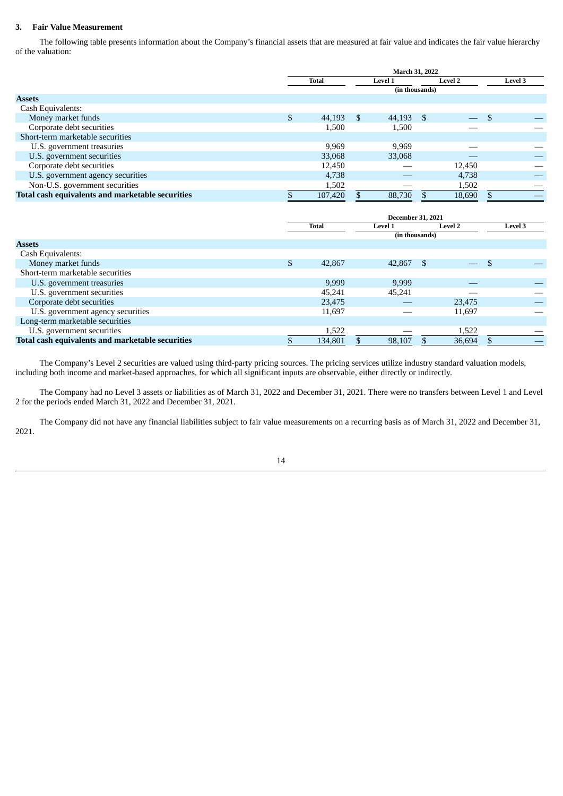# **3. Fair Value Measurement**

The following table presents information about the Company's financial assets that are measured at fair value and indicates the fair value hierarchy of the valuation:

|                                                  | March 31, 2022 |                         |               |                |                |                          |         |  |
|--------------------------------------------------|----------------|-------------------------|---------------|----------------|----------------|--------------------------|---------|--|
|                                                  |                | Total<br><b>Level 1</b> |               |                | <b>Level 2</b> |                          | Level 3 |  |
|                                                  |                |                         |               | (in thousands) |                |                          |         |  |
| <b>Assets</b>                                    |                |                         |               |                |                |                          |         |  |
| Cash Equivalents:                                |                |                         |               |                |                |                          |         |  |
| Money market funds                               | \$.            | 44,193                  | <sup>\$</sup> | 44,193         | - \$           | $\overline{\phantom{0}}$ |         |  |
| Corporate debt securities                        |                | 1,500                   |               | 1,500          |                |                          |         |  |
| Short-term marketable securities                 |                |                         |               |                |                |                          |         |  |
| U.S. government treasuries                       |                | 9.969                   |               | 9,969          |                |                          |         |  |
| U.S. government securities                       |                | 33,068                  |               | 33,068         |                |                          |         |  |
| Corporate debt securities                        |                | 12,450                  |               |                |                | 12,450                   |         |  |
| U.S. government agency securities                |                | 4,738                   |               |                |                | 4,738                    |         |  |
| Non-U.S. government securities                   |                | 1,502                   |               |                |                | 1,502                    |         |  |
| Total cash equivalents and marketable securities |                | 107,420                 |               | 88,730         |                | 18,690                   |         |  |

|                                                  | <b>December 31, 2021</b> |         |                |                |                          |          |         |
|--------------------------------------------------|--------------------------|---------|----------------|----------------|--------------------------|----------|---------|
|                                                  |                          | Total   | <b>Level 1</b> |                | <b>Level 2</b>           |          | Level 3 |
|                                                  |                          |         |                | (in thousands) |                          |          |         |
| <b>Assets</b>                                    |                          |         |                |                |                          |          |         |
| Cash Equivalents:                                |                          |         |                |                |                          |          |         |
| Money market funds                               | \$                       | 42,867  | 42,867         | - \$           | $\overline{\phantom{0}}$ | <b>S</b> |         |
| Short-term marketable securities                 |                          |         |                |                |                          |          |         |
| U.S. government treasuries                       |                          | 9,999   | 9,999          |                |                          |          |         |
| U.S. government securities                       |                          | 45,241  | 45,241         |                |                          |          |         |
| Corporate debt securities                        |                          | 23,475  |                |                | 23,475                   |          |         |
| U.S. government agency securities                |                          | 11,697  |                |                | 11,697                   |          |         |
| Long-term marketable securities                  |                          |         |                |                |                          |          |         |
| U.S. government securities                       |                          | 1,522   |                |                | 1,522                    |          |         |
| Total cash equivalents and marketable securities |                          | 134,801 | 98,107         |                | 36,694                   |          |         |

The Company's Level 2 securities are valued using third-party pricing sources. The pricing services utilize industry standard valuation models, including both income and market-based approaches, for which all significant inputs are observable, either directly or indirectly.

The Company had no Level 3 assets or liabilities as of March 31, 2022 and December 31, 2021. There were no transfers between Level 1 and Level 2 for the periods ended March 31, 2022 and December 31, 2021.

The Company did not have any financial liabilities subject to fair value measurements on a recurring basis as of March 31, 2022 and December 31, 2021.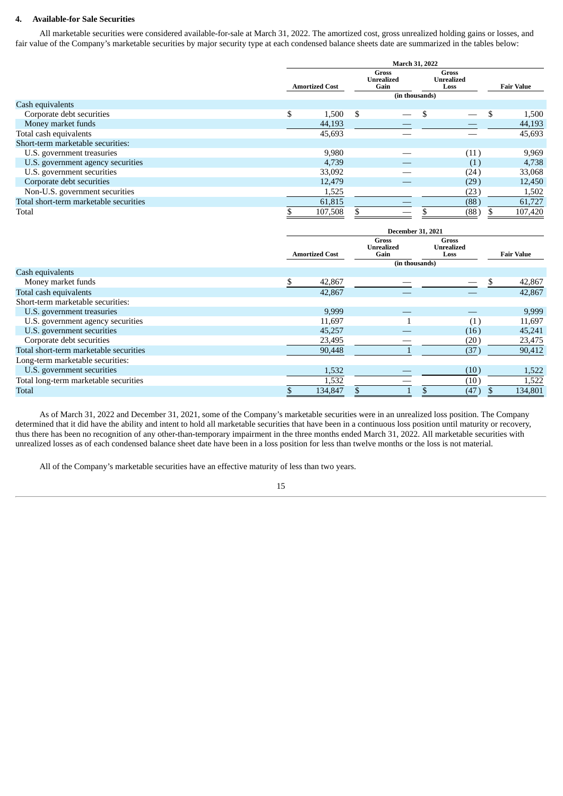# **4. Available-for Sale Securities**

All marketable securities were considered available-for-sale at March 31, 2022. The amortized cost, gross unrealized holding gains or losses, and fair value of the Company's marketable securities by major security type at each condensed balance sheets date are summarized in the tables below:

|                                        | March 31, 2022        |    |                                                      |  |                                    |  |                   |
|----------------------------------------|-----------------------|----|------------------------------------------------------|--|------------------------------------|--|-------------------|
|                                        | <b>Amortized Cost</b> |    | <b>Gross</b><br>Unrealized<br>Gain<br>(in thousands) |  | Gross<br><b>Unrealized</b><br>Loss |  | <b>Fair Value</b> |
| Cash equivalents                       |                       |    |                                                      |  |                                    |  |                   |
| Corporate debt securities              | \$<br>1,500           | \$ |                                                      |  |                                    |  | 1,500             |
| Money market funds                     | 44,193                |    |                                                      |  |                                    |  | 44,193            |
| Total cash equivalents                 | 45,693                |    |                                                      |  |                                    |  | 45,693            |
| Short-term marketable securities:      |                       |    |                                                      |  |                                    |  |                   |
| U.S. government treasuries             | 9,980                 |    |                                                      |  | (11)                               |  | 9,969             |
| U.S. government agency securities      | 4,739                 |    |                                                      |  | (1)                                |  | 4,738             |
| U.S. government securities             | 33,092                |    |                                                      |  | (24)                               |  | 33,068            |
| Corporate debt securities              | 12,479                |    |                                                      |  | (29)                               |  | 12,450            |
| Non-U.S. government securities         | 1,525                 |    |                                                      |  | (23                                |  | 1,502             |
| Total short-term marketable securities | 61,815                |    |                                                      |  | (88)                               |  | 61,727            |
| Total                                  | 107,508               |    |                                                      |  | (88)                               |  | 107,420           |

|                                        | <b>December 31, 2021</b> |                       |                                                      |                                    |  |                   |
|----------------------------------------|--------------------------|-----------------------|------------------------------------------------------|------------------------------------|--|-------------------|
|                                        |                          | <b>Amortized Cost</b> | Gross<br><b>Unrealized</b><br>Gain<br>(in thousands) | Gross<br><b>Unrealized</b><br>Loss |  | <b>Fair Value</b> |
| Cash equivalents                       |                          |                       |                                                      |                                    |  |                   |
| Money market funds                     | \$.                      | 42,867                |                                                      |                                    |  | 42,867            |
| Total cash equivalents                 |                          | 42,867                |                                                      |                                    |  | 42,867            |
| Short-term marketable securities:      |                          |                       |                                                      |                                    |  |                   |
| U.S. government treasuries             |                          | 9,999                 |                                                      |                                    |  | 9,999             |
| U.S. government agency securities      |                          | 11,697                |                                                      | (1)                                |  | 11,697            |
| U.S. government securities             |                          | 45,257                |                                                      | (16)                               |  | 45,241            |
| Corporate debt securities              |                          | 23,495                |                                                      | (20)                               |  | 23,475            |
| Total short-term marketable securities |                          | 90,448                |                                                      | (37)                               |  | 90,412            |
| Long-term marketable securities:       |                          |                       |                                                      |                                    |  |                   |
| U.S. government securities             |                          | 1,532                 |                                                      | (10)                               |  | 1,522             |
| Total long-term marketable securities  |                          | 1,532                 |                                                      | (10)                               |  | 1,522             |
| Total                                  |                          | 134,847               |                                                      | (47)                               |  | 134,801           |

As of March 31, 2022 and December 31, 2021, some of the Company's marketable securities were in an unrealized loss position. The Company determined that it did have the ability and intent to hold all marketable securities that have been in a continuous loss position until maturity or recovery, thus there has been no recognition of any other-than-temporary impairment in the three months ended March 31, 2022. All marketable securities with unrealized losses as of each condensed balance sheet date have been in a loss position for less than twelve months or the loss is not material.

All of the Company's marketable securities have an effective maturity of less than two years.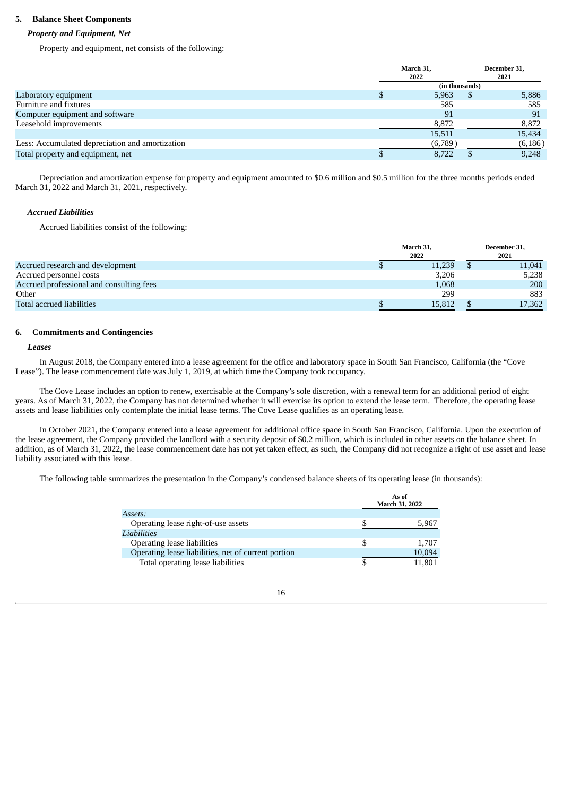# **5. Balance Sheet Components**

# *Property and Equipment, Net*

Property and equipment, net consists of the following:

|                                                 | March 31,      |     | December 31, |
|-------------------------------------------------|----------------|-----|--------------|
|                                                 | 2022           |     | 2021         |
|                                                 | (in thousands) |     |              |
| Laboratory equipment                            | 5,963          | \$. | 5,886        |
| Furniture and fixtures                          | 585            |     | 585          |
| Computer equipment and software                 | 91             |     | 91           |
| Leasehold improvements                          | 8,872          |     | 8,872        |
|                                                 | 15,511         |     | 15,434       |
| Less: Accumulated depreciation and amortization | (6,789)        |     | (6, 186)     |
| Total property and equipment, net               | 8,722          |     | 9,248        |

Depreciation and amortization expense for property and equipment amounted to \$0.6 million and \$0.5 million for the three months periods ended March 31, 2022 and March 31, 2021, respectively.

# *Accrued Liabilities*

Accrued liabilities consist of the following:

|                                          | March 31,<br>2022 |        |  | December 31,<br>2021 |  |  |
|------------------------------------------|-------------------|--------|--|----------------------|--|--|
| Accrued research and development         |                   | 11,239 |  | 11,041               |  |  |
| Accrued personnel costs                  |                   | 3,206  |  | 5,238                |  |  |
| Accrued professional and consulting fees |                   | 1,068  |  | 200                  |  |  |
| Other                                    |                   | 299    |  | 883                  |  |  |
| Total accrued liabilities                |                   | 15,812 |  | 17,362               |  |  |

# **6. Commitments and Contingencies**

# *Leases*

In August 2018, the Company entered into a lease agreement for the office and laboratory space in South San Francisco, California (the "Cove Lease"). The lease commencement date was July 1, 2019, at which time the Company took occupancy.

The Cove Lease includes an option to renew, exercisable at the Company's sole discretion, with a renewal term for an additional period of eight years. As of March 31, 2022, the Company has not determined whether it will exercise its option to extend the lease term. Therefore, the operating lease assets and lease liabilities only contemplate the initial lease terms. The Cove Lease qualifies as an operating lease.

In October 2021, the Company entered into a lease agreement for additional office space in South San Francisco, California. Upon the execution of the lease agreement, the Company provided the landlord with a security deposit of \$0.2 million, which is included in other assets on the balance sheet. In addition, as of March 31, 2022, the lease commencement date has not yet taken effect, as such, the Company did not recognize a right of use asset and lease liability associated with this lease.

The following table summarizes the presentation in the Company's condensed balance sheets of its operating lease (in thousands):

|                                                     | As of<br>March 31, 2022 |
|-----------------------------------------------------|-------------------------|
| Assets:                                             |                         |
| Operating lease right-of-use assets                 | 5,967                   |
| Liabilities                                         |                         |
| Operating lease liabilities                         | 1.707                   |
| Operating lease liabilities, net of current portion | 10,094                  |
| Total operating lease liabilities                   | 11,801                  |

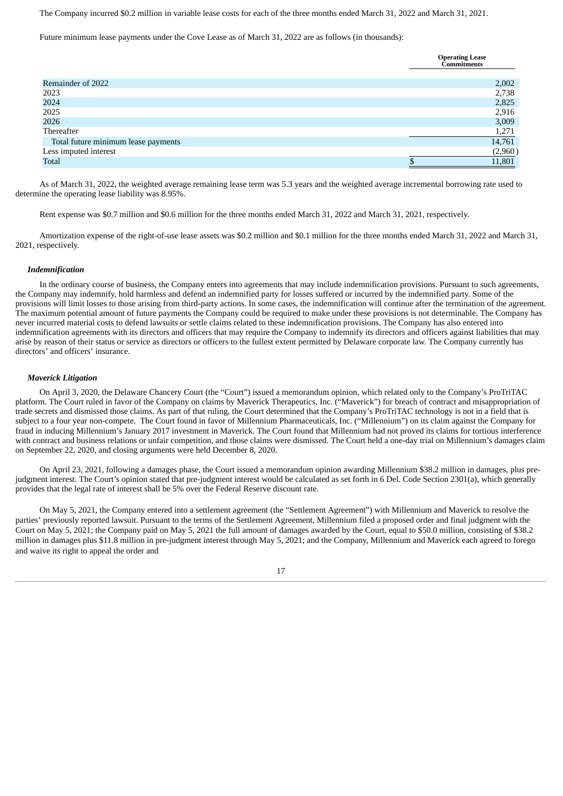The Company incurred \$0.2 million in variable lease costs for each of the three months ended March 31, 2022 and March 31, 2021.

Future minimum lease payments under the Cove Lease as of March 31, 2022 are as follows (in thousands):

|                                     | <b>Operating Lease</b><br><b>Commitments</b> |         |
|-------------------------------------|----------------------------------------------|---------|
|                                     |                                              |         |
| Remainder of 2022                   |                                              | 2,002   |
| 2023                                |                                              | 2,738   |
| 2024                                |                                              | 2,825   |
| 2025                                |                                              | 2,916   |
| 2026                                |                                              | 3,009   |
| Thereafter                          |                                              | 1,271   |
| Total future minimum lease payments |                                              | 14,761  |
| Less imputed interest               |                                              | (2,960) |
| <b>Total</b>                        |                                              | 11,801  |

As of March 31, 2022, the weighted average remaining lease term was 5.3 years and the weighted average incremental borrowing rate used to determine the operating lease liability was 8.95%.

Rent expense was \$0.7 million and \$0.6 million for the three months ended March 31, 2022 and March 31, 2021, respectively.

Amortization expense of the right-of-use lease assets was \$0.2 million and \$0.1 million for the three months ended March 31, 2022 and March 31, 2021, respectively.

#### *Indemnification*

In the ordinary course of business, the Company enters into agreements that may include indemnification provisions. Pursuant to such agreements, the Company may indemnify, hold harmless and defend an indemnified party for losses suffered or incurred by the indemnified party. Some of the provisions will limit losses to those arising from third-party actions. In some cases, the indemnification will continue after the termination of the agreement. The maximum potential amount of future payments the Company could be required to make under these provisions is not determinable. The Company has never incurred material costs to defend lawsuits or settle claims related to these indemnification provisions. The Company has also entered into indemnification agreements with its directors and officers that may require the Company to indemnify its directors and officers against liabilities that may arise by reason of their status or service as directors or officers to the fullest extent permitted by Delaware corporate law. The Company currently has directors' and officers' insurance.

# *Maverick Litigation*

On April 3, 2020, the Delaware Chancery Court (the "Court") issued a memorandum opinion, which related only to the Company's ProTriTAC platform. The Court ruled in favor of the Company on claims by Maverick Therapeutics, Inc. ("Maverick") for breach of contract and misappropriation of trade secrets and dismissed those claims. As part of that ruling, the Court determined that the Company's ProTriTAC technology is not in a field that is subject to a four year non-compete. The Court found in favor of Millennium Pharmaceuticals, Inc. ("Millennium") on its claim against the Company for fraud in inducing Millennium's January 2017 investment in Maverick. The Court found that Millennium had not proved its claims for tortious interference with contract and business relations or unfair competition, and those claims were dismissed. The Court held a one-day trial on Millennium's damages claim on September 22, 2020, and closing arguments were held December 8, 2020.

On April 23, 2021, following a damages phase, the Court issued a memorandum opinion awarding Millennium \$38.2 million in damages, plus prejudgment interest. The Court's opinion stated that pre-judgment interest would be calculated as set forth in 6 Del. Code Section 2301(a), which generally provides that the legal rate of interest shall be 5% over the Federal Reserve discount rate.

On May 5, 2021, the Company entered into a settlement agreement (the "Settlement Agreement") with Millennium and Maverick to resolve the parties' previously reported lawsuit. Pursuant to the terms of the Settlement Agreement, Millennium filed a proposed order and final judgment with the Court on May 5, 2021; the Company paid on May 5, 2021 the full amount of damages awarded by the Court, equal to \$50.0 million, consisting of \$38.2 million in damages plus \$11.8 million in pre-judgment interest through May 5, 2021; and the Company, Millennium and Maverick each agreed to forego and waive its right to appeal the order and

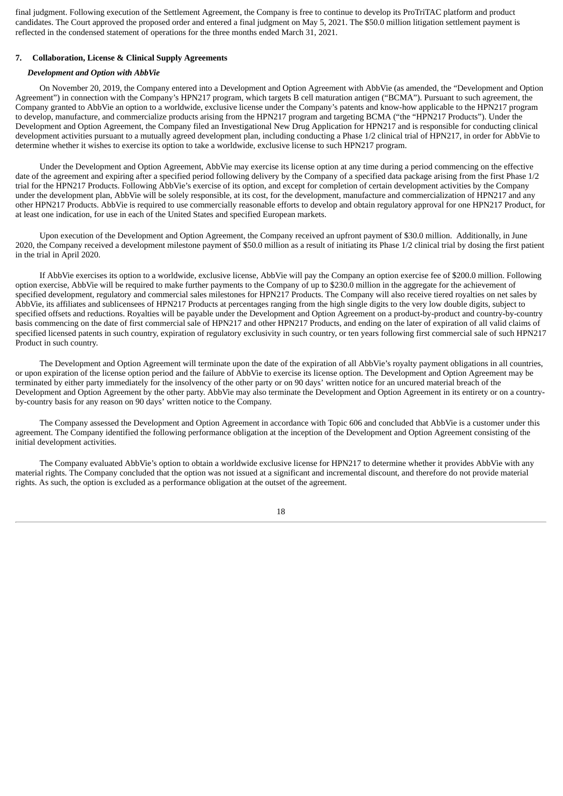final judgment. Following execution of the Settlement Agreement, the Company is free to continue to develop its ProTriTAC platform and product candidates. The Court approved the proposed order and entered a final judgment on May 5, 2021. The \$50.0 million litigation settlement payment is reflected in the condensed statement of operations for the three months ended March 31, 2021.

# **7. Collaboration, License & Clinical Supply Agreements**

#### *Development and Option with AbbVie*

On November 20, 2019, the Company entered into a Development and Option Agreement with AbbVie (as amended, the "Development and Option Agreement") in connection with the Company's HPN217 program, which targets B cell maturation antigen ("BCMA"). Pursuant to such agreement, the Company granted to AbbVie an option to a worldwide, exclusive license under the Company's patents and know-how applicable to the HPN217 program to develop, manufacture, and commercialize products arising from the HPN217 program and targeting BCMA ("the "HPN217 Products"). Under the Development and Option Agreement, the Company filed an Investigational New Drug Application for HPN217 and is responsible for conducting clinical development activities pursuant to a mutually agreed development plan, including conducting a Phase 1/2 clinical trial of HPN217, in order for AbbVie to determine whether it wishes to exercise its option to take a worldwide, exclusive license to such HPN217 program.

Under the Development and Option Agreement, AbbVie may exercise its license option at any time during a period commencing on the effective date of the agreement and expiring after a specified period following delivery by the Company of a specified data package arising from the first Phase 1/2 trial for the HPN217 Products. Following AbbVie's exercise of its option, and except for completion of certain development activities by the Company under the development plan, AbbVie will be solely responsible, at its cost, for the development, manufacture and commercialization of HPN217 and any other HPN217 Products. AbbVie is required to use commercially reasonable efforts to develop and obtain regulatory approval for one HPN217 Product, for at least one indication, for use in each of the United States and specified European markets.

Upon execution of the Development and Option Agreement, the Company received an upfront payment of \$30.0 million. Additionally, in June 2020, the Company received a development milestone payment of \$50.0 million as a result of initiating its Phase 1/2 clinical trial by dosing the first patient in the trial in April 2020.

If AbbVie exercises its option to a worldwide, exclusive license, AbbVie will pay the Company an option exercise fee of \$200.0 million. Following option exercise, AbbVie will be required to make further payments to the Company of up to \$230.0 million in the aggregate for the achievement of specified development, regulatory and commercial sales milestones for HPN217 Products. The Company will also receive tiered royalties on net sales by AbbVie, its affiliates and sublicensees of HPN217 Products at percentages ranging from the high single digits to the very low double digits, subject to specified offsets and reductions. Royalties will be payable under the Development and Option Agreement on a product-by-product and country-by-country basis commencing on the date of first commercial sale of HPN217 and other HPN217 Products, and ending on the later of expiration of all valid claims of specified licensed patents in such country, expiration of regulatory exclusivity in such country, or ten years following first commercial sale of such HPN217 Product in such country.

The Development and Option Agreement will terminate upon the date of the expiration of all AbbVie's royalty payment obligations in all countries, or upon expiration of the license option period and the failure of AbbVie to exercise its license option. The Development and Option Agreement may be terminated by either party immediately for the insolvency of the other party or on 90 days' written notice for an uncured material breach of the Development and Option Agreement by the other party. AbbVie may also terminate the Development and Option Agreement in its entirety or on a countryby-country basis for any reason on 90 days' written notice to the Company.

The Company assessed the Development and Option Agreement in accordance with Topic 606 and concluded that AbbVie is a customer under this agreement. The Company identified the following performance obligation at the inception of the Development and Option Agreement consisting of the initial development activities.

The Company evaluated AbbVie's option to obtain a worldwide exclusive license for HPN217 to determine whether it provides AbbVie with any material rights. The Company concluded that the option was not issued at a significant and incremental discount, and therefore do not provide material rights. As such, the option is excluded as a performance obligation at the outset of the agreement.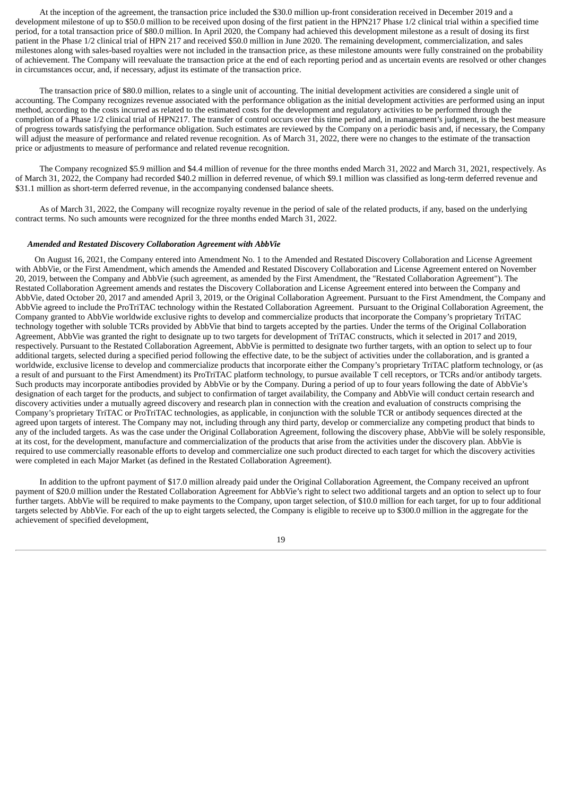At the inception of the agreement, the transaction price included the \$30.0 million up-front consideration received in December 2019 and a development milestone of up to \$50.0 million to be received upon dosing of the first patient in the HPN217 Phase 1/2 clinical trial within a specified time period, for a total transaction price of \$80.0 million. In April 2020, the Company had achieved this development milestone as a result of dosing its first patient in the Phase 1/2 clinical trial of HPN 217 and received \$50.0 million in June 2020. The remaining development, commercialization, and sales milestones along with sales-based royalties were not included in the transaction price, as these milestone amounts were fully constrained on the probability of achievement. The Company will reevaluate the transaction price at the end of each reporting period and as uncertain events are resolved or other changes in circumstances occur, and, if necessary, adjust its estimate of the transaction price.

The transaction price of \$80.0 million, relates to a single unit of accounting. The initial development activities are considered a single unit of accounting. The Company recognizes revenue associated with the performance obligation as the initial development activities are performed using an input method, according to the costs incurred as related to the estimated costs for the development and regulatory activities to be performed through the completion of a Phase 1/2 clinical trial of HPN217. The transfer of control occurs over this time period and, in management's judgment, is the best measure of progress towards satisfying the performance obligation. Such estimates are reviewed by the Company on a periodic basis and, if necessary, the Company will adjust the measure of performance and related revenue recognition. As of March 31, 2022, there were no changes to the estimate of the transaction price or adjustments to measure of performance and related revenue recognition.

The Company recognized \$5.9 million and \$4.4 million of revenue for the three months ended March 31, 2022 and March 31, 2021, respectively. As of March 31, 2022, the Company had recorded \$40.2 million in deferred revenue, of which \$9.1 million was classified as long-term deferred revenue and \$31.1 million as short-term deferred revenue, in the accompanying condensed balance sheets.

As of March 31, 2022, the Company will recognize royalty revenue in the period of sale of the related products, if any, based on the underlying contract terms. No such amounts were recognized for the three months ended March 31, 2022.

## *Amended and Restated Discovery Collaboration Agreement with AbbVie*

On August 16, 2021, the Company entered into Amendment No. 1 to the Amended and Restated Discovery Collaboration and License Agreement with AbbVie, or the First Amendment, which amends the Amended and Restated Discovery Collaboration and License Agreement entered on November 20, 2019, between the Company and AbbVie (such agreement, as amended by the First Amendment, the "Restated Collaboration Agreement"). The Restated Collaboration Agreement amends and restates the Discovery Collaboration and License Agreement entered into between the Company and AbbVie, dated October 20, 2017 and amended April 3, 2019, or the Original Collaboration Agreement. Pursuant to the First Amendment, the Company and AbbVie agreed to include the ProTriTAC technology within the Restated Collaboration Agreement. Pursuant to the Original Collaboration Agreement, the Company granted to AbbVie worldwide exclusive rights to develop and commercialize products that incorporate the Company's proprietary TriTAC technology together with soluble TCRs provided by AbbVie that bind to targets accepted by the parties. Under the terms of the Original Collaboration Agreement, AbbVie was granted the right to designate up to two targets for development of TriTAC constructs, which it selected in 2017 and 2019, respectively. Pursuant to the Restated Collaboration Agreement, AbbVie is permitted to designate two further targets, with an option to select up to four additional targets, selected during a specified period following the effective date, to be the subject of activities under the collaboration, and is granted a worldwide, exclusive license to develop and commercialize products that incorporate either the Company's proprietary TriTAC platform technology, or (as a result of and pursuant to the First Amendment) its ProTriTAC platform technology, to pursue available T cell receptors, or TCRs and/or antibody targets. Such products may incorporate antibodies provided by AbbVie or by the Company. During a period of up to four years following the date of AbbVie's designation of each target for the products, and subject to confirmation of target availability, the Company and AbbVie will conduct certain research and discovery activities under a mutually agreed discovery and research plan in connection with the creation and evaluation of constructs comprising the Company's proprietary TriTAC or ProTriTAC technologies, as applicable, in conjunction with the soluble TCR or antibody sequences directed at the agreed upon targets of interest. The Company may not, including through any third party, develop or commercialize any competing product that binds to any of the included targets. As was the case under the Original Collaboration Agreement, following the discovery phase, AbbVie will be solely responsible, at its cost, for the development, manufacture and commercialization of the products that arise from the activities under the discovery plan. AbbVie is required to use commercially reasonable efforts to develop and commercialize one such product directed to each target for which the discovery activities were completed in each Major Market (as defined in the Restated Collaboration Agreement).

In addition to the upfront payment of \$17.0 million already paid under the Original Collaboration Agreement, the Company received an upfront payment of \$20.0 million under the Restated Collaboration Agreement for AbbVie's right to select two additional targets and an option to select up to four further targets. AbbVie will be required to make payments to the Company, upon target selection, of \$10.0 million for each target, for up to four additional targets selected by AbbVie. For each of the up to eight targets selected, the Company is eligible to receive up to \$300.0 million in the aggregate for the achievement of specified development,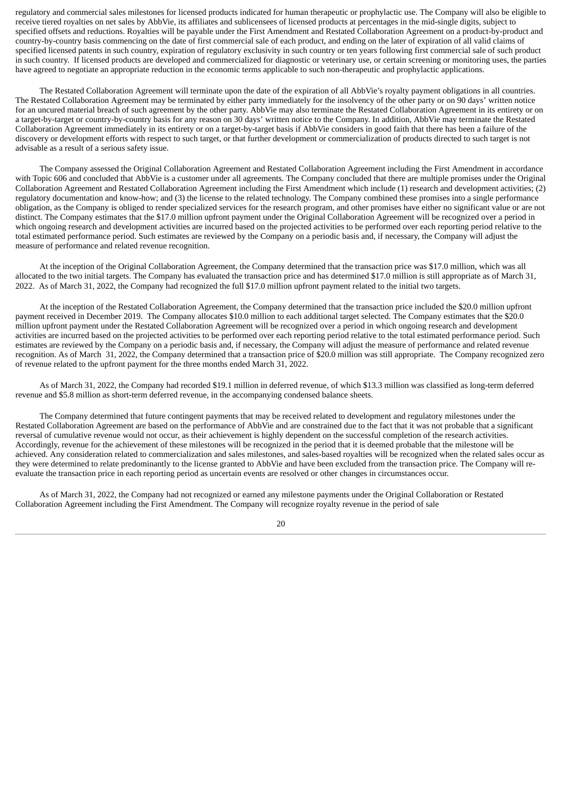regulatory and commercial sales milestones for licensed products indicated for human therapeutic or prophylactic use. The Company will also be eligible to receive tiered royalties on net sales by AbbVie, its affiliates and sublicensees of licensed products at percentages in the mid-single digits, subject to specified offsets and reductions. Royalties will be payable under the First Amendment and Restated Collaboration Agreement on a product-by-product and country-by-country basis commencing on the date of first commercial sale of each product, and ending on the later of expiration of all valid claims of specified licensed patents in such country, expiration of regulatory exclusivity in such country or ten years following first commercial sale of such product in such country. If licensed products are developed and commercialized for diagnostic or veterinary use, or certain screening or monitoring uses, the parties have agreed to negotiate an appropriate reduction in the economic terms applicable to such non-therapeutic and prophylactic applications.

The Restated Collaboration Agreement will terminate upon the date of the expiration of all AbbVie's royalty payment obligations in all countries. The Restated Collaboration Agreement may be terminated by either party immediately for the insolvency of the other party or on 90 days' written notice for an uncured material breach of such agreement by the other party. AbbVie may also terminate the Restated Collaboration Agreement in its entirety or on a target-by-target or country-by-country basis for any reason on 30 days' written notice to the Company. In addition, AbbVie may terminate the Restated Collaboration Agreement immediately in its entirety or on a target-by-target basis if AbbVie considers in good faith that there has been a failure of the discovery or development efforts with respect to such target, or that further development or commercialization of products directed to such target is not advisable as a result of a serious safety issue.

The Company assessed the Original Collaboration Agreement and Restated Collaboration Agreement including the First Amendment in accordance with Topic 606 and concluded that AbbVie is a customer under all agreements. The Company concluded that there are multiple promises under the Original Collaboration Agreement and Restated Collaboration Agreement including the First Amendment which include (1) research and development activities; (2) regulatory documentation and know-how; and (3) the license to the related technology. The Company combined these promises into a single performance obligation, as the Company is obliged to render specialized services for the research program, and other promises have either no significant value or are not distinct. The Company estimates that the \$17.0 million upfront payment under the Original Collaboration Agreement will be recognized over a period in which ongoing research and development activities are incurred based on the projected activities to be performed over each reporting period relative to the total estimated performance period. Such estimates are reviewed by the Company on a periodic basis and, if necessary, the Company will adjust the measure of performance and related revenue recognition.

At the inception of the Original Collaboration Agreement, the Company determined that the transaction price was \$17.0 million, which was all allocated to the two initial targets. The Company has evaluated the transaction price and has determined \$17.0 million is still appropriate as of March 31, 2022. As of March 31, 2022, the Company had recognized the full \$17.0 million upfront payment related to the initial two targets.

At the inception of the Restated Collaboration Agreement, the Company determined that the transaction price included the \$20.0 million upfront payment received in December 2019. The Company allocates \$10.0 million to each additional target selected. The Company estimates that the \$20.0 million upfront payment under the Restated Collaboration Agreement will be recognized over a period in which ongoing research and development activities are incurred based on the projected activities to be performed over each reporting period relative to the total estimated performance period. Such estimates are reviewed by the Company on a periodic basis and, if necessary, the Company will adjust the measure of performance and related revenue recognition. As of March 31, 2022, the Company determined that a transaction price of \$20.0 million was still appropriate. The Company recognized zero of revenue related to the upfront payment for the three months ended March 31, 2022.

As of March 31, 2022, the Company had recorded \$19.1 million in deferred revenue, of which \$13.3 million was classified as long-term deferred revenue and \$5.8 million as short-term deferred revenue, in the accompanying condensed balance sheets.

The Company determined that future contingent payments that may be received related to development and regulatory milestones under the Restated Collaboration Agreement are based on the performance of AbbVie and are constrained due to the fact that it was not probable that a significant reversal of cumulative revenue would not occur, as their achievement is highly dependent on the successful completion of the research activities. Accordingly, revenue for the achievement of these milestones will be recognized in the period that it is deemed probable that the milestone will be achieved. Any consideration related to commercialization and sales milestones, and sales-based royalties will be recognized when the related sales occur as they were determined to relate predominantly to the license granted to AbbVie and have been excluded from the transaction price. The Company will reevaluate the transaction price in each reporting period as uncertain events are resolved or other changes in circumstances occur.

As of March 31, 2022, the Company had not recognized or earned any milestone payments under the Original Collaboration or Restated Collaboration Agreement including the First Amendment. The Company will recognize royalty revenue in the period of sale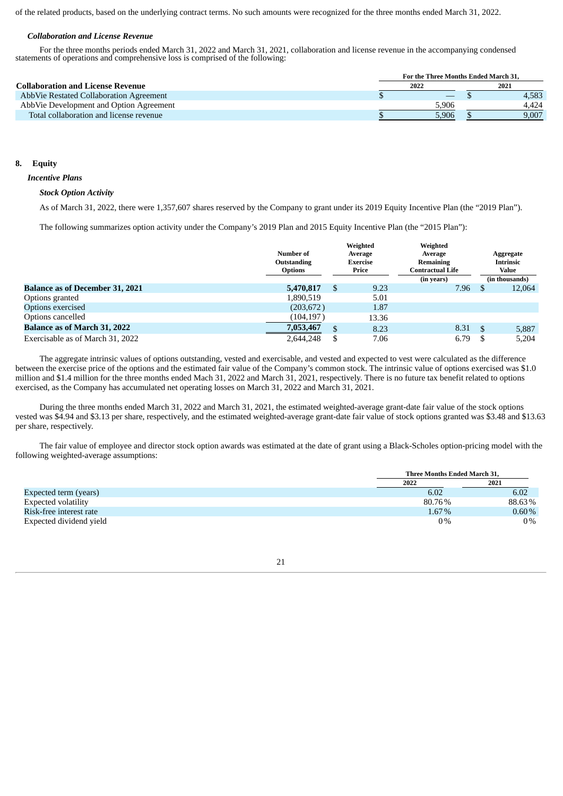of the related products, based on the underlying contract terms. No such amounts were recognized for the three months ended March 31, 2022.

# *Collaboration and License Revenue*

For the three months periods ended March 31, 2022 and March 31, 2021, collaboration and license revenue in the accompanying condensed statements of operations and comprehensive loss is comprised of the following:

|                                          | For the Three Months Ended March 31. |       |  |       |  |  |
|------------------------------------------|--------------------------------------|-------|--|-------|--|--|
| <b>Collaboration and License Revenue</b> | 2022                                 |       |  | 2021  |  |  |
| AbbVie Restated Collaboration Agreement  |                                      |       |  | 4,583 |  |  |
| AbbVie Development and Option Agreement  |                                      | 5.906 |  | 4.424 |  |  |
| Total collaboration and license revenue  |                                      | 5.906 |  | 9,007 |  |  |

# **8. Equity**

## *Incentive Plans*

# *Stock Option Activity*

As of March 31, 2022, there were 1,357,607 shares reserved by the Company to grant under its 2019 Equity Incentive Plan (the "2019 Plan").

The following summarizes option activity under the Company's 2019 Plan and 2015 Equity Incentive Plan (the "2015 Plan"):

|                                        | Number of<br>Outstanding<br><b>Options</b> |    | Weighted<br>Average<br><b>Exercise</b><br>Price | Weighted<br>Average<br>Remaining<br><b>Contractual Life</b> |    | Aggregate<br><b>Intrinsic</b><br>Value |
|----------------------------------------|--------------------------------------------|----|-------------------------------------------------|-------------------------------------------------------------|----|----------------------------------------|
| <b>Balance as of December 31, 2021</b> | 5,470,817                                  | S  | 9.23                                            | (in years)<br>7.96                                          |    | (in thousands)<br>12,064               |
| Options granted                        | 1,890,519                                  |    | 5.01                                            |                                                             |    |                                        |
| Options exercised                      | (203, 672)                                 |    | 1.87                                            |                                                             |    |                                        |
| Options cancelled                      | (104, 197)                                 |    | 13.36                                           |                                                             |    |                                        |
| <b>Balance as of March 31, 2022</b>    | 7,053,467                                  | \$ | 8.23                                            | 8.31                                                        | -S | 5,887                                  |
| Exercisable as of March 31, 2022       | 2,644,248                                  | S  | 7.06                                            | 6.79                                                        |    | 5,204                                  |

The aggregate intrinsic values of options outstanding, vested and exercisable, and vested and expected to vest were calculated as the difference between the exercise price of the options and the estimated fair value of the Company's common stock. The intrinsic value of options exercised was \$1.0 million and \$1.4 million for the three months ended Mach 31, 2022 and March 31, 2021, respectively. There is no future tax benefit related to options exercised, as the Company has accumulated net operating losses on March 31, 2022 and March 31, 2021.

During the three months ended March 31, 2022 and March 31, 2021, the estimated weighted-average grant-date fair value of the stock options vested was \$4.94 and \$3.13 per share, respectively, and the estimated weighted-average grant-date fair value of stock options granted was \$3.48 and \$13.63 per share, respectively.

The fair value of employee and director stock option awards was estimated at the date of grant using a Black-Scholes option-pricing model with the following weighted-average assumptions:

|                         | <b>Three Months Ended March 31.</b> |          |
|-------------------------|-------------------------------------|----------|
|                         | 2022                                | 2021     |
| Expected term (years)   | 6.02                                | 6.02     |
| Expected volatility     | 80.76%                              | 88.63%   |
| Risk-free interest rate | 1.67%                               | $0.60\%$ |
| Expected dividend yield | $0\%$                               | $0\%$    |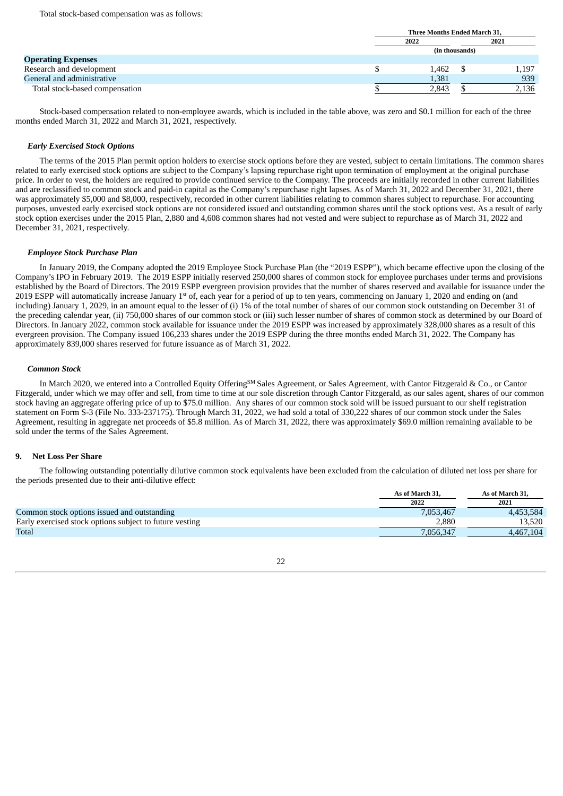|                                | Three Months Ended March 31, |  |       |  |
|--------------------------------|------------------------------|--|-------|--|
|                                | 2021<br>2022                 |  |       |  |
|                                | (in thousands)               |  |       |  |
| <b>Operating Expenses</b>      |                              |  |       |  |
| Research and development       | 1.462                        |  | 1.197 |  |
| General and administrative     | 1,381                        |  | 939   |  |
| Total stock-based compensation | 2,843                        |  | 2,136 |  |

Stock-based compensation related to non-employee awards, which is included in the table above, was zero and \$0.1 million for each of the three months ended March 31, 2022 and March 31, 2021, respectively.

# *Early Exercised Stock Options*

The terms of the 2015 Plan permit option holders to exercise stock options before they are vested, subject to certain limitations. The common shares related to early exercised stock options are subject to the Company's lapsing repurchase right upon termination of employment at the original purchase price. In order to vest, the holders are required to provide continued service to the Company. The proceeds are initially recorded in other current liabilities and are reclassified to common stock and paid-in capital as the Company's repurchase right lapses. As of March 31, 2022 and December 31, 2021, there was approximately \$5,000 and \$8,000, respectively, recorded in other current liabilities relating to common shares subject to repurchase. For accounting purposes, unvested early exercised stock options are not considered issued and outstanding common shares until the stock options vest. As a result of early stock option exercises under the 2015 Plan, 2,880 and 4,608 common shares had not vested and were subject to repurchase as of March 31, 2022 and December 31, 2021, respectively.

# *Employee Stock Purchase Plan*

In January 2019, the Company adopted the 2019 Employee Stock Purchase Plan (the "2019 ESPP"), which became effective upon the closing of the Company's IPO in February 2019. The 2019 ESPP initially reserved 250,000 shares of common stock for employee purchases under terms and provisions established by the Board of Directors. The 2019 ESPP evergreen provision provides that the number of shares reserved and available for issuance under the 2019 ESPP will automatically increase January 1<sup>st</sup> of, each year for a period of up to ten years, commencing on January 1, 2020 and ending on (and including) January 1, 2029, in an amount equal to the lesser of (i) 1% of the total number of shares of our common stock outstanding on December 31 of the preceding calendar year, (ii) 750,000 shares of our common stock or (iii) such lesser number of shares of common stock as determined by our Board of Directors. In January 2022, common stock available for issuance under the 2019 ESPP was increased by approximately 328,000 shares as a result of this evergreen provision. The Company issued 106,233 shares under the 2019 ESPP during the three months ended March 31, 2022. The Company has approximately 839,000 shares reserved for future issuance as of March 31, 2022.

## *Common Stock*

In March 2020, we entered into a Controlled Equity Offering<sup>sM</sup> Sales Agreement, or Sales Agreement, with Cantor Fitzgerald & Co., or Cantor Fitzgerald, under which we may offer and sell, from time to time at our sole discretion through Cantor Fitzgerald, as our sales agent, shares of our common stock having an aggregate offering price of up to \$75.0 million. Any shares of our common stock sold will be issued pursuant to our shelf registration statement on Form S-3 (File No. 333-237175). Through March 31, 2022, we had sold a total of 330,222 shares of our common stock under the Sales Agreement, resulting in aggregate net proceeds of \$5.8 million. As of March 31, 2022, there was approximately \$69.0 million remaining available to be sold under the terms of the Sales Agreement.

# **9. Net Loss Per Share**

The following outstanding potentially dilutive common stock equivalents have been excluded from the calculation of diluted net loss per share for the periods presented due to their anti-dilutive effect:

|                                                         | As of March 31. | As of March 31. |
|---------------------------------------------------------|-----------------|-----------------|
|                                                         | 2022            | 2021            |
| Common stock options issued and outstanding             | 7,053,467       | 4.453.584       |
| Early exercised stock options subject to future vesting | 2,880           | 13.520          |
| Total                                                   | 7,056,347       | 4.467.104       |

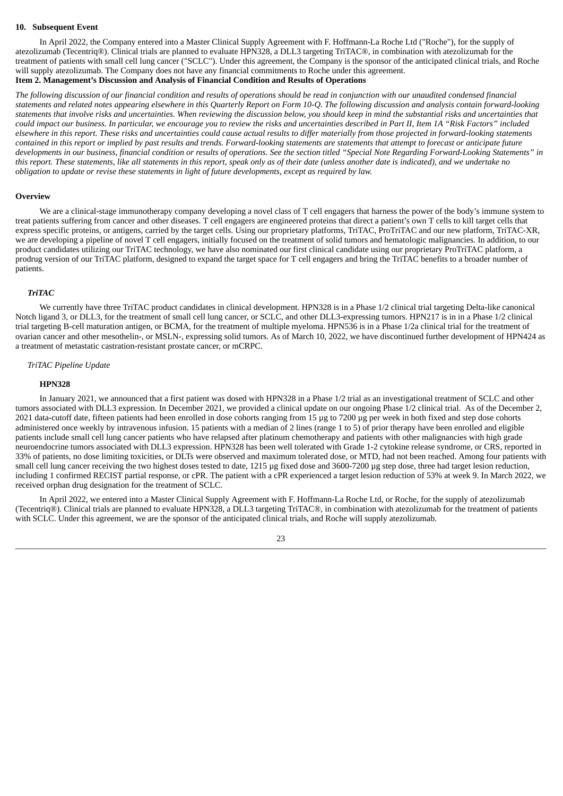#### **10. Subsequent Event**

In April 2022, the Company entered into a Master Clinical Supply Agreement with F. Hoffmann-La Roche Ltd ("Roche"), for the supply of atezolizumab (Tecentriq®). Clinical trials are planned to evaluate HPN328, a DLL3 targeting TriTAC®, in combination with atezolizumab for the treatment of patients with small cell lung cancer ("SCLC"). Under this agreement, the Company is the sponsor of the anticipated clinical trials, and Roche will supply atezolizumab. The Company does not have any financial commitments to Roche under this agreement. **Item 2. Management's Discussion and Analysis of Financial Condition and Results of Operations**

<span id="page-22-0"></span>The following discussion of our financial condition and results of operations should be read in conjunction with our unaudited condensed financial statements and related notes appearing elsewhere in this Quarterly Report on Form 10-Q. The following discussion and analysis contain forward-looking statements that involve risks and uncertainties. When reviewing the discussion below, you should keep in mind the substantial risks and uncertainties that could impact our business. In particular, we encourage you to review the risks and uncertainties described in Part II, Item 1A "Risk Factors" included elsewhere in this report. These risks and uncertainties could cause actual results to differ materially from those projected in forward-looking statements contained in this report or implied by past results and trends. Forward-looking statements are statements that attempt to forecast or anticipate future developments in our business, financial condition or results of operations. See the section titled "Special Note Regarding Forward-Looking Statements" in this report. These statements, like all statements in this report, speak only as of their date (unless another date is indicated), and we undertake no obligation to update or revise these statements in light of future developments, except as required by law.

## **Overview**

We are a clinical-stage immunotherapy company developing a novel class of T cell engagers that harness the power of the body's immune system to treat patients suffering from cancer and other diseases. T cell engagers are engineered proteins that direct a patient's own T cells to kill target cells that express specific proteins, or antigens, carried by the target cells. Using our proprietary platforms, TriTAC, ProTriTAC and our new platform, TriTAC-XR, we are developing a pipeline of novel T cell engagers, initially focused on the treatment of solid tumors and hematologic malignancies. In addition, to our product candidates utilizing our TriTAC technology, we have also nominated our first clinical candidate using our proprietary ProTriTAC platform, a prodrug version of our TriTAC platform, designed to expand the target space for T cell engagers and bring the TriTAC benefits to a broader number of patients.

#### *TriTAC*

We currently have three TriTAC product candidates in clinical development. HPN328 is in a Phase 1/2 clinical trial targeting Delta-like canonical Notch ligand 3, or DLL3, for the treatment of small cell lung cancer, or SCLC, and other DLL3-expressing tumors. HPN217 is in in a Phase 1/2 clinical trial targeting B-cell maturation antigen, or BCMA, for the treatment of multiple myeloma. HPN536 is in a Phase 1/2a clinical trial for the treatment of ovarian cancer and other mesothelin-, or MSLN-, expressing solid tumors. As of March 10, 2022, we have discontinued further development of HPN424 as a treatment of metastatic castration-resistant prostate cancer, or mCRPC.

#### *TriTAC Pipeline Update*

#### **HPN328**

In January 2021, we announced that a first patient was dosed with HPN328 in a Phase 1/2 trial as an investigational treatment of SCLC and other tumors associated with DLL3 expression. In December 2021, we provided a clinical update on our ongoing Phase 1/2 clinical trial. As of the December 2, 2021 data-cutoff date, fifteen patients had been enrolled in dose cohorts ranging from 15 µg to 7200 µg per week in both fixed and step dose cohorts administered once weekly by intravenous infusion. 15 patients with a median of 2 lines (range 1 to 5) of prior therapy have been enrolled and eligible patients include small cell lung cancer patients who have relapsed after platinum chemotherapy and patients with other malignancies with high grade neuroendocrine tumors associated with DLL3 expression. HPN328 has been well tolerated with Grade 1-2 cytokine release syndrome, or CRS, reported in 33% of patients, no dose limiting toxicities, or DLTs were observed and maximum tolerated dose, or MTD, had not been reached. Among four patients with small cell lung cancer receiving the two highest doses tested to date, 1215 µg fixed dose and 3600-7200 µg step dose, three had target lesion reduction, including 1 confirmed RECIST partial response, or cPR. The patient with a cPR experienced a target lesion reduction of 53% at week 9. In March 2022, we received orphan drug designation for the treatment of SCLC.

In April 2022, we entered into a Master Clinical Supply Agreement with F. Hoffmann-La Roche Ltd, or Roche, for the supply of atezolizumab (Tecentriq®). Clinical trials are planned to evaluate HPN328, a DLL3 targeting TriTAC®, in combination with atezolizumab for the treatment of patients with SCLC. Under this agreement, we are the sponsor of the anticipated clinical trials, and Roche will supply atezolizumab.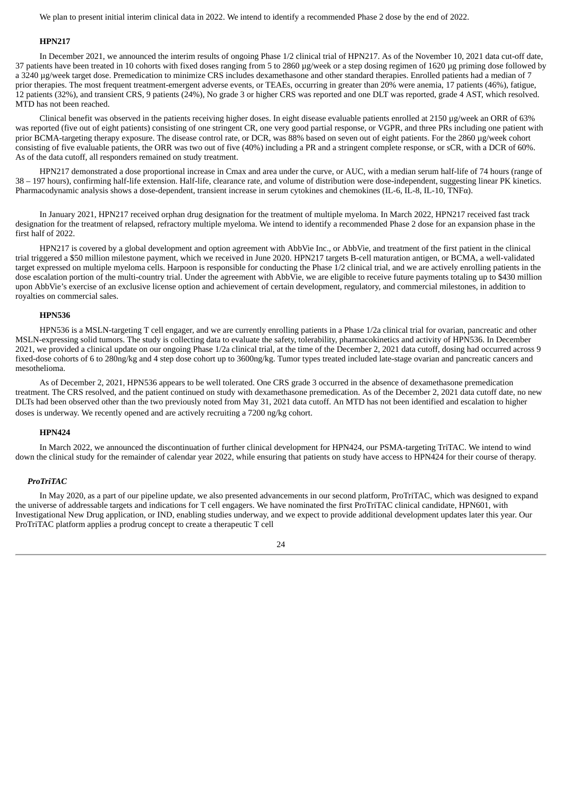We plan to present initial interim clinical data in 2022. We intend to identify a recommended Phase 2 dose by the end of 2022.

# **HPN217**

In December 2021, we announced the interim results of ongoing Phase 1/2 clinical trial of HPN217. As of the November 10, 2021 data cut-off date, 37 patients have been treated in 10 cohorts with fixed doses ranging from 5 to 2860 µg/week or a step dosing regimen of 1620 µg priming dose followed by a 3240 µg/week target dose. Premedication to minimize CRS includes dexamethasone and other standard therapies. Enrolled patients had a median of 7 prior therapies. The most frequent treatment-emergent adverse events, or TEAEs, occurring in greater than 20% were anemia, 17 patients (46%), fatigue, 12 patients (32%), and transient CRS, 9 patients (24%), No grade 3 or higher CRS was reported and one DLT was reported, grade 4 AST, which resolved. MTD has not been reached.

Clinical benefit was observed in the patients receiving higher doses. In eight disease evaluable patients enrolled at 2150 µg/week an ORR of 63% was reported (five out of eight patients) consisting of one stringent CR, one very good partial response, or VGPR, and three PRs including one patient with prior BCMA-targeting therapy exposure. The disease control rate, or DCR, was 88% based on seven out of eight patients. For the 2860 µg/week cohort consisting of five evaluable patients, the ORR was two out of five (40%) including a PR and a stringent complete response, or sCR, with a DCR of 60%. As of the data cutoff, all responders remained on study treatment.

HPN217 demonstrated a dose proportional increase in Cmax and area under the curve, or AUC, with a median serum half-life of 74 hours (range of 38 – 197 hours), confirming half-life extension. Half-life, clearance rate, and volume of distribution were dose-independent, suggesting linear PK kinetics. Pharmacodynamic analysis shows a dose-dependent, transient increase in serum cytokines and chemokines (IL-6, IL-8, IL-10, TNFα).

In January 2021, HPN217 received orphan drug designation for the treatment of multiple myeloma. In March 2022, HPN217 received fast track designation for the treatment of relapsed, refractory multiple myeloma. We intend to identify a recommended Phase 2 dose for an expansion phase in the first half of 2022.

HPN217 is covered by a global development and option agreement with AbbVie Inc., or AbbVie, and treatment of the first patient in the clinical trial triggered a \$50 million milestone payment, which we received in June 2020. HPN217 targets B-cell maturation antigen, or BCMA, a well-validated target expressed on multiple myeloma cells. Harpoon is responsible for conducting the Phase 1/2 clinical trial, and we are actively enrolling patients in the dose escalation portion of the multi-country trial. Under the agreement with AbbVie, we are eligible to receive future payments totaling up to \$430 million upon AbbVie's exercise of an exclusive license option and achievement of certain development, regulatory, and commercial milestones, in addition to royalties on commercial sales.

# **HPN536**

HPN536 is a MSLN-targeting T cell engager, and we are currently enrolling patients in a Phase 1/2a clinical trial for ovarian, pancreatic and other MSLN-expressing solid tumors. The study is collecting data to evaluate the safety, tolerability, pharmacokinetics and activity of HPN536. In December 2021, we provided a clinical update on our ongoing Phase 1/2a clinical trial, at the time of the December 2, 2021 data cutoff, dosing had occurred across 9 fixed-dose cohorts of 6 to 280ng/kg and 4 step dose cohort up to 3600ng/kg. Tumor types treated included late-stage ovarian and pancreatic cancers and mesothelioma.

As of December 2, 2021, HPN536 appears to be well tolerated. One CRS grade 3 occurred in the absence of dexamethasone premedication treatment. The CRS resolved, and the patient continued on study with dexamethasone premedication. As of the December 2, 2021 data cutoff date, no new DLTs had been observed other than the two previously noted from May 31, 2021 data cutoff. An MTD has not been identified and escalation to higher doses is underway. We recently opened and are actively recruiting a 7200 ng/kg cohort.

# **HPN424**

In March 2022, we announced the discontinuation of further clinical development for HPN424, our PSMA-targeting TriTAC. We intend to wind down the clinical study for the remainder of calendar year 2022, while ensuring that patients on study have access to HPN424 for their course of therapy.

# *ProTriTAC*

In May 2020, as a part of our pipeline update, we also presented advancements in our second platform, ProTriTAC, which was designed to expand the universe of addressable targets and indications for T cell engagers. We have nominated the first ProTriTAC clinical candidate, HPN601, with Investigational New Drug application, or IND, enabling studies underway, and we expect to provide additional development updates later this year. Our ProTriTAC platform applies a prodrug concept to create a therapeutic T cell

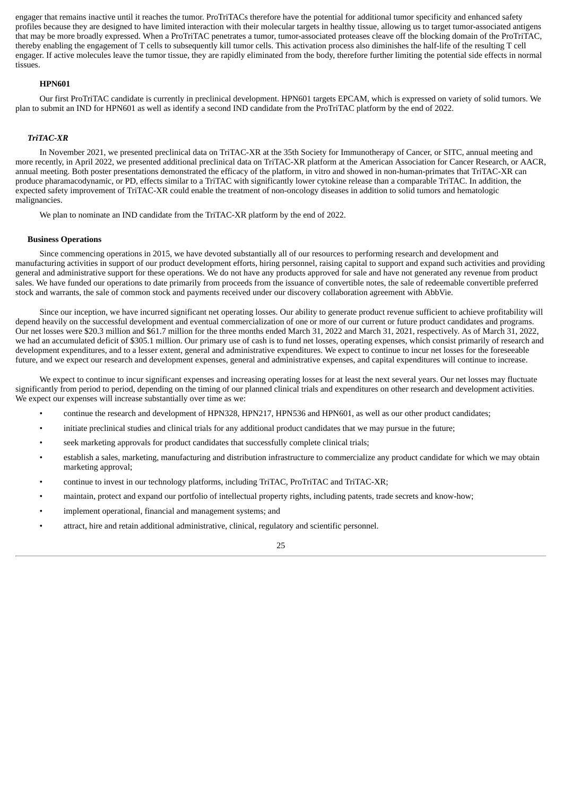engager that remains inactive until it reaches the tumor. ProTriTACs therefore have the potential for additional tumor specificity and enhanced safety profiles because they are designed to have limited interaction with their molecular targets in healthy tissue, allowing us to target tumor-associated antigens that may be more broadly expressed. When a ProTriTAC penetrates a tumor, tumor-associated proteases cleave off the blocking domain of the ProTriTAC, thereby enabling the engagement of T cells to subsequently kill tumor cells. This activation process also diminishes the half-life of the resulting T cell engager. If active molecules leave the tumor tissue, they are rapidly eliminated from the body, therefore further limiting the potential side effects in normal tissues.

#### **HPN601**

Our first ProTriTAC candidate is currently in preclinical development. HPN601 targets EPCAM, which is expressed on variety of solid tumors. We plan to submit an IND for HPN601 as well as identify a second IND candidate from the ProTriTAC platform by the end of 2022.

#### *TriTAC-XR*

In November 2021, we presented preclinical data on TriTAC-XR at the 35th Society for Immunotherapy of Cancer, or SITC, annual meeting and more recently, in April 2022, we presented additional preclinical data on TriTAC-XR platform at the American Association for Cancer Research, or AACR, annual meeting. Both poster presentations demonstrated the efficacy of the platform, in vitro and showed in non-human-primates that TriTAC-XR can produce pharamacodynamic, or PD, effects similar to a TriTAC with significantly lower cytokine release than a comparable TriTAC. In addition, the expected safety improvement of TriTAC-XR could enable the treatment of non-oncology diseases in addition to solid tumors and hematologic malignancies.

We plan to nominate an IND candidate from the TriTAC-XR platform by the end of 2022.

#### **Business Operations**

Since commencing operations in 2015, we have devoted substantially all of our resources to performing research and development and manufacturing activities in support of our product development efforts, hiring personnel, raising capital to support and expand such activities and providing general and administrative support for these operations. We do not have any products approved for sale and have not generated any revenue from product sales. We have funded our operations to date primarily from proceeds from the issuance of convertible notes, the sale of redeemable convertible preferred stock and warrants, the sale of common stock and payments received under our discovery collaboration agreement with AbbVie.

Since our inception, we have incurred significant net operating losses. Our ability to generate product revenue sufficient to achieve profitability will depend heavily on the successful development and eventual commercialization of one or more of our current or future product candidates and programs. Our net losses were \$20.3 million and \$61.7 million for the three months ended March 31, 2022 and March 31, 2021, respectively. As of March 31, 2022, we had an accumulated deficit of \$305.1 million. Our primary use of cash is to fund net losses, operating expenses, which consist primarily of research and development expenditures, and to a lesser extent, general and administrative expenditures. We expect to continue to incur net losses for the foreseeable future, and we expect our research and development expenses, general and administrative expenses, and capital expenditures will continue to increase.

We expect to continue to incur significant expenses and increasing operating losses for at least the next several years. Our net losses may fluctuate significantly from period to period, depending on the timing of our planned clinical trials and expenditures on other research and development activities. We expect our expenses will increase substantially over time as we:

- continue the research and development of HPN328, HPN217, HPN536 and HPN601, as well as our other product candidates;
- initiate preclinical studies and clinical trials for any additional product candidates that we may pursue in the future;
- seek marketing approvals for product candidates that successfully complete clinical trials;
- establish a sales, marketing, manufacturing and distribution infrastructure to commercialize any product candidate for which we may obtain marketing approval;
- continue to invest in our technology platforms, including TriTAC, ProTriTAC and TriTAC-XR;
- maintain, protect and expand our portfolio of intellectual property rights, including patents, trade secrets and know-how;
- implement operational, financial and management systems; and
- attract, hire and retain additional administrative, clinical, regulatory and scientific personnel.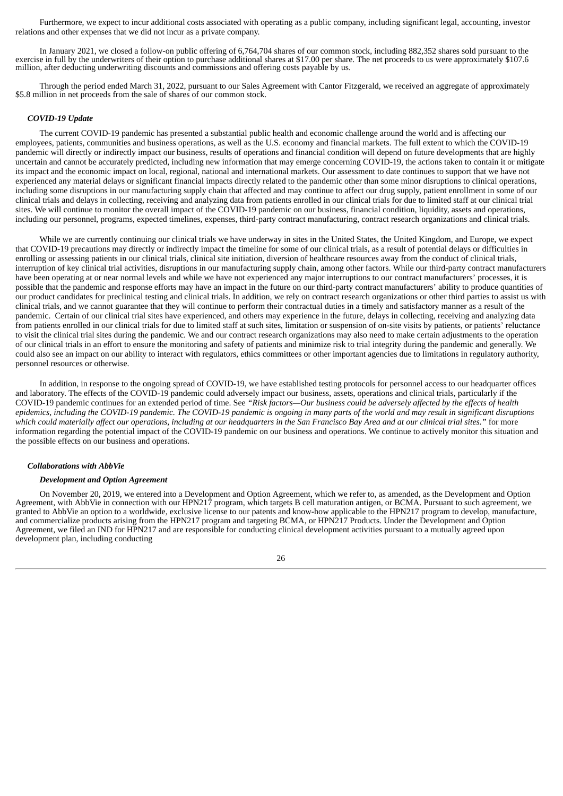Furthermore, we expect to incur additional costs associated with operating as a public company, including significant legal, accounting, investor relations and other expenses that we did not incur as a private company.

In January 2021, we closed a follow-on public offering of 6,764,704 shares of our common stock, including 882,352 shares sold pursuant to the exercise in full by the underwriters of their option to purchase additional shares at \$17.00 per share. The net proceeds to us were approximately \$107.6 million, after deducting underwriting discounts and commissions and offering costs payable by us.

Through the period ended March 31, 2022, pursuant to our Sales Agreement with Cantor Fitzgerald, we received an aggregate of approximately \$5.8 million in net proceeds from the sale of shares of our common stock.

# *COVID-19 Update*

The current COVID-19 pandemic has presented a substantial public health and economic challenge around the world and is affecting our employees, patients, communities and business operations, as well as the U.S. economy and financial markets. The full extent to which the COVID-19 pandemic will directly or indirectly impact our business, results of operations and financial condition will depend on future developments that are highly uncertain and cannot be accurately predicted, including new information that may emerge concerning COVID-19, the actions taken to contain it or mitigate its impact and the economic impact on local, regional, national and international markets. Our assessment to date continues to support that we have not experienced any material delays or significant financial impacts directly related to the pandemic other than some minor disruptions to clinical operations, including some disruptions in our manufacturing supply chain that affected and may continue to affect our drug supply, patient enrollment in some of our clinical trials and delays in collecting, receiving and analyzing data from patients enrolled in our clinical trials for due to limited staff at our clinical trial sites. We will continue to monitor the overall impact of the COVID-19 pandemic on our business, financial condition, liquidity, assets and operations, including our personnel, programs, expected timelines, expenses, third-party contract manufacturing, contract research organizations and clinical trials.

While we are currently continuing our clinical trials we have underway in sites in the United States, the United Kingdom, and Europe, we expect that COVID-19 precautions may directly or indirectly impact the timeline for some of our clinical trials, as a result of potential delays or difficulties in enrolling or assessing patients in our clinical trials, clinical site initiation, diversion of healthcare resources away from the conduct of clinical trials, interruption of key clinical trial activities, disruptions in our manufacturing supply chain, among other factors. While our third-party contract manufacturers have been operating at or near normal levels and while we have not experienced any major interruptions to our contract manufacturers' processes, it is possible that the pandemic and response efforts may have an impact in the future on our third-party contract manufacturers' ability to produce quantities of our product candidates for preclinical testing and clinical trials. In addition, we rely on contract research organizations or other third parties to assist us with clinical trials, and we cannot guarantee that they will continue to perform their contractual duties in a timely and satisfactory manner as a result of the pandemic. Certain of our clinical trial sites have experienced, and others may experience in the future, delays in collecting, receiving and analyzing data from patients enrolled in our clinical trials for due to limited staff at such sites, limitation or suspension of on-site visits by patients, or patients' reluctance to visit the clinical trial sites during the pandemic. We and our contract research organizations may also need to make certain adjustments to the operation of our clinical trials in an effort to ensure the monitoring and safety of patients and minimize risk to trial integrity during the pandemic and generally. We could also see an impact on our ability to interact with regulators, ethics committees or other important agencies due to limitations in regulatory authority, personnel resources or otherwise.

In addition, in response to the ongoing spread of COVID-19, we have established testing protocols for personnel access to our headquarter offices and laboratory. The effects of the COVID-19 pandemic could adversely impact our business, assets, operations and clinical trials, particularly if the COVID-19 pandemic continues for an extended period of time. See "Risk factors—Our business could be adversely affected by the effects of health epidemics, including the COVID-19 pandemic. The COVID-19 pandemic is ongoing in many parts of the world and may result in significant disruptions which could materially affect our operations, including at our headquarters in the San Francisco Bay Area and at our clinical trial sites." for more information regarding the potential impact of the COVID-19 pandemic on our business and operations. We continue to actively monitor this situation and the possible effects on our business and operations.

#### *Collaborations with AbbVie*

## *Development and Option Agreement*

On November 20, 2019, we entered into a Development and Option Agreement, which we refer to, as amended, as the Development and Option Agreement, with AbbVie in connection with our HPN217 program, which targets B cell maturation antigen, or BCMA. Pursuant to such agreement, we granted to AbbVie an option to a worldwide, exclusive license to our patents and know-how applicable to the HPN217 program to develop, manufacture, and commercialize products arising from the HPN217 program and targeting BCMA, or HPN217 Products. Under the Development and Option Agreement, we filed an IND for HPN217 and are responsible for conducting clinical development activities pursuant to a mutually agreed upon development plan, including conducting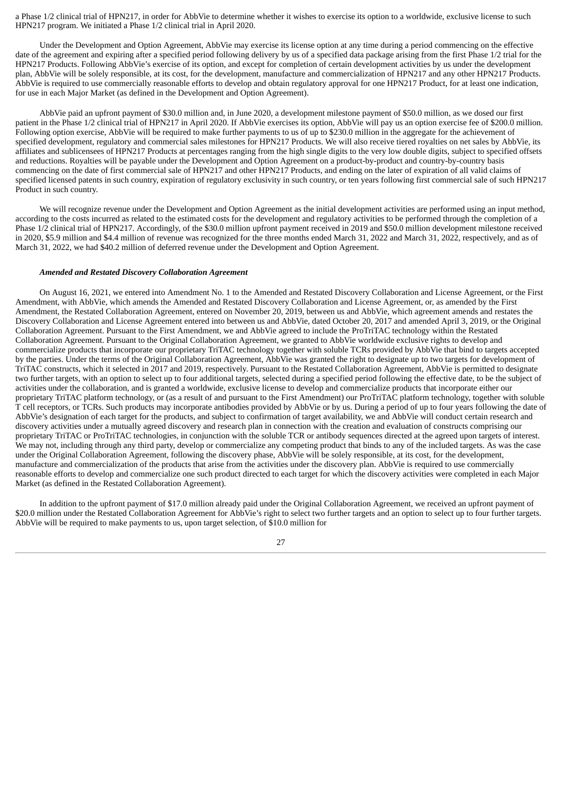a Phase 1/2 clinical trial of HPN217, in order for AbbVie to determine whether it wishes to exercise its option to a worldwide, exclusive license to such HPN217 program. We initiated a Phase 1/2 clinical trial in April 2020.

Under the Development and Option Agreement, AbbVie may exercise its license option at any time during a period commencing on the effective date of the agreement and expiring after a specified period following delivery by us of a specified data package arising from the first Phase 1/2 trial for the HPN217 Products. Following AbbVie's exercise of its option, and except for completion of certain development activities by us under the development plan, AbbVie will be solely responsible, at its cost, for the development, manufacture and commercialization of HPN217 and any other HPN217 Products. AbbVie is required to use commercially reasonable efforts to develop and obtain regulatory approval for one HPN217 Product, for at least one indication, for use in each Major Market (as defined in the Development and Option Agreement).

AbbVie paid an upfront payment of \$30.0 million and, in June 2020, a development milestone payment of \$50.0 million, as we dosed our first patient in the Phase 1/2 clinical trial of HPN217 in April 2020. If AbbVie exercises its option, AbbVie will pay us an option exercise fee of \$200.0 million. Following option exercise, AbbVie will be required to make further payments to us of up to \$230.0 million in the aggregate for the achievement of specified development, regulatory and commercial sales milestones for HPN217 Products. We will also receive tiered royalties on net sales by AbbVie, its affiliates and sublicensees of HPN217 Products at percentages ranging from the high single digits to the very low double digits, subject to specified offsets and reductions. Royalties will be payable under the Development and Option Agreement on a product-by-product and country-by-country basis commencing on the date of first commercial sale of HPN217 and other HPN217 Products, and ending on the later of expiration of all valid claims of specified licensed patents in such country, expiration of regulatory exclusivity in such country, or ten years following first commercial sale of such HPN217 Product in such country.

We will recognize revenue under the Development and Option Agreement as the initial development activities are performed using an input method, according to the costs incurred as related to the estimated costs for the development and regulatory activities to be performed through the completion of a Phase 1/2 clinical trial of HPN217. Accordingly, of the \$30.0 million upfront payment received in 2019 and \$50.0 million development milestone received in 2020, \$5.9 million and \$4.4 million of revenue was recognized for the three months ended March 31, 2022 and March 31, 2022, respectively, and as of March 31, 2022, we had \$40.2 million of deferred revenue under the Development and Option Agreement.

#### *Amended and Restated Discovery Collaboration Agreement*

On August 16, 2021, we entered into Amendment No. 1 to the Amended and Restated Discovery Collaboration and License Agreement, or the First Amendment, with AbbVie, which amends the Amended and Restated Discovery Collaboration and License Agreement, or, as amended by the First Amendment, the Restated Collaboration Agreement, entered on November 20, 2019, between us and AbbVie, which agreement amends and restates the Discovery Collaboration and License Agreement entered into between us and AbbVie, dated October 20, 2017 and amended April 3, 2019, or the Original Collaboration Agreement. Pursuant to the First Amendment, we and AbbVie agreed to include the ProTriTAC technology within the Restated Collaboration Agreement. Pursuant to the Original Collaboration Agreement, we granted to AbbVie worldwide exclusive rights to develop and commercialize products that incorporate our proprietary TriTAC technology together with soluble TCRs provided by AbbVie that bind to targets accepted by the parties. Under the terms of the Original Collaboration Agreement, AbbVie was granted the right to designate up to two targets for development of TriTAC constructs, which it selected in 2017 and 2019, respectively. Pursuant to the Restated Collaboration Agreement, AbbVie is permitted to designate two further targets, with an option to select up to four additional targets, selected during a specified period following the effective date, to be the subject of activities under the collaboration, and is granted a worldwide, exclusive license to develop and commercialize products that incorporate either our proprietary TriTAC platform technology, or (as a result of and pursuant to the First Amendment) our ProTriTAC platform technology, together with soluble T cell receptors, or TCRs. Such products may incorporate antibodies provided by AbbVie or by us. During a period of up to four years following the date of AbbVie's designation of each target for the products, and subject to confirmation of target availability, we and AbbVie will conduct certain research and discovery activities under a mutually agreed discovery and research plan in connection with the creation and evaluation of constructs comprising our proprietary TriTAC or ProTriTAC technologies, in conjunction with the soluble TCR or antibody sequences directed at the agreed upon targets of interest. We may not, including through any third party, develop or commercialize any competing product that binds to any of the included targets. As was the case under the Original Collaboration Agreement, following the discovery phase, AbbVie will be solely responsible, at its cost, for the development, manufacture and commercialization of the products that arise from the activities under the discovery plan. AbbVie is required to use commercially reasonable efforts to develop and commercialize one such product directed to each target for which the discovery activities were completed in each Major Market (as defined in the Restated Collaboration Agreement).

In addition to the upfront payment of \$17.0 million already paid under the Original Collaboration Agreement, we received an upfront payment of \$20.0 million under the Restated Collaboration Agreement for AbbVie's right to select two further targets and an option to select up to four further targets. AbbVie will be required to make payments to us, upon target selection, of \$10.0 million for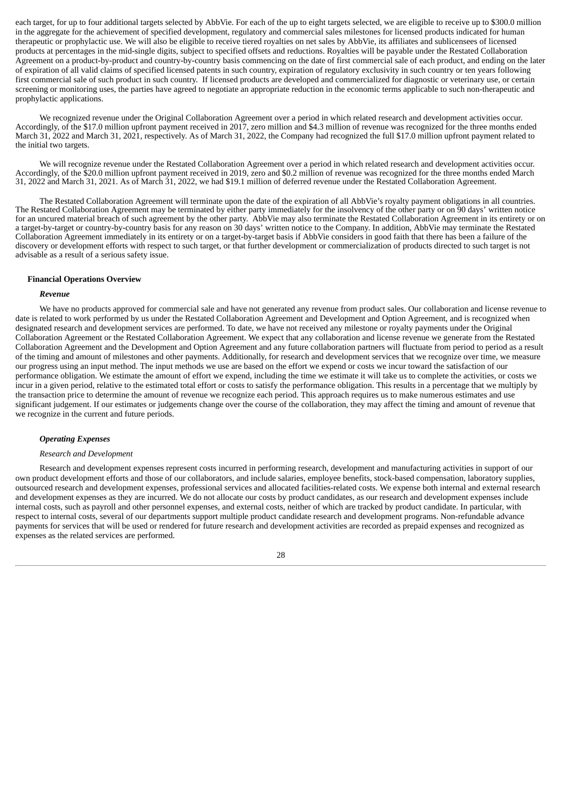each target, for up to four additional targets selected by AbbVie. For each of the up to eight targets selected, we are eligible to receive up to \$300.0 million in the aggregate for the achievement of specified development, regulatory and commercial sales milestones for licensed products indicated for human therapeutic or prophylactic use. We will also be eligible to receive tiered royalties on net sales by AbbVie, its affiliates and sublicensees of licensed products at percentages in the mid-single digits, subject to specified offsets and reductions. Royalties will be payable under the Restated Collaboration Agreement on a product-by-product and country-by-country basis commencing on the date of first commercial sale of each product, and ending on the later of expiration of all valid claims of specified licensed patents in such country, expiration of regulatory exclusivity in such country or ten years following first commercial sale of such product in such country. If licensed products are developed and commercialized for diagnostic or veterinary use, or certain screening or monitoring uses, the parties have agreed to negotiate an appropriate reduction in the economic terms applicable to such non-therapeutic and prophylactic applications.

We recognized revenue under the Original Collaboration Agreement over a period in which related research and development activities occur. Accordingly, of the \$17.0 million upfront payment received in 2017, zero million and \$4.3 million of revenue was recognized for the three months ended March 31, 2022 and March 31, 2021, respectively. As of March 31, 2022, the Company had recognized the full \$17.0 million upfront payment related to the initial two targets.

We will recognize revenue under the Restated Collaboration Agreement over a period in which related research and development activities occur. Accordingly, of the \$20.0 million upfront payment received in 2019, zero and \$0.2 million of revenue was recognized for the three months ended March 31, 2022 and March 31, 2021. As of March 31, 2022, we had \$19.1 million of deferred revenue under the Restated Collaboration Agreement.

The Restated Collaboration Agreement will terminate upon the date of the expiration of all AbbVie's royalty payment obligations in all countries. The Restated Collaboration Agreement may be terminated by either party immediately for the insolvency of the other party or on 90 days' written notice for an uncured material breach of such agreement by the other party. AbbVie may also terminate the Restated Collaboration Agreement in its entirety or on a target-by-target or country-by-country basis for any reason on 30 days' written notice to the Company. In addition, AbbVie may terminate the Restated Collaboration Agreement immediately in its entirety or on a target-by-target basis if AbbVie considers in good faith that there has been a failure of the discovery or development efforts with respect to such target, or that further development or commercialization of products directed to such target is not advisable as a result of a serious safety issue.

#### **Financial Operations Overview**

#### *Revenue*

We have no products approved for commercial sale and have not generated any revenue from product sales. Our collaboration and license revenue to date is related to work performed by us under the Restated Collaboration Agreement and Development and Option Agreement, and is recognized when designated research and development services are performed. To date, we have not received any milestone or royalty payments under the Original Collaboration Agreement or the Restated Collaboration Agreement. We expect that any collaboration and license revenue we generate from the Restated Collaboration Agreement and the Development and Option Agreement and any future collaboration partners will fluctuate from period to period as a result of the timing and amount of milestones and other payments. Additionally, for research and development services that we recognize over time, we measure our progress using an input method. The input methods we use are based on the effort we expend or costs we incur toward the satisfaction of our performance obligation. We estimate the amount of effort we expend, including the time we estimate it will take us to complete the activities, or costs we incur in a given period, relative to the estimated total effort or costs to satisfy the performance obligation. This results in a percentage that we multiply by the transaction price to determine the amount of revenue we recognize each period. This approach requires us to make numerous estimates and use significant judgement. If our estimates or judgements change over the course of the collaboration, they may affect the timing and amount of revenue that we recognize in the current and future periods.

# *Operating Expenses*

#### *Research and Development*

Research and development expenses represent costs incurred in performing research, development and manufacturing activities in support of our own product development efforts and those of our collaborators, and include salaries, employee benefits, stock-based compensation, laboratory supplies, outsourced research and development expenses, professional services and allocated facilities-related costs. We expense both internal and external research and development expenses as they are incurred. We do not allocate our costs by product candidates, as our research and development expenses include internal costs, such as payroll and other personnel expenses, and external costs, neither of which are tracked by product candidate. In particular, with respect to internal costs, several of our departments support multiple product candidate research and development programs. Non-refundable advance payments for services that will be used or rendered for future research and development activities are recorded as prepaid expenses and recognized as expenses as the related services are performed.

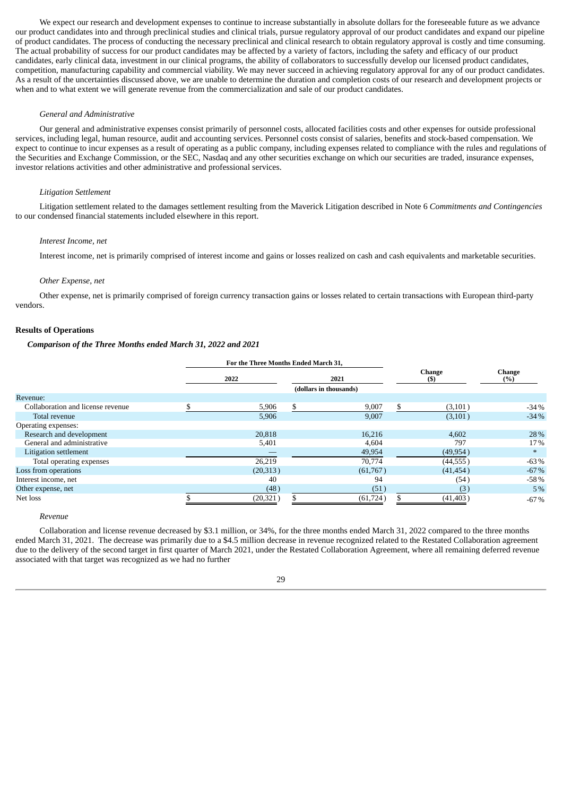We expect our research and development expenses to continue to increase substantially in absolute dollars for the foreseeable future as we advance our product candidates into and through preclinical studies and clinical trials, pursue regulatory approval of our product candidates and expand our pipeline of product candidates. The process of conducting the necessary preclinical and clinical research to obtain regulatory approval is costly and time consuming. The actual probability of success for our product candidates may be affected by a variety of factors, including the safety and efficacy of our product candidates, early clinical data, investment in our clinical programs, the ability of collaborators to successfully develop our licensed product candidates, competition, manufacturing capability and commercial viability. We may never succeed in achieving regulatory approval for any of our product candidates. As a result of the uncertainties discussed above, we are unable to determine the duration and completion costs of our research and development projects or when and to what extent we will generate revenue from the commercialization and sale of our product candidates.

# *General and Administrative*

Our general and administrative expenses consist primarily of personnel costs, allocated facilities costs and other expenses for outside professional services, including legal, human resource, audit and accounting services. Personnel costs consist of salaries, benefits and stock-based compensation. We expect to continue to incur expenses as a result of operating as a public company, including expenses related to compliance with the rules and regulations of the Securities and Exchange Commission, or the SEC, Nasdaq and any other securities exchange on which our securities are traded, insurance expenses, investor relations activities and other administrative and professional services.

#### *Litigation Settlement*

Litigation settlement related to the damages settlement resulting from the Maverick Litigation described in Note 6 *Commitments and Contingencies* to our condensed financial statements included elsewhere in this report.

#### *Interest Income, net*

Interest income, net is primarily comprised of interest income and gains or losses realized on cash and cash equivalents and marketable securities.

#### *Other Expense, net*

Other expense, net is primarily comprised of foreign currency transaction gains or losses related to certain transactions with European third-party vendors.

# **Results of Operations**

#### *Comparison of the Three Months ended March 31, 2022 and 2021*

|                                   | For the Three Months Ended March 31, |  |                        |                      |           |               |
|-----------------------------------|--------------------------------------|--|------------------------|----------------------|-----------|---------------|
|                                   | 2022                                 |  | 2021                   | <b>Change</b><br>(S) |           | Change<br>(%) |
|                                   |                                      |  | (dollars in thousands) |                      |           |               |
| Revenue:                          |                                      |  |                        |                      |           |               |
| Collaboration and license revenue | 5,906                                |  | 9,007                  | \$                   | (3, 101)  | $-34%$        |
| Total revenue                     | 5,906                                |  | 9,007                  |                      | (3, 101)  | $-34%$        |
| Operating expenses:               |                                      |  |                        |                      |           |               |
| Research and development          | 20,818                               |  | 16,216                 |                      | 4,602     | 28 %          |
| General and administrative        | 5,401                                |  | 4,604                  |                      | 797       | 17%           |
| Litigation settlement             |                                      |  | 49,954                 |                      | (49, 954) | $*$           |
| Total operating expenses          | 26,219                               |  | 70,774                 |                      | (44, 555) | $-63%$        |
| Loss from operations              | (20,313)                             |  | (61,767)               |                      | (41, 454) | $-67%$        |
| Interest income, net              | 40                                   |  | 94                     |                      | (54)      | $-58%$        |
| Other expense, net                | (48)                                 |  | (51)                   |                      | (3)       | 5%            |
| Net loss                          | (20, 321)                            |  | (61, 724)              |                      | (41, 403) | $-67%$        |

*Revenue*

Collaboration and license revenue decreased by \$3.1 million, or 34%, for the three months ended March 31, 2022 compared to the three months ended March 31, 2021. The decrease was primarily due to a \$4.5 million decrease in revenue recognized related to the Restated Collaboration agreement due to the delivery of the second target in first quarter of March 2021, under the Restated Collaboration Agreement, where all remaining deferred revenue associated with that target was recognized as we had no further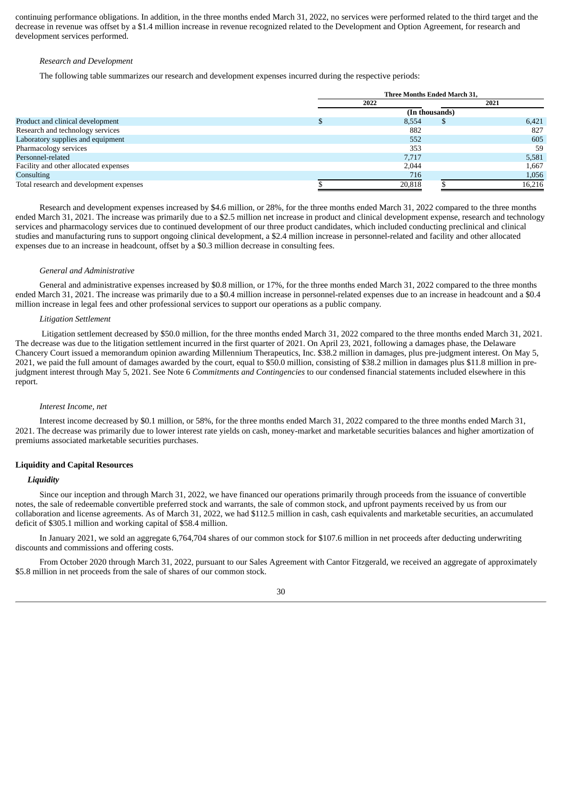continuing performance obligations. In addition, in the three months ended March 31, 2022, no services were performed related to the third target and the decrease in revenue was offset by a \$1.4 million increase in revenue recognized related to the Development and Option Agreement, for research and development services performed.

# *Research and Development*

The following table summarizes our research and development expenses incurred during the respective periods:

|                                         | Three Months Ended March 31, |    |        |  |  |
|-----------------------------------------|------------------------------|----|--------|--|--|
|                                         | 2022                         |    | 2021   |  |  |
|                                         | (In thousands)               |    |        |  |  |
| Product and clinical development        | 8.554                        | \$ | 6,421  |  |  |
| Research and technology services        | 882                          |    | 827    |  |  |
| Laboratory supplies and equipment       | 552                          |    | 605    |  |  |
| Pharmacology services                   | 353                          |    | 59     |  |  |
| Personnel-related                       | 7,717                        |    | 5,581  |  |  |
| Facility and other allocated expenses   | 2,044                        |    | 1,667  |  |  |
| Consulting                              | 716                          |    | 1,056  |  |  |
| Total research and development expenses | 20,818                       |    | 16,216 |  |  |

Research and development expenses increased by \$4.6 million, or 28%, for the three months ended March 31, 2022 compared to the three months ended March 31, 2021. The increase was primarily due to a \$2.5 million net increase in product and clinical development expense, research and technology services and pharmacology services due to continued development of our three product candidates, which included conducting preclinical and clinical studies and manufacturing runs to support ongoing clinical development, a \$2.4 million increase in personnel-related and facility and other allocated expenses due to an increase in headcount, offset by a \$0.3 million decrease in consulting fees.

#### *General and Administrative*

General and administrative expenses increased by \$0.8 million, or 17%, for the three months ended March 31, 2022 compared to the three months ended March 31, 2021. The increase was primarily due to a \$0.4 million increase in personnel-related expenses due to an increase in headcount and a \$0.4 million increase in legal fees and other professional services to support our operations as a public company.

#### *Litigation Settlement*

Litigation settlement decreased by \$50.0 million, for the three months ended March 31, 2022 compared to the three months ended March 31, 2021. The decrease was due to the litigation settlement incurred in the first quarter of 2021. On April 23, 2021, following a damages phase, the Delaware Chancery Court issued a memorandum opinion awarding Millennium Therapeutics, Inc. \$38.2 million in damages, plus pre-judgment interest. On May 5, 2021, we paid the full amount of damages awarded by the court, equal to \$50.0 million, consisting of \$38.2 million in damages plus \$11.8 million in prejudgment interest through May 5, 2021. See Note 6 *Commitments and Contingencies* to our condensed financial statements included elsewhere in this report.

#### *Interest Income, net*

Interest income decreased by \$0.1 million, or 58%, for the three months ended March 31, 2022 compared to the three months ended March 31, 2021. The decrease was primarily due to lower interest rate yields on cash, money-market and marketable securities balances and higher amortization of premiums associated marketable securities purchases.

#### **Liquidity and Capital Resources**

# *Liquidity*

Since our inception and through March 31, 2022, we have financed our operations primarily through proceeds from the issuance of convertible notes, the sale of redeemable convertible preferred stock and warrants, the sale of common stock, and upfront payments received by us from our collaboration and license agreements. As of March 31, 2022, we had \$112.5 million in cash, cash equivalents and marketable securities, an accumulated deficit of \$305.1 million and working capital of \$58.4 million.

In January 2021, we sold an aggregate 6,764,704 shares of our common stock for \$107.6 million in net proceeds after deducting underwriting discounts and commissions and offering costs.

From October 2020 through March 31, 2022, pursuant to our Sales Agreement with Cantor Fitzgerald, we received an aggregate of approximately \$5.8 million in net proceeds from the sale of shares of our common stock.

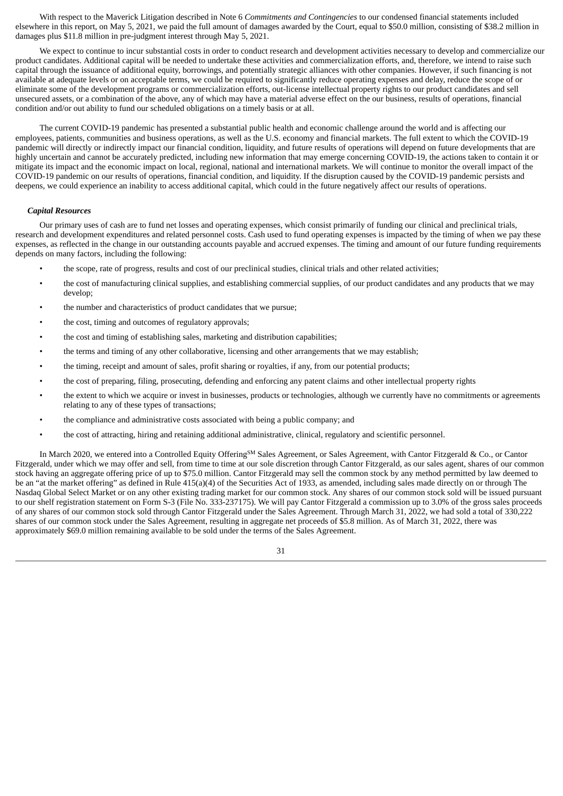With respect to the Maverick Litigation described in Note 6 *Commitments and Contingencies* to our condensed financial statements included elsewhere in this report, on May 5, 2021, we paid the full amount of damages awarded by the Court, equal to \$50.0 million, consisting of \$38.2 million in damages plus \$11.8 million in pre-judgment interest through May 5, 2021.

We expect to continue to incur substantial costs in order to conduct research and development activities necessary to develop and commercialize our product candidates. Additional capital will be needed to undertake these activities and commercialization efforts, and, therefore, we intend to raise such capital through the issuance of additional equity, borrowings, and potentially strategic alliances with other companies. However, if such financing is not available at adequate levels or on acceptable terms, we could be required to significantly reduce operating expenses and delay, reduce the scope of or eliminate some of the development programs or commercialization efforts, out-license intellectual property rights to our product candidates and sell unsecured assets, or a combination of the above, any of which may have a material adverse effect on the our business, results of operations, financial condition and/or out ability to fund our scheduled obligations on a timely basis or at all.

The current COVID-19 pandemic has presented a substantial public health and economic challenge around the world and is affecting our employees, patients, communities and business operations, as well as the U.S. economy and financial markets. The full extent to which the COVID-19 pandemic will directly or indirectly impact our financial condition, liquidity, and future results of operations will depend on future developments that are highly uncertain and cannot be accurately predicted, including new information that may emerge concerning COVID-19, the actions taken to contain it or mitigate its impact and the economic impact on local, regional, national and international markets. We will continue to monitor the overall impact of the COVID-19 pandemic on our results of operations, financial condition, and liquidity. If the disruption caused by the COVID-19 pandemic persists and deepens, we could experience an inability to access additional capital, which could in the future negatively affect our results of operations.

# *Capital Resources*

Our primary uses of cash are to fund net losses and operating expenses, which consist primarily of funding our clinical and preclinical trials, research and development expenditures and related personnel costs. Cash used to fund operating expenses is impacted by the timing of when we pay these expenses, as reflected in the change in our outstanding accounts payable and accrued expenses. The timing and amount of our future funding requirements depends on many factors, including the following:

- the scope, rate of progress, results and cost of our preclinical studies, clinical trials and other related activities;
- the cost of manufacturing clinical supplies, and establishing commercial supplies, of our product candidates and any products that we may develop;
- the number and characteristics of product candidates that we pursue;
- the cost, timing and outcomes of regulatory approvals;
- the cost and timing of establishing sales, marketing and distribution capabilities;
- the terms and timing of any other collaborative, licensing and other arrangements that we may establish;
- the timing, receipt and amount of sales, profit sharing or royalties, if any, from our potential products;
- the cost of preparing, filing, prosecuting, defending and enforcing any patent claims and other intellectual property rights
- the extent to which we acquire or invest in businesses, products or technologies, although we currently have no commitments or agreements relating to any of these types of transactions;
- the compliance and administrative costs associated with being a public company; and
- the cost of attracting, hiring and retaining additional administrative, clinical, regulatory and scientific personnel.

In March 2020, we entered into a Controlled Equity Offering<sup>SM</sup> Sales Agreement, or Sales Agreement, with Cantor Fitzgerald & Co., or Cantor Fitzgerald, under which we may offer and sell, from time to time at our sole discretion through Cantor Fitzgerald, as our sales agent, shares of our common stock having an aggregate offering price of up to \$75.0 million. Cantor Fitzgerald may sell the common stock by any method permitted by law deemed to be an "at the market offering" as defined in Rule 415(a)(4) of the Securities Act of 1933, as amended, including sales made directly on or through The Nasdaq Global Select Market or on any other existing trading market for our common stock. Any shares of our common stock sold will be issued pursuant to our shelf registration statement on Form S-3 (File No. 333-237175). We will pay Cantor Fitzgerald a commission up to 3.0% of the gross sales proceeds of any shares of our common stock sold through Cantor Fitzgerald under the Sales Agreement. Through March 31, 2022, we had sold a total of 330,222 shares of our common stock under the Sales Agreement, resulting in aggregate net proceeds of \$5.8 million. As of March 31, 2022, there was approximately \$69.0 million remaining available to be sold under the terms of the Sales Agreement.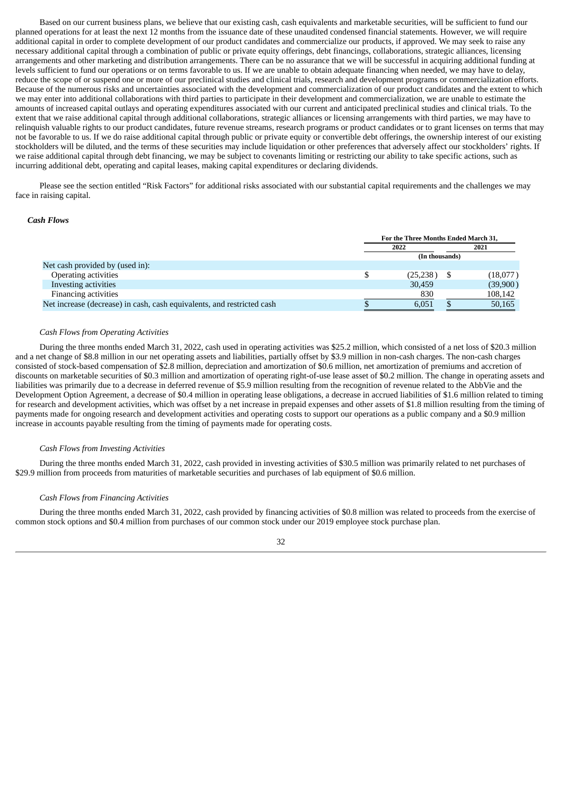Based on our current business plans, we believe that our existing cash, cash equivalents and marketable securities, will be sufficient to fund our planned operations for at least the next 12 months from the issuance date of these unaudited condensed financial statements. However, we will require additional capital in order to complete development of our product candidates and commercialize our products, if approved. We may seek to raise any necessary additional capital through a combination of public or private equity offerings, debt financings, collaborations, strategic alliances, licensing arrangements and other marketing and distribution arrangements. There can be no assurance that we will be successful in acquiring additional funding at levels sufficient to fund our operations or on terms favorable to us. If we are unable to obtain adequate financing when needed, we may have to delay, reduce the scope of or suspend one or more of our preclinical studies and clinical trials, research and development programs or commercialization efforts. Because of the numerous risks and uncertainties associated with the development and commercialization of our product candidates and the extent to which we may enter into additional collaborations with third parties to participate in their development and commercialization, we are unable to estimate the amounts of increased capital outlays and operating expenditures associated with our current and anticipated preclinical studies and clinical trials. To the extent that we raise additional capital through additional collaborations, strategic alliances or licensing arrangements with third parties, we may have to relinquish valuable rights to our product candidates, future revenue streams, research programs or product candidates or to grant licenses on terms that may not be favorable to us. If we do raise additional capital through public or private equity or convertible debt offerings, the ownership interest of our existing stockholders will be diluted, and the terms of these securities may include liquidation or other preferences that adversely affect our stockholders' rights. If we raise additional capital through debt financing, we may be subject to covenants limiting or restricting our ability to take specific actions, such as incurring additional debt, operating and capital leases, making capital expenditures or declaring dividends.

Please see the section entitled "Risk Factors" for additional risks associated with our substantial capital requirements and the challenges we may face in raising capital.

## *Cash Flows*

|                                                                        | For the Three Months Ended March 31. |                |  |          |
|------------------------------------------------------------------------|--------------------------------------|----------------|--|----------|
|                                                                        | 2022                                 |                |  | 2021     |
|                                                                        |                                      | (In thousands) |  |          |
| Net cash provided by (used in):                                        |                                      |                |  |          |
| Operating activities                                                   |                                      | (25, 238)      |  | (18,077) |
| Investing activities                                                   |                                      | 30,459         |  | (39,900) |
| Financing activities                                                   |                                      | 830            |  | 108,142  |
| Net increase (decrease) in cash, cash equivalents, and restricted cash |                                      | 6,051          |  | 50,165   |

## *Cash Flows from Operating Activities*

During the three months ended March 31, 2022, cash used in operating activities was \$25.2 million, which consisted of a net loss of \$20.3 million and a net change of \$8.8 million in our net operating assets and liabilities, partially offset by \$3.9 million in non-cash charges. The non-cash charges consisted of stock-based compensation of \$2.8 million, depreciation and amortization of \$0.6 million, net amortization of premiums and accretion of discounts on marketable securities of \$0.3 million and amortization of operating right-of-use lease asset of \$0.2 million. The change in operating assets and liabilities was primarily due to a decrease in deferred revenue of \$5.9 million resulting from the recognition of revenue related to the AbbVie and the Development Option Agreement, a decrease of \$0.4 million in operating lease obligations, a decrease in accrued liabilities of \$1.6 million related to timing for research and development activities, which was offset by a net increase in prepaid expenses and other assets of \$1.8 million resulting from the timing of payments made for ongoing research and development activities and operating costs to support our operations as a public company and a \$0.9 million increase in accounts payable resulting from the timing of payments made for operating costs.

# *Cash Flows from Investing Activities*

During the three months ended March 31, 2022, cash provided in investing activities of \$30.5 million was primarily related to net purchases of \$29.9 million from proceeds from maturities of marketable securities and purchases of lab equipment of \$0.6 million.

#### *Cash Flows from Financing Activities*

During the three months ended March 31, 2022, cash provided by financing activities of \$0.8 million was related to proceeds from the exercise of common stock options and \$0.4 million from purchases of our common stock under our 2019 employee stock purchase plan.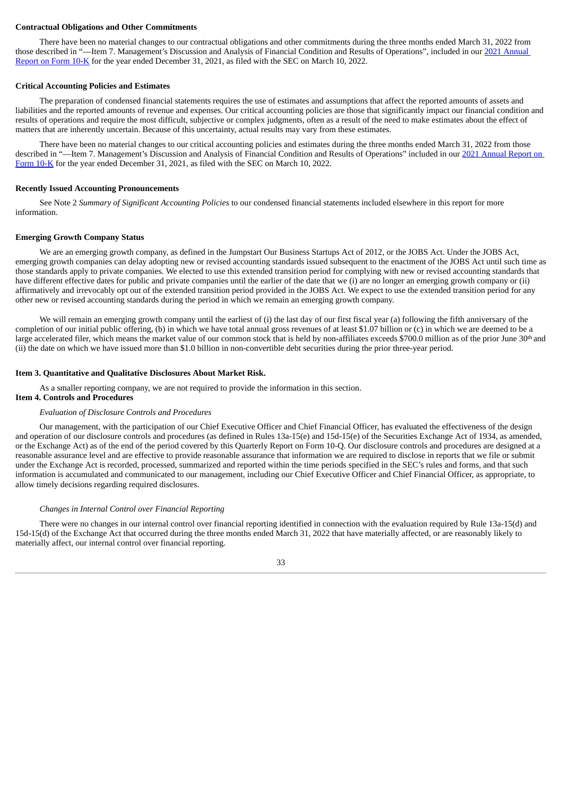#### **Contractual Obligations and Other Commitments**

There have been no material changes to our contractual obligations and other commitments during the three months ended March 31, 2022 from those described in "—Item 7. [Management's](https://www.sec.gov/ix?doc=/Archives/edgar/data/1708493/000095017022003375/harp-20211231.htm) Discussion and Analysis of Financial Condition and Results of Operations", included in our 2021 Annual Report on Form 10-K for the year ended December 31, 2021, as filed with the SEC on March 10, 2022.

#### **Critical Accounting Policies and Estimates**

The preparation of condensed financial statements requires the use of estimates and assumptions that affect the reported amounts of assets and liabilities and the reported amounts of revenue and expenses. Our critical accounting policies are those that significantly impact our financial condition and results of operations and require the most difficult, subjective or complex judgments, often as a result of the need to make estimates about the effect of matters that are inherently uncertain. Because of this uncertainty, actual results may vary from these estimates.

There have been no material changes to our critical accounting policies and estimates during the three months ended March 31, 2022 from those described in "—Item 7. [Management's](https://www.sec.gov/ix?doc=/Archives/edgar/data/1708493/000095017022003375/harp-20211231.htm) Discussion and Analysis of Financial Condition and Results of Operations" included in our 2021 Annual Report on Form 10-K for the year ended December 31, 2021, as filed with the SEC on March 10, 2022.

#### **Recently Issued Accounting Pronouncements**

See Note 2 *Summary of Significant Accounting Policies* to our condensed financial statements included elsewhere in this report for more information.

#### **Emerging Growth Company Status**

We are an emerging growth company, as defined in the Jumpstart Our Business Startups Act of 2012, or the JOBS Act. Under the JOBS Act, emerging growth companies can delay adopting new or revised accounting standards issued subsequent to the enactment of the JOBS Act until such time as those standards apply to private companies. We elected to use this extended transition period for complying with new or revised accounting standards that have different effective dates for public and private companies until the earlier of the date that we (i) are no longer an emerging growth company or (ii) affirmatively and irrevocably opt out of the extended transition period provided in the JOBS Act. We expect to use the extended transition period for any other new or revised accounting standards during the period in which we remain an emerging growth company.

We will remain an emerging growth company until the earliest of (i) the last day of our first fiscal year (a) following the fifth anniversary of the completion of our initial public offering, (b) in which we have total annual gross revenues of at least \$1.07 billion or (c) in which we are deemed to be a large accelerated filer, which means the market value of our common stock that is held by non-affiliates exceeds \$700.0 million as of the prior June 30<sup>th</sup> and (ii) the date on which we have issued more than \$1.0 billion in non-convertible debt securities during the prior three-year period.

#### <span id="page-32-0"></span>**Item 3. Quantitative and Qualitative Disclosures About Market Risk.**

As a smaller reporting company, we are not required to provide the information in this section.

# <span id="page-32-1"></span>**Item 4. Controls and Procedures**

#### *Evaluation of Disclosure Controls and Procedures*

Our management, with the participation of our Chief Executive Officer and Chief Financial Officer, has evaluated the effectiveness of the design and operation of our disclosure controls and procedures (as defined in Rules 13a-15(e) and 15d-15(e) of the Securities Exchange Act of 1934, as amended, or the Exchange Act) as of the end of the period covered by this Quarterly Report on Form 10-Q. Our disclosure controls and procedures are designed at a reasonable assurance level and are effective to provide reasonable assurance that information we are required to disclose in reports that we file or submit under the Exchange Act is recorded, processed, summarized and reported within the time periods specified in the SEC's rules and forms, and that such information is accumulated and communicated to our management, including our Chief Executive Officer and Chief Financial Officer, as appropriate, to allow timely decisions regarding required disclosures.

#### *Changes in Internal Control over Financial Reporting*

There were no changes in our internal control over financial reporting identified in connection with the evaluation required by Rule 13a-15(d) and 15d-15(d) of the Exchange Act that occurred during the three months ended March 31, 2022 that have materially affected, or are reasonably likely to materially affect, our internal control over financial reporting.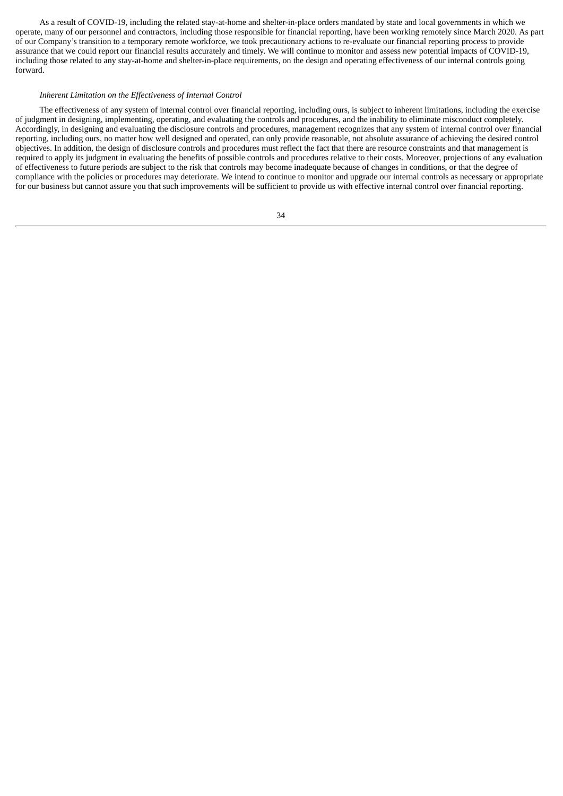As a result of COVID-19, including the related stay-at-home and shelter-in-place orders mandated by state and local governments in which we operate, many of our personnel and contractors, including those responsible for financial reporting, have been working remotely since March 2020. As part of our Company's transition to a temporary remote workforce, we took precautionary actions to re-evaluate our financial reporting process to provide assurance that we could report our financial results accurately and timely. We will continue to monitor and assess new potential impacts of COVID-19, including those related to any stay-at-home and shelter-in-place requirements, on the design and operating effectiveness of our internal controls going forward.

#### *Inherent Limitation on the Effectiveness of Internal Control*

The effectiveness of any system of internal control over financial reporting, including ours, is subject to inherent limitations, including the exercise of judgment in designing, implementing, operating, and evaluating the controls and procedures, and the inability to eliminate misconduct completely. Accordingly, in designing and evaluating the disclosure controls and procedures, management recognizes that any system of internal control over financial reporting, including ours, no matter how well designed and operated, can only provide reasonable, not absolute assurance of achieving the desired control objectives. In addition, the design of disclosure controls and procedures must reflect the fact that there are resource constraints and that management is required to apply its judgment in evaluating the benefits of possible controls and procedures relative to their costs. Moreover, projections of any evaluation of effectiveness to future periods are subject to the risk that controls may become inadequate because of changes in conditions, or that the degree of compliance with the policies or procedures may deteriorate. We intend to continue to monitor and upgrade our internal controls as necessary or appropriate for our business but cannot assure you that such improvements will be sufficient to provide us with effective internal control over financial reporting.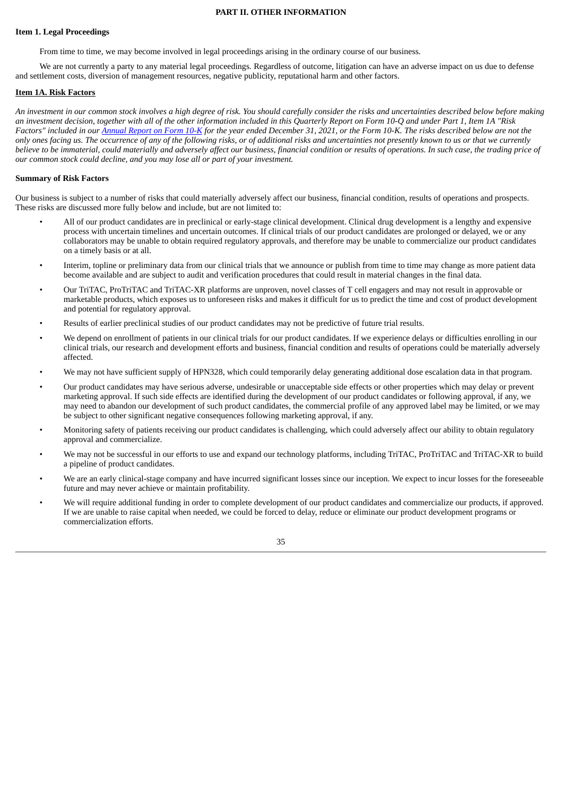# **PART II. OTHER INFORMATION**

# <span id="page-34-0"></span>**Item 1. Legal Proceedings**

From time to time, we may become involved in legal proceedings arising in the ordinary course of our business.

We are not currently a party to any material legal proceedings. Regardless of outcome, litigation can have an adverse impact on us due to defense and settlement costs, diversion of management resources, negative publicity, reputational harm and other factors.

# <span id="page-34-1"></span>**Item 1A. Risk Factors**

An investment in our common stock involves a high degree of risk. You should carefully consider the risks and uncertainties described below before making an investment decision, together with all of the other information included in this Quarterly Report on Form 10-Q and under Part 1, Item 1A "Risk Factors" included in our [Annual](https://www.sec.gov/ix?doc=/Archives/edgar/data/1708493/000095017022003375/harp-20211231.htm) Report on Form 10-K for the year ended December 31, 2021, or the Form 10-K. The risks described below are not the only ones facing us. The occurrence of any of the following risks, or of additional risks and uncertainties not presently known to us or that we currently believe to be immaterial, could materially and adversely affect our business, financial condition or results of operations. In such case, the trading price of *our common stock could decline, and you may lose all or part of your investment.*

# **Summary of Risk Factors**

Our business is subject to a number of risks that could materially adversely affect our business, financial condition, results of operations and prospects. These risks are discussed more fully below and include, but are not limited to:

- All of our product candidates are in preclinical or early-stage clinical development. Clinical drug development is a lengthy and expensive process with uncertain timelines and uncertain outcomes. If clinical trials of our product candidates are prolonged or delayed, we or any collaborators may be unable to obtain required regulatory approvals, and therefore may be unable to commercialize our product candidates on a timely basis or at all.
- Interim, topline or preliminary data from our clinical trials that we announce or publish from time to time may change as more patient data become available and are subject to audit and verification procedures that could result in material changes in the final data.
- Our TriTAC, ProTriTAC and TriTAC-XR platforms are unproven, novel classes of T cell engagers and may not result in approvable or marketable products, which exposes us to unforeseen risks and makes it difficult for us to predict the time and cost of product development and potential for regulatory approval.
- Results of earlier preclinical studies of our product candidates may not be predictive of future trial results.
- We depend on enrollment of patients in our clinical trials for our product candidates. If we experience delays or difficulties enrolling in our clinical trials, our research and development efforts and business, financial condition and results of operations could be materially adversely affected.
- We may not have sufficient supply of HPN328, which could temporarily delay generating additional dose escalation data in that program.
- Our product candidates may have serious adverse, undesirable or unacceptable side effects or other properties which may delay or prevent marketing approval. If such side effects are identified during the development of our product candidates or following approval, if any, we may need to abandon our development of such product candidates, the commercial profile of any approved label may be limited, or we may be subject to other significant negative consequences following marketing approval, if any.
- Monitoring safety of patients receiving our product candidates is challenging, which could adversely affect our ability to obtain regulatory approval and commercialize.
- We may not be successful in our efforts to use and expand our technology platforms, including TriTAC, ProTriTAC and TriTAC-XR to build a pipeline of product candidates.
- We are an early clinical-stage company and have incurred significant losses since our inception. We expect to incur losses for the foreseeable future and may never achieve or maintain profitability.
- We will require additional funding in order to complete development of our product candidates and commercialize our products, if approved. If we are unable to raise capital when needed, we could be forced to delay, reduce or eliminate our product development programs or commercialization efforts.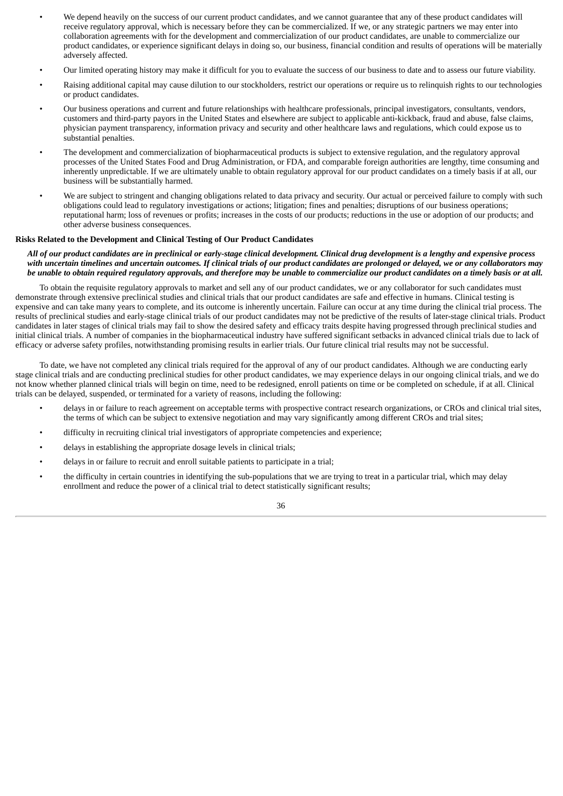- We depend heavily on the success of our current product candidates, and we cannot guarantee that any of these product candidates will receive regulatory approval, which is necessary before they can be commercialized. If we, or any strategic partners we may enter into collaboration agreements with for the development and commercialization of our product candidates, are unable to commercialize our product candidates, or experience significant delays in doing so, our business, financial condition and results of operations will be materially adversely affected.
- Our limited operating history may make it difficult for you to evaluate the success of our business to date and to assess our future viability.
- Raising additional capital may cause dilution to our stockholders, restrict our operations or require us to relinquish rights to our technologies or product candidates.
- Our business operations and current and future relationships with healthcare professionals, principal investigators, consultants, vendors, customers and third-party payors in the United States and elsewhere are subject to applicable anti-kickback, fraud and abuse, false claims, physician payment transparency, information privacy and security and other healthcare laws and regulations, which could expose us to substantial penalties.
- The development and commercialization of biopharmaceutical products is subject to extensive regulation, and the regulatory approval processes of the United States Food and Drug Administration, or FDA, and comparable foreign authorities are lengthy, time consuming and inherently unpredictable. If we are ultimately unable to obtain regulatory approval for our product candidates on a timely basis if at all, our business will be substantially harmed.
- We are subject to stringent and changing obligations related to data privacy and security. Our actual or perceived failure to comply with such obligations could lead to regulatory investigations or actions; litigation; fines and penalties; disruptions of our business operations; reputational harm; loss of revenues or profits; increases in the costs of our products; reductions in the use or adoption of our products; and other adverse business consequences.

# **Risks Related to the Development and Clinical Testing of Our Product Candidates**

# All of our product candidates are in preclinical or early-stage clinical development. Clinical drug development is a lengthy and expensive process with uncertain timelines and uncertain outcomes. If clinical trials of our product candidates are prolonged or delayed, we or any collaborators may be unable to obtain required requiatory approvals, and therefore may be unable to commercialize our product candidates on a timely basis or at all.

To obtain the requisite regulatory approvals to market and sell any of our product candidates, we or any collaborator for such candidates must demonstrate through extensive preclinical studies and clinical trials that our product candidates are safe and effective in humans. Clinical testing is expensive and can take many years to complete, and its outcome is inherently uncertain. Failure can occur at any time during the clinical trial process. The results of preclinical studies and early-stage clinical trials of our product candidates may not be predictive of the results of later-stage clinical trials. Product candidates in later stages of clinical trials may fail to show the desired safety and efficacy traits despite having progressed through preclinical studies and initial clinical trials. A number of companies in the biopharmaceutical industry have suffered significant setbacks in advanced clinical trials due to lack of efficacy or adverse safety profiles, notwithstanding promising results in earlier trials. Our future clinical trial results may not be successful.

To date, we have not completed any clinical trials required for the approval of any of our product candidates. Although we are conducting early stage clinical trials and are conducting preclinical studies for other product candidates, we may experience delays in our ongoing clinical trials, and we do not know whether planned clinical trials will begin on time, need to be redesigned, enroll patients on time or be completed on schedule, if at all. Clinical trials can be delayed, suspended, or terminated for a variety of reasons, including the following:

- delays in or failure to reach agreement on acceptable terms with prospective contract research organizations, or CROs and clinical trial sites, the terms of which can be subject to extensive negotiation and may vary significantly among different CROs and trial sites;
- difficulty in recruiting clinical trial investigators of appropriate competencies and experience;
- delays in establishing the appropriate dosage levels in clinical trials;
- delays in or failure to recruit and enroll suitable patients to participate in a trial;
- the difficulty in certain countries in identifying the sub-populations that we are trying to treat in a particular trial, which may delay enrollment and reduce the power of a clinical trial to detect statistically significant results;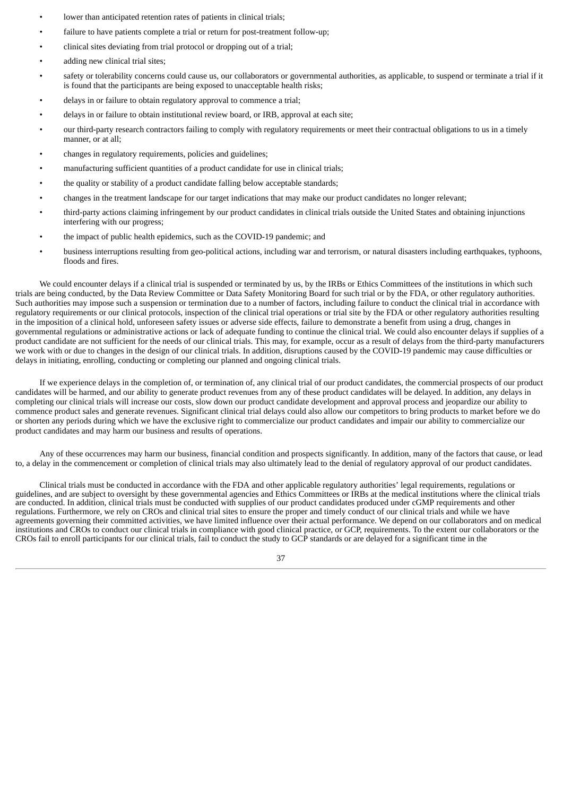- lower than anticipated retention rates of patients in clinical trials;
- failure to have patients complete a trial or return for post-treatment follow-up;
- clinical sites deviating from trial protocol or dropping out of a trial;
- adding new clinical trial sites:
- safety or tolerability concerns could cause us, our collaborators or governmental authorities, as applicable, to suspend or terminate a trial if it is found that the participants are being exposed to unacceptable health risks;
- delays in or failure to obtain regulatory approval to commence a trial;
- delays in or failure to obtain institutional review board, or IRB, approval at each site;
- our third-party research contractors failing to comply with regulatory requirements or meet their contractual obligations to us in a timely manner, or at all;
- changes in regulatory requirements, policies and guidelines;
- manufacturing sufficient quantities of a product candidate for use in clinical trials;
- the quality or stability of a product candidate falling below acceptable standards;
- changes in the treatment landscape for our target indications that may make our product candidates no longer relevant;
- third-party actions claiming infringement by our product candidates in clinical trials outside the United States and obtaining injunctions interfering with our progress;
- the impact of public health epidemics, such as the COVID-19 pandemic; and
- business interruptions resulting from geo-political actions, including war and terrorism, or natural disasters including earthquakes, typhoons, floods and fires.

We could encounter delays if a clinical trial is suspended or terminated by us, by the IRBs or Ethics Committees of the institutions in which such trials are being conducted, by the Data Review Committee or Data Safety Monitoring Board for such trial or by the FDA, or other regulatory authorities. Such authorities may impose such a suspension or termination due to a number of factors, including failure to conduct the clinical trial in accordance with regulatory requirements or our clinical protocols, inspection of the clinical trial operations or trial site by the FDA or other regulatory authorities resulting in the imposition of a clinical hold, unforeseen safety issues or adverse side effects, failure to demonstrate a benefit from using a drug, changes in governmental regulations or administrative actions or lack of adequate funding to continue the clinical trial. We could also encounter delays if supplies of a product candidate are not sufficient for the needs of our clinical trials. This may, for example, occur as a result of delays from the third-party manufacturers we work with or due to changes in the design of our clinical trials. In addition, disruptions caused by the COVID-19 pandemic may cause difficulties or delays in initiating, enrolling, conducting or completing our planned and ongoing clinical trials.

If we experience delays in the completion of, or termination of, any clinical trial of our product candidates, the commercial prospects of our product candidates will be harmed, and our ability to generate product revenues from any of these product candidates will be delayed. In addition, any delays in completing our clinical trials will increase our costs, slow down our product candidate development and approval process and jeopardize our ability to commence product sales and generate revenues. Significant clinical trial delays could also allow our competitors to bring products to market before we do or shorten any periods during which we have the exclusive right to commercialize our product candidates and impair our ability to commercialize our product candidates and may harm our business and results of operations.

Any of these occurrences may harm our business, financial condition and prospects significantly. In addition, many of the factors that cause, or lead to, a delay in the commencement or completion of clinical trials may also ultimately lead to the denial of regulatory approval of our product candidates.

Clinical trials must be conducted in accordance with the FDA and other applicable regulatory authorities' legal requirements, regulations or guidelines, and are subject to oversight by these governmental agencies and Ethics Committees or IRBs at the medical institutions where the clinical trials are conducted. In addition, clinical trials must be conducted with supplies of our product candidates produced under cGMP requirements and other regulations. Furthermore, we rely on CROs and clinical trial sites to ensure the proper and timely conduct of our clinical trials and while we have agreements governing their committed activities, we have limited influence over their actual performance. We depend on our collaborators and on medical institutions and CROs to conduct our clinical trials in compliance with good clinical practice, or GCP, requirements. To the extent our collaborators or the CROs fail to enroll participants for our clinical trials, fail to conduct the study to GCP standards or are delayed for a significant time in the

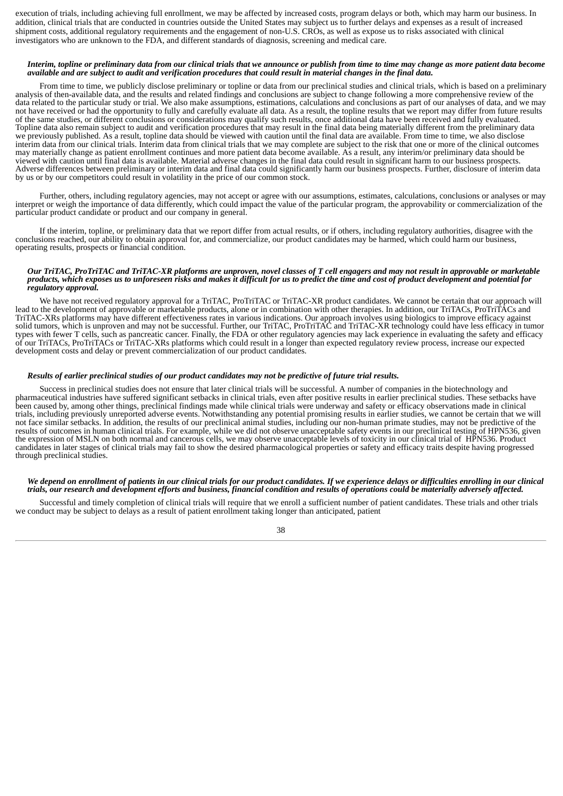execution of trials, including achieving full enrollment, we may be affected by increased costs, program delays or both, which may harm our business. In addition, clinical trials that are conducted in countries outside the United States may subject us to further delays and expenses as a result of increased shipment costs, additional regulatory requirements and the engagement of non-U.S. CROs, as well as expose us to risks associated with clinical investigators who are unknown to the FDA, and different standards of diagnosis, screening and medical care.

## Interim, topline or preliminary data from our clinical trials that we announce or publish from time to time may change as more patient data become available and are subject to audit and verification procedures that could result in material changes in the final data.

From time to time, we publicly disclose preliminary or topline or data from our preclinical studies and clinical trials, which is based on a preliminary analysis of then-available data, and the results and related findings and conclusions are subject to change following a more comprehensive review of the data related to the particular study or trial. We also make assumptions, estimations, calculations and conclusions as part of our analyses of data, and we may not have received or had the opportunity to fully and carefully evaluate all data. As a result, the topline results that we report may differ from future results of the same studies, or different conclusions or considerations may qualify such results, once additional data have been received and fully evaluated. Topline data also remain subject to audit and verification procedures that may result in the final data being materially different from the preliminary data we previously published. As a result, topline data should be viewed with caution until the final data are available. From time to time, we also disclose interim data from our clinical trials. Interim data from clinical trials that we may complete are subject to the risk that one or more of the clinical outcomes may materially change as patient enrollment continues and more patient data become available. As a result, any interim/or preliminary data should be viewed with caution until final data is available. Material adverse changes in the final data could result in significant harm to our business prospects. Adverse differences between preliminary or interim data and final data could significantly harm our business prospects. Further, disclosure of interim data by us or by our competitors could result in volatility in the price of our common stock.

Further, others, including regulatory agencies, may not accept or agree with our assumptions, estimates, calculations, conclusions or analyses or may interpret or weigh the importance of data differently, which could impact the value of the particular program, the approvability or commercialization of the particular product candidate or product and our company in general.

If the interim, topline, or preliminary data that we report differ from actual results, or if others, including regulatory authorities, disagree with the conclusions reached, our ability to obtain approval for, and commercialize, our product candidates may be harmed, which could harm our business, operating results, prospects or financial condition.

#### Our TriTAC, ProTriTAC and TriTAC-XR platforms are unproven, novel classes of T cell engagers and may not result in approvable or marketable products, which exposes us to unforeseen risks and makes it difficult for us to predict the time and cost of product development and potential for *regulatory approval.*

We have not received regulatory approval for a TriTAC, ProTriTAC or TriTAC-XR product candidates. We cannot be certain that our approach will lead to the development of approvable or marketable products, alone or in combination with other therapies. In addition, our TriTACs, ProTriTACs and TriTAC-XRs platforms may have different effectiveness rates in various indications. Our approach involves using biologics to improve efficacy against solid tumors, which is unproven and may not be successful. Further, our TriTAC, ProTriTAC and TriTAC-XR technology could have less efficacy in tumor types with fewer T cells, such as pancreatic cancer. Finally, the FDA or other regulatory agencies may lack experience in evaluating the safety and efficacy of our TriTACs, ProTriTACs or TriTAC-XRs platforms which could result in a longer than expected regulatory review process, increase our expected development costs and delay or prevent commercialization of our product candidates.

#### Results of earlier preclinical studies of our product candidates may not be predictive of future trial results.

Success in preclinical studies does not ensure that later clinical trials will be successful. A number of companies in the biotechnology and pharmaceutical industries have suffered significant setbacks in clinical trials, even after positive results in earlier preclinical studies. These setbacks have been caused by, among other things, preclinical findings made while clinical trials were underway and safety or efficacy observations made in clinical trials, including previously unreported adverse events. Notwithstanding any potential promising results in earlier studies, we cannot be certain that we will not face similar setbacks. In addition, the results of our preclinical animal studies, including our non-human primate studies, may not be predictive of the results of outcomes in human clinical trials. For example, while we did not observe unacceptable safety events in our preclinical testing of HPN536, given the expression of MSLN on both normal and cancerous cells, we may observe unacceptable levels of toxicity in our clinical trial of HPN536. Product candidates in later stages of clinical trials may fail to show the desired pharmacological properties or safety and efficacy traits despite having progressed through preclinical studies.

## We depend on enrollment of patients in our clinical trials for our product candidates. If we experience delays or difficulties enrolling in our clinical trials, our research and development efforts and business, financial condition and results of operations could be materially adversely affected.

Successful and timely completion of clinical trials will require that we enroll a sufficient number of patient candidates. These trials and other trials we conduct may be subject to delays as a result of patient enrollment taking longer than anticipated, patient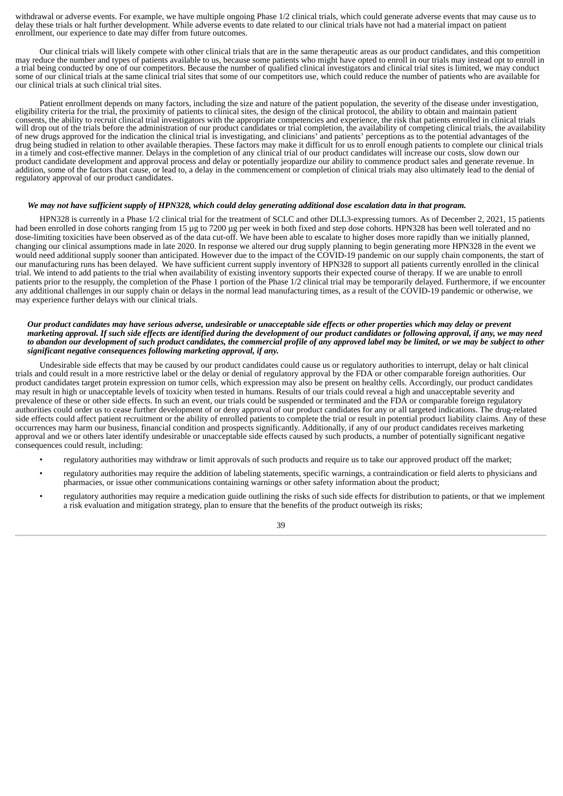withdrawal or adverse events. For example, we have multiple ongoing Phase 1/2 clinical trials, which could generate adverse events that may cause us to delay these trials or halt further development. While adverse events to date related to our clinical trials have not had a material impact on patient enrollment, our experience to date may differ from future outcomes.

Our clinical trials will likely compete with other clinical trials that are in the same therapeutic areas as our product candidates, and this competition may reduce the number and types of patients available to us, because some patients who might have opted to enroll in our trials may instead opt to enroll in a trial being conducted by one of our competitors. Because the number of qualified clinical investigators and clinical trial sites is limited, we may conduct some of our clinical trials at the same clinical trial sites that some of our competitors use, which could reduce the number of patients who are available for our clinical trials at such clinical trial sites.

Patient enrollment depends on many factors, including the size and nature of the patient population, the severity of the disease under investigation, eligibility criteria for the trial, the proximity of patients to clinical sites, the design of the clinical protocol, the ability to obtain and maintain patient consents, the ability to recruit clinical trial investigators with the appropriate competencies and experience, the risk that patients enrolled in clinical trials will drop out of the trials before the administration of our product candidates or trial completion, the availability of competing clinical trials, the availability of new drugs approved for the indication the clinical trial is investigating, and clinicians' and patients' perceptions as to the potential advantages of the drug being studied in relation to other available therapies. These factors may make it difficult for us to enroll enough patients to complete our clinical trials in a timely and cost-effective manner. Delays in the completion of any clinical trial of our product candidates will increase our costs, slow down our product candidate development and approval process and delay or potentially jeopardize our ability to commence product sales and generate revenue. In addition, some of the factors that cause, or lead to, a delay in the commencement or completion of clinical trials may also ultimately lead to the denial of regulatory approval of our product candidates.

# We may not have sufficient supply of HPN328, which could delay generating additional dose escalation data in that program.

HPN328 is currently in a Phase 1/2 clinical trial for the treatment of SCLC and other DLL3-expressing tumors. As of December 2, 2021, 15 patients had been enrolled in dose cohorts ranging from 15 µg to 7200 µg per week in both fixed and step dose cohorts. HPN328 has been well tolerated and no dose-limiting toxicities have been observed as of the data cut-off. We have been able to escalate to higher doses more rapidly than we initially planned, changing our clinical assumptions made in late 2020. In response we altered our drug supply planning to begin generating more HPN328 in the event we would need additional supply sooner than anticipated. However due to the impact of the COVID-19 pandemic on our supply chain components, the start of our manufacturing runs has been delayed. We have sufficient current supply inventory of HPN328 to support all patients currently enrolled in the clinical trial. We intend to add patients to the trial when availability of existing inventory supports their expected course of therapy. If we are unable to enroll patients prior to the resupply, the completion of the Phase 1 portion of the Phase 1/2 clinical trial may be temporarily delayed. Furthermore, if we encounter any additional challenges in our supply chain or delays in the normal lead manufacturing times, as a result of the COVID-19 pandemic or otherwise, we may experience further delays with our clinical trials.

### Our product candidates may have serious adverse, undesirable or unacceptable side effects or other properties which may delay or prevent marketing approval. If such side effects are identified during the development of our product candidates or following approval, if any, we may need to abandon our development of such product candidates, the commercial profile of any approved label may be limited, or we may be subject to other *significant negative consequences following marketing approval, if any.*

Undesirable side effects that may be caused by our product candidates could cause us or regulatory authorities to interrupt, delay or halt clinical trials and could result in a more restrictive label or the delay or denial of regulatory approval by the FDA or other comparable foreign authorities. Our product candidates target protein expression on tumor cells, which expression may also be present on healthy cells. Accordingly, our product candidates may result in high or unacceptable levels of toxicity when tested in humans. Results of our trials could reveal a high and unacceptable severity and prevalence of these or other side effects. In such an event, our trials could be suspended or terminated and the FDA or comparable foreign regulatory authorities could order us to cease further development of or deny approval of our product candidates for any or all targeted indications. The drug-related side effects could affect patient recruitment or the ability of enrolled patients to complete the trial or result in potential product liability claims. Any of these occurrences may harm our business, financial condition and prospects significantly. Additionally, if any of our product candidates receives marketing approval and we or others later identify undesirable or unacceptable side effects caused by such products, a number of potentially significant negative consequences could result, including:

- regulatory authorities may withdraw or limit approvals of such products and require us to take our approved product off the market;
- regulatory authorities may require the addition of labeling statements, specific warnings, a contraindication or field alerts to physicians and pharmacies, or issue other communications containing warnings or other safety information about the product;
- regulatory authorities may require a medication guide outlining the risks of such side effects for distribution to patients, or that we implement a risk evaluation and mitigation strategy, plan to ensure that the benefits of the product outweigh its risks;

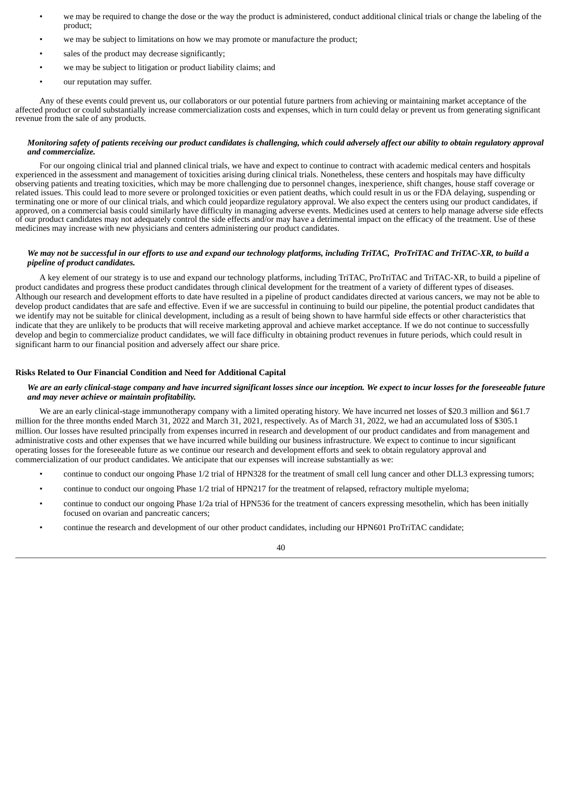- we may be required to change the dose or the way the product is administered, conduct additional clinical trials or change the labeling of the product;
- we may be subject to limitations on how we may promote or manufacture the product;
- sales of the product may decrease significantly;
- we may be subject to litigation or product liability claims; and
- our reputation may suffer.

Any of these events could prevent us, our collaborators or our potential future partners from achieving or maintaining market acceptance of the affected product or could substantially increase commercialization costs and expenses, which in turn could delay or prevent us from generating significant revenue from the sale of any products.

## Monitoring safety of patients receiving our product candidates is challenging, which could adversely affect our ability to obtain regulatory approval *and commercialize.*

For our ongoing clinical trial and planned clinical trials, we have and expect to continue to contract with academic medical centers and hospitals experienced in the assessment and management of toxicities arising during clinical trials. Nonetheless, these centers and hospitals may have difficulty observing patients and treating toxicities, which may be more challenging due to personnel changes, inexperience, shift changes, house staff coverage or related issues. This could lead to more severe or prolonged toxicities or even patient deaths, which could result in us or the FDA delaying, suspending or terminating one or more of our clinical trials, and which could jeopardize regulatory approval. We also expect the centers using our product candidates, if approved, on a commercial basis could similarly have difficulty in managing adverse events. Medicines used at centers to help manage adverse side effects of our product candidates may not adequately control the side effects and/or may have a detrimental impact on the efficacy of the treatment. Use of these medicines may increase with new physicians and centers administering our product candidates.

## We may not be successful in our efforts to use and expand our technology platforms, including TriTAC, ProTriTAC and TriTAC-XR, to build a *pipeline of product candidates.*

A key element of our strategy is to use and expand our technology platforms, including TriTAC, ProTriTAC and TriTAC-XR, to build a pipeline of product candidates and progress these product candidates through clinical development for the treatment of a variety of different types of diseases. Although our research and development efforts to date have resulted in a pipeline of product candidates directed at various cancers, we may not be able to develop product candidates that are safe and effective. Even if we are successful in continuing to build our pipeline, the potential product candidates that we identify may not be suitable for clinical development, including as a result of being shown to have harmful side effects or other characteristics that indicate that they are unlikely to be products that will receive marketing approval and achieve market acceptance. If we do not continue to successfully develop and begin to commercialize product candidates, we will face difficulty in obtaining product revenues in future periods, which could result in significant harm to our financial position and adversely affect our share price.

## **Risks Related to Our Financial Condition and Need for Additional Capital**

# We are an early clinical-stage company and have incurred significant losses since our inception. We expect to incur losses for the foreseeable future *and may never achieve or maintain profitability.*

We are an early clinical-stage immunotherapy company with a limited operating history. We have incurred net losses of \$20.3 million and \$61.7 million for the three months ended March 31, 2022 and March 31, 2021, respectively. As of March 31, 2022, we had an accumulated loss of \$305.1 million. Our losses have resulted principally from expenses incurred in research and development of our product candidates and from management and administrative costs and other expenses that we have incurred while building our business infrastructure. We expect to continue to incur significant operating losses for the foreseeable future as we continue our research and development efforts and seek to obtain regulatory approval and commercialization of our product candidates. We anticipate that our expenses will increase substantially as we:

- continue to conduct our ongoing Phase 1/2 trial of HPN328 for the treatment of small cell lung cancer and other DLL3 expressing tumors;
- continue to conduct our ongoing Phase 1/2 trial of HPN217 for the treatment of relapsed, refractory multiple myeloma;
- continue to conduct our ongoing Phase 1/2a trial of HPN536 for the treatment of cancers expressing mesothelin, which has been initially focused on ovarian and pancreatic cancers;
- continue the research and development of our other product candidates, including our HPN601 ProTriTAC candidate;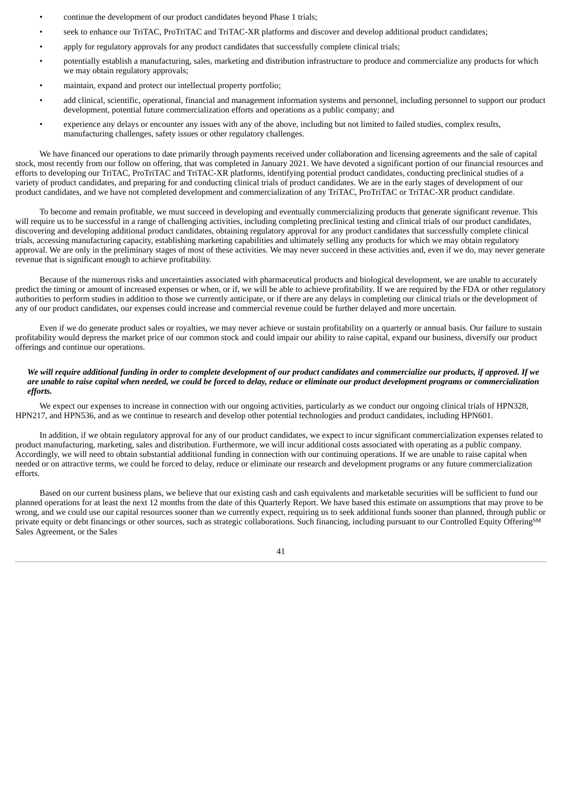- continue the development of our product candidates beyond Phase 1 trials;
- seek to enhance our TriTAC, ProTriTAC and TriTAC-XR platforms and discover and develop additional product candidates;
- apply for regulatory approvals for any product candidates that successfully complete clinical trials;
- potentially establish a manufacturing, sales, marketing and distribution infrastructure to produce and commercialize any products for which we may obtain regulatory approvals;
- maintain, expand and protect our intellectual property portfolio;
- add clinical, scientific, operational, financial and management information systems and personnel, including personnel to support our product development, potential future commercialization efforts and operations as a public company; and
- experience any delays or encounter any issues with any of the above, including but not limited to failed studies, complex results, manufacturing challenges, safety issues or other regulatory challenges.

We have financed our operations to date primarily through payments received under collaboration and licensing agreements and the sale of capital stock, most recently from our follow on offering, that was completed in January 2021. We have devoted a significant portion of our financial resources and efforts to developing our TriTAC, ProTriTAC and TriTAC-XR platforms, identifying potential product candidates, conducting preclinical studies of a variety of product candidates, and preparing for and conducting clinical trials of product candidates. We are in the early stages of development of our product candidates, and we have not completed development and commercialization of any TriTAC, ProTriTAC or TriTAC-XR product candidate.

To become and remain profitable, we must succeed in developing and eventually commercializing products that generate significant revenue. This will require us to be successful in a range of challenging activities, including completing preclinical testing and clinical trials of our product candidates, discovering and developing additional product candidates, obtaining regulatory approval for any product candidates that successfully complete clinical trials, accessing manufacturing capacity, establishing marketing capabilities and ultimately selling any products for which we may obtain regulatory approval. We are only in the preliminary stages of most of these activities. We may never succeed in these activities and, even if we do, may never generate revenue that is significant enough to achieve profitability.

Because of the numerous risks and uncertainties associated with pharmaceutical products and biological development, we are unable to accurately predict the timing or amount of increased expenses or when, or if, we will be able to achieve profitability. If we are required by the FDA or other regulatory authorities to perform studies in addition to those we currently anticipate, or if there are any delays in completing our clinical trials or the development of any of our product candidates, our expenses could increase and commercial revenue could be further delayed and more uncertain.

Even if we do generate product sales or royalties, we may never achieve or sustain profitability on a quarterly or annual basis. Our failure to sustain profitability would depress the market price of our common stock and could impair our ability to raise capital, expand our business, diversify our product offerings and continue our operations.

## We will require additional funding in order to complete development of our product candidates and commercialize our products, if approved. If we are unable to raise capital when needed, we could be forced to delay, reduce or eliminate our product development programs or commercialization *efforts.*

We expect our expenses to increase in connection with our ongoing activities, particularly as we conduct our ongoing clinical trials of HPN328, HPN217, and HPN536, and as we continue to research and develop other potential technologies and product candidates, including HPN601.

In addition, if we obtain regulatory approval for any of our product candidates, we expect to incur significant commercialization expenses related to product manufacturing, marketing, sales and distribution. Furthermore, we will incur additional costs associated with operating as a public company. Accordingly, we will need to obtain substantial additional funding in connection with our continuing operations. If we are unable to raise capital when needed or on attractive terms, we could be forced to delay, reduce or eliminate our research and development programs or any future commercialization efforts.

Based on our current business plans, we believe that our existing cash and cash equivalents and marketable securities will be sufficient to fund our planned operations for at least the next 12 months from the date of this Quarterly Report. We have based this estimate on assumptions that may prove to be wrong, and we could use our capital resources sooner than we currently expect, requiring us to seek additional funds sooner than planned, through public or private equity or debt financings or other sources, such as strategic collaborations. Such financing, including pursuant to our Controlled Equity Offering<sup>SM</sup> Sales Agreement, or the Sales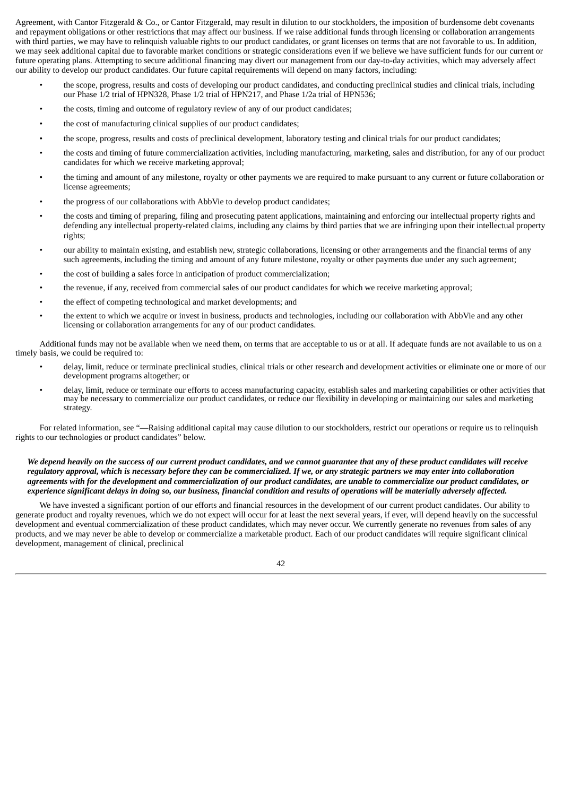Agreement, with Cantor Fitzgerald & Co., or Cantor Fitzgerald, may result in dilution to our stockholders, the imposition of burdensome debt covenants and repayment obligations or other restrictions that may affect our business. If we raise additional funds through licensing or collaboration arrangements with third parties, we may have to relinquish valuable rights to our product candidates, or grant licenses on terms that are not favorable to us. In addition, we may seek additional capital due to favorable market conditions or strategic considerations even if we believe we have sufficient funds for our current or future operating plans. Attempting to secure additional financing may divert our management from our day-to-day activities, which may adversely affect our ability to develop our product candidates. Our future capital requirements will depend on many factors, including:

- the scope, progress, results and costs of developing our product candidates, and conducting preclinical studies and clinical trials, including our Phase 1/2 trial of HPN328, Phase 1/2 trial of HPN217, and Phase 1/2a trial of HPN536;
- the costs, timing and outcome of regulatory review of any of our product candidates;
- the cost of manufacturing clinical supplies of our product candidates;
- the scope, progress, results and costs of preclinical development, laboratory testing and clinical trials for our product candidates;
- the costs and timing of future commercialization activities, including manufacturing, marketing, sales and distribution, for any of our product candidates for which we receive marketing approval;
- the timing and amount of any milestone, royalty or other payments we are required to make pursuant to any current or future collaboration or license agreements;
- the progress of our collaborations with AbbVie to develop product candidates;
- the costs and timing of preparing, filing and prosecuting patent applications, maintaining and enforcing our intellectual property rights and defending any intellectual property-related claims, including any claims by third parties that we are infringing upon their intellectual property rights;
- our ability to maintain existing, and establish new, strategic collaborations, licensing or other arrangements and the financial terms of any such agreements, including the timing and amount of any future milestone, royalty or other payments due under any such agreement;
- the cost of building a sales force in anticipation of product commercialization;
- the revenue, if any, received from commercial sales of our product candidates for which we receive marketing approval;
- the effect of competing technological and market developments; and
- the extent to which we acquire or invest in business, products and technologies, including our collaboration with AbbVie and any other licensing or collaboration arrangements for any of our product candidates.

Additional funds may not be available when we need them, on terms that are acceptable to us or at all. If adequate funds are not available to us on a timely basis, we could be required to:

- delay, limit, reduce or terminate preclinical studies, clinical trials or other research and development activities or eliminate one or more of our development programs altogether; or
- delay, limit, reduce or terminate our efforts to access manufacturing capacity, establish sales and marketing capabilities or other activities that may be necessary to commercialize our product candidates, or reduce our flexibility in developing or maintaining our sales and marketing strategy.

For related information, see "—Raising additional capital may cause dilution to our stockholders, restrict our operations or require us to relinquish rights to our technologies or product candidates" below.

# We depend heavily on the success of our current product candidates, and we cannot quarantee that any of these product candidates will receive regulatory approval, which is necessary before they can be commercialized. If we, or any strategic partners we may enter into collaboration agreements with for the development and commercialization of our product candidates, are unable to commercialize our product candidates, or experience significant delays in doing so, our business, financial condition and results of operations will be materially adversely affected.

We have invested a significant portion of our efforts and financial resources in the development of our current product candidates. Our ability to generate product and royalty revenues, which we do not expect will occur for at least the next several years, if ever, will depend heavily on the successful development and eventual commercialization of these product candidates, which may never occur. We currently generate no revenues from sales of any products, and we may never be able to develop or commercialize a marketable product. Each of our product candidates will require significant clinical development, management of clinical, preclinical

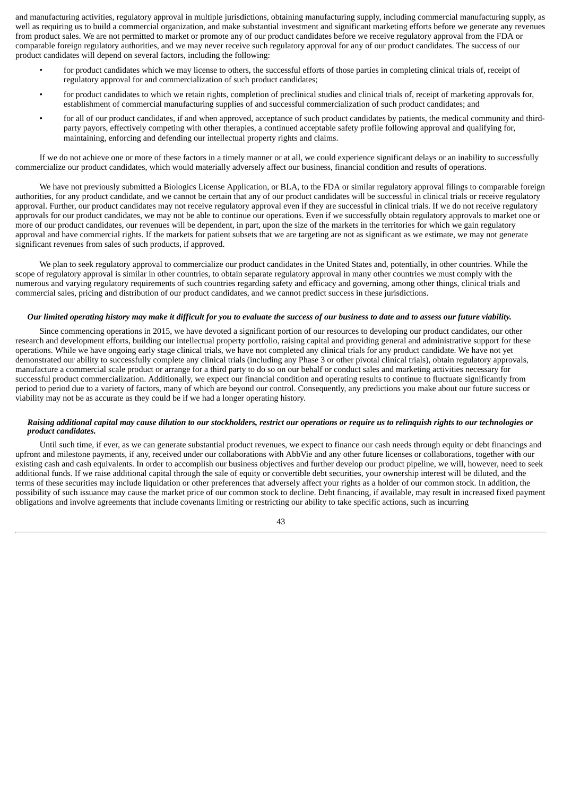and manufacturing activities, regulatory approval in multiple jurisdictions, obtaining manufacturing supply, including commercial manufacturing supply, as well as requiring us to build a commercial organization, and make substantial investment and significant marketing efforts before we generate any revenues from product sales. We are not permitted to market or promote any of our product candidates before we receive regulatory approval from the FDA or comparable foreign regulatory authorities, and we may never receive such regulatory approval for any of our product candidates. The success of our product candidates will depend on several factors, including the following:

- for product candidates which we may license to others, the successful efforts of those parties in completing clinical trials of, receipt of regulatory approval for and commercialization of such product candidates;
- for product candidates to which we retain rights, completion of preclinical studies and clinical trials of, receipt of marketing approvals for, establishment of commercial manufacturing supplies of and successful commercialization of such product candidates; and
- for all of our product candidates, if and when approved, acceptance of such product candidates by patients, the medical community and thirdparty payors, effectively competing with other therapies, a continued acceptable safety profile following approval and qualifying for, maintaining, enforcing and defending our intellectual property rights and claims.

If we do not achieve one or more of these factors in a timely manner or at all, we could experience significant delays or an inability to successfully commercialize our product candidates, which would materially adversely affect our business, financial condition and results of operations.

We have not previously submitted a Biologics License Application, or BLA, to the FDA or similar regulatory approval filings to comparable foreign authorities, for any product candidate, and we cannot be certain that any of our product candidates will be successful in clinical trials or receive regulatory approval. Further, our product candidates may not receive regulatory approval even if they are successful in clinical trials. If we do not receive regulatory approvals for our product candidates, we may not be able to continue our operations. Even if we successfully obtain regulatory approvals to market one or more of our product candidates, our revenues will be dependent, in part, upon the size of the markets in the territories for which we gain regulatory approval and have commercial rights. If the markets for patient subsets that we are targeting are not as significant as we estimate, we may not generate significant revenues from sales of such products, if approved.

We plan to seek regulatory approval to commercialize our product candidates in the United States and, potentially, in other countries. While the scope of regulatory approval is similar in other countries, to obtain separate regulatory approval in many other countries we must comply with the numerous and varying regulatory requirements of such countries regarding safety and efficacy and governing, among other things, clinical trials and commercial sales, pricing and distribution of our product candidates, and we cannot predict success in these jurisdictions.

## Our limited operating history may make it difficult for you to evaluate the success of our business to date and to assess our future viability.

Since commencing operations in 2015, we have devoted a significant portion of our resources to developing our product candidates, our other research and development efforts, building our intellectual property portfolio, raising capital and providing general and administrative support for these operations. While we have ongoing early stage clinical trials, we have not completed any clinical trials for any product candidate. We have not yet demonstrated our ability to successfully complete any clinical trials (including any Phase 3 or other pivotal clinical trials), obtain regulatory approvals, manufacture a commercial scale product or arrange for a third party to do so on our behalf or conduct sales and marketing activities necessary for successful product commercialization. Additionally, we expect our financial condition and operating results to continue to fluctuate significantly from period to period due to a variety of factors, many of which are beyond our control. Consequently, any predictions you make about our future success or viability may not be as accurate as they could be if we had a longer operating history.

## Raising additional capital may cause dilution to our stockholders, restrict our operations or require us to relinguish rights to our technologies or *product candidates.*

Until such time, if ever, as we can generate substantial product revenues, we expect to finance our cash needs through equity or debt financings and upfront and milestone payments, if any, received under our collaborations with AbbVie and any other future licenses or collaborations, together with our existing cash and cash equivalents. In order to accomplish our business objectives and further develop our product pipeline, we will, however, need to seek additional funds. If we raise additional capital through the sale of equity or convertible debt securities, your ownership interest will be diluted, and the terms of these securities may include liquidation or other preferences that adversely affect your rights as a holder of our common stock. In addition, the possibility of such issuance may cause the market price of our common stock to decline. Debt financing, if available, may result in increased fixed payment obligations and involve agreements that include covenants limiting or restricting our ability to take specific actions, such as incurring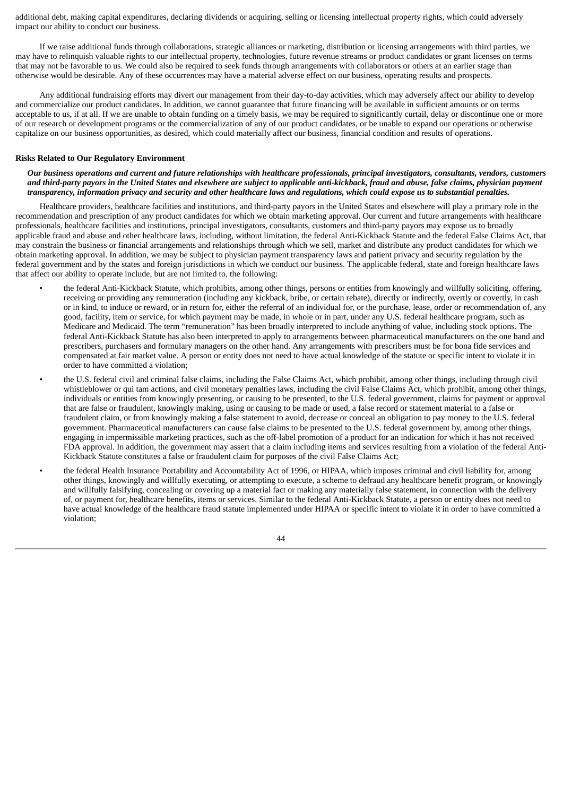additional debt, making capital expenditures, declaring dividends or acquiring, selling or licensing intellectual property rights, which could adversely impact our ability to conduct our business.

If we raise additional funds through collaborations, strategic alliances or marketing, distribution or licensing arrangements with third parties, we may have to relinquish valuable rights to our intellectual property, technologies, future revenue streams or product candidates or grant licenses on terms that may not be favorable to us. We could also be required to seek funds through arrangements with collaborators or others at an earlier stage than otherwise would be desirable. Any of these occurrences may have a material adverse effect on our business, operating results and prospects.

Any additional fundraising efforts may divert our management from their day-to-day activities, which may adversely affect our ability to develop and commercialize our product candidates. In addition, we cannot guarantee that future financing will be available in sufficient amounts or on terms acceptable to us, if at all. If we are unable to obtain funding on a timely basis, we may be required to significantly curtail, delay or discontinue one or more of our research or development programs or the commercialization of any of our product candidates, or be unable to expand our operations or otherwise capitalize on our business opportunities, as desired, which could materially affect our business, financial condition and results of operations.

#### **Risks Related to Our Regulatory Environment**

Our business operations and current and future relationships with healthcare professionals, principal investigators, consultants, vendors, customers and third-party payors in the United States and elsewhere are subject to applicable anti-kickback, fraud and abuse, false claims, physician payment transparency, information privacy and security and other healthcare laws and regulations, which could expose us to substantial penalties.

Healthcare providers, healthcare facilities and institutions, and third-party payors in the United States and elsewhere will play a primary role in the recommendation and prescription of any product candidates for which we obtain marketing approval. Our current and future arrangements with healthcare professionals, healthcare facilities and institutions, principal investigators, consultants, customers and third-party payors may expose us to broadly applicable fraud and abuse and other healthcare laws, including, without limitation, the federal Anti-Kickback Statute and the federal False Claims Act, that may constrain the business or financial arrangements and relationships through which we sell, market and distribute any product candidates for which we obtain marketing approval. In addition, we may be subject to physician payment transparency laws and patient privacy and security regulation by the federal government and by the states and foreign jurisdictions in which we conduct our business. The applicable federal, state and foreign healthcare laws that affect our ability to operate include, but are not limited to, the following:

- the federal Anti-Kickback Statute, which prohibits, among other things, persons or entities from knowingly and willfully soliciting, offering, receiving or providing any remuneration (including any kickback, bribe, or certain rebate), directly or indirectly, overtly or covertly, in cash or in kind, to induce or reward, or in return for, either the referral of an individual for, or the purchase, lease, order or recommendation of, any good, facility, item or service, for which payment may be made, in whole or in part, under any U.S. federal healthcare program, such as Medicare and Medicaid. The term "remuneration" has been broadly interpreted to include anything of value, including stock options. The federal Anti-Kickback Statute has also been interpreted to apply to arrangements between pharmaceutical manufacturers on the one hand and prescribers, purchasers and formulary managers on the other hand. Any arrangements with prescribers must be for bona fide services and compensated at fair market value. A person or entity does not need to have actual knowledge of the statute or specific intent to violate it in order to have committed a violation;
- the U.S. federal civil and criminal false claims, including the False Claims Act, which prohibit, among other things, including through civil whistleblower or qui tam actions, and civil monetary penalties laws, including the civil False Claims Act, which prohibit, among other things, individuals or entities from knowingly presenting, or causing to be presented, to the U.S. federal government, claims for payment or approval that are false or fraudulent, knowingly making, using or causing to be made or used, a false record or statement material to a false or fraudulent claim, or from knowingly making a false statement to avoid, decrease or conceal an obligation to pay money to the U.S. federal government. Pharmaceutical manufacturers can cause false claims to be presented to the U.S. federal government by, among other things, engaging in impermissible marketing practices, such as the off-label promotion of a product for an indication for which it has not received FDA approval. In addition, the government may assert that a claim including items and services resulting from a violation of the federal Anti-Kickback Statute constitutes a false or fraudulent claim for purposes of the civil False Claims Act;
- the federal Health Insurance Portability and Accountability Act of 1996, or HIPAA, which imposes criminal and civil liability for, among other things, knowingly and willfully executing, or attempting to execute, a scheme to defraud any healthcare benefit program, or knowingly and willfully falsifying, concealing or covering up a material fact or making any materially false statement, in connection with the delivery of, or payment for, healthcare benefits, items or services. Similar to the federal Anti-Kickback Statute, a person or entity does not need to have actual knowledge of the healthcare fraud statute implemented under HIPAA or specific intent to violate it in order to have committed a violation;

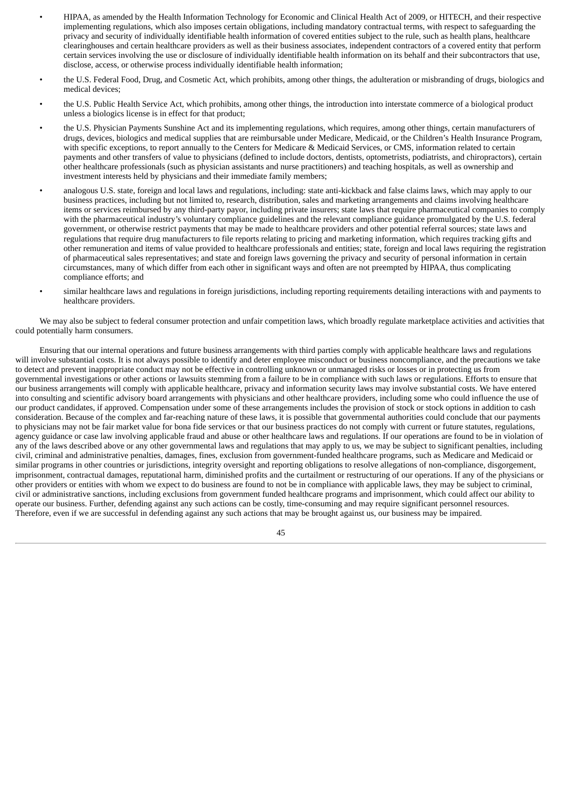- HIPAA, as amended by the Health Information Technology for Economic and Clinical Health Act of 2009, or HITECH, and their respective implementing regulations, which also imposes certain obligations, including mandatory contractual terms, with respect to safeguarding the privacy and security of individually identifiable health information of covered entities subject to the rule, such as health plans, healthcare clearinghouses and certain healthcare providers as well as their business associates, independent contractors of a covered entity that perform certain services involving the use or disclosure of individually identifiable health information on its behalf and their subcontractors that use, disclose, access, or otherwise process individually identifiable health information;
- the U.S. Federal Food, Drug, and Cosmetic Act, which prohibits, among other things, the adulteration or misbranding of drugs, biologics and medical devices;
- the U.S. Public Health Service Act, which prohibits, among other things, the introduction into interstate commerce of a biological product unless a biologics license is in effect for that product;
- the U.S. Physician Payments Sunshine Act and its implementing regulations, which requires, among other things, certain manufacturers of drugs, devices, biologics and medical supplies that are reimbursable under Medicare, Medicaid, or the Children's Health Insurance Program, with specific exceptions, to report annually to the Centers for Medicare & Medicaid Services, or CMS, information related to certain payments and other transfers of value to physicians (defined to include doctors, dentists, optometrists, podiatrists, and chiropractors), certain other healthcare professionals (such as physician assistants and nurse practitioners) and teaching hospitals, as well as ownership and investment interests held by physicians and their immediate family members;
- analogous U.S. state, foreign and local laws and regulations, including: state anti-kickback and false claims laws, which may apply to our business practices, including but not limited to, research, distribution, sales and marketing arrangements and claims involving healthcare items or services reimbursed by any third-party payor, including private insurers; state laws that require pharmaceutical companies to comply with the pharmaceutical industry's voluntary compliance guidelines and the relevant compliance guidance promulgated by the U.S. federal government, or otherwise restrict payments that may be made to healthcare providers and other potential referral sources; state laws and regulations that require drug manufacturers to file reports relating to pricing and marketing information, which requires tracking gifts and other remuneration and items of value provided to healthcare professionals and entities; state, foreign and local laws requiring the registration of pharmaceutical sales representatives; and state and foreign laws governing the privacy and security of personal information in certain circumstances, many of which differ from each other in significant ways and often are not preempted by HIPAA, thus complicating compliance efforts; and
- similar healthcare laws and regulations in foreign jurisdictions, including reporting requirements detailing interactions with and payments to healthcare providers.

We may also be subject to federal consumer protection and unfair competition laws, which broadly regulate marketplace activities and activities that could potentially harm consumers.

Ensuring that our internal operations and future business arrangements with third parties comply with applicable healthcare laws and regulations will involve substantial costs. It is not always possible to identify and deter employee misconduct or business noncompliance, and the precautions we take to detect and prevent inappropriate conduct may not be effective in controlling unknown or unmanaged risks or losses or in protecting us from governmental investigations or other actions or lawsuits stemming from a failure to be in compliance with such laws or regulations. Efforts to ensure that our business arrangements will comply with applicable healthcare, privacy and information security laws may involve substantial costs. We have entered into consulting and scientific advisory board arrangements with physicians and other healthcare providers, including some who could influence the use of our product candidates, if approved. Compensation under some of these arrangements includes the provision of stock or stock options in addition to cash consideration. Because of the complex and far-reaching nature of these laws, it is possible that governmental authorities could conclude that our payments to physicians may not be fair market value for bona fide services or that our business practices do not comply with current or future statutes, regulations, agency guidance or case law involving applicable fraud and abuse or other healthcare laws and regulations. If our operations are found to be in violation of any of the laws described above or any other governmental laws and regulations that may apply to us, we may be subject to significant penalties, including civil, criminal and administrative penalties, damages, fines, exclusion from government-funded healthcare programs, such as Medicare and Medicaid or similar programs in other countries or jurisdictions, integrity oversight and reporting obligations to resolve allegations of non-compliance, disgorgement, imprisonment, contractual damages, reputational harm, diminished profits and the curtailment or restructuring of our operations. If any of the physicians or other providers or entities with whom we expect to do business are found to not be in compliance with applicable laws, they may be subject to criminal, civil or administrative sanctions, including exclusions from government funded healthcare programs and imprisonment, which could affect our ability to operate our business. Further, defending against any such actions can be costly, time-consuming and may require significant personnel resources. Therefore, even if we are successful in defending against any such actions that may be brought against us, our business may be impaired.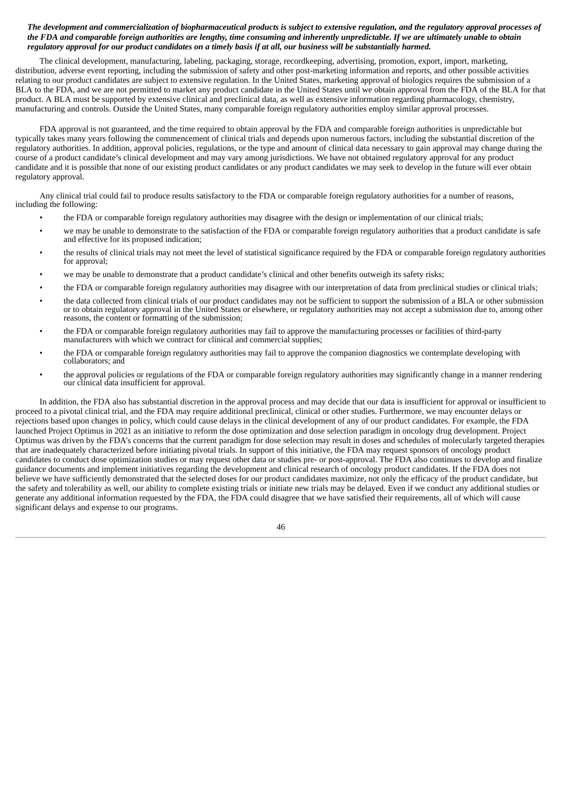# The development and commercialization of biopharmaceutical products is subject to extensive regulation, and the regulatory approval processes of the FDA and comparable foreign authorities are lengthy, time consuming and inherently unpredictable. If we are ultimately unable to obtain regulatory approval for our product candidates on a timely basis if at all, our business will be substantially harmed.

The clinical development, manufacturing, labeling, packaging, storage, recordkeeping, advertising, promotion, export, import, marketing, distribution, adverse event reporting, including the submission of safety and other post-marketing information and reports, and other possible activities relating to our product candidates are subject to extensive regulation. In the United States, marketing approval of biologics requires the submission of a BLA to the FDA, and we are not permitted to market any product candidate in the United States until we obtain approval from the FDA of the BLA for that product. A BLA must be supported by extensive clinical and preclinical data, as well as extensive information regarding pharmacology, chemistry, manufacturing and controls. Outside the United States, many comparable foreign regulatory authorities employ similar approval processes.

FDA approval is not guaranteed, and the time required to obtain approval by the FDA and comparable foreign authorities is unpredictable but typically takes many years following the commencement of clinical trials and depends upon numerous factors, including the substantial discretion of the regulatory authorities. In addition, approval policies, regulations, or the type and amount of clinical data necessary to gain approval may change during the course of a product candidate's clinical development and may vary among jurisdictions. We have not obtained regulatory approval for any product candidate and it is possible that none of our existing product candidates or any product candidates we may seek to develop in the future will ever obtain regulatory approval.

Any clinical trial could fail to produce results satisfactory to the FDA or comparable foreign regulatory authorities for a number of reasons, including the following:

- the FDA or comparable foreign regulatory authorities may disagree with the design or implementation of our clinical trials;
- we may be unable to demonstrate to the satisfaction of the FDA or comparable foreign regulatory authorities that a product candidate is safe and effective for its proposed indication;
- the results of clinical trials may not meet the level of statistical significance required by the FDA or comparable foreign regulatory authorities for approval;
- we may be unable to demonstrate that a product candidate's clinical and other benefits outweigh its safety risks;
- the FDA or comparable foreign regulatory authorities may disagree with our interpretation of data from preclinical studies or clinical trials;
- the data collected from clinical trials of our product candidates may not be sufficient to support the submission of a BLA or other submission or to obtain regulatory approval in the United States or elsewhere, or regulatory authorities may not accept a submission due to, among other reasons, the content or formatting of the submission;
- the FDA or comparable foreign regulatory authorities may fail to approve the manufacturing processes or facilities of third-party manufacturers with which we contract for clinical and commercial supplies;
- the FDA or comparable foreign regulatory authorities may fail to approve the companion diagnostics we contemplate developing with collaborators; and
- the approval policies or regulations of the FDA or comparable foreign regulatory authorities may significantly change in a manner rendering our clinical data insufficient for approval.

In addition, the FDA also has substantial discretion in the approval process and may decide that our data is insufficient for approval or insufficient to proceed to a pivotal clinical trial, and the FDA may require additional preclinical, clinical or other studies. Furthermore, we may encounter delays or rejections based upon changes in policy, which could cause delays in the clinical development of any of our product candidates. For example, the FDA launched Project Optimus in 2021 as an initiative to reform the dose optimization and dose selection paradigm in oncology drug development. Project Optimus was driven by the FDA's concerns that the current paradigm for dose selection may result in doses and schedules of molecularly targeted therapies that are inadequately characterized before initiating pivotal trials. In support of this initiative, the FDA may request sponsors of oncology product candidates to conduct dose optimization studies or may request other data or studies pre- or post-approval. The FDA also continues to develop and finalize guidance documents and implement initiatives regarding the development and clinical research of oncology product candidates. If the FDA does not believe we have sufficiently demonstrated that the selected doses for our product candidates maximize, not only the efficacy of the product candidate, but the safety and tolerability as well, our ability to complete existing trials or initiate new trials may be delayed. Even if we conduct any additional studies or generate any additional information requested by the FDA, the FDA could disagree that we have satisfied their requirements, all of which will cause significant delays and expense to our programs.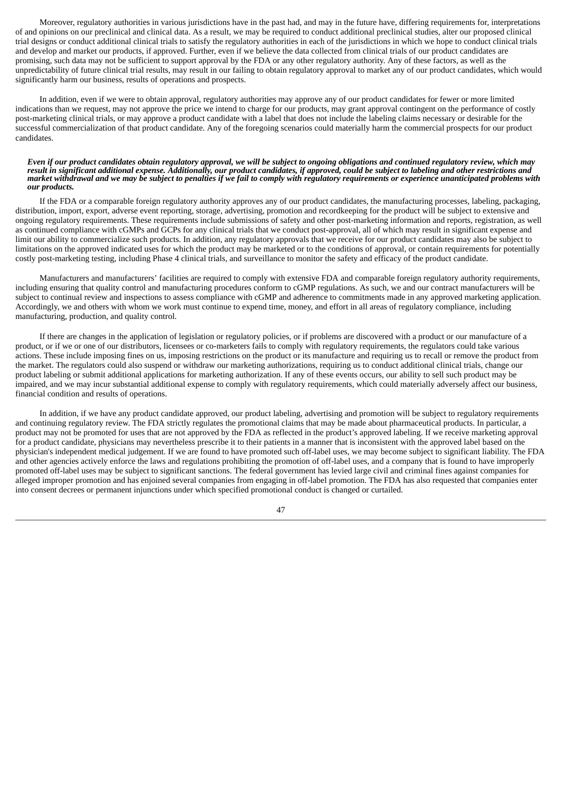Moreover, regulatory authorities in various jurisdictions have in the past had, and may in the future have, differing requirements for, interpretations of and opinions on our preclinical and clinical data. As a result, we may be required to conduct additional preclinical studies, alter our proposed clinical trial designs or conduct additional clinical trials to satisfy the regulatory authorities in each of the jurisdictions in which we hope to conduct clinical trials and develop and market our products, if approved. Further, even if we believe the data collected from clinical trials of our product candidates are promising, such data may not be sufficient to support approval by the FDA or any other regulatory authority. Any of these factors, as well as the unpredictability of future clinical trial results, may result in our failing to obtain regulatory approval to market any of our product candidates, which would significantly harm our business, results of operations and prospects.

In addition, even if we were to obtain approval, regulatory authorities may approve any of our product candidates for fewer or more limited indications than we request, may not approve the price we intend to charge for our products, may grant approval contingent on the performance of costly post-marketing clinical trials, or may approve a product candidate with a label that does not include the labeling claims necessary or desirable for the successful commercialization of that product candidate. Any of the foregoing scenarios could materially harm the commercial prospects for our product candidates.

#### Even if our product candidates obtain regulatory approval, we will be subject to ongoing obligations and continued regulatory review, which may result in significant additional expense. Additionally, our product candidates, if approved, could be subject to labeling and other restrictions and market withdrawal and we may be subject to penalties if we fail to comply with regulatory requirements or experience unanticipated problems with *our products.*

If the FDA or a comparable foreign regulatory authority approves any of our product candidates, the manufacturing processes, labeling, packaging, distribution, import, export, adverse event reporting, storage, advertising, promotion and recordkeeping for the product will be subject to extensive and ongoing regulatory requirements. These requirements include submissions of safety and other post-marketing information and reports, registration, as well as continued compliance with cGMPs and GCPs for any clinical trials that we conduct post-approval, all of which may result in significant expense and limit our ability to commercialize such products. In addition, any regulatory approvals that we receive for our product candidates may also be subject to limitations on the approved indicated uses for which the product may be marketed or to the conditions of approval, or contain requirements for potentially costly post-marketing testing, including Phase 4 clinical trials, and surveillance to monitor the safety and efficacy of the product candidate.

Manufacturers and manufacturers' facilities are required to comply with extensive FDA and comparable foreign regulatory authority requirements, including ensuring that quality control and manufacturing procedures conform to cGMP regulations. As such, we and our contract manufacturers will be subject to continual review and inspections to assess compliance with cGMP and adherence to commitments made in any approved marketing application. Accordingly, we and others with whom we work must continue to expend time, money, and effort in all areas of regulatory compliance, including manufacturing, production, and quality control.

If there are changes in the application of legislation or regulatory policies, or if problems are discovered with a product or our manufacture of a product, or if we or one of our distributors, licensees or co-marketers fails to comply with regulatory requirements, the regulators could take various actions. These include imposing fines on us, imposing restrictions on the product or its manufacture and requiring us to recall or remove the product from the market. The regulators could also suspend or withdraw our marketing authorizations, requiring us to conduct additional clinical trials, change our product labeling or submit additional applications for marketing authorization. If any of these events occurs, our ability to sell such product may be impaired, and we may incur substantial additional expense to comply with regulatory requirements, which could materially adversely affect our business, financial condition and results of operations.

In addition, if we have any product candidate approved, our product labeling, advertising and promotion will be subject to regulatory requirements and continuing regulatory review. The FDA strictly regulates the promotional claims that may be made about pharmaceutical products. In particular, a product may not be promoted for uses that are not approved by the FDA as reflected in the product's approved labeling. If we receive marketing approval for a product candidate, physicians may nevertheless prescribe it to their patients in a manner that is inconsistent with the approved label based on the physician's independent medical judgement. If we are found to have promoted such off-label uses, we may become subject to significant liability. The FDA and other agencies actively enforce the laws and regulations prohibiting the promotion of off-label uses, and a company that is found to have improperly promoted off-label uses may be subject to significant sanctions. The federal government has levied large civil and criminal fines against companies for alleged improper promotion and has enjoined several companies from engaging in off-label promotion. The FDA has also requested that companies enter into consent decrees or permanent injunctions under which specified promotional conduct is changed or curtailed.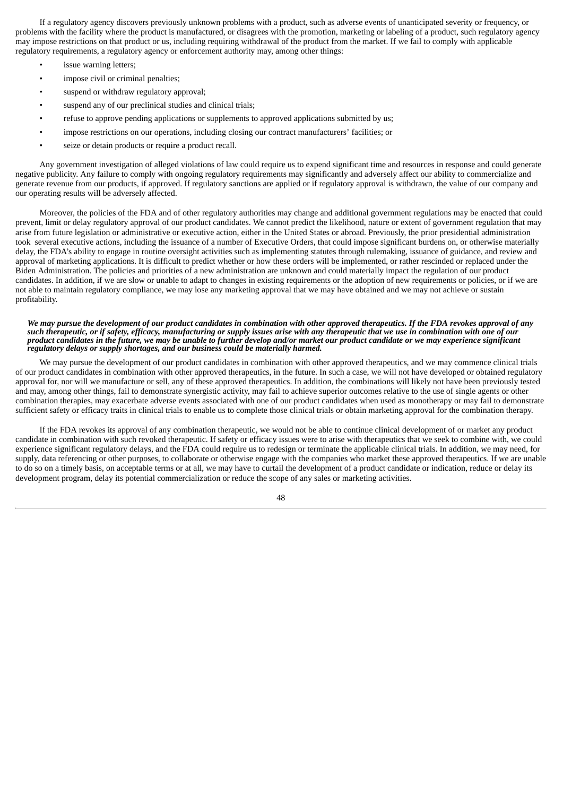If a regulatory agency discovers previously unknown problems with a product, such as adverse events of unanticipated severity or frequency, or problems with the facility where the product is manufactured, or disagrees with the promotion, marketing or labeling of a product, such regulatory agency may impose restrictions on that product or us, including requiring withdrawal of the product from the market. If we fail to comply with applicable regulatory requirements, a regulatory agency or enforcement authority may, among other things:

- issue warning letters;
- impose civil or criminal penalties;
- suspend or withdraw regulatory approval;
- suspend any of our preclinical studies and clinical trials;
- refuse to approve pending applications or supplements to approved applications submitted by us;
- impose restrictions on our operations, including closing our contract manufacturers' facilities; or
- seize or detain products or require a product recall.

Any government investigation of alleged violations of law could require us to expend significant time and resources in response and could generate negative publicity. Any failure to comply with ongoing regulatory requirements may significantly and adversely affect our ability to commercialize and generate revenue from our products, if approved. If regulatory sanctions are applied or if regulatory approval is withdrawn, the value of our company and our operating results will be adversely affected.

Moreover, the policies of the FDA and of other regulatory authorities may change and additional government regulations may be enacted that could prevent, limit or delay regulatory approval of our product candidates. We cannot predict the likelihood, nature or extent of government regulation that may arise from future legislation or administrative or executive action, either in the United States or abroad. Previously, the prior presidential administration took several executive actions, including the issuance of a number of Executive Orders, that could impose significant burdens on, or otherwise materially delay, the FDA's ability to engage in routine oversight activities such as implementing statutes through rulemaking, issuance of guidance, and review and approval of marketing applications. It is difficult to predict whether or how these orders will be implemented, or rather rescinded or replaced under the Biden Administration. The policies and priorities of a new administration are unknown and could materially impact the regulation of our product candidates. In addition, if we are slow or unable to adapt to changes in existing requirements or the adoption of new requirements or policies, or if we are not able to maintain regulatory compliance, we may lose any marketing approval that we may have obtained and we may not achieve or sustain profitability.

#### We may pursue the development of our product candidates in combination with other approved therapeutics. If the FDA revokes approval of any such therapeutic, or if safety, efficacy, manufacturing or supply issues arise with any therapeutic that we use in combination with one of our product candidates in the future, we may be unable to further develop and/or market our product candidate or we may experience significant *regulatory delays or supply shortages, and our business could be materially harmed.*

We may pursue the development of our product candidates in combination with other approved therapeutics, and we may commence clinical trials of our product candidates in combination with other approved therapeutics, in the future. In such a case, we will not have developed or obtained regulatory approval for, nor will we manufacture or sell, any of these approved therapeutics. In addition, the combinations will likely not have been previously tested and may, among other things, fail to demonstrate synergistic activity, may fail to achieve superior outcomes relative to the use of single agents or other combination therapies, may exacerbate adverse events associated with one of our product candidates when used as monotherapy or may fail to demonstrate sufficient safety or efficacy traits in clinical trials to enable us to complete those clinical trials or obtain marketing approval for the combination therapy.

If the FDA revokes its approval of any combination therapeutic, we would not be able to continue clinical development of or market any product candidate in combination with such revoked therapeutic. If safety or efficacy issues were to arise with therapeutics that we seek to combine with, we could experience significant regulatory delays, and the FDA could require us to redesign or terminate the applicable clinical trials. In addition, we may need, for supply, data referencing or other purposes, to collaborate or otherwise engage with the companies who market these approved therapeutics. If we are unable to do so on a timely basis, on acceptable terms or at all, we may have to curtail the development of a product candidate or indication, reduce or delay its development program, delay its potential commercialization or reduce the scope of any sales or marketing activities.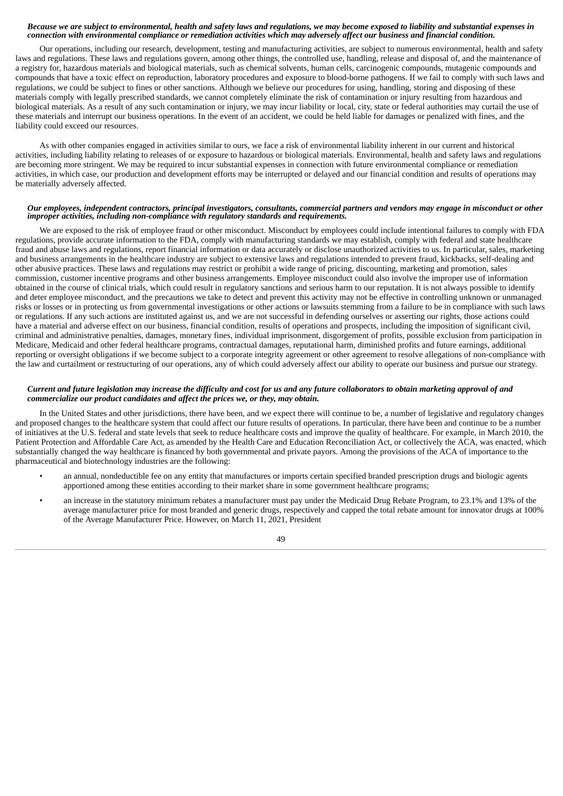### Because we are subject to environmental, health and safety laws and regulations, we may become exposed to liability and substantial expenses in connection with environmental compliance or remediation activities which may adversely affect our business and financial condition.

Our operations, including our research, development, testing and manufacturing activities, are subject to numerous environmental, health and safety laws and regulations. These laws and regulations govern, among other things, the controlled use, handling, release and disposal of, and the maintenance of a registry for, hazardous materials and biological materials, such as chemical solvents, human cells, carcinogenic compounds, mutagenic compounds and compounds that have a toxic effect on reproduction, laboratory procedures and exposure to blood-borne pathogens. If we fail to comply with such laws and regulations, we could be subject to fines or other sanctions. Although we believe our procedures for using, handling, storing and disposing of these materials comply with legally prescribed standards, we cannot completely eliminate the risk of contamination or injury resulting from hazardous and biological materials. As a result of any such contamination or injury, we may incur liability or local, city, state or federal authorities may curtail the use of these materials and interrupt our business operations. In the event of an accident, we could be held liable for damages or penalized with fines, and the liability could exceed our resources.

As with other companies engaged in activities similar to ours, we face a risk of environmental liability inherent in our current and historical activities, including liability relating to releases of or exposure to hazardous or biological materials. Environmental, health and safety laws and regulations are becoming more stringent. We may be required to incur substantial expenses in connection with future environmental compliance or remediation activities, in which case, our production and development efforts may be interrupted or delayed and our financial condition and results of operations may be materially adversely affected.

#### Our employees, independent contractors, principal investigators, consultants, commercial partners and vendors may engage in misconduct or other *improper activities, including non-compliance with regulatory standards and requirements.*

We are exposed to the risk of employee fraud or other misconduct. Misconduct by employees could include intentional failures to comply with FDA regulations, provide accurate information to the FDA, comply with manufacturing standards we may establish, comply with federal and state healthcare fraud and abuse laws and regulations, report financial information or data accurately or disclose unauthorized activities to us. In particular, sales, marketing and business arrangements in the healthcare industry are subject to extensive laws and regulations intended to prevent fraud, kickbacks, self-dealing and other abusive practices. These laws and regulations may restrict or prohibit a wide range of pricing, discounting, marketing and promotion, sales commission, customer incentive programs and other business arrangements. Employee misconduct could also involve the improper use of information obtained in the course of clinical trials, which could result in regulatory sanctions and serious harm to our reputation. It is not always possible to identify and deter employee misconduct, and the precautions we take to detect and prevent this activity may not be effective in controlling unknown or unmanaged risks or losses or in protecting us from governmental investigations or other actions or lawsuits stemming from a failure to be in compliance with such laws or regulations. If any such actions are instituted against us, and we are not successful in defending ourselves or asserting our rights, those actions could have a material and adverse effect on our business, financial condition, results of operations and prospects, including the imposition of significant civil, criminal and administrative penalties, damages, monetary fines, individual imprisonment, disgorgement of profits, possible exclusion from participation in Medicare, Medicaid and other federal healthcare programs, contractual damages, reputational harm, diminished profits and future earnings, additional reporting or oversight obligations if we become subject to a corporate integrity agreement or other agreement to resolve allegations of non-compliance with the law and curtailment or restructuring of our operations, any of which could adversely affect our ability to operate our business and pursue our strategy.

# Current and future legislation may increase the difficulty and cost for us and any future collaborators to obtain marketing approval of and *commercialize our product candidates and affect the prices we, or they, may obtain.*

In the United States and other jurisdictions, there have been, and we expect there will continue to be, a number of legislative and regulatory changes and proposed changes to the healthcare system that could affect our future results of operations. In particular, there have been and continue to be a number of initiatives at the U.S. federal and state levels that seek to reduce healthcare costs and improve the quality of healthcare. For example, in March 2010, the Patient Protection and Affordable Care Act, as amended by the Health Care and Education Reconciliation Act, or collectively the ACA, was enacted, which substantially changed the way healthcare is financed by both governmental and private payors. Among the provisions of the ACA of importance to the pharmaceutical and biotechnology industries are the following:

- an annual, nondeductible fee on any entity that manufactures or imports certain specified branded prescription drugs and biologic agents apportioned among these entities according to their market share in some government healthcare programs;
- an increase in the statutory minimum rebates a manufacturer must pay under the Medicaid Drug Rebate Program, to 23.1% and 13% of the average manufacturer price for most branded and generic drugs, respectively and capped the total rebate amount for innovator drugs at 100% of the Average Manufacturer Price. However, on March 11, 2021, President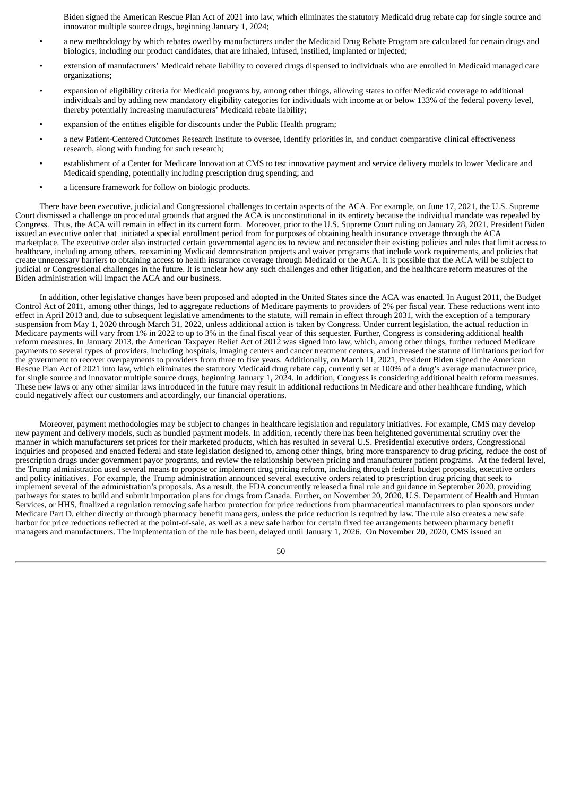Biden signed the American Rescue Plan Act of 2021 into law, which eliminates the statutory Medicaid drug rebate cap for single source and innovator multiple source drugs, beginning January 1, 2024;

- a new methodology by which rebates owed by manufacturers under the Medicaid Drug Rebate Program are calculated for certain drugs and biologics, including our product candidates, that are inhaled, infused, instilled, implanted or injected;
- extension of manufacturers' Medicaid rebate liability to covered drugs dispensed to individuals who are enrolled in Medicaid managed care organizations;
- expansion of eligibility criteria for Medicaid programs by, among other things, allowing states to offer Medicaid coverage to additional individuals and by adding new mandatory eligibility categories for individuals with income at or below 133% of the federal poverty level, thereby potentially increasing manufacturers' Medicaid rebate liability;
- expansion of the entities eligible for discounts under the Public Health program;
- a new Patient-Centered Outcomes Research Institute to oversee, identify priorities in, and conduct comparative clinical effectiveness research, along with funding for such research;
- establishment of a Center for Medicare Innovation at CMS to test innovative payment and service delivery models to lower Medicare and Medicaid spending, potentially including prescription drug spending; and
- a licensure framework for follow on biologic products.

There have been executive, judicial and Congressional challenges to certain aspects of the ACA. For example, on June 17, 2021, the U.S. Supreme Court dismissed a challenge on procedural grounds that argued the ACA is unconstitutional in its entirety because the individual mandate was repealed by Congress. Thus, the ACA will remain in effect in its current form. Moreover, prior to the U.S. Supreme Court ruling on January 28, 2021, President Biden issued an executive order that initiated a special enrollment period from for purposes of obtaining health insurance coverage through the ACA marketplace. The executive order also instructed certain governmental agencies to review and reconsider their existing policies and rules that limit access to healthcare, including among others, reexamining Medicaid demonstration projects and waiver programs that include work requirements, and policies that create unnecessary barriers to obtaining access to health insurance coverage through Medicaid or the ACA. It is possible that the ACA will be subject to judicial or Congressional challenges in the future. It is unclear how any such challenges and other litigation, and the healthcare reform measures of the Biden administration will impact the ACA and our business.

In addition, other legislative changes have been proposed and adopted in the United States since the ACA was enacted. In August 2011, the Budget Control Act of 2011, among other things, led to aggregate reductions of Medicare payments to providers of 2% per fiscal year. These reductions went into effect in April 2013 and, due to subsequent legislative amendments to the statute, will remain in effect through 2031, with the exception of a temporary suspension from May 1, 2020 through March 31, 2022, unless additional action is taken by Congress. Under current legislation, the actual reduction in Medicare payments will vary from 1% in 2022 to up to 3% in the final fiscal year of this sequester. Further, Congress is considering additional health reform measures. In January 2013, the American Taxpayer Relief Act of 2012 was signed into law, which, among other things, further reduced Medicare payments to several types of providers, including hospitals, imaging centers and cancer treatment centers, and increased the statute of limitations period for the government to recover overpayments to providers from three to five years. Additionally, on March 11, 2021, President Biden signed the American Rescue Plan Act of 2021 into law, which eliminates the statutory Medicaid drug rebate cap, currently set at 100% of a drug's average manufacturer price, for single source and innovator multiple source drugs, beginning January 1, 2024. In addition, Congress is considering additional health reform measures. These new laws or any other similar laws introduced in the future may result in additional reductions in Medicare and other healthcare funding, which could negatively affect our customers and accordingly, our financial operations.

Moreover, payment methodologies may be subject to changes in healthcare legislation and regulatory initiatives. For example, CMS may develop new payment and delivery models, such as bundled payment models. In addition, recently there has been heightened governmental scrutiny over the manner in which manufacturers set prices for their marketed products, which has resulted in several U.S. Presidential executive orders, Congressional inquiries and proposed and enacted federal and state legislation designed to, among other things, bring more transparency to drug pricing, reduce the cost of prescription drugs under government payor programs, and review the relationship between pricing and manufacturer patient programs. At the federal level, the Trump administration used several means to propose or implement drug pricing reform, including through federal budget proposals, executive orders and policy initiatives. For example, the Trump administration announced several executive orders related to prescription drug pricing that seek to implement several of the administration's proposals. As a result, the FDA concurrently released a final rule and guidance in September 2020, providing pathways for states to build and submit importation plans for drugs from Canada. Further, on November 20, 2020, U.S. Department of Health and Human Services, or HHS, finalized a regulation removing safe harbor protection for price reductions from pharmaceutical manufacturers to plan sponsors under Medicare Part D, either directly or through pharmacy benefit managers, unless the price reduction is required by law. The rule also creates a new safe harbor for price reductions reflected at the point-of-sale, as well as a new safe harbor for certain fixed fee arrangements between pharmacy benefit managers and manufacturers. The implementation of the rule has been, delayed until January 1, 2026. On November 20, 2020, CMS issued an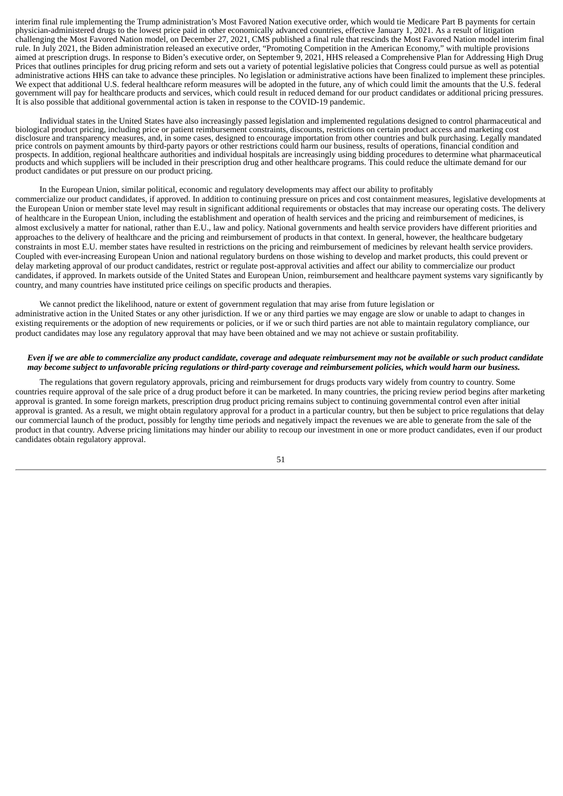interim final rule implementing the Trump administration's Most Favored Nation executive order, which would tie Medicare Part B payments for certain physician-administered drugs to the lowest price paid in other economically advanced countries, effective January 1, 2021. As a result of litigation challenging the Most Favored Nation model, on December 27, 2021, CMS published a final rule that rescinds the Most Favored Nation model interim final rule. In July 2021, the Biden administration released an executive order, "Promoting Competition in the American Economy," with multiple provisions aimed at prescription drugs. In response to Biden's executive order, on September 9, 2021, HHS released a Comprehensive Plan for Addressing High Drug Prices that outlines principles for drug pricing reform and sets out a variety of potential legislative policies that Congress could pursue as well as potential administrative actions HHS can take to advance these principles. No legislation or administrative actions have been finalized to implement these principles. We expect that additional U.S. federal healthcare reform measures will be adopted in the future, any of which could limit the amounts that the U.S. federal government will pay for healthcare products and services, which could result in reduced demand for our product candidates or additional pricing pressures. It is also possible that additional governmental action is taken in response to the COVID-19 pandemic.

Individual states in the United States have also increasingly passed legislation and implemented regulations designed to control pharmaceutical and biological product pricing, including price or patient reimbursement constraints, discounts, restrictions on certain product access and marketing cost disclosure and transparency measures, and, in some cases, designed to encourage importation from other countries and bulk purchasing. Legally mandated price controls on payment amounts by third-party payors or other restrictions could harm our business, results of operations, financial condition and prospects. In addition, regional healthcare authorities and individual hospitals are increasingly using bidding procedures to determine what pharmaceutical products and which suppliers will be included in their prescription drug and other healthcare programs. This could reduce the ultimate demand for our product candidates or put pressure on our product pricing.

# In the European Union, similar political, economic and regulatory developments may affect our ability to profitably commercialize our product candidates, if approved. In addition to continuing pressure on prices and cost containment measures, legislative developments at the European Union or member state level may result in significant additional requirements or obstacles that may increase our operating costs. The delivery of healthcare in the European Union, including the establishment and operation of health services and the pricing and reimbursement of medicines, is almost exclusively a matter for national, rather than E.U., law and policy. National governments and health service providers have different priorities and

approaches to the delivery of healthcare and the pricing and reimbursement of products in that context. In general, however, the healthcare budgetary constraints in most E.U. member states have resulted in restrictions on the pricing and reimbursement of medicines by relevant health service providers. Coupled with ever-increasing European Union and national regulatory burdens on those wishing to develop and market products, this could prevent or delay marketing approval of our product candidates, restrict or regulate post-approval activities and affect our ability to commercialize our product candidates, if approved. In markets outside of the United States and European Union, reimbursement and healthcare payment systems vary significantly by country, and many countries have instituted price ceilings on specific products and therapies.

We cannot predict the likelihood, nature or extent of government regulation that may arise from future legislation or administrative action in the United States or any other jurisdiction. If we or any third parties we may engage are slow or unable to adapt to changes in existing requirements or the adoption of new requirements or policies, or if we or such third parties are not able to maintain regulatory compliance, our product candidates may lose any regulatory approval that may have been obtained and we may not achieve or sustain profitability.

# Even if we are able to commercialize any product candidate, coverage and adequate reimbursement may not be available or such product candidate may become subject to unfavorable pricing regulations or third-party coverage and reimbursement policies, which would harm our business.

The regulations that govern regulatory approvals, pricing and reimbursement for drugs products vary widely from country to country. Some countries require approval of the sale price of a drug product before it can be marketed. In many countries, the pricing review period begins after marketing approval is granted. In some foreign markets, prescription drug product pricing remains subject to continuing governmental control even after initial approval is granted. As a result, we might obtain regulatory approval for a product in a particular country, but then be subject to price regulations that delay our commercial launch of the product, possibly for lengthy time periods and negatively impact the revenues we are able to generate from the sale of the product in that country. Adverse pricing limitations may hinder our ability to recoup our investment in one or more product candidates, even if our product candidates obtain regulatory approval.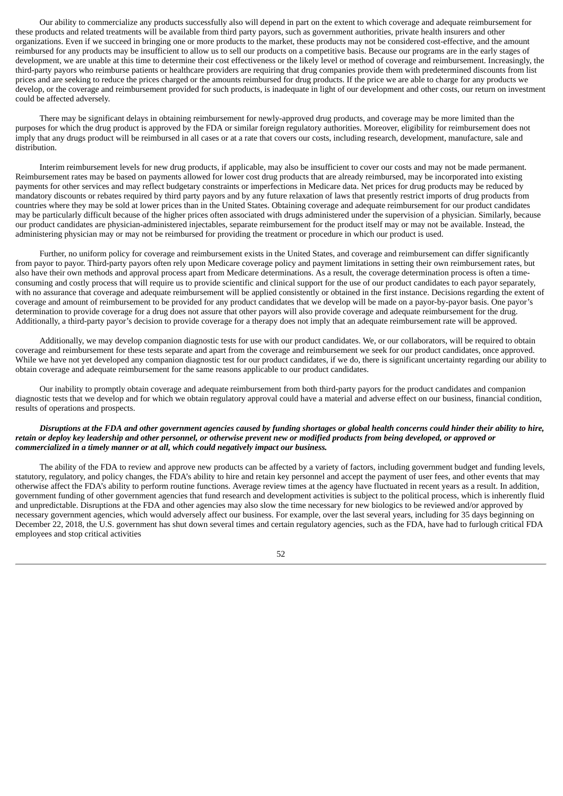Our ability to commercialize any products successfully also will depend in part on the extent to which coverage and adequate reimbursement for these products and related treatments will be available from third party payors, such as government authorities, private health insurers and other organizations. Even if we succeed in bringing one or more products to the market, these products may not be considered cost-effective, and the amount reimbursed for any products may be insufficient to allow us to sell our products on a competitive basis. Because our programs are in the early stages of development, we are unable at this time to determine their cost effectiveness or the likely level or method of coverage and reimbursement. Increasingly, the third-party payors who reimburse patients or healthcare providers are requiring that drug companies provide them with predetermined discounts from list prices and are seeking to reduce the prices charged or the amounts reimbursed for drug products. If the price we are able to charge for any products we develop, or the coverage and reimbursement provided for such products, is inadequate in light of our development and other costs, our return on investment could be affected adversely.

There may be significant delays in obtaining reimbursement for newly-approved drug products, and coverage may be more limited than the purposes for which the drug product is approved by the FDA or similar foreign regulatory authorities. Moreover, eligibility for reimbursement does not imply that any drugs product will be reimbursed in all cases or at a rate that covers our costs, including research, development, manufacture, sale and distribution.

Interim reimbursement levels for new drug products, if applicable, may also be insufficient to cover our costs and may not be made permanent. Reimbursement rates may be based on payments allowed for lower cost drug products that are already reimbursed, may be incorporated into existing payments for other services and may reflect budgetary constraints or imperfections in Medicare data. Net prices for drug products may be reduced by mandatory discounts or rebates required by third party payors and by any future relaxation of laws that presently restrict imports of drug products from countries where they may be sold at lower prices than in the United States. Obtaining coverage and adequate reimbursement for our product candidates may be particularly difficult because of the higher prices often associated with drugs administered under the supervision of a physician. Similarly, because our product candidates are physician-administered injectables, separate reimbursement for the product itself may or may not be available. Instead, the administering physician may or may not be reimbursed for providing the treatment or procedure in which our product is used.

Further, no uniform policy for coverage and reimbursement exists in the United States, and coverage and reimbursement can differ significantly from payor to payor. Third-party payors often rely upon Medicare coverage policy and payment limitations in setting their own reimbursement rates, but also have their own methods and approval process apart from Medicare determinations. As a result, the coverage determination process is often a timeconsuming and costly process that will require us to provide scientific and clinical support for the use of our product candidates to each payor separately, with no assurance that coverage and adequate reimbursement will be applied consistently or obtained in the first instance. Decisions regarding the extent of coverage and amount of reimbursement to be provided for any product candidates that we develop will be made on a payor-by-payor basis. One payor's determination to provide coverage for a drug does not assure that other payors will also provide coverage and adequate reimbursement for the drug. Additionally, a third-party payor's decision to provide coverage for a therapy does not imply that an adequate reimbursement rate will be approved.

Additionally, we may develop companion diagnostic tests for use with our product candidates. We, or our collaborators, will be required to obtain coverage and reimbursement for these tests separate and apart from the coverage and reimbursement we seek for our product candidates, once approved. While we have not yet developed any companion diagnostic test for our product candidates, if we do, there is significant uncertainty regarding our ability to obtain coverage and adequate reimbursement for the same reasons applicable to our product candidates.

Our inability to promptly obtain coverage and adequate reimbursement from both third-party payors for the product candidates and companion diagnostic tests that we develop and for which we obtain regulatory approval could have a material and adverse effect on our business, financial condition, results of operations and prospects.

## Disruptions at the FDA and other government agencies caused by funding shortages or global health concerns could hinder their ability to hire, retain or deploy key leadership and other personnel, or otherwise prevent new or modified products from being developed, or approved or *commercialized in a timely manner or at all, which could negatively impact our business.*

The ability of the FDA to review and approve new products can be affected by a variety of factors, including government budget and funding levels, statutory, regulatory, and policy changes, the FDA's ability to hire and retain key personnel and accept the payment of user fees, and other events that may otherwise affect the FDA's ability to perform routine functions. Average review times at the agency have fluctuated in recent years as a result. In addition, government funding of other government agencies that fund research and development activities is subject to the political process, which is inherently fluid and unpredictable. Disruptions at the FDA and other agencies may also slow the time necessary for new biologics to be reviewed and/or approved by necessary government agencies, which would adversely affect our business. For example, over the last several years, including for 35 days beginning on December 22, 2018, the U.S. government has shut down several times and certain regulatory agencies, such as the FDA, have had to furlough critical FDA employees and stop critical activities

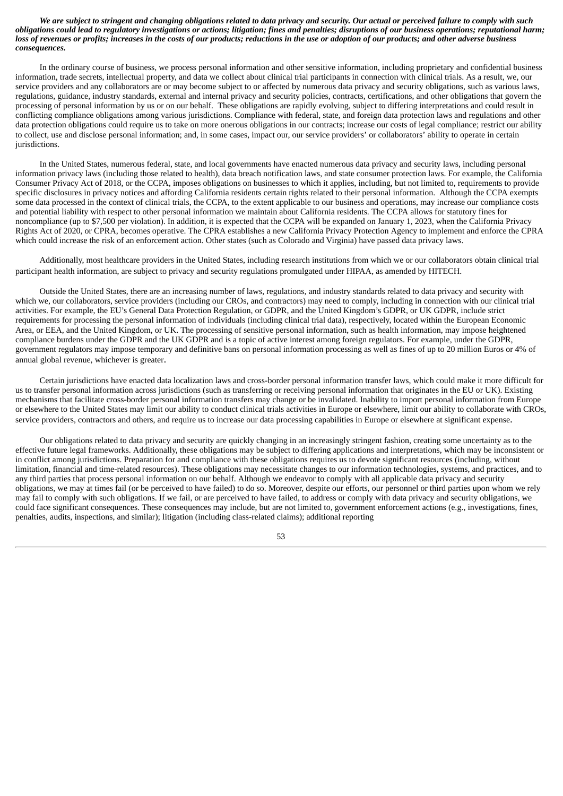We are subject to stringent and changing obligations related to data privacy and security. Our actual or perceived failure to comply with such obligations could lead to requlatory investigations or actions; litigation; fines and penalties; disruptions of our business operations; reputational harm; loss of revenues or profits; increases in the costs of our products; reductions in the use or adoption of our products; and other adverse business *consequences.*

In the ordinary course of business, we process personal information and other sensitive information, including proprietary and confidential business information, trade secrets, intellectual property, and data we collect about clinical trial participants in connection with clinical trials. As a result, we, our service providers and any collaborators are or may become subject to or affected by numerous data privacy and security obligations, such as various laws, regulations, guidance, industry standards, external and internal privacy and security policies, contracts, certifications, and other obligations that govern the processing of personal information by us or on our behalf. These obligations are rapidly evolving, subject to differing interpretations and could result in conflicting compliance obligations among various jurisdictions. Compliance with federal, state, and foreign data protection laws and regulations and other data protection obligations could require us to take on more onerous obligations in our contracts; increase our costs of legal compliance; restrict our ability to collect, use and disclose personal information; and, in some cases, impact our, our service providers' or collaborators' ability to operate in certain jurisdictions.

In the United States, numerous federal, state, and local governments have enacted numerous data privacy and security laws, including personal information privacy laws (including those related to health), data breach notification laws, and state consumer protection laws. For example, the California Consumer Privacy Act of 2018, or the CCPA, imposes obligations on businesses to which it applies, including, but not limited to, requirements to provide specific disclosures in privacy notices and affording California residents certain rights related to their personal information. Although the CCPA exempts some data processed in the context of clinical trials, the CCPA, to the extent applicable to our business and operations, may increase our compliance costs and potential liability with respect to other personal information we maintain about California residents. The CCPA allows for statutory fines for noncompliance (up to \$7,500 per violation). In addition, it is expected that the CCPA will be expanded on January 1, 2023, when the California Privacy Rights Act of 2020, or CPRA, becomes operative. The CPRA establishes a new California Privacy Protection Agency to implement and enforce the CPRA which could increase the risk of an enforcement action. Other states (such as Colorado and Virginia) have passed data privacy laws.

Additionally, most healthcare providers in the United States, including research institutions from which we or our collaborators obtain clinical trial participant health information, are subject to privacy and security regulations promulgated under HIPAA, as amended by HITECH.

Outside the United States, there are an increasing number of laws, regulations, and industry standards related to data privacy and security with which we, our collaborators, service providers (including our CROs, and contractors) may need to comply, including in connection with our clinical trial activities. For example, the EU's General Data Protection Regulation, or GDPR, and the United Kingdom's GDPR, or UK GDPR, include strict requirements for processing the personal information of individuals (including clinical trial data), respectively, located within the European Economic Area, or EEA, and the United Kingdom, or UK. The processing of sensitive personal information, such as health information, may impose heightened compliance burdens under the GDPR and the UK GDPR and is a topic of active interest among foreign regulators. For example, under the GDPR, government regulators may impose temporary and definitive bans on personal information processing as well as fines of up to 20 million Euros or 4% of annual global revenue, whichever is greater.

Certain jurisdictions have enacted data localization laws and cross-border personal information transfer laws, which could make it more difficult for us to transfer personal information across jurisdictions (such as transferring or receiving personal information that originates in the EU or UK). Existing mechanisms that facilitate cross-border personal information transfers may change or be invalidated. Inability to import personal information from Europe or elsewhere to the United States may limit our ability to conduct clinical trials activities in Europe or elsewhere, limit our ability to collaborate with CROs, service providers, contractors and others, and require us to increase our data processing capabilities in Europe or elsewhere at significant expense.

Our obligations related to data privacy and security are quickly changing in an increasingly stringent fashion, creating some uncertainty as to the effective future legal frameworks. Additionally, these obligations may be subject to differing applications and interpretations, which may be inconsistent or in conflict among jurisdictions. Preparation for and compliance with these obligations requires us to devote significant resources (including, without limitation, financial and time-related resources). These obligations may necessitate changes to our information technologies, systems, and practices, and to any third parties that process personal information on our behalf. Although we endeavor to comply with all applicable data privacy and security obligations, we may at times fail (or be perceived to have failed) to do so. Moreover, despite our efforts, our personnel or third parties upon whom we rely may fail to comply with such obligations. If we fail, or are perceived to have failed, to address or comply with data privacy and security obligations, we could face significant consequences. These consequences may include, but are not limited to, government enforcement actions (e.g., investigations, fines, penalties, audits, inspections, and similar); litigation (including class-related claims); additional reporting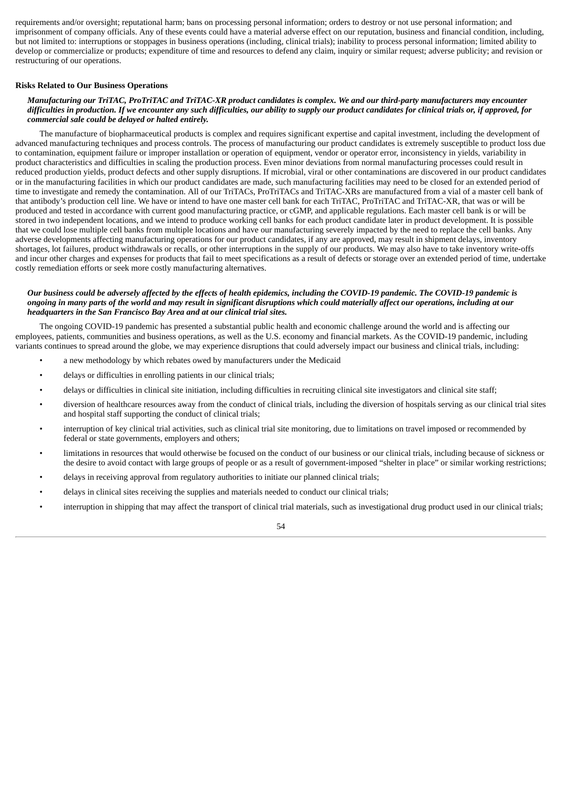requirements and/or oversight; reputational harm; bans on processing personal information; orders to destroy or not use personal information; and imprisonment of company officials. Any of these events could have a material adverse effect on our reputation, business and financial condition, including, but not limited to: interruptions or stoppages in business operations (including, clinical trials); inability to process personal information; limited ability to develop or commercialize or products; expenditure of time and resources to defend any claim, inquiry or similar request; adverse publicity; and revision or restructuring of our operations.

### **Risks Related to Our Business Operations**

# Manufacturing our TriTAC. ProTriTAC and TriTAC-XR product candidates is complex. We and our third-party manufacturers may encounter difficulties in production. If we encounter any such difficulties, our ability to supply our product candidates for clinical trials or, if approved, for *commercial sale could be delayed or halted entirely.*

The manufacture of biopharmaceutical products is complex and requires significant expertise and capital investment, including the development of advanced manufacturing techniques and process controls. The process of manufacturing our product candidates is extremely susceptible to product loss due to contamination, equipment failure or improper installation or operation of equipment, vendor or operator error, inconsistency in yields, variability in product characteristics and difficulties in scaling the production process. Even minor deviations from normal manufacturing processes could result in reduced production yields, product defects and other supply disruptions. If microbial, viral or other contaminations are discovered in our product candidates or in the manufacturing facilities in which our product candidates are made, such manufacturing facilities may need to be closed for an extended period of time to investigate and remedy the contamination. All of our TriTACs, ProTriTACs and TriTAC-XRs are manufactured from a vial of a master cell bank of that antibody's production cell line. We have or intend to have one master cell bank for each TriTAC, ProTriTAC and TriTAC-XR, that was or will be produced and tested in accordance with current good manufacturing practice, or cGMP, and applicable regulations. Each master cell bank is or will be stored in two independent locations, and we intend to produce working cell banks for each product candidate later in product development. It is possible that we could lose multiple cell banks from multiple locations and have our manufacturing severely impacted by the need to replace the cell banks. Any adverse developments affecting manufacturing operations for our product candidates, if any are approved, may result in shipment delays, inventory shortages, lot failures, product withdrawals or recalls, or other interruptions in the supply of our products. We may also have to take inventory write-offs and incur other charges and expenses for products that fail to meet specifications as a result of defects or storage over an extended period of time, undertake costly remediation efforts or seek more costly manufacturing alternatives.

# Our business could be adversely affected by the effects of health epidemics, including the COVID-19 pandemic. The COVID-19 pandemic is ongoing in many parts of the world and may result in significant disruptions which could materially affect our operations, including at our *headquarters in the San Francisco Bay Area and at our clinical trial sites.*

The ongoing COVID-19 pandemic has presented a substantial public health and economic challenge around the world and is affecting our employees, patients, communities and business operations, as well as the U.S. economy and financial markets. As the COVID-19 pandemic, including variants continues to spread around the globe, we may experience disruptions that could adversely impact our business and clinical trials, including:

- a new methodology by which rebates owed by manufacturers under the Medicaid
- delays or difficulties in enrolling patients in our clinical trials;
- delays or difficulties in clinical site initiation, including difficulties in recruiting clinical site investigators and clinical site staff;
- diversion of healthcare resources away from the conduct of clinical trials, including the diversion of hospitals serving as our clinical trial sites and hospital staff supporting the conduct of clinical trials;
- interruption of key clinical trial activities, such as clinical trial site monitoring, due to limitations on travel imposed or recommended by federal or state governments, employers and others;
- limitations in resources that would otherwise be focused on the conduct of our business or our clinical trials, including because of sickness or the desire to avoid contact with large groups of people or as a result of government-imposed "shelter in place" or similar working restrictions;
- delays in receiving approval from regulatory authorities to initiate our planned clinical trials;
- delays in clinical sites receiving the supplies and materials needed to conduct our clinical trials;
- interruption in shipping that may affect the transport of clinical trial materials, such as investigational drug product used in our clinical trials;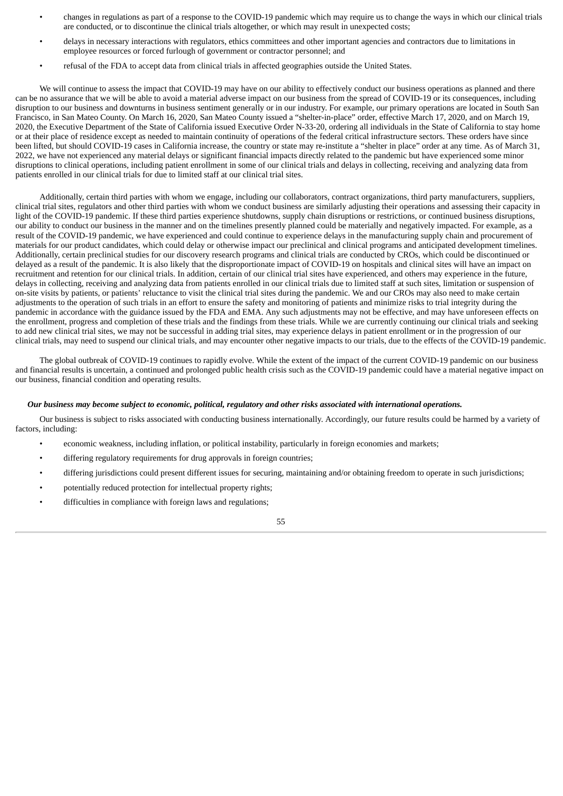- changes in regulations as part of a response to the COVID-19 pandemic which may require us to change the ways in which our clinical trials are conducted, or to discontinue the clinical trials altogether, or which may result in unexpected costs;
- delays in necessary interactions with regulators, ethics committees and other important agencies and contractors due to limitations in employee resources or forced furlough of government or contractor personnel; and
- refusal of the FDA to accept data from clinical trials in affected geographies outside the United States.

We will continue to assess the impact that COVID-19 may have on our ability to effectively conduct our business operations as planned and there can be no assurance that we will be able to avoid a material adverse impact on our business from the spread of COVID-19 or its consequences, including disruption to our business and downturns in business sentiment generally or in our industry. For example, our primary operations are located in South San Francisco, in San Mateo County. On March 16, 2020, San Mateo County issued a "shelter-in-place" order, effective March 17, 2020, and on March 19, 2020, the Executive Department of the State of California issued Executive Order N-33-20, ordering all individuals in the State of California to stay home or at their place of residence except as needed to maintain continuity of operations of the federal critical infrastructure sectors. These orders have since been lifted, but should COVID-19 cases in California increase, the country or state may re-institute a "shelter in place" order at any time. As of March 31, 2022, we have not experienced any material delays or significant financial impacts directly related to the pandemic but have experienced some minor disruptions to clinical operations, including patient enrollment in some of our clinical trials and delays in collecting, receiving and analyzing data from patients enrolled in our clinical trials for due to limited staff at our clinical trial sites.

Additionally, certain third parties with whom we engage, including our collaborators, contract organizations, third party manufacturers, suppliers, clinical trial sites, regulators and other third parties with whom we conduct business are similarly adjusting their operations and assessing their capacity in light of the COVID-19 pandemic. If these third parties experience shutdowns, supply chain disruptions or restrictions, or continued business disruptions, our ability to conduct our business in the manner and on the timelines presently planned could be materially and negatively impacted. For example, as a result of the COVID-19 pandemic, we have experienced and could continue to experience delays in the manufacturing supply chain and procurement of materials for our product candidates, which could delay or otherwise impact our preclinical and clinical programs and anticipated development timelines. Additionally, certain preclinical studies for our discovery research programs and clinical trials are conducted by CROs, which could be discontinued or delayed as a result of the pandemic. It is also likely that the disproportionate impact of COVID-19 on hospitals and clinical sites will have an impact on recruitment and retention for our clinical trials. In addition, certain of our clinical trial sites have experienced, and others may experience in the future, delays in collecting, receiving and analyzing data from patients enrolled in our clinical trials due to limited staff at such sites, limitation or suspension of on-site visits by patients, or patients' reluctance to visit the clinical trial sites during the pandemic. We and our CROs may also need to make certain adjustments to the operation of such trials in an effort to ensure the safety and monitoring of patients and minimize risks to trial integrity during the pandemic in accordance with the guidance issued by the FDA and EMA. Any such adjustments may not be effective, and may have unforeseen effects on the enrollment, progress and completion of these trials and the findings from these trials. While we are currently continuing our clinical trials and seeking to add new clinical trial sites, we may not be successful in adding trial sites, may experience delays in patient enrollment or in the progression of our clinical trials, may need to suspend our clinical trials, and may encounter other negative impacts to our trials, due to the effects of the COVID-19 pandemic.

The global outbreak of COVID-19 continues to rapidly evolve. While the extent of the impact of the current COVID-19 pandemic on our business and financial results is uncertain, a continued and prolonged public health crisis such as the COVID-19 pandemic could have a material negative impact on our business, financial condition and operating results.

#### Our business may become subject to economic, political, regulatory and other risks associated with international operations.

Our business is subject to risks associated with conducting business internationally. Accordingly, our future results could be harmed by a variety of factors, including:

- economic weakness, including inflation, or political instability, particularly in foreign economies and markets;
- differing regulatory requirements for drug approvals in foreign countries;
- differing jurisdictions could present different issues for securing, maintaining and/or obtaining freedom to operate in such jurisdictions;
- potentially reduced protection for intellectual property rights;
- difficulties in compliance with foreign laws and regulations;

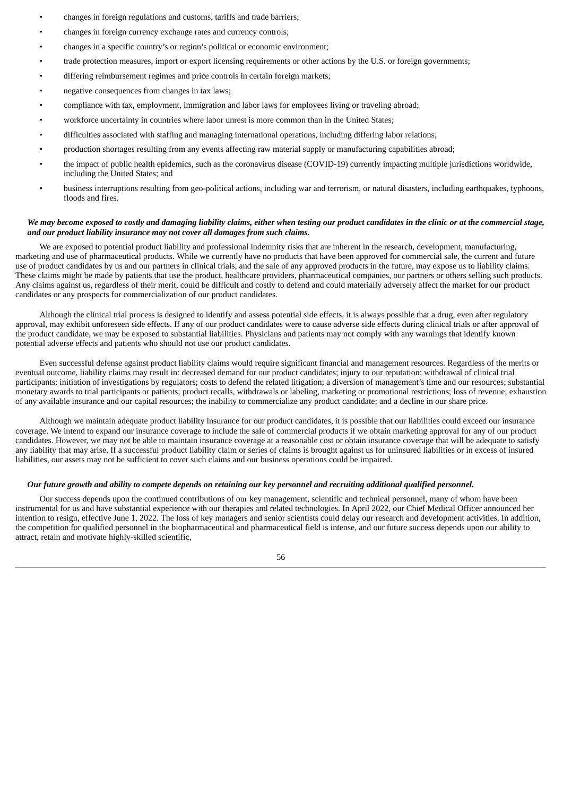- changes in foreign regulations and customs, tariffs and trade barriers;
- changes in foreign currency exchange rates and currency controls;
- changes in a specific country's or region's political or economic environment;
- trade protection measures, import or export licensing requirements or other actions by the U.S. or foreign governments;
- differing reimbursement regimes and price controls in certain foreign markets;
- negative consequences from changes in tax laws;
- compliance with tax, employment, immigration and labor laws for employees living or traveling abroad;
- workforce uncertainty in countries where labor unrest is more common than in the United States;
- difficulties associated with staffing and managing international operations, including differing labor relations;
- production shortages resulting from any events affecting raw material supply or manufacturing capabilities abroad;
- the impact of public health epidemics, such as the coronavirus disease (COVID-19) currently impacting multiple jurisdictions worldwide, including the United States; and
- business interruptions resulting from geo-political actions, including war and terrorism, or natural disasters, including earthquakes, typhoons, floods and fires.

# We may become exposed to costly and damaging liability claims, either when testing our product candidates in the clinic or at the commercial stage, *and our product liability insurance may not cover all damages from such claims.*

We are exposed to potential product liability and professional indemnity risks that are inherent in the research, development, manufacturing, marketing and use of pharmaceutical products. While we currently have no products that have been approved for commercial sale, the current and future use of product candidates by us and our partners in clinical trials, and the sale of any approved products in the future, may expose us to liability claims. These claims might be made by patients that use the product, healthcare providers, pharmaceutical companies, our partners or others selling such products. Any claims against us, regardless of their merit, could be difficult and costly to defend and could materially adversely affect the market for our product candidates or any prospects for commercialization of our product candidates.

Although the clinical trial process is designed to identify and assess potential side effects, it is always possible that a drug, even after regulatory approval, may exhibit unforeseen side effects. If any of our product candidates were to cause adverse side effects during clinical trials or after approval of the product candidate, we may be exposed to substantial liabilities. Physicians and patients may not comply with any warnings that identify known potential adverse effects and patients who should not use our product candidates.

Even successful defense against product liability claims would require significant financial and management resources. Regardless of the merits or eventual outcome, liability claims may result in: decreased demand for our product candidates; injury to our reputation; withdrawal of clinical trial participants; initiation of investigations by regulators; costs to defend the related litigation; a diversion of management's time and our resources; substantial monetary awards to trial participants or patients; product recalls, withdrawals or labeling, marketing or promotional restrictions; loss of revenue; exhaustion of any available insurance and our capital resources; the inability to commercialize any product candidate; and a decline in our share price.

Although we maintain adequate product liability insurance for our product candidates, it is possible that our liabilities could exceed our insurance coverage. We intend to expand our insurance coverage to include the sale of commercial products if we obtain marketing approval for any of our product candidates. However, we may not be able to maintain insurance coverage at a reasonable cost or obtain insurance coverage that will be adequate to satisfy any liability that may arise. If a successful product liability claim or series of claims is brought against us for uninsured liabilities or in excess of insured liabilities, our assets may not be sufficient to cover such claims and our business operations could be impaired.

# Our future growth and ability to compete depends on retaining our key personnel and recruiting additional qualified personnel.

Our success depends upon the continued contributions of our key management, scientific and technical personnel, many of whom have been instrumental for us and have substantial experience with our therapies and related technologies. In April 2022, our Chief Medical Officer announced her intention to resign, effective June 1, 2022. The loss of key managers and senior scientists could delay our research and development activities. In addition, the competition for qualified personnel in the biopharmaceutical and pharmaceutical field is intense, and our future success depends upon our ability to attract, retain and motivate highly-skilled scientific,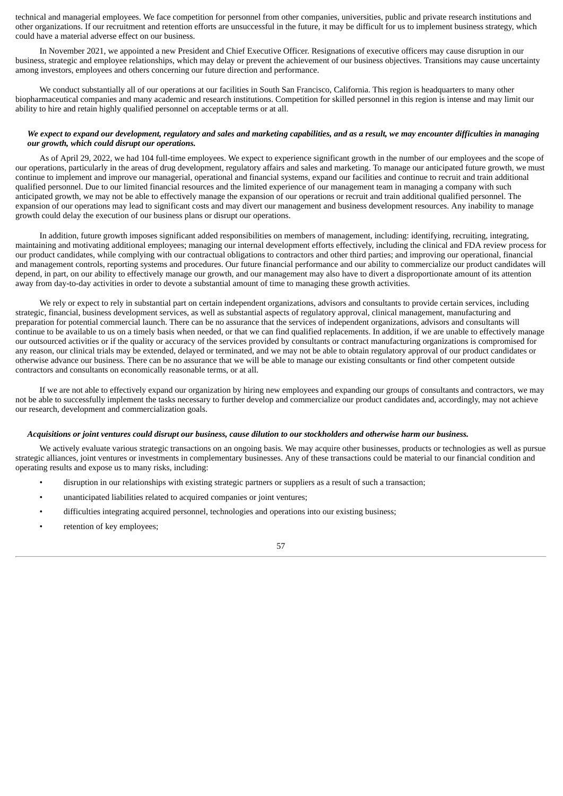technical and managerial employees. We face competition for personnel from other companies, universities, public and private research institutions and other organizations. If our recruitment and retention efforts are unsuccessful in the future, it may be difficult for us to implement business strategy, which could have a material adverse effect on our business.

In November 2021, we appointed a new President and Chief Executive Officer. Resignations of executive officers may cause disruption in our business, strategic and employee relationships, which may delay or prevent the achievement of our business objectives. Transitions may cause uncertainty among investors, employees and others concerning our future direction and performance.

We conduct substantially all of our operations at our facilities in South San Francisco, California. This region is headquarters to many other biopharmaceutical companies and many academic and research institutions. Competition for skilled personnel in this region is intense and may limit our ability to hire and retain highly qualified personnel on acceptable terms or at all.

# We expect to expand our development, regulatory and sales and marketing capabilities, and as a result, we may encounter difficulties in managing *our growth, which could disrupt our operations.*

As of April 29, 2022, we had 104 full-time employees. We expect to experience significant growth in the number of our employees and the scope of our operations, particularly in the areas of drug development, regulatory affairs and sales and marketing. To manage our anticipated future growth, we must continue to implement and improve our managerial, operational and financial systems, expand our facilities and continue to recruit and train additional qualified personnel. Due to our limited financial resources and the limited experience of our management team in managing a company with such anticipated growth, we may not be able to effectively manage the expansion of our operations or recruit and train additional qualified personnel. The expansion of our operations may lead to significant costs and may divert our management and business development resources. Any inability to manage growth could delay the execution of our business plans or disrupt our operations.

In addition, future growth imposes significant added responsibilities on members of management, including: identifying, recruiting, integrating, maintaining and motivating additional employees; managing our internal development efforts effectively, including the clinical and FDA review process for our product candidates, while complying with our contractual obligations to contractors and other third parties; and improving our operational, financial and management controls, reporting systems and procedures. Our future financial performance and our ability to commercialize our product candidates will depend, in part, on our ability to effectively manage our growth, and our management may also have to divert a disproportionate amount of its attention away from day-to-day activities in order to devote a substantial amount of time to managing these growth activities.

We rely or expect to rely in substantial part on certain independent organizations, advisors and consultants to provide certain services, including strategic, financial, business development services, as well as substantial aspects of regulatory approval, clinical management, manufacturing and preparation for potential commercial launch. There can be no assurance that the services of independent organizations, advisors and consultants will continue to be available to us on a timely basis when needed, or that we can find qualified replacements. In addition, if we are unable to effectively manage our outsourced activities or if the quality or accuracy of the services provided by consultants or contract manufacturing organizations is compromised for any reason, our clinical trials may be extended, delayed or terminated, and we may not be able to obtain regulatory approval of our product candidates or otherwise advance our business. There can be no assurance that we will be able to manage our existing consultants or find other competent outside contractors and consultants on economically reasonable terms, or at all.

If we are not able to effectively expand our organization by hiring new employees and expanding our groups of consultants and contractors, we may not be able to successfully implement the tasks necessary to further develop and commercialize our product candidates and, accordingly, may not achieve our research, development and commercialization goals.

#### Acquisitions or joint ventures could disrupt our business, cause dilution to our stockholders and otherwise harm our business.

We actively evaluate various strategic transactions on an ongoing basis. We may acquire other businesses, products or technologies as well as pursue strategic alliances, joint ventures or investments in complementary businesses. Any of these transactions could be material to our financial condition and operating results and expose us to many risks, including:

- disruption in our relationships with existing strategic partners or suppliers as a result of such a transaction;
- unanticipated liabilities related to acquired companies or joint ventures;
- difficulties integrating acquired personnel, technologies and operations into our existing business;
- retention of key employees;

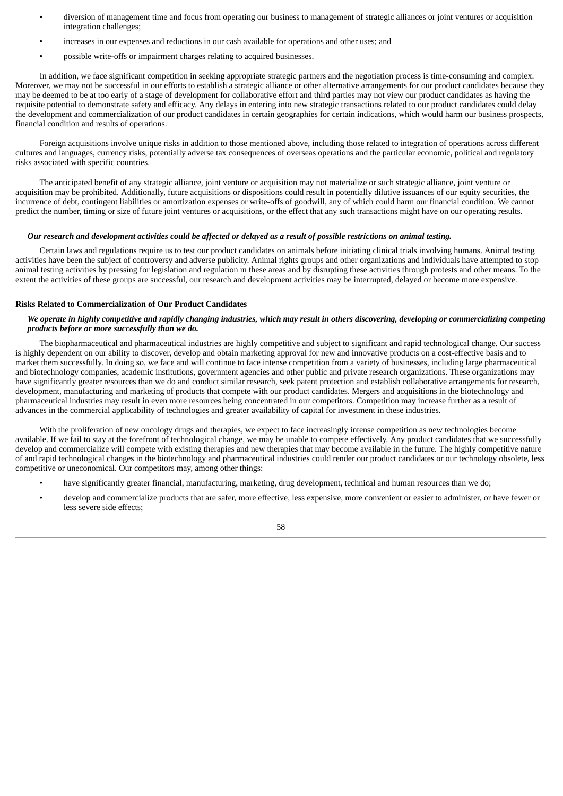- diversion of management time and focus from operating our business to management of strategic alliances or joint ventures or acquisition integration challenges;
- increases in our expenses and reductions in our cash available for operations and other uses; and
- possible write-offs or impairment charges relating to acquired businesses.

In addition, we face significant competition in seeking appropriate strategic partners and the negotiation process is time-consuming and complex. Moreover, we may not be successful in our efforts to establish a strategic alliance or other alternative arrangements for our product candidates because they may be deemed to be at too early of a stage of development for collaborative effort and third parties may not view our product candidates as having the requisite potential to demonstrate safety and efficacy. Any delays in entering into new strategic transactions related to our product candidates could delay the development and commercialization of our product candidates in certain geographies for certain indications, which would harm our business prospects, financial condition and results of operations.

Foreign acquisitions involve unique risks in addition to those mentioned above, including those related to integration of operations across different cultures and languages, currency risks, potentially adverse tax consequences of overseas operations and the particular economic, political and regulatory risks associated with specific countries.

The anticipated benefit of any strategic alliance, joint venture or acquisition may not materialize or such strategic alliance, joint venture or acquisition may be prohibited. Additionally, future acquisitions or dispositions could result in potentially dilutive issuances of our equity securities, the incurrence of debt, contingent liabilities or amortization expenses or write-offs of goodwill, any of which could harm our financial condition. We cannot predict the number, timing or size of future joint ventures or acquisitions, or the effect that any such transactions might have on our operating results.

## Our research and development activities could be affected or delayed as a result of possible restrictions on animal testing.

Certain laws and regulations require us to test our product candidates on animals before initiating clinical trials involving humans. Animal testing activities have been the subject of controversy and adverse publicity. Animal rights groups and other organizations and individuals have attempted to stop animal testing activities by pressing for legislation and regulation in these areas and by disrupting these activities through protests and other means. To the extent the activities of these groups are successful, our research and development activities may be interrupted, delayed or become more expensive.

#### **Risks Related to Commercialization of Our Product Candidates**

# We operate in highly competitive and rapidly changing industries, which may result in others discovering, developing or commercializing competing *products before or more successfully than we do.*

The biopharmaceutical and pharmaceutical industries are highly competitive and subject to significant and rapid technological change. Our success is highly dependent on our ability to discover, develop and obtain marketing approval for new and innovative products on a cost-effective basis and to market them successfully. In doing so, we face and will continue to face intense competition from a variety of businesses, including large pharmaceutical and biotechnology companies, academic institutions, government agencies and other public and private research organizations. These organizations may have significantly greater resources than we do and conduct similar research, seek patent protection and establish collaborative arrangements for research, development, manufacturing and marketing of products that compete with our product candidates. Mergers and acquisitions in the biotechnology and pharmaceutical industries may result in even more resources being concentrated in our competitors. Competition may increase further as a result of advances in the commercial applicability of technologies and greater availability of capital for investment in these industries.

With the proliferation of new oncology drugs and therapies, we expect to face increasingly intense competition as new technologies become available. If we fail to stay at the forefront of technological change, we may be unable to compete effectively. Any product candidates that we successfully develop and commercialize will compete with existing therapies and new therapies that may become available in the future. The highly competitive nature of and rapid technological changes in the biotechnology and pharmaceutical industries could render our product candidates or our technology obsolete, less competitive or uneconomical. Our competitors may, among other things:

- have significantly greater financial, manufacturing, marketing, drug development, technical and human resources than we do;
- develop and commercialize products that are safer, more effective, less expensive, more convenient or easier to administer, or have fewer or less severe side effects;

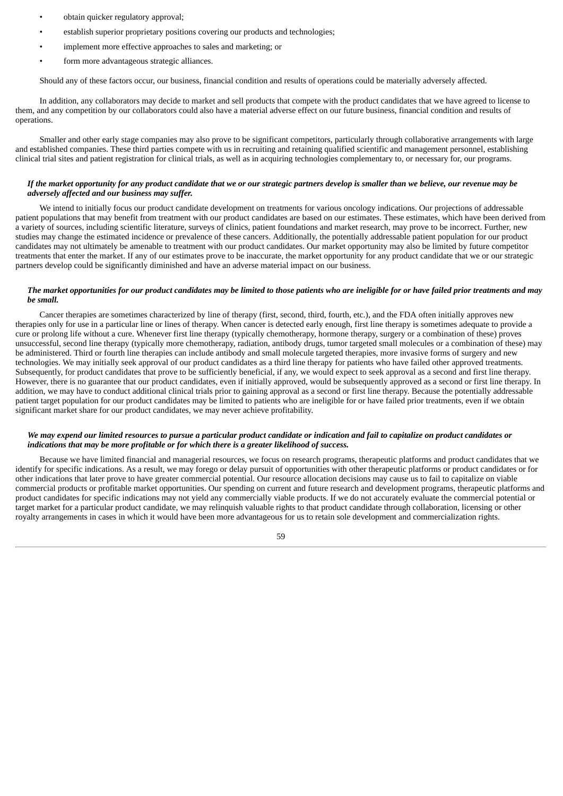- obtain quicker regulatory approval;
- establish superior proprietary positions covering our products and technologies;
- implement more effective approaches to sales and marketing; or
- form more advantageous strategic alliances.

Should any of these factors occur, our business, financial condition and results of operations could be materially adversely affected.

In addition, any collaborators may decide to market and sell products that compete with the product candidates that we have agreed to license to them, and any competition by our collaborators could also have a material adverse effect on our future business, financial condition and results of operations.

Smaller and other early stage companies may also prove to be significant competitors, particularly through collaborative arrangements with large and established companies. These third parties compete with us in recruiting and retaining qualified scientific and management personnel, establishing clinical trial sites and patient registration for clinical trials, as well as in acquiring technologies complementary to, or necessary for, our programs.

## If the market opportunity for any product candidate that we or our strategic partners develop is smaller than we believe, our revenue may be *adversely affected and our business may suffer.*

We intend to initially focus our product candidate development on treatments for various oncology indications. Our projections of addressable patient populations that may benefit from treatment with our product candidates are based on our estimates. These estimates, which have been derived from a variety of sources, including scientific literature, surveys of clinics, patient foundations and market research, may prove to be incorrect. Further, new studies may change the estimated incidence or prevalence of these cancers. Additionally, the potentially addressable patient population for our product candidates may not ultimately be amenable to treatment with our product candidates. Our market opportunity may also be limited by future competitor treatments that enter the market. If any of our estimates prove to be inaccurate, the market opportunity for any product candidate that we or our strategic partners develop could be significantly diminished and have an adverse material impact on our business.

### The market opportunities for our product candidates may be limited to those patients who are ineligible for or have failed prior treatments and may *be small.*

Cancer therapies are sometimes characterized by line of therapy (first, second, third, fourth, etc.), and the FDA often initially approves new therapies only for use in a particular line or lines of therapy. When cancer is detected early enough, first line therapy is sometimes adequate to provide a cure or prolong life without a cure. Whenever first line therapy (typically chemotherapy, hormone therapy, surgery or a combination of these) proves unsuccessful, second line therapy (typically more chemotherapy, radiation, antibody drugs, tumor targeted small molecules or a combination of these) may be administered. Third or fourth line therapies can include antibody and small molecule targeted therapies, more invasive forms of surgery and new technologies. We may initially seek approval of our product candidates as a third line therapy for patients who have failed other approved treatments. Subsequently, for product candidates that prove to be sufficiently beneficial, if any, we would expect to seek approval as a second and first line therapy. However, there is no guarantee that our product candidates, even if initially approved, would be subsequently approved as a second or first line therapy. In addition, we may have to conduct additional clinical trials prior to gaining approval as a second or first line therapy. Because the potentially addressable patient target population for our product candidates may be limited to patients who are ineligible for or have failed prior treatments, even if we obtain significant market share for our product candidates, we may never achieve profitability.

## We may expend our limited resources to pursue a particular product candidate or indication and fail to capitalize on product candidates or *indications that may be more profitable or for which there is a greater likelihood of success.*

Because we have limited financial and managerial resources, we focus on research programs, therapeutic platforms and product candidates that we identify for specific indications. As a result, we may forego or delay pursuit of opportunities with other therapeutic platforms or product candidates or for other indications that later prove to have greater commercial potential. Our resource allocation decisions may cause us to fail to capitalize on viable commercial products or profitable market opportunities. Our spending on current and future research and development programs, therapeutic platforms and product candidates for specific indications may not yield any commercially viable products. If we do not accurately evaluate the commercial potential or target market for a particular product candidate, we may relinquish valuable rights to that product candidate through collaboration, licensing or other royalty arrangements in cases in which it would have been more advantageous for us to retain sole development and commercialization rights.

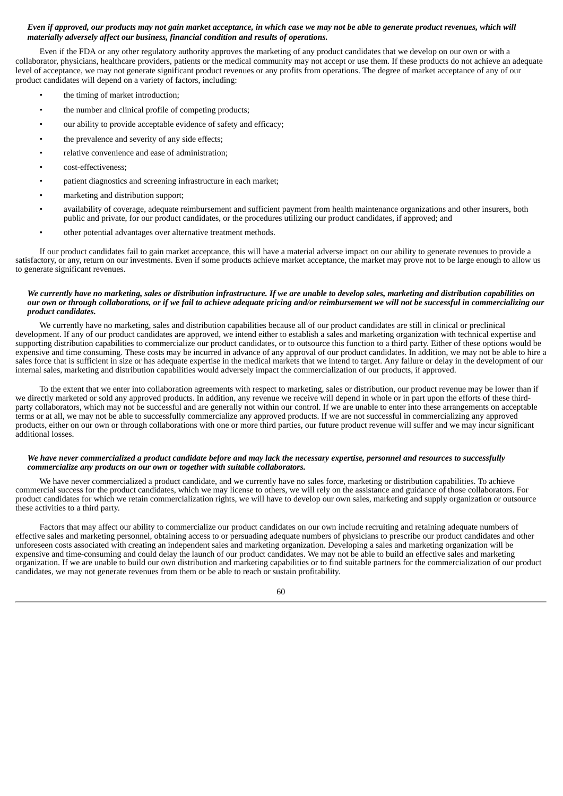## Even if approved, our products may not gain market acceptance, in which case we may not be able to generate product revenues, which will *materially adversely affect our business, financial condition and results of operations.*

Even if the FDA or any other regulatory authority approves the marketing of any product candidates that we develop on our own or with a collaborator, physicians, healthcare providers, patients or the medical community may not accept or use them. If these products do not achieve an adequate level of acceptance, we may not generate significant product revenues or any profits from operations. The degree of market acceptance of any of our product candidates will depend on a variety of factors, including:

- the timing of market introduction;
- the number and clinical profile of competing products;
- our ability to provide acceptable evidence of safety and efficacy;
- the prevalence and severity of any side effects;
- relative convenience and ease of administration;
- cost-effectiveness;
- patient diagnostics and screening infrastructure in each market;
- marketing and distribution support;
- availability of coverage, adequate reimbursement and sufficient payment from health maintenance organizations and other insurers, both public and private, for our product candidates, or the procedures utilizing our product candidates, if approved; and
- other potential advantages over alternative treatment methods.

If our product candidates fail to gain market acceptance, this will have a material adverse impact on our ability to generate revenues to provide a satisfactory, or any, return on our investments. Even if some products achieve market acceptance, the market may prove not to be large enough to allow us to generate significant revenues.

### We currently have no marketing, sales or distribution infrastructure. If we are unable to develop sales, marketing and distribution capabilities on our own or through collaborations, or if we fail to achieve adequate pricing and/or reimbursement we will not be successful in commercializing our *product candidates.*

We currently have no marketing, sales and distribution capabilities because all of our product candidates are still in clinical or preclinical development. If any of our product candidates are approved, we intend either to establish a sales and marketing organization with technical expertise and supporting distribution capabilities to commercialize our product candidates, or to outsource this function to a third party. Either of these options would be expensive and time consuming. These costs may be incurred in advance of any approval of our product candidates. In addition, we may not be able to hire a sales force that is sufficient in size or has adequate expertise in the medical markets that we intend to target. Any failure or delay in the development of our internal sales, marketing and distribution capabilities would adversely impact the commercialization of our products, if approved.

To the extent that we enter into collaboration agreements with respect to marketing, sales or distribution, our product revenue may be lower than if we directly marketed or sold any approved products. In addition, any revenue we receive will depend in whole or in part upon the efforts of these thirdparty collaborators, which may not be successful and are generally not within our control. If we are unable to enter into these arrangements on acceptable terms or at all, we may not be able to successfully commercialize any approved products. If we are not successful in commercializing any approved products, either on our own or through collaborations with one or more third parties, our future product revenue will suffer and we may incur significant additional losses.

#### We have never commercialized a product candidate before and may lack the necessary expertise, personnel and resources to successfully *commercialize any products on our own or together with suitable collaborators.*

We have never commercialized a product candidate, and we currently have no sales force, marketing or distribution capabilities. To achieve commercial success for the product candidates, which we may license to others, we will rely on the assistance and guidance of those collaborators. For product candidates for which we retain commercialization rights, we will have to develop our own sales, marketing and supply organization or outsource these activities to a third party.

Factors that may affect our ability to commercialize our product candidates on our own include recruiting and retaining adequate numbers of effective sales and marketing personnel, obtaining access to or persuading adequate numbers of physicians to prescribe our product candidates and other unforeseen costs associated with creating an independent sales and marketing organization. Developing a sales and marketing organization will be expensive and time-consuming and could delay the launch of our product candidates. We may not be able to build an effective sales and marketing organization. If we are unable to build our own distribution and marketing capabilities or to find suitable partners for the commercialization of our product candidates, we may not generate revenues from them or be able to reach or sustain profitability.

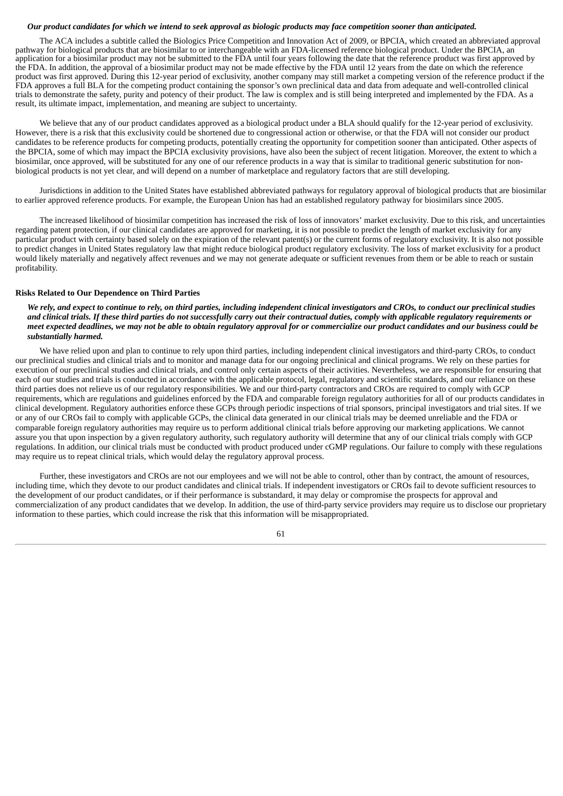### Our product candidates for which we intend to seek approval as biologic products may face competition sooner than anticipated.

The ACA includes a subtitle called the Biologics Price Competition and Innovation Act of 2009, or BPCIA, which created an abbreviated approval pathway for biological products that are biosimilar to or interchangeable with an FDA-licensed reference biological product. Under the BPCIA, an application for a biosimilar product may not be submitted to the FDA until four years following the date that the reference product was first approved by the FDA. In addition, the approval of a biosimilar product may not be made effective by the FDA until 12 years from the date on which the reference product was first approved. During this 12-year period of exclusivity, another company may still market a competing version of the reference product if the FDA approves a full BLA for the competing product containing the sponsor's own preclinical data and data from adequate and well-controlled clinical trials to demonstrate the safety, purity and potency of their product. The law is complex and is still being interpreted and implemented by the FDA. As a result, its ultimate impact, implementation, and meaning are subject to uncertainty.

We believe that any of our product candidates approved as a biological product under a BLA should qualify for the 12-year period of exclusivity. However, there is a risk that this exclusivity could be shortened due to congressional action or otherwise, or that the FDA will not consider our product candidates to be reference products for competing products, potentially creating the opportunity for competition sooner than anticipated. Other aspects of the BPCIA, some of which may impact the BPCIA exclusivity provisions, have also been the subject of recent litigation. Moreover, the extent to which a biosimilar, once approved, will be substituted for any one of our reference products in a way that is similar to traditional generic substitution for nonbiological products is not yet clear, and will depend on a number of marketplace and regulatory factors that are still developing.

Jurisdictions in addition to the United States have established abbreviated pathways for regulatory approval of biological products that are biosimilar to earlier approved reference products. For example, the European Union has had an established regulatory pathway for biosimilars since 2005.

The increased likelihood of biosimilar competition has increased the risk of loss of innovators' market exclusivity. Due to this risk, and uncertainties regarding patent protection, if our clinical candidates are approved for marketing, it is not possible to predict the length of market exclusivity for any particular product with certainty based solely on the expiration of the relevant patent(s) or the current forms of regulatory exclusivity. It is also not possible to predict changes in United States regulatory law that might reduce biological product regulatory exclusivity. The loss of market exclusivity for a product would likely materially and negatively affect revenues and we may not generate adequate or sufficient revenues from them or be able to reach or sustain profitability.

#### **Risks Related to Our Dependence on Third Parties**

We rely, and expect to continue to rely, on third parties, including independent clinical investigators and CROs, to conduct our preclinical studies and clinical trials. If these third parties do not successfully carry out their contractual duties, comply with applicable regulatory requirements or meet expected deadlines, we may not be able to obtain regulatory approval for or commercialize our product candidates and our business could be *substantially harmed.*

We have relied upon and plan to continue to rely upon third parties, including independent clinical investigators and third-party CROs, to conduct our preclinical studies and clinical trials and to monitor and manage data for our ongoing preclinical and clinical programs. We rely on these parties for execution of our preclinical studies and clinical trials, and control only certain aspects of their activities. Nevertheless, we are responsible for ensuring that each of our studies and trials is conducted in accordance with the applicable protocol, legal, regulatory and scientific standards, and our reliance on these third parties does not relieve us of our regulatory responsibilities. We and our third-party contractors and CROs are required to comply with GCP requirements, which are regulations and guidelines enforced by the FDA and comparable foreign regulatory authorities for all of our products candidates in clinical development. Regulatory authorities enforce these GCPs through periodic inspections of trial sponsors, principal investigators and trial sites. If we or any of our CROs fail to comply with applicable GCPs, the clinical data generated in our clinical trials may be deemed unreliable and the FDA or comparable foreign regulatory authorities may require us to perform additional clinical trials before approving our marketing applications. We cannot assure you that upon inspection by a given regulatory authority, such regulatory authority will determine that any of our clinical trials comply with GCP regulations. In addition, our clinical trials must be conducted with product produced under cGMP regulations. Our failure to comply with these regulations may require us to repeat clinical trials, which would delay the regulatory approval process.

Further, these investigators and CROs are not our employees and we will not be able to control, other than by contract, the amount of resources, including time, which they devote to our product candidates and clinical trials. If independent investigators or CROs fail to devote sufficient resources to the development of our product candidates, or if their performance is substandard, it may delay or compromise the prospects for approval and commercialization of any product candidates that we develop. In addition, the use of third-party service providers may require us to disclose our proprietary information to these parties, which could increase the risk that this information will be misappropriated.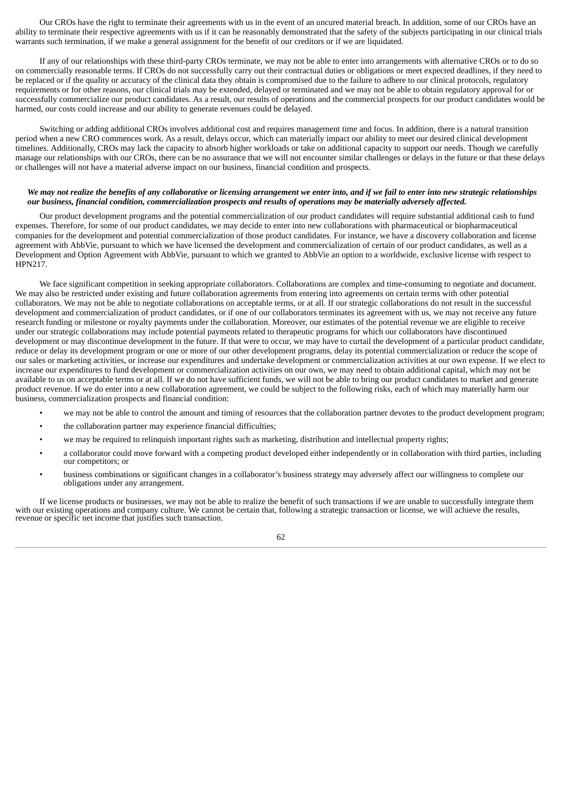Our CROs have the right to terminate their agreements with us in the event of an uncured material breach. In addition, some of our CROs have an ability to terminate their respective agreements with us if it can be reasonably demonstrated that the safety of the subjects participating in our clinical trials warrants such termination, if we make a general assignment for the benefit of our creditors or if we are liquidated.

If any of our relationships with these third-party CROs terminate, we may not be able to enter into arrangements with alternative CROs or to do so on commercially reasonable terms. If CROs do not successfully carry out their contractual duties or obligations or meet expected deadlines, if they need to be replaced or if the quality or accuracy of the clinical data they obtain is compromised due to the failure to adhere to our clinical protocols, regulatory requirements or for other reasons, our clinical trials may be extended, delayed or terminated and we may not be able to obtain regulatory approval for or successfully commercialize our product candidates. As a result, our results of operations and the commercial prospects for our product candidates would be harmed, our costs could increase and our ability to generate revenues could be delayed.

Switching or adding additional CROs involves additional cost and requires management time and focus. In addition, there is a natural transition period when a new CRO commences work. As a result, delays occur, which can materially impact our ability to meet our desired clinical development timelines. Additionally, CROs may lack the capacity to absorb higher workloads or take on additional capacity to support our needs. Though we carefully manage our relationships with our CROs, there can be no assurance that we will not encounter similar challenges or delays in the future or that these delays or challenges will not have a material adverse impact on our business, financial condition and prospects.

## We may not realize the benefits of any collaborative or licensing arrangement we enter into, and if we fail to enter into new strategic relationships our business, financial condition, commercialization prospects and results of operations may be materially adversely affected.

Our product development programs and the potential commercialization of our product candidates will require substantial additional cash to fund expenses. Therefore, for some of our product candidates, we may decide to enter into new collaborations with pharmaceutical or biopharmaceutical companies for the development and potential commercialization of those product candidates. For instance, we have a discovery collaboration and license agreement with AbbVie, pursuant to which we have licensed the development and commercialization of certain of our product candidates, as well as a Development and Option Agreement with AbbVie, pursuant to which we granted to AbbVie an option to a worldwide, exclusive license with respect to HPN217.

We face significant competition in seeking appropriate collaborators. Collaborations are complex and time-consuming to negotiate and document. We may also be restricted under existing and future collaboration agreements from entering into agreements on certain terms with other potential collaborators. We may not be able to negotiate collaborations on acceptable terms, or at all. If our strategic collaborations do not result in the successful development and commercialization of product candidates, or if one of our collaborators terminates its agreement with us, we may not receive any future research funding or milestone or royalty payments under the collaboration. Moreover, our estimates of the potential revenue we are eligible to receive under our strategic collaborations may include potential payments related to therapeutic programs for which our collaborators have discontinued development or may discontinue development in the future. If that were to occur, we may have to curtail the development of a particular product candidate, reduce or delay its development program or one or more of our other development programs, delay its potential commercialization or reduce the scope of our sales or marketing activities, or increase our expenditures and undertake development or commercialization activities at our own expense. If we elect to increase our expenditures to fund development or commercialization activities on our own, we may need to obtain additional capital, which may not be available to us on acceptable terms or at all. If we do not have sufficient funds, we will not be able to bring our product candidates to market and generate product revenue. If we do enter into a new collaboration agreement, we could be subject to the following risks, each of which may materially harm our business, commercialization prospects and financial condition:

- we may not be able to control the amount and timing of resources that the collaboration partner devotes to the product development program;
- the collaboration partner may experience financial difficulties;
- we may be required to relinquish important rights such as marketing, distribution and intellectual property rights;
- a collaborator could move forward with a competing product developed either independently or in collaboration with third parties, including our competitors; or
- business combinations or significant changes in a collaborator's business strategy may adversely affect our willingness to complete our obligations under any arrangement.

If we license products or businesses, we may not be able to realize the benefit of such transactions if we are unable to successfully integrate them with our existing operations and company culture. We cannot be certain that, following a strategic transaction or license, we will achieve the results, revenue or specific net income that justifies such transaction.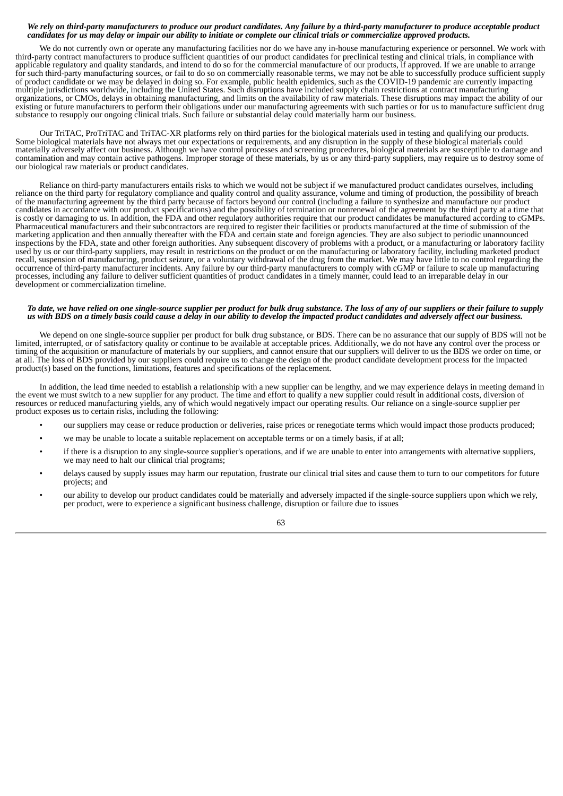#### We rely on third-party manufacturers to produce our product candidates. Any failure by a third-party manufacturer to produce acceptable product candidates for us may delay or impair our ability to initiate or complete our clinical trials or commercialize approved products.

We do not currently own or operate any manufacturing facilities nor do we have any in-house manufacturing experience or personnel. We work with third-party contract manufacturers to produce sufficient quantities of our product candidates for preclinical testing and clinical trials, in compliance with applicable regulatory and quality standards, and intend to do so for the commercial manufacture of our products, if approved. If we are unable to arrange for such third-party manufacturing sources, or fail to do so on commercially reasonable terms, we may not be able to successfully produce sufficient supply of product candidate or we may be delayed in doing so. For example, public health epidemics, such as the COVID-19 pandemic are currently impacting multiple jurisdictions worldwide, including the United States. Such disruptions have included supply chain restrictions at contract manufacturing organizations, or CMOs, delays in obtaining manufacturing, and limits on the availability of raw materials. These disruptions may impact the ability of our existing or future manufacturers to perform their obligations under our manufacturing agreements with such parties or for us to manufacture sufficient drug substance to resupply our ongoing clinical trials. Such failure or substantial delay could materially harm our business.

Our TriTAC, ProTriTAC and TriTAC-XR platforms rely on third parties for the biological materials used in testing and qualifying our products. Some biological materials have not always met our expectations or requirements, and any disruption in the supply of these biological materials could materially adversely affect our business. Although we have control processes and screening procedures, biological materials are susceptible to damage and contamination and may contain active pathogens. Improper storage of these materials, by us or any third-party suppliers, may require us to destroy some of our biological raw materials or product candidates.

Reliance on third-party manufacturers entails risks to which we would not be subject if we manufactured product candidates ourselves, including reliance on the third party for regulatory compliance and quality control and quality assurance, volume and timing of production, the possibility of breach of the manufacturing agreement by the third party because of factors beyond our control (including a failure to synthesize and manufacture our product candidates in accordance with our product specifications) and the possibility of termination or nonrenewal of the agreement by the third party at a time that is costly or damaging to us. In addition, the FDA and other regulatory authorities require that our product candidates be manufactured according to cGMPs. Pharmaceutical manufacturers and their subcontractors are required to register their facilities or products manufactured at the time of submission of the marketing application and then annually thereafter with the FDA and certain state and foreign agencies. They are also subject to periodic unannounced inspections by the FDA, state and other foreign authorities. Any subsequent discovery of problems with a product, or a manufacturing or laboratory facility used by us or our third-party suppliers, may result in restrictions on the product or on the manufacturing or laboratory facility, including marketed product recall, suspension of manufacturing, product seizure, or a voluntary withdrawal of the drug from the market. We may have little to no control regarding the occurrence of third-party manufacturer incidents. Any failure by our third-party manufacturers to comply with cGMP or failure to scale up manufacturing processes, including any failure to deliver sufficient quantities of product candidates in a timely manner, could lead to an irreparable delay in our development or commercialization timeline.

### To date, we have relied on one single-source supplier per product for bulk drug substance. The loss of any of our suppliers or their failure to supply us with BDS on a timely basis could cause a delay in our ability to develop the impacted product candidates and adversely affect our business.

We depend on one single-source supplier per product for bulk drug substance, or BDS. There can be no assurance that our supply of BDS will not be limited, interrupted, or of satisfactory quality or continue to be available at acceptable prices. Additionally, we do not have any control over the process or timing of the acquisition or manufacture of materials by our suppliers, and cannot ensure that our suppliers will deliver to us the BDS we order on time, or at all. The loss of BDS provided by our suppliers could require us to change the design of the product candidate development process for the impacted product(s) based on the functions, limitations, features and specifications of the replacement.

In addition, the lead time needed to establish a relationship with a new supplier can be lengthy, and we may experience delays in meeting demand in the event we must switch to a new supplier for any product. The time and effort to qualify a new supplier could result in additional costs, diversion of resources or reduced manufacturing yields, any of which would negatively impact our operating results. Our reliance on a single-source supplier per product exposes us to certain risks, including the following:

- our suppliers may cease or reduce production or deliveries, raise prices or renegotiate terms which would impact those products produced;
- we may be unable to locate a suitable replacement on acceptable terms or on a timely basis, if at all;
- if there is a disruption to any single-source supplier's operations, and if we are unable to enter into arrangements with alternative suppliers, we may need to halt our clinical trial programs;
- delays caused by supply issues may harm our reputation, frustrate our clinical trial sites and cause them to turn to our competitors for future projects; and
- our ability to develop our product candidates could be materially and adversely impacted if the single-source suppliers upon which we rely, per product, were to experience a significant business challenge, disruption or failure due to issues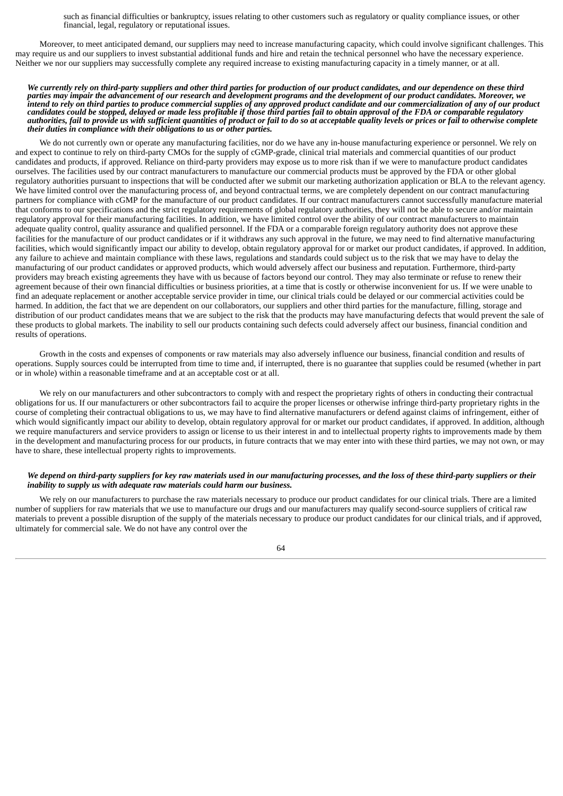such as financial difficulties or bankruptcy, issues relating to other customers such as regulatory or quality compliance issues, or other financial, legal, regulatory or reputational issues.

Moreover, to meet anticipated demand, our suppliers may need to increase manufacturing capacity, which could involve significant challenges. This may require us and our suppliers to invest substantial additional funds and hire and retain the technical personnel who have the necessary experience. Neither we nor our suppliers may successfully complete any required increase to existing manufacturing capacity in a timely manner, or at all.

#### We currently rely on third-party suppliers and other third parties for production of our product candidates, and our dependence on these third parties may impair the advancement of our research and development programs and the development of our product candidates. Moreover, we intend to rely on third parties to produce commercial supplies of any approved product candidate and our commercialization of any of our product candidates could be stopped, delayed or made less profitable if those third parties fail to obtain approval of the FDA or comparable regulatory authorities, fail to provide us with sufficient quantities of product or fail to do so at acceptable quality levels or prices or fail to otherwise complete *their duties in compliance with their obligations to us or other parties.*

We do not currently own or operate any manufacturing facilities, nor do we have any in-house manufacturing experience or personnel. We rely on and expect to continue to rely on third-party CMOs for the supply of cGMP-grade, clinical trial materials and commercial quantities of our product candidates and products, if approved. Reliance on third-party providers may expose us to more risk than if we were to manufacture product candidates ourselves. The facilities used by our contract manufacturers to manufacture our commercial products must be approved by the FDA or other global regulatory authorities pursuant to inspections that will be conducted after we submit our marketing authorization application or BLA to the relevant agency. We have limited control over the manufacturing process of, and beyond contractual terms, we are completely dependent on our contract manufacturing partners for compliance with cGMP for the manufacture of our product candidates. If our contract manufacturers cannot successfully manufacture material that conforms to our specifications and the strict regulatory requirements of global regulatory authorities, they will not be able to secure and/or maintain regulatory approval for their manufacturing facilities. In addition, we have limited control over the ability of our contract manufacturers to maintain adequate quality control, quality assurance and qualified personnel. If the FDA or a comparable foreign regulatory authority does not approve these facilities for the manufacture of our product candidates or if it withdraws any such approval in the future, we may need to find alternative manufacturing facilities, which would significantly impact our ability to develop, obtain regulatory approval for or market our product candidates, if approved. In addition, any failure to achieve and maintain compliance with these laws, regulations and standards could subject us to the risk that we may have to delay the manufacturing of our product candidates or approved products, which would adversely affect our business and reputation. Furthermore, third-party providers may breach existing agreements they have with us because of factors beyond our control. They may also terminate or refuse to renew their agreement because of their own financial difficulties or business priorities, at a time that is costly or otherwise inconvenient for us. If we were unable to find an adequate replacement or another acceptable service provider in time, our clinical trials could be delayed or our commercial activities could be harmed. In addition, the fact that we are dependent on our collaborators, our suppliers and other third parties for the manufacture, filling, storage and distribution of our product candidates means that we are subject to the risk that the products may have manufacturing defects that would prevent the sale of these products to global markets. The inability to sell our products containing such defects could adversely affect our business, financial condition and results of operations.

Growth in the costs and expenses of components or raw materials may also adversely influence our business, financial condition and results of operations. Supply sources could be interrupted from time to time and, if interrupted, there is no guarantee that supplies could be resumed (whether in part or in whole) within a reasonable timeframe and at an acceptable cost or at all.

We rely on our manufacturers and other subcontractors to comply with and respect the proprietary rights of others in conducting their contractual obligations for us. If our manufacturers or other subcontractors fail to acquire the proper licenses or otherwise infringe third-party proprietary rights in the course of completing their contractual obligations to us, we may have to find alternative manufacturers or defend against claims of infringement, either of which would significantly impact our ability to develop, obtain regulatory approval for or market our product candidates, if approved. In addition, although we require manufacturers and service providers to assign or license to us their interest in and to intellectual property rights to improvements made by them in the development and manufacturing process for our products, in future contracts that we may enter into with these third parties, we may not own, or may have to share, these intellectual property rights to improvements.

## We depend on third-party suppliers for key raw materials used in our manufacturing processes, and the loss of these third-party suppliers or their *inability to supply us with adequate raw materials could harm our business.*

We rely on our manufacturers to purchase the raw materials necessary to produce our product candidates for our clinical trials. There are a limited number of suppliers for raw materials that we use to manufacture our drugs and our manufacturers may qualify second-source suppliers of critical raw materials to prevent a possible disruption of the supply of the materials necessary to produce our product candidates for our clinical trials, and if approved, ultimately for commercial sale. We do not have any control over the

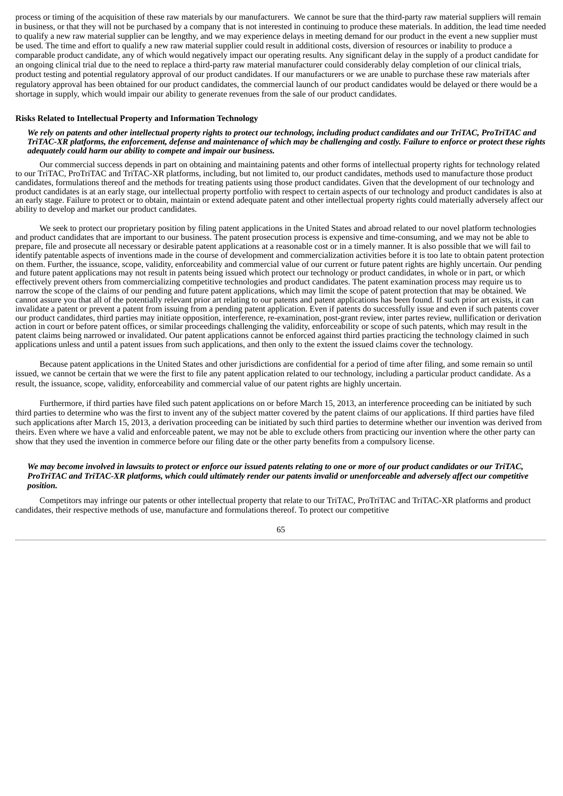process or timing of the acquisition of these raw materials by our manufacturers. We cannot be sure that the third-party raw material suppliers will remain in business, or that they will not be purchased by a company that is not interested in continuing to produce these materials. In addition, the lead time needed to qualify a new raw material supplier can be lengthy, and we may experience delays in meeting demand for our product in the event a new supplier must be used. The time and effort to qualify a new raw material supplier could result in additional costs, diversion of resources or inability to produce a comparable product candidate, any of which would negatively impact our operating results. Any significant delay in the supply of a product candidate for an ongoing clinical trial due to the need to replace a third-party raw material manufacturer could considerably delay completion of our clinical trials, product testing and potential regulatory approval of our product candidates. If our manufacturers or we are unable to purchase these raw materials after regulatory approval has been obtained for our product candidates, the commercial launch of our product candidates would be delayed or there would be a shortage in supply, which would impair our ability to generate revenues from the sale of our product candidates.

#### **Risks Related to Intellectual Property and Information Technology**

### We rely on patents and other intellectual property rights to protect our technology, including product candidates and our TriTAC, ProTriTAC and TriTAC-XR platforms, the enforcement, defense and maintenance of which may be challenging and costly. Failure to enforce or protect these rights *adequately could harm our ability to compete and impair our business.*

Our commercial success depends in part on obtaining and maintaining patents and other forms of intellectual property rights for technology related to our TriTAC, ProTriTAC and TriTAC-XR platforms, including, but not limited to, our product candidates, methods used to manufacture those product candidates, formulations thereof and the methods for treating patients using those product candidates. Given that the development of our technology and product candidates is at an early stage, our intellectual property portfolio with respect to certain aspects of our technology and product candidates is also at an early stage. Failure to protect or to obtain, maintain or extend adequate patent and other intellectual property rights could materially adversely affect our ability to develop and market our product candidates.

We seek to protect our proprietary position by filing patent applications in the United States and abroad related to our novel platform technologies and product candidates that are important to our business. The patent prosecution process is expensive and time-consuming, and we may not be able to prepare, file and prosecute all necessary or desirable patent applications at a reasonable cost or in a timely manner. It is also possible that we will fail to identify patentable aspects of inventions made in the course of development and commercialization activities before it is too late to obtain patent protection on them. Further, the issuance, scope, validity, enforceability and commercial value of our current or future patent rights are highly uncertain. Our pending and future patent applications may not result in patents being issued which protect our technology or product candidates, in whole or in part, or which effectively prevent others from commercializing competitive technologies and product candidates. The patent examination process may require us to narrow the scope of the claims of our pending and future patent applications, which may limit the scope of patent protection that may be obtained. We cannot assure you that all of the potentially relevant prior art relating to our patents and patent applications has been found. If such prior art exists, it can invalidate a patent or prevent a patent from issuing from a pending patent application. Even if patents do successfully issue and even if such patents cover our product candidates, third parties may initiate opposition, interference, re-examination, post-grant review, inter partes review, nullification or derivation action in court or before patent offices, or similar proceedings challenging the validity, enforceability or scope of such patents, which may result in the patent claims being narrowed or invalidated. Our patent applications cannot be enforced against third parties practicing the technology claimed in such applications unless and until a patent issues from such applications, and then only to the extent the issued claims cover the technology.

Because patent applications in the United States and other jurisdictions are confidential for a period of time after filing, and some remain so until issued, we cannot be certain that we were the first to file any patent application related to our technology, including a particular product candidate. As a result, the issuance, scope, validity, enforceability and commercial value of our patent rights are highly uncertain.

Furthermore, if third parties have filed such patent applications on or before March 15, 2013, an interference proceeding can be initiated by such third parties to determine who was the first to invent any of the subject matter covered by the patent claims of our applications. If third parties have filed such applications after March 15, 2013, a derivation proceeding can be initiated by such third parties to determine whether our invention was derived from theirs. Even where we have a valid and enforceable patent, we may not be able to exclude others from practicing our invention where the other party can show that they used the invention in commerce before our filing date or the other party benefits from a compulsory license.

## We may become involved in lawsuits to protect or enforce our issued patents relating to one or more of our product candidates or our TriTAC, ProTriTAC and TriTAC-XR platforms, which could ultimately render our patents invalid or unenforceable and adversely affect our competitive *position.*

Competitors may infringe our patents or other intellectual property that relate to our TriTAC, ProTriTAC and TriTAC-XR platforms and product candidates, their respective methods of use, manufacture and formulations thereof. To protect our competitive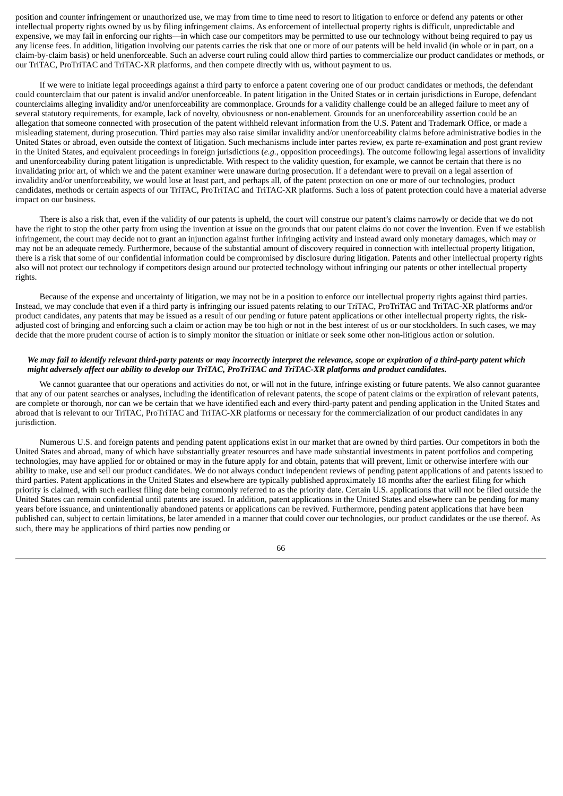position and counter infringement or unauthorized use, we may from time to time need to resort to litigation to enforce or defend any patents or other intellectual property rights owned by us by filing infringement claims. As enforcement of intellectual property rights is difficult, unpredictable and expensive, we may fail in enforcing our rights—in which case our competitors may be permitted to use our technology without being required to pay us any license fees. In addition, litigation involving our patents carries the risk that one or more of our patents will be held invalid (in whole or in part, on a claim-by-claim basis) or held unenforceable. Such an adverse court ruling could allow third parties to commercialize our product candidates or methods, or our TriTAC, ProTriTAC and TriTAC-XR platforms, and then compete directly with us, without payment to us.

If we were to initiate legal proceedings against a third party to enforce a patent covering one of our product candidates or methods, the defendant could counterclaim that our patent is invalid and/or unenforceable. In patent litigation in the United States or in certain jurisdictions in Europe, defendant counterclaims alleging invalidity and/or unenforceability are commonplace. Grounds for a validity challenge could be an alleged failure to meet any of several statutory requirements, for example, lack of novelty, obviousness or non-enablement. Grounds for an unenforceability assertion could be an allegation that someone connected with prosecution of the patent withheld relevant information from the U.S. Patent and Trademark Office, or made a misleading statement, during prosecution. Third parties may also raise similar invalidity and/or unenforceability claims before administrative bodies in the United States or abroad, even outside the context of litigation. Such mechanisms include inter partes review, ex parte re-examination and post grant review in the United States, and equivalent proceedings in foreign jurisdictions (*e.g.*, opposition proceedings). The outcome following legal assertions of invalidity and unenforceability during patent litigation is unpredictable. With respect to the validity question, for example, we cannot be certain that there is no invalidating prior art, of which we and the patent examiner were unaware during prosecution. If a defendant were to prevail on a legal assertion of invalidity and/or unenforceability, we would lose at least part, and perhaps all, of the patent protection on one or more of our technologies, product candidates, methods or certain aspects of our TriTAC, ProTriTAC and TriTAC-XR platforms. Such a loss of patent protection could have a material adverse impact on our business.

There is also a risk that, even if the validity of our patents is upheld, the court will construe our patent's claims narrowly or decide that we do not have the right to stop the other party from using the invention at issue on the grounds that our patent claims do not cover the invention. Even if we establish infringement, the court may decide not to grant an injunction against further infringing activity and instead award only monetary damages, which may or may not be an adequate remedy. Furthermore, because of the substantial amount of discovery required in connection with intellectual property litigation, there is a risk that some of our confidential information could be compromised by disclosure during litigation. Patents and other intellectual property rights also will not protect our technology if competitors design around our protected technology without infringing our patents or other intellectual property rights.

Because of the expense and uncertainty of litigation, we may not be in a position to enforce our intellectual property rights against third parties. Instead, we may conclude that even if a third party is infringing our issued patents relating to our TriTAC, ProTriTAC and TriTAC-XR platforms and/or product candidates, any patents that may be issued as a result of our pending or future patent applications or other intellectual property rights, the riskadjusted cost of bringing and enforcing such a claim or action may be too high or not in the best interest of us or our stockholders. In such cases, we may decide that the more prudent course of action is to simply monitor the situation or initiate or seek some other non-litigious action or solution.

## We may fail to identify relevant third-party patents or may incorrectly interpret the relevance, scope or expiration of a third-party patent which might adversely affect our ability to develop our TriTAC, ProTriTAC and TriTAC-XR platforms and product candidates.

We cannot guarantee that our operations and activities do not, or will not in the future, infringe existing or future patents. We also cannot guarantee that any of our patent searches or analyses, including the identification of relevant patents, the scope of patent claims or the expiration of relevant patents, are complete or thorough, nor can we be certain that we have identified each and every third-party patent and pending application in the United States and abroad that is relevant to our TriTAC, ProTriTAC and TriTAC-XR platforms or necessary for the commercialization of our product candidates in any jurisdiction.

Numerous U.S. and foreign patents and pending patent applications exist in our market that are owned by third parties. Our competitors in both the United States and abroad, many of which have substantially greater resources and have made substantial investments in patent portfolios and competing technologies, may have applied for or obtained or may in the future apply for and obtain, patents that will prevent, limit or otherwise interfere with our ability to make, use and sell our product candidates. We do not always conduct independent reviews of pending patent applications of and patents issued to third parties. Patent applications in the United States and elsewhere are typically published approximately 18 months after the earliest filing for which priority is claimed, with such earliest filing date being commonly referred to as the priority date. Certain U.S. applications that will not be filed outside the United States can remain confidential until patents are issued. In addition, patent applications in the United States and elsewhere can be pending for many years before issuance, and unintentionally abandoned patents or applications can be revived. Furthermore, pending patent applications that have been published can, subject to certain limitations, be later amended in a manner that could cover our technologies, our product candidates or the use thereof. As such, there may be applications of third parties now pending or

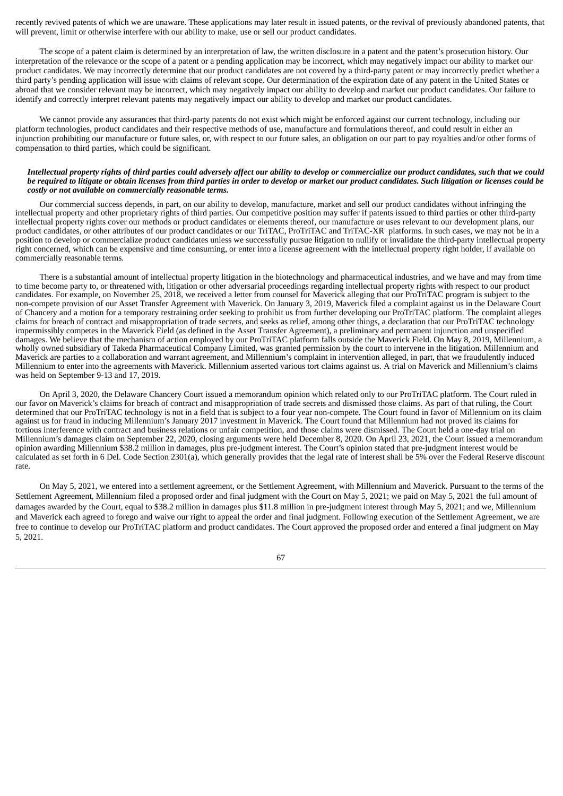recently revived patents of which we are unaware. These applications may later result in issued patents, or the revival of previously abandoned patents, that will prevent, limit or otherwise interfere with our ability to make, use or sell our product candidates.

The scope of a patent claim is determined by an interpretation of law, the written disclosure in a patent and the patent's prosecution history. Our interpretation of the relevance or the scope of a patent or a pending application may be incorrect, which may negatively impact our ability to market our product candidates. We may incorrectly determine that our product candidates are not covered by a third-party patent or may incorrectly predict whether a third party's pending application will issue with claims of relevant scope. Our determination of the expiration date of any patent in the United States or abroad that we consider relevant may be incorrect, which may negatively impact our ability to develop and market our product candidates. Our failure to identify and correctly interpret relevant patents may negatively impact our ability to develop and market our product candidates.

We cannot provide any assurances that third-party patents do not exist which might be enforced against our current technology, including our platform technologies, product candidates and their respective methods of use, manufacture and formulations thereof, and could result in either an injunction prohibiting our manufacture or future sales, or, with respect to our future sales, an obligation on our part to pay royalties and/or other forms of compensation to third parties, which could be significant.

### Intellectual property rights of third parties could adversely affect our ability to develop or commercialize our product candidates, such that we could be required to litigate or obtain licenses from third parties in order to develop or market our product candidates. Such litigation or licenses could be *costly or not available on commercially reasonable terms.*

Our commercial success depends, in part, on our ability to develop, manufacture, market and sell our product candidates without infringing the intellectual property and other proprietary rights of third parties. Our competitive position may suffer if patents issued to third parties or other third-party intellectual property rights cover our methods or product candidates or elements thereof, our manufacture or uses relevant to our development plans, our product candidates, or other attributes of our product candidates or our TriTAC, ProTriTAC and TriTAC-XR platforms. In such cases, we may not be in a position to develop or commercialize product candidates unless we successfully pursue litigation to nullify or invalidate the third-party intellectual property right concerned, which can be expensive and time consuming, or enter into a license agreement with the intellectual property right holder, if available on commercially reasonable terms.

There is a substantial amount of intellectual property litigation in the biotechnology and pharmaceutical industries, and we have and may from time to time become party to, or threatened with, litigation or other adversarial proceedings regarding intellectual property rights with respect to our product candidates. For example, on November 25, 2018, we received a letter from counsel for Maverick alleging that our ProTriTAC program is subject to the non-compete provision of our Asset Transfer Agreement with Maverick. On January 3, 2019, Maverick filed a complaint against us in the Delaware Court of Chancery and a motion for a temporary restraining order seeking to prohibit us from further developing our ProTriTAC platform. The complaint alleges claims for breach of contract and misappropriation of trade secrets, and seeks as relief, among other things, a declaration that our ProTriTAC technology impermissibly competes in the Maverick Field (as defined in the Asset Transfer Agreement), a preliminary and permanent injunction and unspecified damages. We believe that the mechanism of action employed by our ProTriTAC platform falls outside the Maverick Field. On May 8, 2019, Millennium, a wholly owned subsidiary of Takeda Pharmaceutical Company Limited, was granted permission by the court to intervene in the litigation. Millennium and Maverick are parties to a collaboration and warrant agreement, and Millennium's complaint in intervention alleged, in part, that we fraudulently induced Millennium to enter into the agreements with Maverick. Millennium asserted various tort claims against us. A trial on Maverick and Millennium's claims was held on September 9-13 and 17, 2019.

On April 3, 2020, the Delaware Chancery Court issued a memorandum opinion which related only to our ProTriTAC platform. The Court ruled in our favor on Maverick's claims for breach of contract and misappropriation of trade secrets and dismissed those claims. As part of that ruling, the Court determined that our ProTriTAC technology is not in a field that is subject to a four year non-compete. The Court found in favor of Millennium on its claim against us for fraud in inducing Millennium's January 2017 investment in Maverick. The Court found that Millennium had not proved its claims for tortious interference with contract and business relations or unfair competition, and those claims were dismissed. The Court held a one-day trial on Millennium's damages claim on September 22, 2020, closing arguments were held December 8, 2020. On April 23, 2021, the Court issued a memorandum opinion awarding Millennium \$38.2 million in damages, plus pre-judgment interest. The Court's opinion stated that pre-judgment interest would be calculated as set forth in 6 Del. Code Section 2301(a), which generally provides that the legal rate of interest shall be 5% over the Federal Reserve discount rate.

On May 5, 2021, we entered into a settlement agreement, or the Settlement Agreement, with Millennium and Maverick. Pursuant to the terms of the Settlement Agreement, Millennium filed a proposed order and final judgment with the Court on May 5, 2021; we paid on May 5, 2021 the full amount of damages awarded by the Court, equal to \$38.2 million in damages plus \$11.8 million in pre-judgment interest through May 5, 2021; and we, Millennium and Maverick each agreed to forego and waive our right to appeal the order and final judgment. Following execution of the Settlement Agreement, we are free to continue to develop our ProTriTAC platform and product candidates. The Court approved the proposed order and entered a final judgment on May 5, 2021.

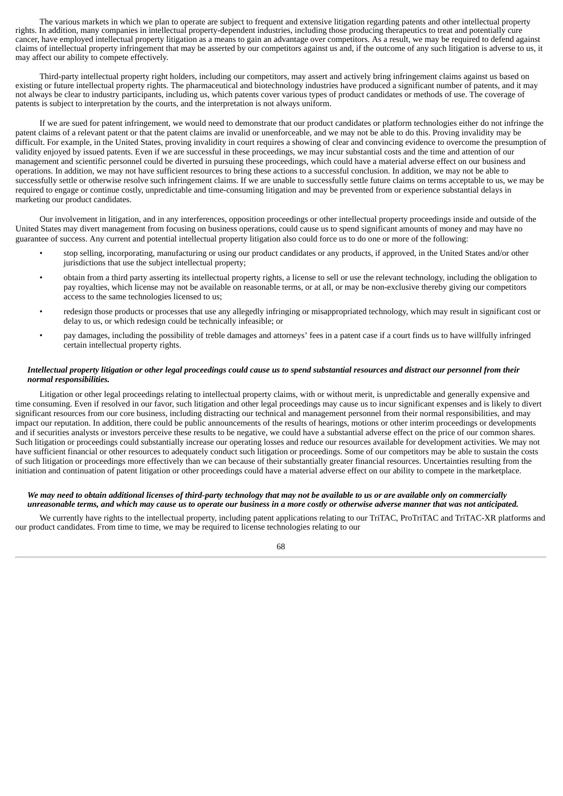The various markets in which we plan to operate are subject to frequent and extensive litigation regarding patents and other intellectual property rights. In addition, many companies in intellectual property-dependent industries, including those producing therapeutics to treat and potentially cure cancer, have employed intellectual property litigation as a means to gain an advantage over competitors. As a result, we may be required to defend against claims of intellectual property infringement that may be asserted by our competitors against us and, if the outcome of any such litigation is adverse to us, it may affect our ability to compete effectively.

Third-party intellectual property right holders, including our competitors, may assert and actively bring infringement claims against us based on existing or future intellectual property rights. The pharmaceutical and biotechnology industries have produced a significant number of patents, and it may not always be clear to industry participants, including us, which patents cover various types of product candidates or methods of use. The coverage of patents is subject to interpretation by the courts, and the interpretation is not always uniform.

If we are sued for patent infringement, we would need to demonstrate that our product candidates or platform technologies either do not infringe the patent claims of a relevant patent or that the patent claims are invalid or unenforceable, and we may not be able to do this. Proving invalidity may be difficult. For example, in the United States, proving invalidity in court requires a showing of clear and convincing evidence to overcome the presumption of validity enjoyed by issued patents. Even if we are successful in these proceedings, we may incur substantial costs and the time and attention of our management and scientific personnel could be diverted in pursuing these proceedings, which could have a material adverse effect on our business and operations. In addition, we may not have sufficient resources to bring these actions to a successful conclusion. In addition, we may not be able to successfully settle or otherwise resolve such infringement claims. If we are unable to successfully settle future claims on terms acceptable to us, we may be required to engage or continue costly, unpredictable and time-consuming litigation and may be prevented from or experience substantial delays in marketing our product candidates.

Our involvement in litigation, and in any interferences, opposition proceedings or other intellectual property proceedings inside and outside of the United States may divert management from focusing on business operations, could cause us to spend significant amounts of money and may have no guarantee of success. Any current and potential intellectual property litigation also could force us to do one or more of the following:

- stop selling, incorporating, manufacturing or using our product candidates or any products, if approved, in the United States and/or other jurisdictions that use the subject intellectual property;
- obtain from a third party asserting its intellectual property rights, a license to sell or use the relevant technology, including the obligation to pay royalties, which license may not be available on reasonable terms, or at all, or may be non-exclusive thereby giving our competitors access to the same technologies licensed to us;
- redesign those products or processes that use any allegedly infringing or misappropriated technology, which may result in significant cost or delay to us, or which redesign could be technically infeasible; or
- pay damages, including the possibility of treble damages and attorneys' fees in a patent case if a court finds us to have willfully infringed certain intellectual property rights.

# Intellectual property litigation or other legal proceedings could cause us to spend substantial resources and distract our personnel from their *normal responsibilities.*

Litigation or other legal proceedings relating to intellectual property claims, with or without merit, is unpredictable and generally expensive and time consuming. Even if resolved in our favor, such litigation and other legal proceedings may cause us to incur significant expenses and is likely to divert significant resources from our core business, including distracting our technical and management personnel from their normal responsibilities, and may impact our reputation. In addition, there could be public announcements of the results of hearings, motions or other interim proceedings or developments and if securities analysts or investors perceive these results to be negative, we could have a substantial adverse effect on the price of our common shares. Such litigation or proceedings could substantially increase our operating losses and reduce our resources available for development activities. We may not have sufficient financial or other resources to adequately conduct such litigation or proceedings. Some of our competitors may be able to sustain the costs of such litigation or proceedings more effectively than we can because of their substantially greater financial resources. Uncertainties resulting from the initiation and continuation of patent litigation or other proceedings could have a material adverse effect on our ability to compete in the marketplace.

## We may need to obtain additional licenses of third-party technology that may not be available to us or are available only on commercially unreasonable terms, and which may cause us to operate our business in a more costly or otherwise adverse manner that was not anticipated.

We currently have rights to the intellectual property, including patent applications relating to our TriTAC, ProTriTAC and TriTAC-XR platforms and our product candidates. From time to time, we may be required to license technologies relating to our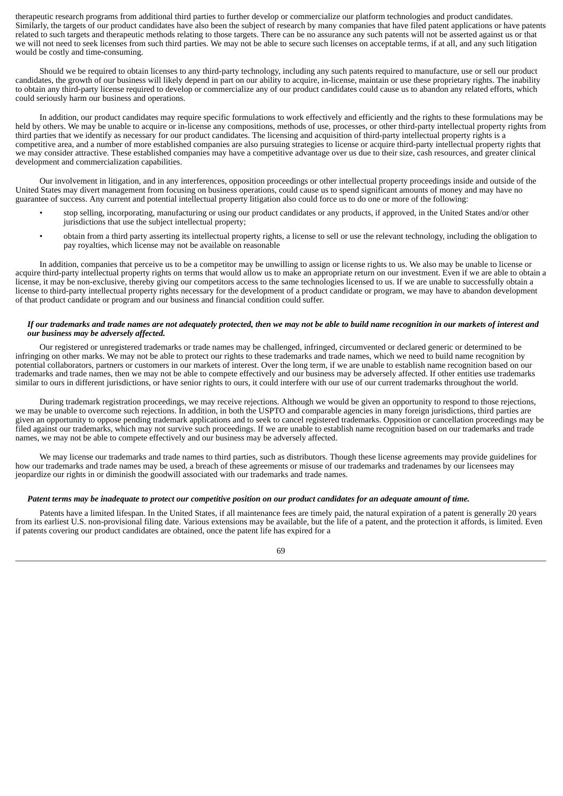therapeutic research programs from additional third parties to further develop or commercialize our platform technologies and product candidates. Similarly, the targets of our product candidates have also been the subject of research by many companies that have filed patent applications or have patents related to such targets and therapeutic methods relating to those targets. There can be no assurance any such patents will not be asserted against us or that we will not need to seek licenses from such third parties. We may not be able to secure such licenses on acceptable terms, if at all, and any such litigation would be costly and time-consuming.

Should we be required to obtain licenses to any third-party technology, including any such patents required to manufacture, use or sell our product candidates, the growth of our business will likely depend in part on our ability to acquire, in-license, maintain or use these proprietary rights. The inability to obtain any third-party license required to develop or commercialize any of our product candidates could cause us to abandon any related efforts, which could seriously harm our business and operations.

In addition, our product candidates may require specific formulations to work effectively and efficiently and the rights to these formulations may be held by others. We may be unable to acquire or in-license any compositions, methods of use, processes, or other third-party intellectual property rights from third parties that we identify as necessary for our product candidates. The licensing and acquisition of third-party intellectual property rights is a competitive area, and a number of more established companies are also pursuing strategies to license or acquire third-party intellectual property rights that we may consider attractive. These established companies may have a competitive advantage over us due to their size, cash resources, and greater clinical development and commercialization capabilities.

Our involvement in litigation, and in any interferences, opposition proceedings or other intellectual property proceedings inside and outside of the United States may divert management from focusing on business operations, could cause us to spend significant amounts of money and may have no guarantee of success. Any current and potential intellectual property litigation also could force us to do one or more of the following:

- stop selling, incorporating, manufacturing or using our product candidates or any products, if approved, in the United States and/or other jurisdictions that use the subject intellectual property;
- obtain from a third party asserting its intellectual property rights, a license to sell or use the relevant technology, including the obligation to pay royalties, which license may not be available on reasonable

In addition, companies that perceive us to be a competitor may be unwilling to assign or license rights to us. We also may be unable to license or acquire third-party intellectual property rights on terms that would allow us to make an appropriate return on our investment. Even if we are able to obtain a license, it may be non-exclusive, thereby giving our competitors access to the same technologies licensed to us. If we are unable to successfully obtain a license to third-party intellectual property rights necessary for the development of a product candidate or program, we may have to abandon development of that product candidate or program and our business and financial condition could suffer.

## If our trademarks and trade names are not adeauately protected, then we may not be able to build name recoanition in our markets of interest and *our business may be adversely affected.*

Our registered or unregistered trademarks or trade names may be challenged, infringed, circumvented or declared generic or determined to be infringing on other marks. We may not be able to protect our rights to these trademarks and trade names, which we need to build name recognition by potential collaborators, partners or customers in our markets of interest. Over the long term, if we are unable to establish name recognition based on our trademarks and trade names, then we may not be able to compete effectively and our business may be adversely affected. If other entities use trademarks similar to ours in different jurisdictions, or have senior rights to ours, it could interfere with our use of our current trademarks throughout the world.

During trademark registration proceedings, we may receive rejections. Although we would be given an opportunity to respond to those rejections, we may be unable to overcome such rejections. In addition, in both the USPTO and comparable agencies in many foreign jurisdictions, third parties are given an opportunity to oppose pending trademark applications and to seek to cancel registered trademarks. Opposition or cancellation proceedings may be filed against our trademarks, which may not survive such proceedings. If we are unable to establish name recognition based on our trademarks and trade names, we may not be able to compete effectively and our business may be adversely affected.

We may license our trademarks and trade names to third parties, such as distributors. Though these license agreements may provide guidelines for how our trademarks and trade names may be used, a breach of these agreements or misuse of our trademarks and tradenames by our licensees may jeopardize our rights in or diminish the goodwill associated with our trademarks and trade names.

## Patent terms may be inadequate to protect our competitive position on our product candidates for an adequate amount of time.

Patents have a limited lifespan. In the United States, if all maintenance fees are timely paid, the natural expiration of a patent is generally 20 years from its earliest U.S. non-provisional filing date. Various extensions may be available, but the life of a patent, and the protection it affords, is limited. Even if patents covering our product candidates are obtained, once the patent life has expired for a

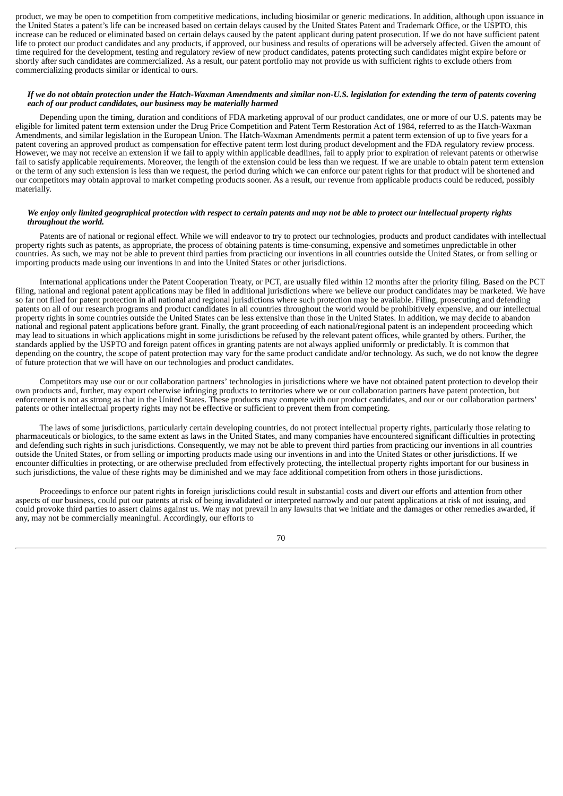product, we may be open to competition from competitive medications, including biosimilar or generic medications. In addition, although upon issuance in the United States a patent's life can be increased based on certain delays caused by the United States Patent and Trademark Office, or the USPTO, this increase can be reduced or eliminated based on certain delays caused by the patent applicant during patent prosecution. If we do not have sufficient patent life to protect our product candidates and any products, if approved, our business and results of operations will be adversely affected. Given the amount of time required for the development, testing and regulatory review of new product candidates, patents protecting such candidates might expire before or shortly after such candidates are commercialized. As a result, our patent portfolio may not provide us with sufficient rights to exclude others from commercializing products similar or identical to ours.

### If we do not obtain protection under the Hatch-Waxman Amendments and similar non-U.S. legislation for extending the term of patents covering *each of our product candidates, our business may be materially harmed*

Depending upon the timing, duration and conditions of FDA marketing approval of our product candidates, one or more of our U.S. patents may be eligible for limited patent term extension under the Drug Price Competition and Patent Term Restoration Act of 1984, referred to as the Hatch-Waxman Amendments, and similar legislation in the European Union. The Hatch-Waxman Amendments permit a patent term extension of up to five years for a patent covering an approved product as compensation for effective patent term lost during product development and the FDA regulatory review process. However, we may not receive an extension if we fail to apply within applicable deadlines, fail to apply prior to expiration of relevant patents or otherwise fail to satisfy applicable requirements. Moreover, the length of the extension could be less than we request. If we are unable to obtain patent term extension or the term of any such extension is less than we request, the period during which we can enforce our patent rights for that product will be shortened and our competitors may obtain approval to market competing products sooner. As a result, our revenue from applicable products could be reduced, possibly materially.

### We enjoy only limited geographical protection with respect to certain patents and may not be able to protect our intellectual property rights *throughout the world.*

Patents are of national or regional effect. While we will endeavor to try to protect our technologies, products and product candidates with intellectual property rights such as patents, as appropriate, the process of obtaining patents is time-consuming, expensive and sometimes unpredictable in other countries. As such, we may not be able to prevent third parties from practicing our inventions in all countries outside the United States, or from selling or importing products made using our inventions in and into the United States or other jurisdictions.

International applications under the Patent Cooperation Treaty, or PCT, are usually filed within 12 months after the priority filing. Based on the PCT filing, national and regional patent applications may be filed in additional jurisdictions where we believe our product candidates may be marketed. We have so far not filed for patent protection in all national and regional jurisdictions where such protection may be available. Filing, prosecuting and defending patents on all of our research programs and product candidates in all countries throughout the world would be prohibitively expensive, and our intellectual property rights in some countries outside the United States can be less extensive than those in the United States. In addition, we may decide to abandon national and regional patent applications before grant. Finally, the grant proceeding of each national/regional patent is an independent proceeding which may lead to situations in which applications might in some jurisdictions be refused by the relevant patent offices, while granted by others. Further, the standards applied by the USPTO and foreign patent offices in granting patents are not always applied uniformly or predictably. It is common that depending on the country, the scope of patent protection may vary for the same product candidate and/or technology. As such, we do not know the degree of future protection that we will have on our technologies and product candidates.

Competitors may use our or our collaboration partners' technologies in jurisdictions where we have not obtained patent protection to develop their own products and, further, may export otherwise infringing products to territories where we or our collaboration partners have patent protection, but enforcement is not as strong as that in the United States. These products may compete with our product candidates, and our or our collaboration partners' patents or other intellectual property rights may not be effective or sufficient to prevent them from competing.

The laws of some jurisdictions, particularly certain developing countries, do not protect intellectual property rights, particularly those relating to pharmaceuticals or biologics, to the same extent as laws in the United States, and many companies have encountered significant difficulties in protecting and defending such rights in such jurisdictions. Consequently, we may not be able to prevent third parties from practicing our inventions in all countries outside the United States, or from selling or importing products made using our inventions in and into the United States or other jurisdictions. If we encounter difficulties in protecting, or are otherwise precluded from effectively protecting, the intellectual property rights important for our business in such jurisdictions, the value of these rights may be diminished and we may face additional competition from others in those jurisdictions.

Proceedings to enforce our patent rights in foreign jurisdictions could result in substantial costs and divert our efforts and attention from other aspects of our business, could put our patents at risk of being invalidated or interpreted narrowly and our patent applications at risk of not issuing, and could provoke third parties to assert claims against us. We may not prevail in any lawsuits that we initiate and the damages or other remedies awarded, if any, may not be commercially meaningful. Accordingly, our efforts to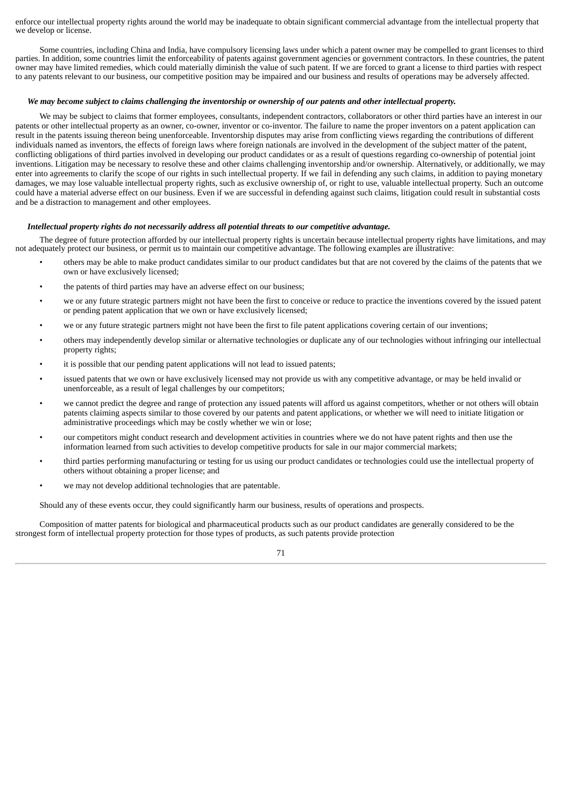enforce our intellectual property rights around the world may be inadequate to obtain significant commercial advantage from the intellectual property that we develop or license.

Some countries, including China and India, have compulsory licensing laws under which a patent owner may be compelled to grant licenses to third parties. In addition, some countries limit the enforceability of patents against government agencies or government contractors. In these countries, the patent owner may have limited remedies, which could materially diminish the value of such patent. If we are forced to grant a license to third parties with respect to any patents relevant to our business, our competitive position may be impaired and our business and results of operations may be adversely affected.

## We may become subject to claims challenging the inventorship or ownership of our patents and other intellectual property.

We may be subject to claims that former employees, consultants, independent contractors, collaborators or other third parties have an interest in our patents or other intellectual property as an owner, co-owner, inventor or co-inventor. The failure to name the proper inventors on a patent application can result in the patents issuing thereon being unenforceable. Inventorship disputes may arise from conflicting views regarding the contributions of different individuals named as inventors, the effects of foreign laws where foreign nationals are involved in the development of the subject matter of the patent, conflicting obligations of third parties involved in developing our product candidates or as a result of questions regarding co-ownership of potential joint inventions. Litigation may be necessary to resolve these and other claims challenging inventorship and/or ownership. Alternatively, or additionally, we may enter into agreements to clarify the scope of our rights in such intellectual property. If we fail in defending any such claims, in addition to paying monetary damages, we may lose valuable intellectual property rights, such as exclusive ownership of, or right to use, valuable intellectual property. Such an outcome could have a material adverse effect on our business. Even if we are successful in defending against such claims, litigation could result in substantial costs and be a distraction to management and other employees.

#### *Intellectual property rights do not necessarily address all potential threats to our competitive advantage.*

The degree of future protection afforded by our intellectual property rights is uncertain because intellectual property rights have limitations, and may not adequately protect our business, or permit us to maintain our competitive advantage. The following examples are illustrative:

- others may be able to make product candidates similar to our product candidates but that are not covered by the claims of the patents that we own or have exclusively licensed;
- the patents of third parties may have an adverse effect on our business;
- we or any future strategic partners might not have been the first to conceive or reduce to practice the inventions covered by the issued patent or pending patent application that we own or have exclusively licensed;
- we or any future strategic partners might not have been the first to file patent applications covering certain of our inventions;
- others may independently develop similar or alternative technologies or duplicate any of our technologies without infringing our intellectual property rights;
- it is possible that our pending patent applications will not lead to issued patents;
- issued patents that we own or have exclusively licensed may not provide us with any competitive advantage, or may be held invalid or unenforceable, as a result of legal challenges by our competitors;
- we cannot predict the degree and range of protection any issued patents will afford us against competitors, whether or not others will obtain patents claiming aspects similar to those covered by our patents and patent applications, or whether we will need to initiate litigation or administrative proceedings which may be costly whether we win or lose;
- our competitors might conduct research and development activities in countries where we do not have patent rights and then use the information learned from such activities to develop competitive products for sale in our major commercial markets;
- third parties performing manufacturing or testing for us using our product candidates or technologies could use the intellectual property of others without obtaining a proper license; and
- we may not develop additional technologies that are patentable.

Should any of these events occur, they could significantly harm our business, results of operations and prospects.

Composition of matter patents for biological and pharmaceutical products such as our product candidates are generally considered to be the strongest form of intellectual property protection for those types of products, as such patents provide protection

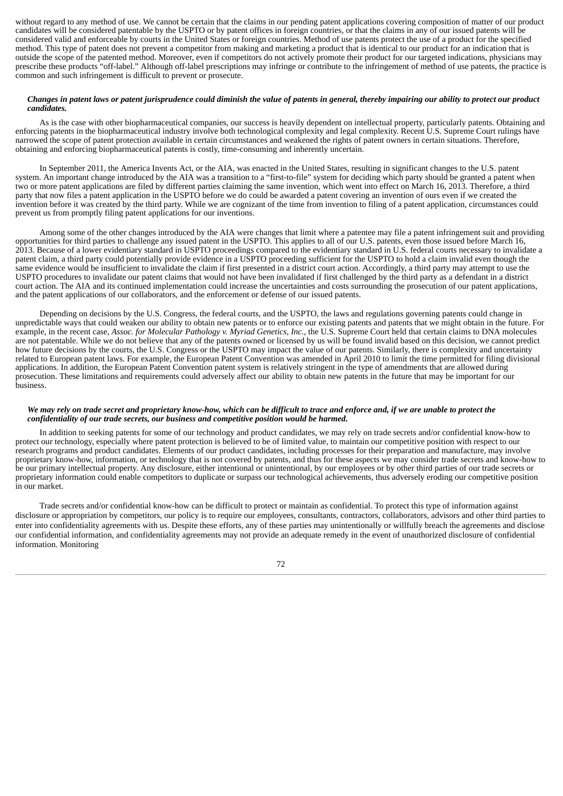without regard to any method of use. We cannot be certain that the claims in our pending patent applications covering composition of matter of our product candidates will be considered patentable by the USPTO or by patent offices in foreign countries, or that the claims in any of our issued patents will be considered valid and enforceable by courts in the United States or foreign countries. Method of use patents protect the use of a product for the specified method. This type of patent does not prevent a competitor from making and marketing a product that is identical to our product for an indication that is outside the scope of the patented method. Moreover, even if competitors do not actively promote their product for our targeted indications, physicians may prescribe these products "off-label." Although off-label prescriptions may infringe or contribute to the infringement of method of use patents, the practice is common and such infringement is difficult to prevent or prosecute.

## Changes in patent laws or patent jurisprudence could diminish the value of patents in general, thereby impairing our ability to protect our product *candidates.*

As is the case with other biopharmaceutical companies, our success is heavily dependent on intellectual property, particularly patents. Obtaining and enforcing patents in the biopharmaceutical industry involve both technological complexity and legal complexity. Recent U.S. Supreme Court rulings have narrowed the scope of patent protection available in certain circumstances and weakened the rights of patent owners in certain situations. Therefore, obtaining and enforcing biopharmaceutical patents is costly, time-consuming and inherently uncertain.

In September 2011, the America Invents Act, or the AIA, was enacted in the United States, resulting in significant changes to the U.S. patent system. An important change introduced by the AIA was a transition to a "first-to-file" system for deciding which party should be granted a patent when two or more patent applications are filed by different parties claiming the same invention, which went into effect on March 16, 2013. Therefore, a third party that now files a patent application in the USPTO before we do could be awarded a patent covering an invention of ours even if we created the invention before it was created by the third party. While we are cognizant of the time from invention to filing of a patent application, circumstances could prevent us from promptly filing patent applications for our inventions.

Among some of the other changes introduced by the AIA were changes that limit where a patentee may file a patent infringement suit and providing opportunities for third parties to challenge any issued patent in the USPTO. This applies to all of our U.S. patents, even those issued before March 16, 2013. Because of a lower evidentiary standard in USPTO proceedings compared to the evidentiary standard in U.S. federal courts necessary to invalidate a patent claim, a third party could potentially provide evidence in a USPTO proceeding sufficient for the USPTO to hold a claim invalid even though the same evidence would be insufficient to invalidate the claim if first presented in a district court action. Accordingly, a third party may attempt to use the USPTO procedures to invalidate our patent claims that would not have been invalidated if first challenged by the third party as a defendant in a district court action. The AIA and its continued implementation could increase the uncertainties and costs surrounding the prosecution of our patent applications, and the patent applications of our collaborators, and the enforcement or defense of our issued patents.

Depending on decisions by the U.S. Congress, the federal courts, and the USPTO, the laws and regulations governing patents could change in unpredictable ways that could weaken our ability to obtain new patents or to enforce our existing patents and patents that we might obtain in the future. For example, in the recent case, *Assoc. for Molecular Pathology v. Myriad Genetics, Inc.*, the U.S. Supreme Court held that certain claims to DNA molecules are not patentable. While we do not believe that any of the patents owned or licensed by us will be found invalid based on this decision, we cannot predict how future decisions by the courts, the U.S. Congress or the USPTO may impact the value of our patents. Similarly, there is complexity and uncertainty related to European patent laws. For example, the European Patent Convention was amended in April 2010 to limit the time permitted for filing divisional applications. In addition, the European Patent Convention patent system is relatively stringent in the type of amendments that are allowed during prosecution. These limitations and requirements could adversely affect our ability to obtain new patents in the future that may be important for our business.

# We may rely on trade secret and proprietary know-how, which can be difficult to trace and enforce and, if we are unable to protect the *confidentiality of our trade secrets, our business and competitive position would be harmed.*

In addition to seeking patents for some of our technology and product candidates, we may rely on trade secrets and/or confidential know-how to protect our technology, especially where patent protection is believed to be of limited value, to maintain our competitive position with respect to our research programs and product candidates. Elements of our product candidates, including processes for their preparation and manufacture, may involve proprietary know-how, information, or technology that is not covered by patents, and thus for these aspects we may consider trade secrets and know-how to be our primary intellectual property. Any disclosure, either intentional or unintentional, by our employees or by other third parties of our trade secrets or proprietary information could enable competitors to duplicate or surpass our technological achievements, thus adversely eroding our competitive position in our market.

Trade secrets and/or confidential know-how can be difficult to protect or maintain as confidential. To protect this type of information against disclosure or appropriation by competitors, our policy is to require our employees, consultants, contractors, collaborators, advisors and other third parties to enter into confidentiality agreements with us. Despite these efforts, any of these parties may unintentionally or willfully breach the agreements and disclose our confidential information, and confidentiality agreements may not provide an adequate remedy in the event of unauthorized disclosure of confidential information. Monitoring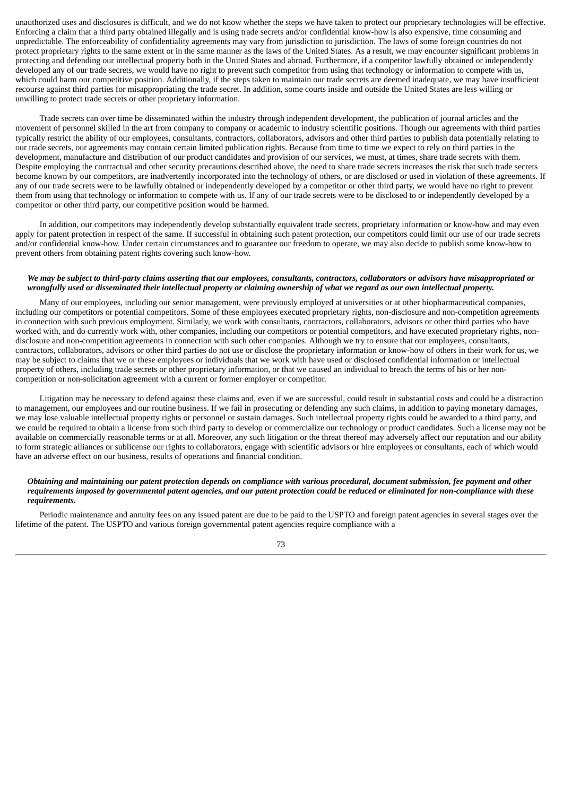unauthorized uses and disclosures is difficult, and we do not know whether the steps we have taken to protect our proprietary technologies will be effective. Enforcing a claim that a third party obtained illegally and is using trade secrets and/or confidential know-how is also expensive, time consuming and unpredictable. The enforceability of confidentiality agreements may vary from jurisdiction to jurisdiction. The laws of some foreign countries do not protect proprietary rights to the same extent or in the same manner as the laws of the United States. As a result, we may encounter significant problems in protecting and defending our intellectual property both in the United States and abroad. Furthermore, if a competitor lawfully obtained or independently developed any of our trade secrets, we would have no right to prevent such competitor from using that technology or information to compete with us, which could harm our competitive position. Additionally, if the steps taken to maintain our trade secrets are deemed inadequate, we may have insufficient recourse against third parties for misappropriating the trade secret. In addition, some courts inside and outside the United States are less willing or unwilling to protect trade secrets or other proprietary information.

Trade secrets can over time be disseminated within the industry through independent development, the publication of journal articles and the movement of personnel skilled in the art from company to company or academic to industry scientific positions. Though our agreements with third parties typically restrict the ability of our employees, consultants, contractors, collaborators, advisors and other third parties to publish data potentially relating to our trade secrets, our agreements may contain certain limited publication rights. Because from time to time we expect to rely on third parties in the development, manufacture and distribution of our product candidates and provision of our services, we must, at times, share trade secrets with them. Despite employing the contractual and other security precautions described above, the need to share trade secrets increases the risk that such trade secrets become known by our competitors, are inadvertently incorporated into the technology of others, or are disclosed or used in violation of these agreements. If any of our trade secrets were to be lawfully obtained or independently developed by a competitor or other third party, we would have no right to prevent them from using that technology or information to compete with us. If any of our trade secrets were to be disclosed to or independently developed by a competitor or other third party, our competitive position would be harmed.

In addition, our competitors may independently develop substantially equivalent trade secrets, proprietary information or know-how and may even apply for patent protection in respect of the same. If successful in obtaining such patent protection, our competitors could limit our use of our trade secrets and/or confidential know-how. Under certain circumstances and to guarantee our freedom to operate, we may also decide to publish some know-how to prevent others from obtaining patent rights covering such know-how.

#### We may be subject to third-party claims asserting that our employees, consultants, contractors, collaborators or advisors have misappropriated or wrongfully used or disseminated their intellectual property or claiming ownership of what we regard as our own intellectual property.

Many of our employees, including our senior management, were previously employed at universities or at other biopharmaceutical companies, including our competitors or potential competitors. Some of these employees executed proprietary rights, non-disclosure and non-competition agreements in connection with such previous employment. Similarly, we work with consultants, contractors, collaborators, advisors or other third parties who have worked with, and do currently work with, other companies, including our competitors or potential competitors, and have executed proprietary rights, nondisclosure and non-competition agreements in connection with such other companies. Although we try to ensure that our employees, consultants, contractors, collaborators, advisors or other third parties do not use or disclose the proprietary information or know-how of others in their work for us, we may be subject to claims that we or these employees or individuals that we work with have used or disclosed confidential information or intellectual property of others, including trade secrets or other proprietary information, or that we caused an individual to breach the terms of his or her noncompetition or non-solicitation agreement with a current or former employer or competitor.

Litigation may be necessary to defend against these claims and, even if we are successful, could result in substantial costs and could be a distraction to management, our employees and our routine business. If we fail in prosecuting or defending any such claims, in addition to paying monetary damages, we may lose valuable intellectual property rights or personnel or sustain damages. Such intellectual property rights could be awarded to a third party, and we could be required to obtain a license from such third party to develop or commercialize our technology or product candidates. Such a license may not be available on commercially reasonable terms or at all. Moreover, any such litigation or the threat thereof may adversely affect our reputation and our ability to form strategic alliances or sublicense our rights to collaborators, engage with scientific advisors or hire employees or consultants, each of which would have an adverse effect on our business, results of operations and financial condition.

#### Obtaining and maintaining our patent protection depends on compliance with various procedural, document submission, fee payment and other requirements imposed by governmental patent agencies, and our patent protection could be reduced or eliminated for non-compliance with these *requirements.*

Periodic maintenance and annuity fees on any issued patent are due to be paid to the USPTO and foreign patent agencies in several stages over the lifetime of the patent. The USPTO and various foreign governmental patent agencies require compliance with a

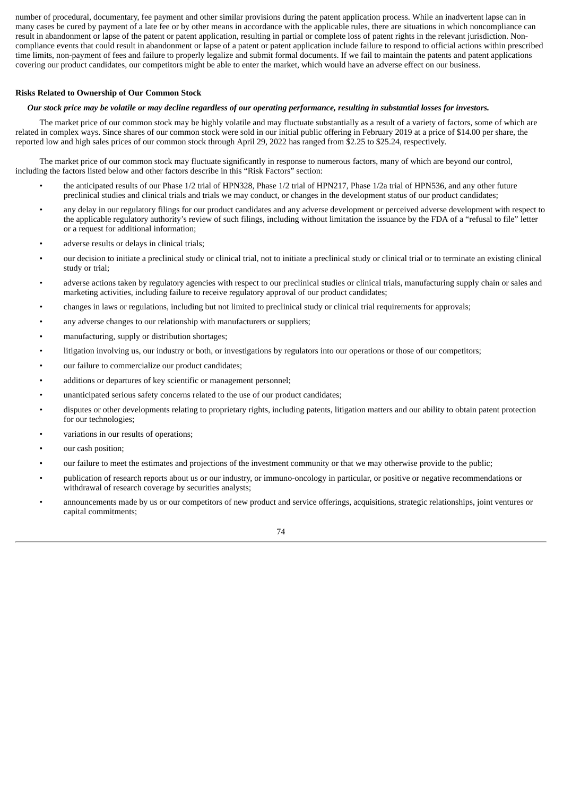number of procedural, documentary, fee payment and other similar provisions during the patent application process. While an inadvertent lapse can in many cases be cured by payment of a late fee or by other means in accordance with the applicable rules, there are situations in which noncompliance can result in abandonment or lapse of the patent or patent application, resulting in partial or complete loss of patent rights in the relevant jurisdiction. Noncompliance events that could result in abandonment or lapse of a patent or patent application include failure to respond to official actions within prescribed time limits, non-payment of fees and failure to properly legalize and submit formal documents. If we fail to maintain the patents and patent applications covering our product candidates, our competitors might be able to enter the market, which would have an adverse effect on our business.

### **Risks Related to Ownership of Our Common Stock**

#### Our stock price may be volatile or may decline regardless of our operating performance, resulting in substantial losses for investors.

The market price of our common stock may be highly volatile and may fluctuate substantially as a result of a variety of factors, some of which are related in complex ways. Since shares of our common stock were sold in our initial public offering in February 2019 at a price of \$14.00 per share, the reported low and high sales prices of our common stock through April 29, 2022 has ranged from \$2.25 to \$25.24, respectively.

The market price of our common stock may fluctuate significantly in response to numerous factors, many of which are beyond our control, including the factors listed below and other factors describe in this "Risk Factors" section:

- the anticipated results of our Phase 1/2 trial of HPN328, Phase 1/2 trial of HPN217, Phase 1/2a trial of HPN536, and any other future preclinical studies and clinical trials and trials we may conduct, or changes in the development status of our product candidates;
- any delay in our regulatory filings for our product candidates and any adverse development or perceived adverse development with respect to the applicable regulatory authority's review of such filings, including without limitation the issuance by the FDA of a "refusal to file" letter or a request for additional information;
- adverse results or delays in clinical trials;
- our decision to initiate a preclinical study or clinical trial, not to initiate a preclinical study or clinical trial or to terminate an existing clinical study or trial;
- adverse actions taken by regulatory agencies with respect to our preclinical studies or clinical trials, manufacturing supply chain or sales and marketing activities, including failure to receive regulatory approval of our product candidates;
- changes in laws or regulations, including but not limited to preclinical study or clinical trial requirements for approvals;
- any adverse changes to our relationship with manufacturers or suppliers;
- manufacturing, supply or distribution shortages;
- litigation involving us, our industry or both, or investigations by regulators into our operations or those of our competitors;
- our failure to commercialize our product candidates;
- additions or departures of key scientific or management personnel;
- unanticipated serious safety concerns related to the use of our product candidates;
- disputes or other developments relating to proprietary rights, including patents, litigation matters and our ability to obtain patent protection for our technologies;
- variations in our results of operations;
- our cash position;
- our failure to meet the estimates and projections of the investment community or that we may otherwise provide to the public;
- publication of research reports about us or our industry, or immuno-oncology in particular, or positive or negative recommendations or withdrawal of research coverage by securities analysts;
- announcements made by us or our competitors of new product and service offerings, acquisitions, strategic relationships, joint ventures or capital commitments;

74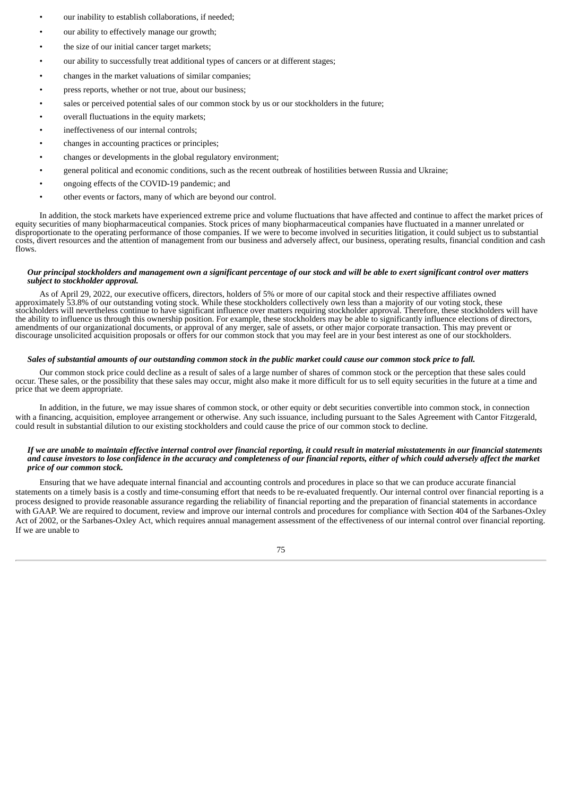- our inability to establish collaborations, if needed;
- our ability to effectively manage our growth;
- the size of our initial cancer target markets;
- our ability to successfully treat additional types of cancers or at different stages;
- changes in the market valuations of similar companies;
- press reports, whether or not true, about our business;
- sales or perceived potential sales of our common stock by us or our stockholders in the future;
- overall fluctuations in the equity markets;
- ineffectiveness of our internal controls;
- changes in accounting practices or principles;
- changes or developments in the global regulatory environment;
- general political and economic conditions, such as the recent outbreak of hostilities between Russia and Ukraine;
- ongoing effects of the COVID-19 pandemic; and
- other events or factors, many of which are beyond our control.

In addition, the stock markets have experienced extreme price and volume fluctuations that have affected and continue to affect the market prices of equity securities of many biopharmaceutical companies. Stock prices of many biopharmaceutical companies have fluctuated in a manner unrelated or disproportionate to the operating performance of those companies. If we were to become involved in securities litigation, it could subject us to substantial costs, divert resources and the attention of management from our business and adversely affect, our business, operating results, financial condition and cash flows.

#### Our principal stockholders and management own a significant percentage of our stock and will be able to exert significant control over matters *subject to stockholder approval.*

As of April 29, 2022, our executive officers, directors, holders of 5% or more of our capital stock and their respective affiliates owned approximately 53.8% of our outstanding voting stock. While these stockholders collectively own less than a majority of our voting stock, these stockholders will nevertheless continue to have significant influence over matters requiring stockholder approval. Therefore, these stockholders will have the ability to influence us through this ownership position. For example, these stockholders may be able to significantly influence elections of directors, amendments of our organizational documents, or approval of any merger, sale of assets, or other major corporate transaction. This may prevent or discourage unsolicited acquisition proposals or offers for our common stock that you may feel are in your best interest as one of our stockholders.

### Sales of substantial amounts of our outstanding common stock in the public market could cause our common stock price to fall.

Our common stock price could decline as a result of sales of a large number of shares of common stock or the perception that these sales could occur. These sales, or the possibility that these sales may occur, might also make it more difficult for us to sell equity securities in the future at a time and price that we deem appropriate.

In addition, in the future, we may issue shares of common stock, or other equity or debt securities convertible into common stock, in connection with a financing, acquisition, employee arrangement or otherwise. Any such issuance, including pursuant to the Sales Agreement with Cantor Fitzgerald, could result in substantial dilution to our existing stockholders and could cause the price of our common stock to decline.

#### If we are unable to maintain effective internal control over financial reporting, it could result in material misstatements in our financial statements and cause investors to lose confidence in the accuracy and completeness of our financial reports, either of which could adversely affect the market *price of our common stock.*

Ensuring that we have adequate internal financial and accounting controls and procedures in place so that we can produce accurate financial statements on a timely basis is a costly and time-consuming effort that needs to be re-evaluated frequently. Our internal control over financial reporting is a process designed to provide reasonable assurance regarding the reliability of financial reporting and the preparation of financial statements in accordance with GAAP. We are required to document, review and improve our internal controls and procedures for compliance with Section 404 of the Sarbanes-Oxley Act of 2002, or the Sarbanes-Oxley Act, which requires annual management assessment of the effectiveness of our internal control over financial reporting. If we are unable to

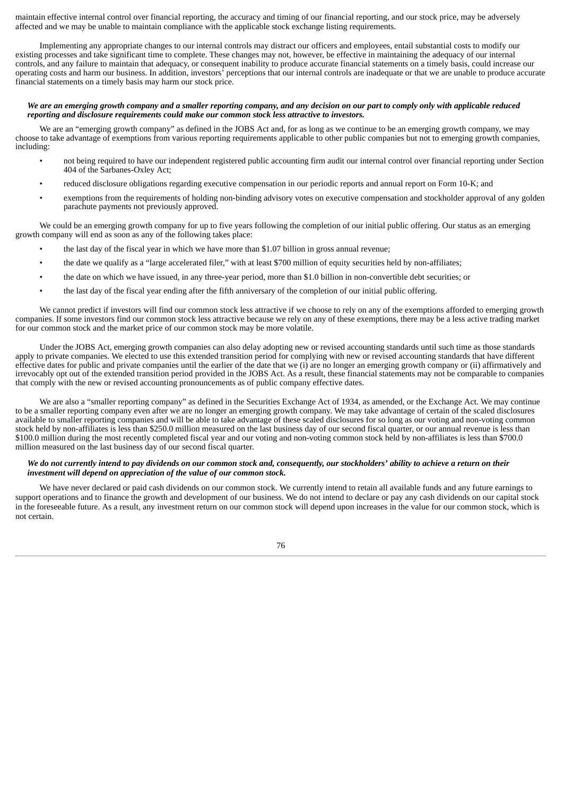maintain effective internal control over financial reporting, the accuracy and timing of our financial reporting, and our stock price, may be adversely affected and we may be unable to maintain compliance with the applicable stock exchange listing requirements.

Implementing any appropriate changes to our internal controls may distract our officers and employees, entail substantial costs to modify our existing processes and take significant time to complete. These changes may not, however, be effective in maintaining the adequacy of our internal controls, and any failure to maintain that adequacy, or consequent inability to produce accurate financial statements on a timely basis, could increase our operating costs and harm our business. In addition, investors' perceptions that our internal controls are inadequate or that we are unable to produce accurate financial statements on a timely basis may harm our stock price.

#### We are an emerging growth company and a smaller reporting company, and any decision on our part to comply only with applicable reduced *reporting and disclosure requirements could make our common stock less attractive to investors.*

We are an "emerging growth company" as defined in the JOBS Act and, for as long as we continue to be an emerging growth company, we may choose to take advantage of exemptions from various reporting requirements applicable to other public companies but not to emerging growth companies, including:

- not being required to have our independent registered public accounting firm audit our internal control over financial reporting under Section 404 of the Sarbanes-Oxley Act;
- reduced disclosure obligations regarding executive compensation in our periodic reports and annual report on Form 10-K; and
- exemptions from the requirements of holding non-binding advisory votes on executive compensation and stockholder approval of any golden parachute payments not previously approved.

We could be an emerging growth company for up to five years following the completion of our initial public offering. Our status as an emerging growth company will end as soon as any of the following takes place:

- the last day of the fiscal year in which we have more than \$1.07 billion in gross annual revenue;
- the date we qualify as a "large accelerated filer," with at least \$700 million of equity securities held by non-affiliates;
- the date on which we have issued, in any three-year period, more than \$1.0 billion in non-convertible debt securities; or
- the last day of the fiscal year ending after the fifth anniversary of the completion of our initial public offering.

We cannot predict if investors will find our common stock less attractive if we choose to rely on any of the exemptions afforded to emerging growth companies. If some investors find our common stock less attractive because we rely on any of these exemptions, there may be a less active trading market for our common stock and the market price of our common stock may be more volatile.

Under the JOBS Act, emerging growth companies can also delay adopting new or revised accounting standards until such time as those standards apply to private companies. We elected to use this extended transition period for complying with new or revised accounting standards that have different effective dates for public and private companies until the earlier of the date that we (i) are no longer an emerging growth company or (ii) affirmatively and irrevocably opt out of the extended transition period provided in the JOBS Act. As a result, these financial statements may not be comparable to companies that comply with the new or revised accounting pronouncements as of public company effective dates.

We are also a "smaller reporting company" as defined in the Securities Exchange Act of 1934, as amended, or the Exchange Act. We may continue to be a smaller reporting company even after we are no longer an emerging growth company. We may take advantage of certain of the scaled disclosures available to smaller reporting companies and will be able to take advantage of these scaled disclosures for so long as our voting and non-voting common stock held by non-affiliates is less than \$250.0 million measured on the last business day of our second fiscal quarter, or our annual revenue is less than \$100.0 million during the most recently completed fiscal year and our voting and non-voting common stock held by non-affiliates is less than \$700.0 million measured on the last business day of our second fiscal quarter.

#### We do not currently intend to pay dividends on our common stock and, consequently, our stockholders' ability to achieve a return on their *investment will depend on appreciation of the value of our common stock.*

We have never declared or paid cash dividends on our common stock. We currently intend to retain all available funds and any future earnings to support operations and to finance the growth and development of our business. We do not intend to declare or pay any cash dividends on our capital stock in the foreseeable future. As a result, any investment return on our common stock will depend upon increases in the value for our common stock, which is not certain.

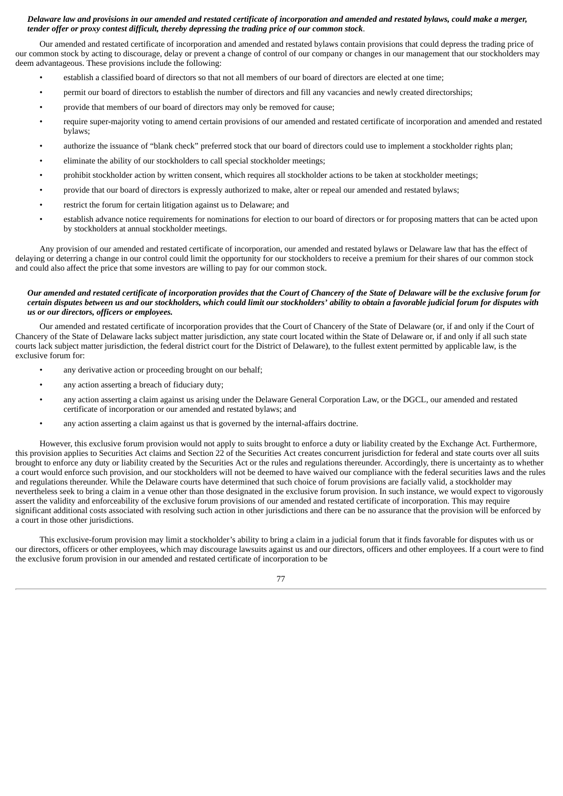### Delaware law and provisions in our amended and restated certificate of incorporation and amended and restated bylaws, could make a merger, *tender offer or proxy contest difficult, thereby depressing the trading price of our common stock*.

Our amended and restated certificate of incorporation and amended and restated bylaws contain provisions that could depress the trading price of our common stock by acting to discourage, delay or prevent a change of control of our company or changes in our management that our stockholders may deem advantageous. These provisions include the following:

- establish a classified board of directors so that not all members of our board of directors are elected at one time;
- permit our board of directors to establish the number of directors and fill any vacancies and newly created directorships;
- provide that members of our board of directors may only be removed for cause;
- require super-majority voting to amend certain provisions of our amended and restated certificate of incorporation and amended and restated bylaws;
- authorize the issuance of "blank check" preferred stock that our board of directors could use to implement a stockholder rights plan;
- eliminate the ability of our stockholders to call special stockholder meetings;
- prohibit stockholder action by written consent, which requires all stockholder actions to be taken at stockholder meetings;
- provide that our board of directors is expressly authorized to make, alter or repeal our amended and restated bylaws;
- restrict the forum for certain litigation against us to Delaware; and
- establish advance notice requirements for nominations for election to our board of directors or for proposing matters that can be acted upon by stockholders at annual stockholder meetings.

Any provision of our amended and restated certificate of incorporation, our amended and restated bylaws or Delaware law that has the effect of delaying or deterring a change in our control could limit the opportunity for our stockholders to receive a premium for their shares of our common stock and could also affect the price that some investors are willing to pay for our common stock.

### Our amended and restated certificate of incorporation provides that the Court of Chancery of the State of Delaware will be the exclusive forum for certain disputes between us and our stockholders, which could limit our stockholders' ability to obtain a favorable judicial forum for disputes with *us or our directors, officers or employees.*

Our amended and restated certificate of incorporation provides that the Court of Chancery of the State of Delaware (or, if and only if the Court of Chancery of the State of Delaware lacks subject matter jurisdiction, any state court located within the State of Delaware or, if and only if all such state courts lack subject matter jurisdiction, the federal district court for the District of Delaware), to the fullest extent permitted by applicable law, is the exclusive forum for:

- any derivative action or proceeding brought on our behalf;
- any action asserting a breach of fiduciary duty;
- any action asserting a claim against us arising under the Delaware General Corporation Law, or the DGCL, our amended and restated certificate of incorporation or our amended and restated bylaws; and
- any action asserting a claim against us that is governed by the internal-affairs doctrine.

However, this exclusive forum provision would not apply to suits brought to enforce a duty or liability created by the Exchange Act. Furthermore, this provision applies to Securities Act claims and Section 22 of the Securities Act creates concurrent jurisdiction for federal and state courts over all suits brought to enforce any duty or liability created by the Securities Act or the rules and regulations thereunder. Accordingly, there is uncertainty as to whether a court would enforce such provision, and our stockholders will not be deemed to have waived our compliance with the federal securities laws and the rules and regulations thereunder. While the Delaware courts have determined that such choice of forum provisions are facially valid, a stockholder may nevertheless seek to bring a claim in a venue other than those designated in the exclusive forum provision. In such instance, we would expect to vigorously assert the validity and enforceability of the exclusive forum provisions of our amended and restated certificate of incorporation. This may require significant additional costs associated with resolving such action in other jurisdictions and there can be no assurance that the provision will be enforced by a court in those other jurisdictions.

This exclusive-forum provision may limit a stockholder's ability to bring a claim in a judicial forum that it finds favorable for disputes with us or our directors, officers or other employees, which may discourage lawsuits against us and our directors, officers and other employees. If a court were to find the exclusive forum provision in our amended and restated certificate of incorporation to be

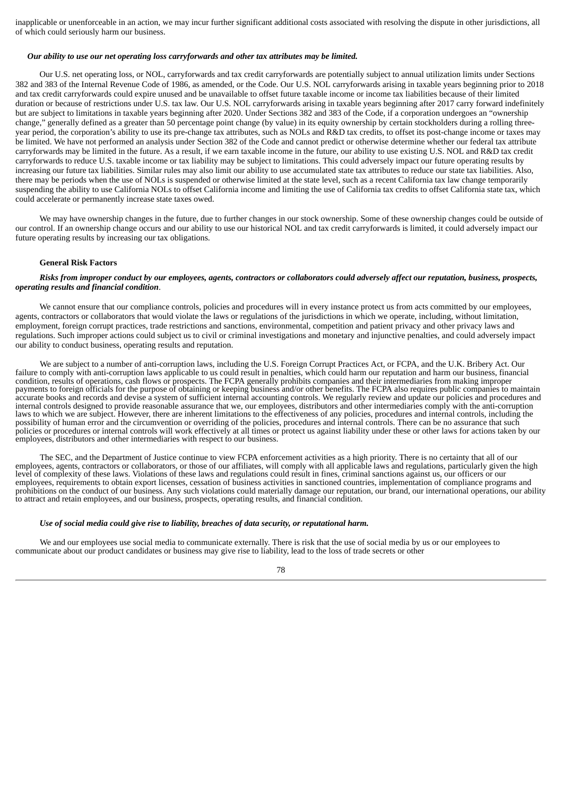inapplicable or unenforceable in an action, we may incur further significant additional costs associated with resolving the dispute in other jurisdictions, all of which could seriously harm our business.

#### *Our ability to use our net operating loss carryforwards and other tax attributes may be limited.*

Our U.S. net operating loss, or NOL, carryforwards and tax credit carryforwards are potentially subject to annual utilization limits under Sections 382 and 383 of the Internal Revenue Code of 1986, as amended, or the Code. Our U.S. NOL carryforwards arising in taxable years beginning prior to 2018 and tax credit carryforwards could expire unused and be unavailable to offset future taxable income or income tax liabilities because of their limited duration or because of restrictions under U.S. tax law. Our U.S. NOL carryforwards arising in taxable years beginning after 2017 carry forward indefinitely but are subject to limitations in taxable years beginning after 2020. Under Sections 382 and 383 of the Code, if a corporation undergoes an "ownership change," generally defined as a greater than 50 percentage point change (by value) in its equity ownership by certain stockholders during a rolling threeyear period, the corporation's ability to use its pre-change tax attributes, such as NOLs and R&D tax credits, to offset its post-change income or taxes may be limited. We have not performed an analysis under Section 382 of the Code and cannot predict or otherwise determine whether our federal tax attribute carryforwards may be limited in the future. As a result, if we earn taxable income in the future, our ability to use existing U.S. NOL and R&D tax credit carryforwards to reduce U.S. taxable income or tax liability may be subject to limitations. This could adversely impact our future operating results by increasing our future tax liabilities. Similar rules may also limit our ability to use accumulated state tax attributes to reduce our state tax liabilities. Also, there may be periods when the use of NOLs is suspended or otherwise limited at the state level, such as a recent California tax law change temporarily suspending the ability to use California NOLs to offset California income and limiting the use of California tax credits to offset California state tax, which could accelerate or permanently increase state taxes owed.

We may have ownership changes in the future, due to further changes in our stock ownership. Some of these ownership changes could be outside of our control. If an ownership change occurs and our ability to use our historical NOL and tax credit carryforwards is limited, it could adversely impact our future operating results by increasing our tax obligations.

### **General Risk Factors**

#### Risks from improper conduct by our employees, agents, contractors or collaborators could adversely affect our reputation, business, prospects, *operating results and financial condition*.

We cannot ensure that our compliance controls, policies and procedures will in every instance protect us from acts committed by our employees, agents, contractors or collaborators that would violate the laws or regulations of the jurisdictions in which we operate, including, without limitation, employment, foreign corrupt practices, trade restrictions and sanctions, environmental, competition and patient privacy and other privacy laws and regulations. Such improper actions could subject us to civil or criminal investigations and monetary and injunctive penalties, and could adversely impact our ability to conduct business, operating results and reputation.

We are subject to a number of anti-corruption laws, including the U.S. Foreign Corrupt Practices Act, or FCPA, and the U.K. Bribery Act. Our failure to comply with anti-corruption laws applicable to us could result in penalties, which could harm our reputation and harm our business, financial condition, results of operations, cash flows or prospects. The FCPA generally prohibits companies and their intermediaries from making improper payments to foreign officials for the purpose of obtaining or keeping business and/or other benefits. The FCPA also requires public companies to maintain accurate books and records and devise a system of sufficient internal accounting controls. We regularly review and update our policies and procedures and internal controls designed to provide reasonable assurance that we, our employees, distributors and other intermediaries comply with the anti-corruption laws to which we are subject. However, there are inherent limitations to the effectiveness of any policies, procedures and internal controls, including the possibility of human error and the circumvention or overriding of the policies, procedures and internal controls. There can be no assurance that such policies or procedures or internal controls will work effectively at all times or protect us against liability under these or other laws for actions taken by our employees, distributors and other intermediaries with respect to our business.

The SEC, and the Department of Justice continue to view FCPA enforcement activities as a high priority. There is no certainty that all of our employees, agents, contractors or collaborators, or those of our affiliates, will comply with all applicable laws and regulations, particularly given the high level of complexity of these laws. Violations of these laws and regulations could result in fines, criminal sanctions against us, our officers or our employees, requirements to obtain export licenses, cessation of business activities in sanctioned countries, implementation of compliance programs and prohibitions on the conduct of our business. Any such violations could materially damage our reputation, our brand, our international operations, our ability to attract and retain employees, and our business, prospects, operating results, and financial condition.

#### *Use of social media could give rise to liability, breaches of data security, or reputational harm.*

We and our employees use social media to communicate externally. There is risk that the use of social media by us or our employees to communicate about our product candidates or business may give rise to liability, lead to the loss of trade secrets or other

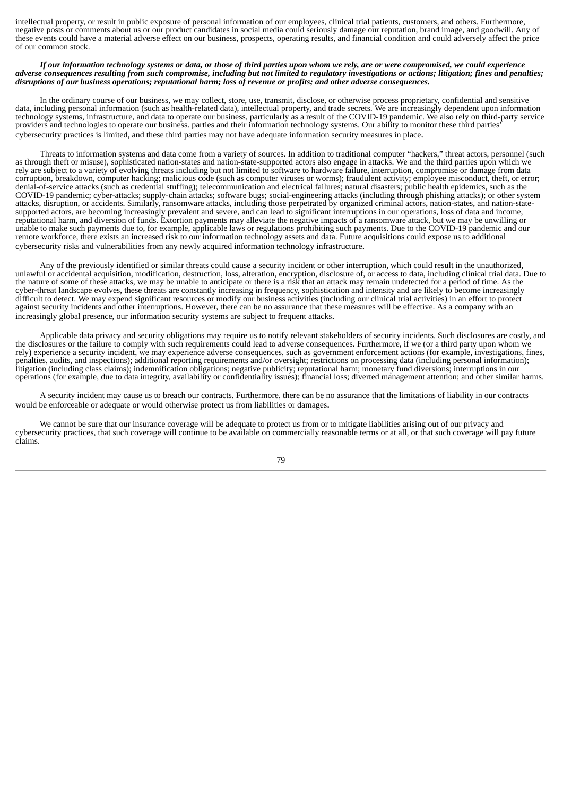intellectual property, or result in public exposure of personal information of our employees, clinical trial patients, customers, and others. Furthermore, negative posts or comments about us or our product candidates in social media could seriously damage our reputation, brand image, and goodwill. Any of these events could have a material adverse effect on our business, prospects, operating results, and financial condition and could adversely affect the price of our common stock.

#### If our information technology systems or data, or those of third parties upon whom we rely, are or were compromised, we could experience adverse consequences resulting from such compromise, including but not limited to regulatory investigations or actions; litigation; fines and penalties; disruptions of our business operations; reputational harm; loss of revenue or profits; and other adverse consequences.

In the ordinary course of our business, we may collect, store, use, transmit, disclose, or otherwise process proprietary, confidential and sensitive data, including personal information (such as health-related data), intellectual property, and trade secrets. We are increasingly dependent upon information technology systems, infrastructure, and data to operate our business, particularly as a result of the COVID-19 pandemic. We also rely on third-party service providers and technologies to operate our business. parties and their information technology systems. Our ability to monitor these third parties' cybersecurity practices is limited, and these third parties may not have adequate information security measures in place.

Threats to information systems and data come from a variety of sources. In addition to traditional computer "hackers," threat actors, personnel (such as through theft or misuse), sophisticated nation-states and nation-state-supported actors also engage in attacks. We and the third parties upon which we rely are subject to a variety of evolving threats including but not limited to software to hardware failure, interruption, compromise or damage from data corruption, breakdown, computer hacking; malicious code (such as computer viruses or worms); fraudulent activity; employee misconduct, theft, or error; denial-of-service attacks (such as credential stuffing); telecommunication and electrical failures; natural disasters; public health epidemics, such as the COVID-19 pandemic; cyber-attacks; supply-chain attacks; software bugs; social-engineering attacks (including through phishing attacks); or other system attacks, disruption, or accidents. Similarly, ransomware attacks, including those perpetrated by organized criminal actors, nation-states, and nation-statesupported actors, are becoming increasingly prevalent and severe, and can lead to significant interruptions in our operations, loss of data and income, reputational harm, and diversion of funds. Extortion payments may alleviate the negative impacts of a ransomware attack, but we may be unwilling or unable to make such payments due to, for example, applicable laws or regulations prohibiting such payments. Due to the COVID-19 pandemic and our remote workforce, there exists an increased risk to our information technology assets and data. Future acquisitions could expose us to additional cybersecurity risks and vulnerabilities from any newly acquired information technology infrastructure.

Any of the previously identified or similar threats could cause a security incident or other interruption, which could result in the unauthorized, unlawful or accidental acquisition, modification, destruction, loss, alteration, encryption, disclosure of, or access to data, including clinical trial data. Due to the nature of some of these attacks, we may be unable to anticipate or there is a risk that an attack may remain undetected for a period of time. As the cyber-threat landscape evolves, these threats are constantly increasing in frequency, sophistication and intensity and are likely to become increasingly difficult to detect. We may expend significant resources or modify our business activities (including our clinical trial activities) in an effort to protect against security incidents and other interruptions. However, there can be no assurance that these measures will be effective. As a company with an increasingly global presence, our information security systems are subject to frequent attacks.

Applicable data privacy and security obligations may require us to notify relevant stakeholders of security incidents. Such disclosures are costly, and the disclosures or the failure to comply with such requirements could lead to adverse consequences. Furthermore, if we (or a third party upon whom we rely) experience a security incident, we may experience adverse consequences, such as government enforcement actions (for example, investigations, fines, penalties, audits, and inspections); additional reporting requirements and/or oversight; restrictions on processing data (including personal information); litigation (including class claims); indemnification obligations; negative publicity; reputational harm; monetary fund diversions; interruptions in our operations (for example, due to data integrity, availability or confidentiality issues); financial loss; diverted management attention; and other similar harms.

A security incident may cause us to breach our contracts. Furthermore, there can be no assurance that the limitations of liability in our contracts would be enforceable or adequate or would otherwise protect us from liabilities or damages.

We cannot be sure that our insurance coverage will be adequate to protect us from or to mitigate liabilities arising out of our privacy and cybersecurity practices, that such coverage will continue to be available on commercially reasonable terms or at all, or that such coverage will pay future claims.

79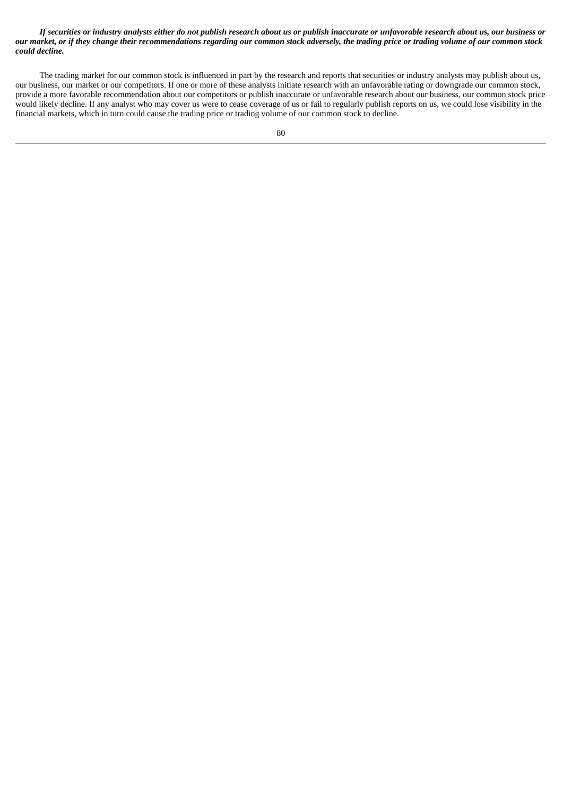If securities or industry analysts either do not publish research about us or publish inaccurate or unfavorable research about us, our business or our market, or if they change their recommendations regarding our common stock adversely, the trading price or trading volume of our common stock *could decline.*

The trading market for our common stock is influenced in part by the research and reports that securities or industry analysts may publish about us, our business, our market or our competitors. If one or more of these analysts initiate research with an unfavorable rating or downgrade our common stock, provide a more favorable recommendation about our competitors or publish inaccurate or unfavorable research about our business, our common stock price would likely decline. If any analyst who may cover us were to cease coverage of us or fail to regularly publish reports on us, we could lose visibility in the financial markets, which in turn could cause the trading price or trading volume of our common stock to decline.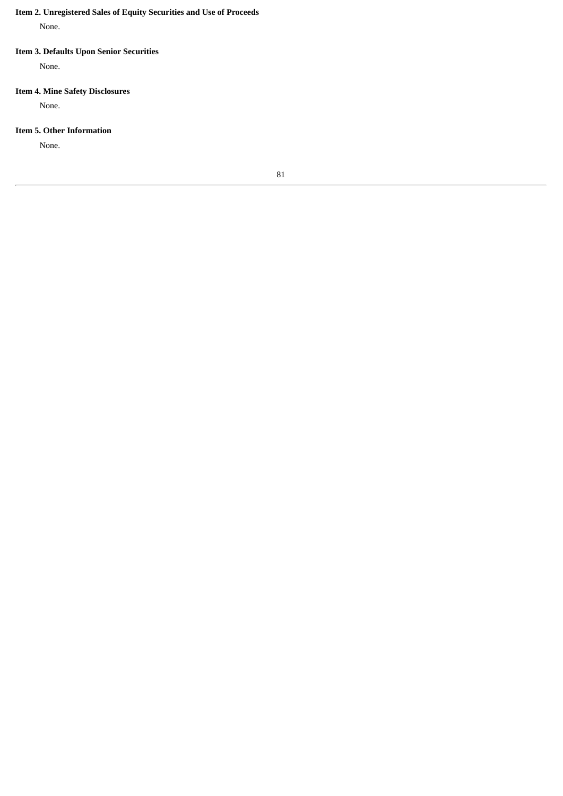# **Item 2. Unregistered Sales of Equity Securities and Use of Proceeds**

None.

# **Item 3. Defaults Upon Senior Securities**

None.

# **Item 4. Mine Safety Disclosures**

None.

### **Item 5. Other Information**

None.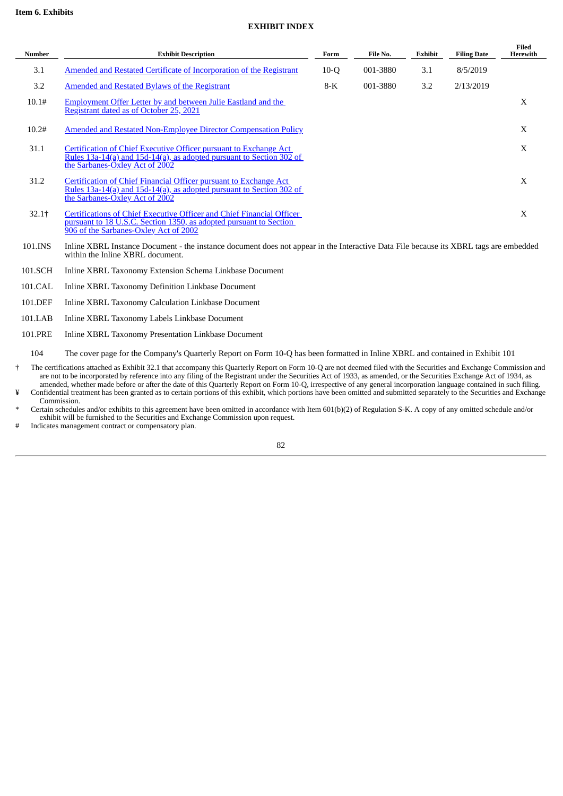### **EXHIBIT INDEX**

| <b>Number</b> | <b>Exhibit Description</b>                                                                                                                                                           | Form   | File No. | Exhibit | <b>Filing Date</b> | Filed<br>Herewith |
|---------------|--------------------------------------------------------------------------------------------------------------------------------------------------------------------------------------|--------|----------|---------|--------------------|-------------------|
| 3.1           | Amended and Restated Certificate of Incorporation of the Registrant                                                                                                                  | $10-O$ | 001-3880 | 3.1     | 8/5/2019           |                   |
| 3.2           | Amended and Restated Bylaws of the Registrant                                                                                                                                        | $8-K$  | 001-3880 | 3.2     | 2/13/2019          |                   |
| 10.1#         | Employment Offer Letter by and between Julie Eastland and the<br>Registrant dated as of October 25, 2021                                                                             |        |          |         |                    | X                 |
| 10.2#         | Amended and Restated Non-Employee Director Compensation Policy                                                                                                                       |        |          |         |                    | X                 |
| 31.1          | Certification of Chief Executive Officer pursuant to Exchange Act<br>Rules 13a-14(a) and 15d-14(a), as adopted pursuant to Section 302 of<br>the Sarbanes-Oxley Act of 2002          |        |          |         |                    | X                 |
| 31.2          | Certification of Chief Financial Officer pursuant to Exchange Act<br><u>Rules 13a-14(a) and 15d-14(a), as adopted pursuant to Section 302 of</u><br>the Sarbanes-Oxley Act of 2002   |        |          |         |                    | X                 |
| 32.1†         | Certifications of Chief Executive Officer and Chief Financial Officer<br>pursuant to 18 U.S.C. Section 1350, as adopted pursuant to Section<br>906 of the Sarbanes-Oxley Act of 2002 |        |          |         |                    | X                 |
| 101.INS       | Inline XBRL Instance Document - the instance document does not appear in the Interactive Data File because its XBRL tags are embedded<br>within the Inline XBRL document.            |        |          |         |                    |                   |

- 101.SCH Inline XBRL Taxonomy Extension Schema Linkbase Document
- 101.CAL Inline XBRL Taxonomy Definition Linkbase Document
- 101.DEF Inline XBRL Taxonomy Calculation Linkbase Document
- 101.LAB Inline XBRL Taxonomy Labels Linkbase Document
- 101.PRE Inline XBRL Taxonomy Presentation Linkbase Document

104 The cover page for the Company's Quarterly Report on Form 10-Q has been formatted in Inline XBRL and contained in Exhibit 101

- † The certifications attached as Exhibit 32.1 that accompany this Quarterly Report on Form 10-Q are not deemed filed with the Securities and Exchange Commission and are not to be incorporated by reference into any filing of the Registrant under the Securities Act of 1933, as amended, or the Securities Exchange Act of 1934, as amended, whether made before or after the date of this Quarterly Report on Form 10-Q, irrespective of any general incorporation language contained in such filing.
- ¥ Confidential treatment has been granted as to certain portions of this exhibit, which portions have been omitted and submitted separately to the Securities and Exchange Commission.
- \* Certain schedules and/or exhibits to this agreement have been omitted in accordance with Item 601(b)(2) of Regulation S-K. A copy of any omitted schedule and/or exhibit will be furnished to the Securities and Exchange Commission upon request.

# Indicates management contract or compensatory plan.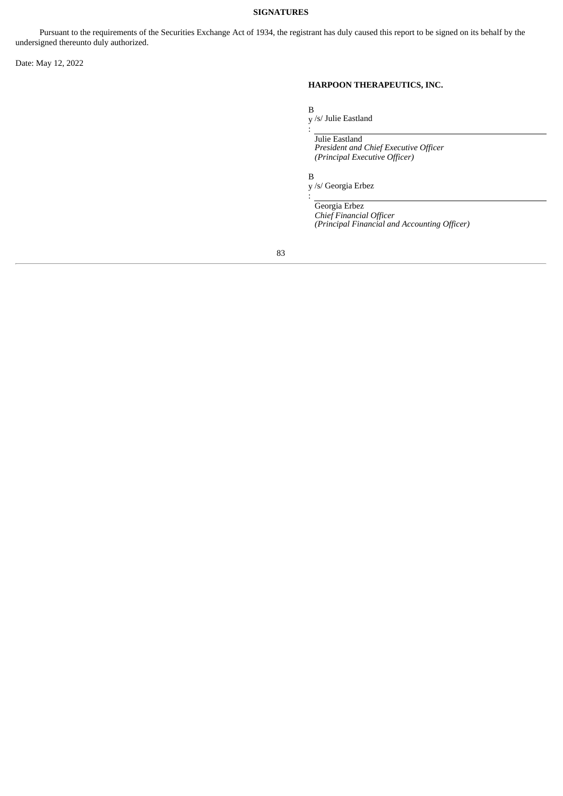### **SIGNATURES**

Pursuant to the requirements of the Securities Exchange Act of 1934, the registrant has duly caused this report to be signed on its behalf by the undersigned thereunto duly authorized.

Date: May 12, 2022

# **HARPOON THERAPEUTICS, INC.**

B

y /s/ Julie Eastland

Julie Eastland *President and Chief Executive Officer (Principal Executive Officer)*

B

:

:

y /s/ Georgia Erbez

Georgia Erbez *Chief Financial Officer*

*(Principal Financial and Accounting Officer)*

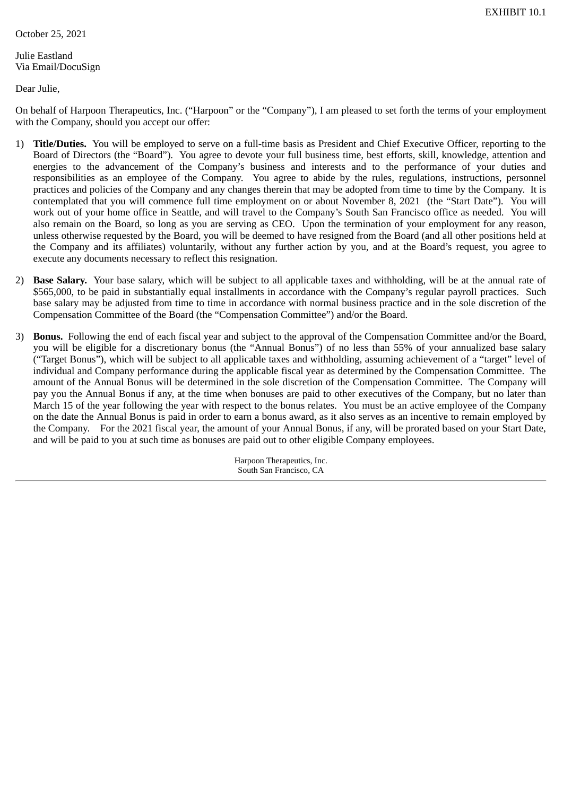<span id="page-83-0"></span>October 25, 2021

Julie Eastland Via Email/DocuSign

Dear Julie,

On behalf of Harpoon Therapeutics, Inc. ("Harpoon" or the "Company"), I am pleased to set forth the terms of your employment with the Company, should you accept our offer:

- 1) **Title/Duties.** You will be employed to serve on a full-time basis as President and Chief Executive Officer, reporting to the Board of Directors (the "Board"). You agree to devote your full business time, best efforts, skill, knowledge, attention and energies to the advancement of the Company's business and interests and to the performance of your duties and responsibilities as an employee of the Company. You agree to abide by the rules, regulations, instructions, personnel practices and policies of the Company and any changes therein that may be adopted from time to time by the Company. It is contemplated that you will commence full time employment on or about November 8, 2021 (the "Start Date"). You will work out of your home office in Seattle, and will travel to the Company's South San Francisco office as needed. You will also remain on the Board, so long as you are serving as CEO. Upon the termination of your employment for any reason, unless otherwise requested by the Board, you will be deemed to have resigned from the Board (and all other positions held at the Company and its affiliates) voluntarily, without any further action by you, and at the Board's request, you agree to execute any documents necessary to reflect this resignation.
- 2) **Base Salary.** Your base salary, which will be subject to all applicable taxes and withholding, will be at the annual rate of \$565,000, to be paid in substantially equal installments in accordance with the Company's regular payroll practices. Such base salary may be adjusted from time to time in accordance with normal business practice and in the sole discretion of the Compensation Committee of the Board (the "Compensation Committee") and/or the Board.
- 3) **Bonus.** Following the end of each fiscal year and subject to the approval of the Compensation Committee and/or the Board, you will be eligible for a discretionary bonus (the "Annual Bonus") of no less than 55% of your annualized base salary ("Target Bonus"), which will be subject to all applicable taxes and withholding, assuming achievement of a "target" level of individual and Company performance during the applicable fiscal year as determined by the Compensation Committee. The amount of the Annual Bonus will be determined in the sole discretion of the Compensation Committee. The Company will pay you the Annual Bonus if any, at the time when bonuses are paid to other executives of the Company, but no later than March 15 of the year following the year with respect to the bonus relates. You must be an active employee of the Company on the date the Annual Bonus is paid in order to earn a bonus award, as it also serves as an incentive to remain employed by the Company. For the 2021 fiscal year, the amount of your Annual Bonus, if any, will be prorated based on your Start Date, and will be paid to you at such time as bonuses are paid out to other eligible Company employees.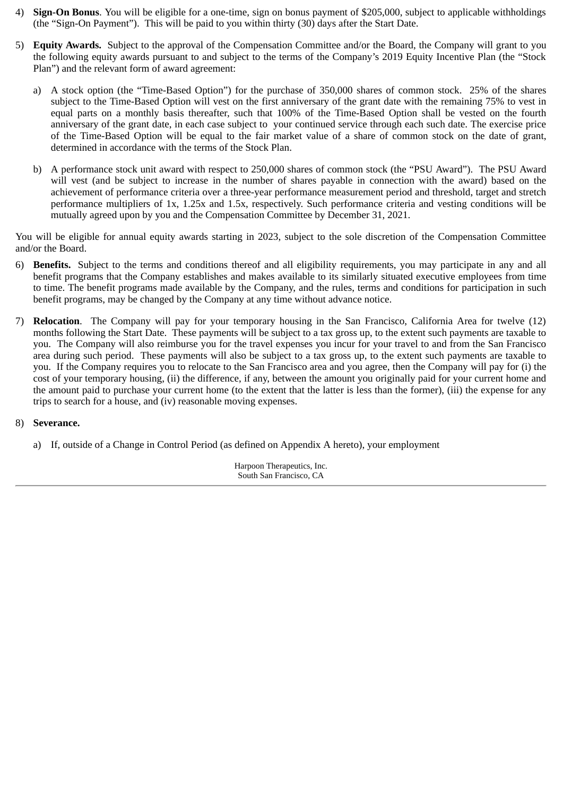- 4) **Sign-On Bonus**. You will be eligible for a one-time, sign on bonus payment of \$205,000, subject to applicable withholdings (the "Sign-On Payment"). This will be paid to you within thirty (30) days after the Start Date.
- 5) **Equity Awards.** Subject to the approval of the Compensation Committee and/or the Board, the Company will grant to you the following equity awards pursuant to and subject to the terms of the Company's 2019 Equity Incentive Plan (the "Stock Plan") and the relevant form of award agreement:
	- a) A stock option (the "Time-Based Option") for the purchase of 350,000 shares of common stock. 25% of the shares subject to the Time-Based Option will vest on the first anniversary of the grant date with the remaining 75% to vest in equal parts on a monthly basis thereafter, such that 100% of the Time-Based Option shall be vested on the fourth anniversary of the grant date, in each case subject to your continued service through each such date. The exercise price of the Time-Based Option will be equal to the fair market value of a share of common stock on the date of grant, determined in accordance with the terms of the Stock Plan.
	- b) A performance stock unit award with respect to 250,000 shares of common stock (the "PSU Award"). The PSU Award will vest (and be subject to increase in the number of shares payable in connection with the award) based on the achievement of performance criteria over a three-year performance measurement period and threshold, target and stretch performance multipliers of 1x, 1.25x and 1.5x, respectively. Such performance criteria and vesting conditions will be mutually agreed upon by you and the Compensation Committee by December 31, 2021.

You will be eligible for annual equity awards starting in 2023, subject to the sole discretion of the Compensation Committee and/or the Board.

- 6) **Benefits.** Subject to the terms and conditions thereof and all eligibility requirements, you may participate in any and all benefit programs that the Company establishes and makes available to its similarly situated executive employees from time to time. The benefit programs made available by the Company, and the rules, terms and conditions for participation in such benefit programs, may be changed by the Company at any time without advance notice.
- 7) **Relocation**. The Company will pay for your temporary housing in the San Francisco, California Area for twelve (12) months following the Start Date. These payments will be subject to a tax gross up, to the extent such payments are taxable to you. The Company will also reimburse you for the travel expenses you incur for your travel to and from the San Francisco area during such period. These payments will also be subject to a tax gross up, to the extent such payments are taxable to you. If the Company requires you to relocate to the San Francisco area and you agree, then the Company will pay for (i) the cost of your temporary housing, (ii) the difference, if any, between the amount you originally paid for your current home and the amount paid to purchase your current home (to the extent that the latter is less than the former), (iii) the expense for any trips to search for a house, and (iv) reasonable moving expenses.

# 8) **Severance.**

a) If, outside of a Change in Control Period (as defined on Appendix A hereto), your employment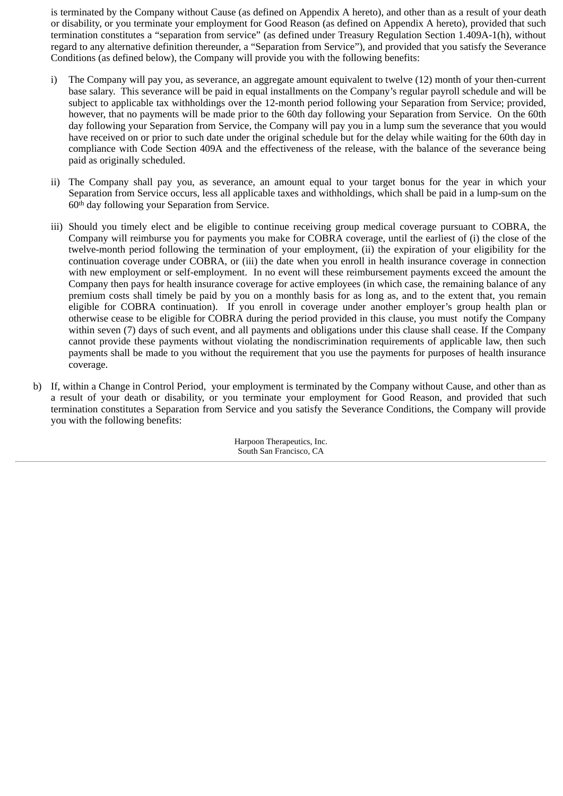is terminated by the Company without Cause (as defined on Appendix A hereto), and other than as a result of your death or disability, or you terminate your employment for Good Reason (as defined on Appendix A hereto), provided that such termination constitutes a "separation from service" (as defined under Treasury Regulation Section 1.409A-1(h), without regard to any alternative definition thereunder, a "Separation from Service"), and provided that you satisfy the Severance Conditions (as defined below), the Company will provide you with the following benefits:

- i) The Company will pay you, as severance, an aggregate amount equivalent to twelve (12) month of your then-current base salary. This severance will be paid in equal installments on the Company's regular payroll schedule and will be subject to applicable tax withholdings over the 12-month period following your Separation from Service; provided, however, that no payments will be made prior to the 60th day following your Separation from Service. On the 60th day following your Separation from Service, the Company will pay you in a lump sum the severance that you would have received on or prior to such date under the original schedule but for the delay while waiting for the 60th day in compliance with Code Section 409A and the effectiveness of the release, with the balance of the severance being paid as originally scheduled.
- ii) The Company shall pay you, as severance, an amount equal to your target bonus for the year in which your Separation from Service occurs, less all applicable taxes and withholdings, which shall be paid in a lump-sum on the 60th day following your Separation from Service.
- iii) Should you timely elect and be eligible to continue receiving group medical coverage pursuant to COBRA, the Company will reimburse you for payments you make for COBRA coverage, until the earliest of (i) the close of the twelve-month period following the termination of your employment, (ii) the expiration of your eligibility for the continuation coverage under COBRA, or (iii) the date when you enroll in health insurance coverage in connection with new employment or self-employment. In no event will these reimbursement payments exceed the amount the Company then pays for health insurance coverage for active employees (in which case, the remaining balance of any premium costs shall timely be paid by you on a monthly basis for as long as, and to the extent that, you remain eligible for COBRA continuation). If you enroll in coverage under another employer's group health plan or otherwise cease to be eligible for COBRA during the period provided in this clause, you must notify the Company within seven (7) days of such event, and all payments and obligations under this clause shall cease. If the Company cannot provide these payments without violating the nondiscrimination requirements of applicable law, then such payments shall be made to you without the requirement that you use the payments for purposes of health insurance coverage.
- b) If, within a Change in Control Period, your employment is terminated by the Company without Cause, and other than as a result of your death or disability, or you terminate your employment for Good Reason, and provided that such termination constitutes a Separation from Service and you satisfy the Severance Conditions, the Company will provide you with the following benefits: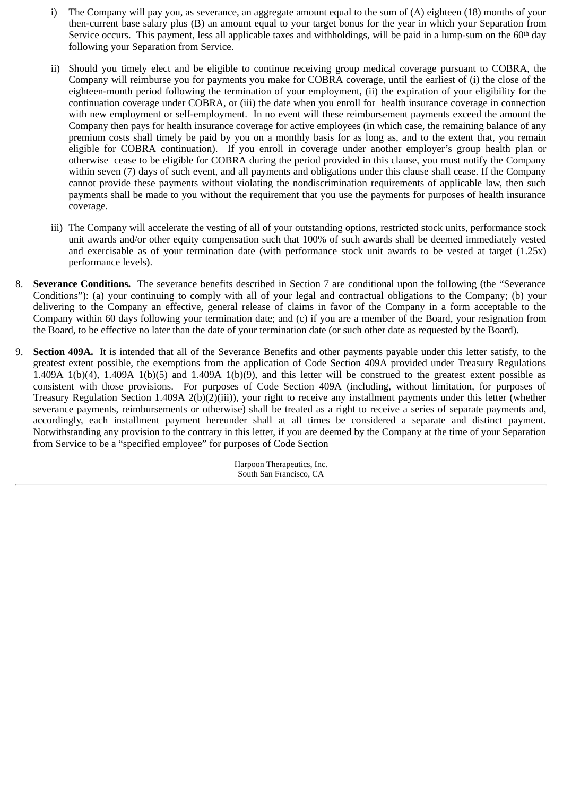- i) The Company will pay you, as severance, an aggregate amount equal to the sum of (A) eighteen (18) months of your then-current base salary plus (B) an amount equal to your target bonus for the year in which your Separation from Service occurs. This payment, less all applicable taxes and withholdings, will be paid in a lump-sum on the  $60<sup>th</sup>$  day following your Separation from Service.
- ii) Should you timely elect and be eligible to continue receiving group medical coverage pursuant to COBRA, the Company will reimburse you for payments you make for COBRA coverage, until the earliest of (i) the close of the eighteen-month period following the termination of your employment, (ii) the expiration of your eligibility for the continuation coverage under COBRA, or (iii) the date when you enroll for health insurance coverage in connection with new employment or self-employment. In no event will these reimbursement payments exceed the amount the Company then pays for health insurance coverage for active employees (in which case, the remaining balance of any premium costs shall timely be paid by you on a monthly basis for as long as, and to the extent that, you remain eligible for COBRA continuation). If you enroll in coverage under another employer's group health plan or otherwise cease to be eligible for COBRA during the period provided in this clause, you must notify the Company within seven (7) days of such event, and all payments and obligations under this clause shall cease. If the Company cannot provide these payments without violating the nondiscrimination requirements of applicable law, then such payments shall be made to you without the requirement that you use the payments for purposes of health insurance coverage.
- iii) The Company will accelerate the vesting of all of your outstanding options, restricted stock units, performance stock unit awards and/or other equity compensation such that 100% of such awards shall be deemed immediately vested and exercisable as of your termination date (with performance stock unit awards to be vested at target (1.25x) performance levels).
- 8. **Severance Conditions.** The severance benefits described in Section 7 are conditional upon the following (the "Severance Conditions"): (a) your continuing to comply with all of your legal and contractual obligations to the Company; (b) your delivering to the Company an effective, general release of claims in favor of the Company in a form acceptable to the Company within 60 days following your termination date; and (c) if you are a member of the Board, your resignation from the Board, to be effective no later than the date of your termination date (or such other date as requested by the Board).
- 9. **Section 409A.** It is intended that all of the Severance Benefits and other payments payable under this letter satisfy, to the greatest extent possible, the exemptions from the application of Code Section 409A provided under Treasury Regulations 1.409A 1(b)(4), 1.409A 1(b)(5) and 1.409A 1(b)(9), and this letter will be construed to the greatest extent possible as consistent with those provisions. For purposes of Code Section 409A (including, without limitation, for purposes of Treasury Regulation Section 1.409A 2(b)(2)(iii)), your right to receive any installment payments under this letter (whether severance payments, reimbursements or otherwise) shall be treated as a right to receive a series of separate payments and, accordingly, each installment payment hereunder shall at all times be considered a separate and distinct payment. Notwithstanding any provision to the contrary in this letter, if you are deemed by the Company at the time of your Separation from Service to be a "specified employee" for purposes of Code Section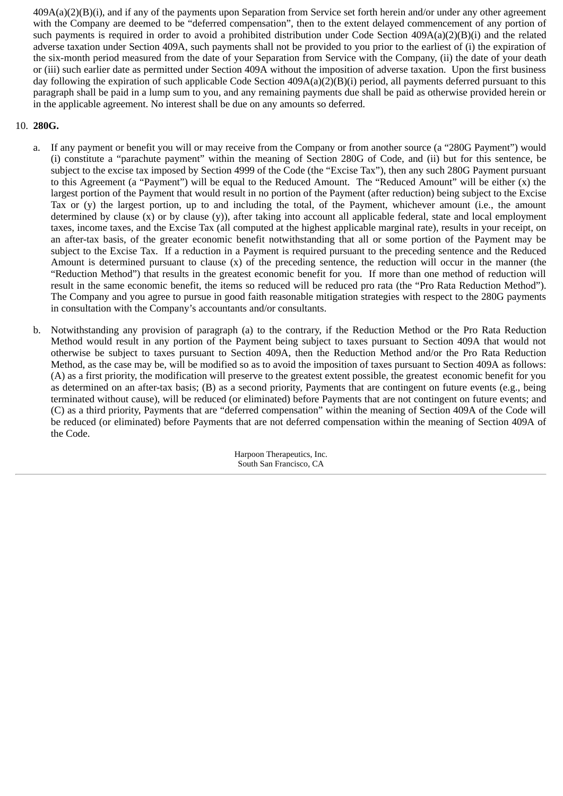409A(a)(2)(B)(i), and if any of the payments upon Separation from Service set forth herein and/or under any other agreement with the Company are deemed to be "deferred compensation", then to the extent delayed commencement of any portion of such payments is required in order to avoid a prohibited distribution under Code Section 409A(a)(2)(B)(i) and the related adverse taxation under Section 409A, such payments shall not be provided to you prior to the earliest of (i) the expiration of the six-month period measured from the date of your Separation from Service with the Company, (ii) the date of your death or (iii) such earlier date as permitted under Section 409A without the imposition of adverse taxation. Upon the first business day following the expiration of such applicable Code Section 409A(a)(2)(B)(i) period, all payments deferred pursuant to this paragraph shall be paid in a lump sum to you, and any remaining payments due shall be paid as otherwise provided herein or in the applicable agreement. No interest shall be due on any amounts so deferred.

# 10. **280G.**

- a. If any payment or benefit you will or may receive from the Company or from another source (a "280G Payment") would (i) constitute a "parachute payment" within the meaning of Section 280G of Code, and (ii) but for this sentence, be subject to the excise tax imposed by Section 4999 of the Code (the "Excise Tax"), then any such 280G Payment pursuant to this Agreement (a "Payment") will be equal to the Reduced Amount. The "Reduced Amount" will be either (x) the largest portion of the Payment that would result in no portion of the Payment (after reduction) being subject to the Excise Tax or (y) the largest portion, up to and including the total, of the Payment, whichever amount (i.e., the amount determined by clause (x) or by clause (y)), after taking into account all applicable federal, state and local employment taxes, income taxes, and the Excise Tax (all computed at the highest applicable marginal rate), results in your receipt, on an after-tax basis, of the greater economic benefit notwithstanding that all or some portion of the Payment may be subject to the Excise Tax. If a reduction in a Payment is required pursuant to the preceding sentence and the Reduced Amount is determined pursuant to clause (x) of the preceding sentence, the reduction will occur in the manner (the "Reduction Method") that results in the greatest economic benefit for you. If more than one method of reduction will result in the same economic benefit, the items so reduced will be reduced pro rata (the "Pro Rata Reduction Method"). The Company and you agree to pursue in good faith reasonable mitigation strategies with respect to the 280G payments in consultation with the Company's accountants and/or consultants.
- b. Notwithstanding any provision of paragraph (a) to the contrary, if the Reduction Method or the Pro Rata Reduction Method would result in any portion of the Payment being subject to taxes pursuant to Section 409A that would not otherwise be subject to taxes pursuant to Section 409A, then the Reduction Method and/or the Pro Rata Reduction Method, as the case may be, will be modified so as to avoid the imposition of taxes pursuant to Section 409A as follows: (A) as a first priority, the modification will preserve to the greatest extent possible, the greatest economic benefit for you as determined on an after-tax basis; (B) as a second priority, Payments that are contingent on future events (e.g., being terminated without cause), will be reduced (or eliminated) before Payments that are not contingent on future events; and (C) as a third priority, Payments that are "deferred compensation" within the meaning of Section 409A of the Code will be reduced (or eliminated) before Payments that are not deferred compensation within the meaning of Section 409A of the Code.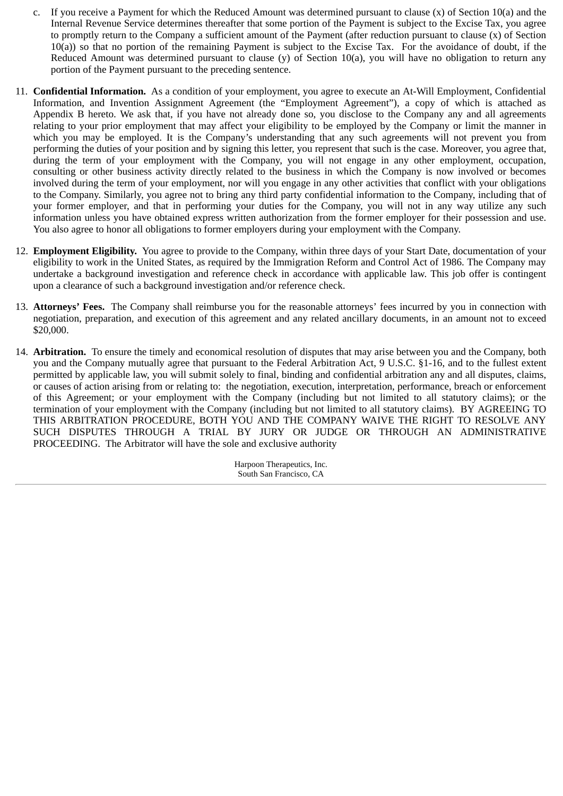- c. If you receive a Payment for which the Reduced Amount was determined pursuant to clause (x) of Section 10(a) and the Internal Revenue Service determines thereafter that some portion of the Payment is subject to the Excise Tax, you agree to promptly return to the Company a sufficient amount of the Payment (after reduction pursuant to clause (x) of Section 10(a)) so that no portion of the remaining Payment is subject to the Excise Tax. For the avoidance of doubt, if the Reduced Amount was determined pursuant to clause (y) of Section 10(a), you will have no obligation to return any portion of the Payment pursuant to the preceding sentence.
- 11. **Confidential Information.** As a condition of your employment, you agree to execute an At‑Will Employment, Confidential Information, and Invention Assignment Agreement (the "Employment Agreement"), a copy of which is attached as Appendix B hereto. We ask that, if you have not already done so, you disclose to the Company any and all agreements relating to your prior employment that may affect your eligibility to be employed by the Company or limit the manner in which you may be employed. It is the Company's understanding that any such agreements will not prevent you from performing the duties of your position and by signing this letter, you represent that such is the case. Moreover, you agree that, during the term of your employment with the Company, you will not engage in any other employment, occupation, consulting or other business activity directly related to the business in which the Company is now involved or becomes involved during the term of your employment, nor will you engage in any other activities that conflict with your obligations to the Company. Similarly, you agree not to bring any third party confidential information to the Company, including that of your former employer, and that in performing your duties for the Company, you will not in any way utilize any such information unless you have obtained express written authorization from the former employer for their possession and use. You also agree to honor all obligations to former employers during your employment with the Company.
- 12. **Employment Eligibility.** You agree to provide to the Company, within three days of your Start Date, documentation of your eligibility to work in the United States, as required by the Immigration Reform and Control Act of 1986. The Company may undertake a background investigation and reference check in accordance with applicable law. This job offer is contingent upon a clearance of such a background investigation and/or reference check.
- 13. **Attorneys' Fees.** The Company shall reimburse you for the reasonable attorneys' fees incurred by you in connection with negotiation, preparation, and execution of this agreement and any related ancillary documents, in an amount not to exceed \$20,000.
- 14. **Arbitration.** To ensure the timely and economical resolution of disputes that may arise between you and the Company, both you and the Company mutually agree that pursuant to the Federal Arbitration Act, 9 U.S.C. §1-16, and to the fullest extent permitted by applicable law, you will submit solely to final, binding and confidential arbitration any and all disputes, claims, or causes of action arising from or relating to: the negotiation, execution, interpretation, performance, breach or enforcement of this Agreement; or your employment with the Company (including but not limited to all statutory claims); or the termination of your employment with the Company (including but not limited to all statutory claims). BY AGREEING TO THIS ARBITRATION PROCEDURE, BOTH YOU AND THE COMPANY WAIVE THE RIGHT TO RESOLVE ANY SUCH DISPUTES THROUGH A TRIAL BY JURY OR JUDGE OR THROUGH AN ADMINISTRATIVE PROCEEDING. The Arbitrator will have the sole and exclusive authority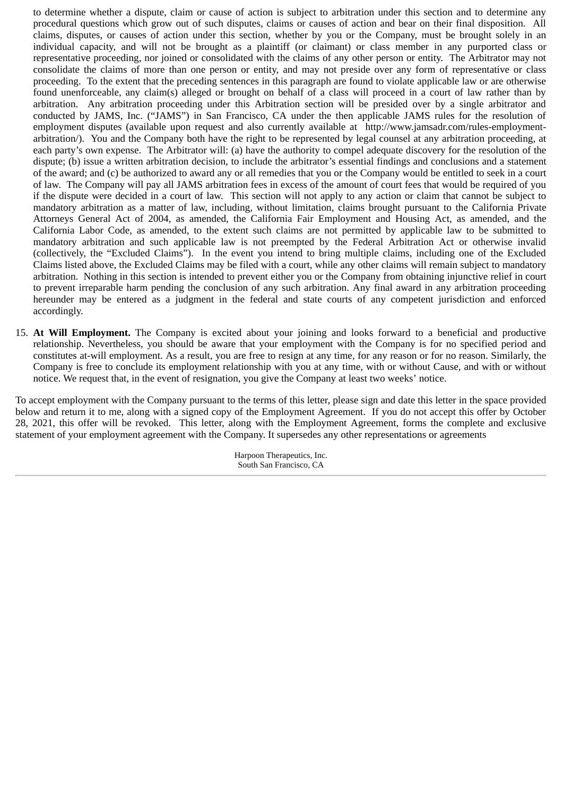to determine whether a dispute, claim or cause of action is subject to arbitration under this section and to determine any procedural questions which grow out of such disputes, claims or causes of action and bear on their final disposition. All claims, disputes, or causes of action under this section, whether by you or the Company, must be brought solely in an individual capacity, and will not be brought as a plaintiff (or claimant) or class member in any purported class or representative proceeding, nor joined or consolidated with the claims of any other person or entity. The Arbitrator may not consolidate the claims of more than one person or entity, and may not preside over any form of representative or class proceeding. To the extent that the preceding sentences in this paragraph are found to violate applicable law or are otherwise found unenforceable, any claim(s) alleged or brought on behalf of a class will proceed in a court of law rather than by arbitration. Any arbitration proceeding under this Arbitration section will be presided over by a single arbitrator and conducted by JAMS, Inc. ("JAMS") in San Francisco, CA under the then applicable JAMS rules for the resolution of employment disputes (available upon request and also currently available at http://www.jamsadr.com/rules-employmentarbitration/). You and the Company both have the right to be represented by legal counsel at any arbitration proceeding, at each party's own expense. The Arbitrator will: (a) have the authority to compel adequate discovery for the resolution of the dispute; (b) issue a written arbitration decision, to include the arbitrator's essential findings and conclusions and a statement of the award; and (c) be authorized to award any or all remedies that you or the Company would be entitled to seek in a court of law. The Company will pay all JAMS arbitration fees in excess of the amount of court fees that would be required of you if the dispute were decided in a court of law. This section will not apply to any action or claim that cannot be subject to mandatory arbitration as a matter of law, including, without limitation, claims brought pursuant to the California Private Attorneys General Act of 2004, as amended, the California Fair Employment and Housing Act, as amended, and the California Labor Code, as amended, to the extent such claims are not permitted by applicable law to be submitted to mandatory arbitration and such applicable law is not preempted by the Federal Arbitration Act or otherwise invalid (collectively, the "Excluded Claims"). In the event you intend to bring multiple claims, including one of the Excluded Claims listed above, the Excluded Claims may be filed with a court, while any other claims will remain subject to mandatory arbitration. Nothing in this section is intended to prevent either you or the Company from obtaining injunctive relief in court to prevent irreparable harm pending the conclusion of any such arbitration. Any final award in any arbitration proceeding hereunder may be entered as a judgment in the federal and state courts of any competent jurisdiction and enforced accordingly.

15. **At Will Employment.** The Company is excited about your joining and looks forward to a beneficial and productive relationship. Nevertheless, you should be aware that your employment with the Company is for no specified period and constitutes at-will employment. As a result, you are free to resign at any time, for any reason or for no reason. Similarly, the Company is free to conclude its employment relationship with you at any time, with or without Cause, and with or without notice. We request that, in the event of resignation, you give the Company at least two weeks' notice.

To accept employment with the Company pursuant to the terms of this letter, please sign and date this letter in the space provided below and return it to me, along with a signed copy of the Employment Agreement. If you do not accept this offer by October 28, 2021, this offer will be revoked. This letter, along with the Employment Agreement, forms the complete and exclusive statement of your employment agreement with the Company. It supersedes any other representations or agreements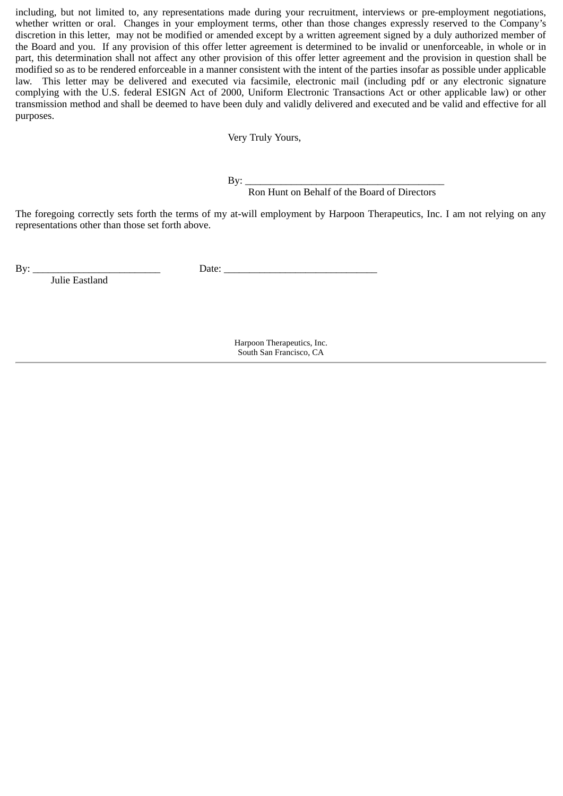including, but not limited to, any representations made during your recruitment, interviews or pre-employment negotiations, whether written or oral. Changes in your employment terms, other than those changes expressly reserved to the Company's discretion in this letter, may not be modified or amended except by a written agreement signed by a duly authorized member of the Board and you. If any provision of this offer letter agreement is determined to be invalid or unenforceable, in whole or in part, this determination shall not affect any other provision of this offer letter agreement and the provision in question shall be modified so as to be rendered enforceable in a manner consistent with the intent of the parties insofar as possible under applicable law. This letter may be delivered and executed via facsimile, electronic mail (including pdf or any electronic signature complying with the U.S. federal ESIGN Act of 2000, Uniform Electronic Transactions Act or other applicable law) or other transmission method and shall be deemed to have been duly and validly delivered and executed and be valid and effective for all purposes.

Very Truly Yours,

By: \_\_\_\_\_\_\_\_\_\_\_\_\_\_\_\_\_\_\_\_\_\_\_\_\_\_\_\_\_\_\_\_\_\_\_\_\_\_\_

Ron Hunt on Behalf of the Board of Directors

The foregoing correctly sets forth the terms of my at-will employment by Harpoon Therapeutics, Inc. I am not relying on any representations other than those set forth above.

Julie Eastland

By: \_\_\_\_\_\_\_\_\_\_\_\_\_\_\_\_\_\_\_\_\_\_\_\_\_ Date: \_\_\_\_\_\_\_\_\_\_\_\_\_\_\_\_\_\_\_\_\_\_\_\_\_\_\_\_\_\_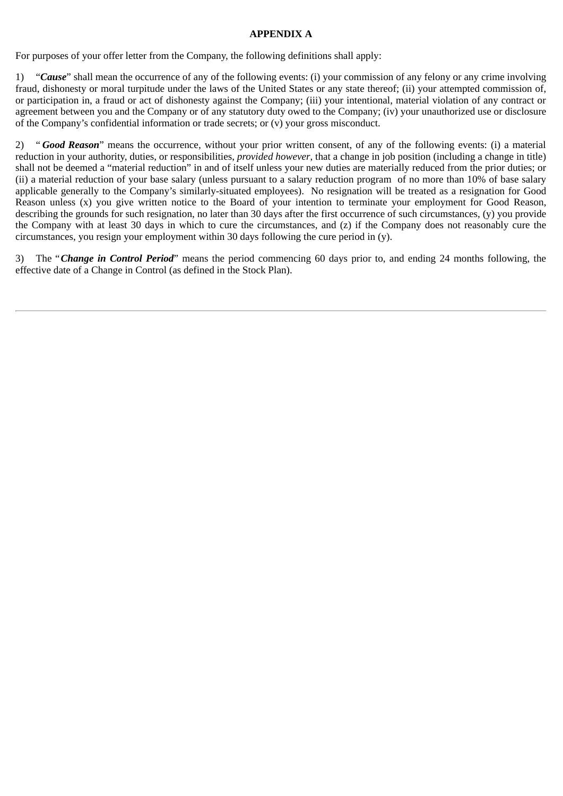# **APPENDIX A**

For purposes of your offer letter from the Company, the following definitions shall apply:

1) "*Cause*" shall mean the occurrence of any of the following events: (i) your commission of any felony or any crime involving fraud, dishonesty or moral turpitude under the laws of the United States or any state thereof; (ii) your attempted commission of, or participation in, a fraud or act of dishonesty against the Company; (iii) your intentional, material violation of any contract or agreement between you and the Company or of any statutory duty owed to the Company; (iv) your unauthorized use or disclosure of the Company's confidential information or trade secrets; or (v) your gross misconduct.

2) " *Good Reason*" means the occurrence, without your prior written consent, of any of the following events: (i) a material reduction in your authority, duties, or responsibilities, *provided however*, that a change in job position (including a change in title) shall not be deemed a "material reduction" in and of itself unless your new duties are materially reduced from the prior duties; or (ii) a material reduction of your base salary (unless pursuant to a salary reduction program of no more than 10% of base salary applicable generally to the Company's similarly-situated employees). No resignation will be treated as a resignation for Good Reason unless (x) you give written notice to the Board of your intention to terminate your employment for Good Reason, describing the grounds for such resignation, no later than 30 days after the first occurrence of such circumstances, (y) you provide the Company with at least 30 days in which to cure the circumstances, and (z) if the Company does not reasonably cure the circumstances, you resign your employment within 30 days following the cure period in (y).

3) The "*Change in Control Period*" means the period commencing 60 days prior to, and ending 24 months following, the effective date of a Change in Control (as defined in the Stock Plan).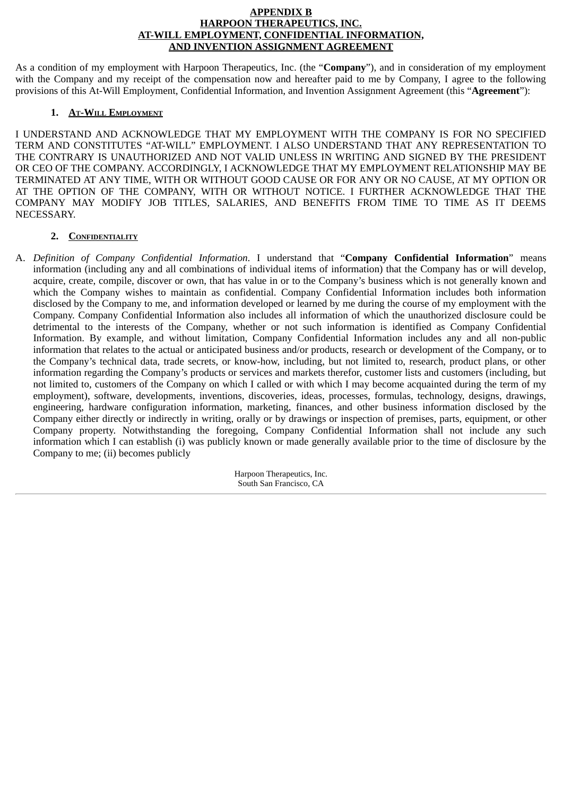### **APPENDIX B HARPOON THERAPEUTICS, INC. AT-WILL EMPLOYMENT, CONFIDENTIAL INFORMATION, AND INVENTION ASSIGNMENT AGREEMENT**

As a condition of my employment with Harpoon Therapeutics, Inc. (the "**Company**"), and in consideration of my employment with the Company and my receipt of the compensation now and hereafter paid to me by Company, I agree to the following provisions of this At-Will Employment, Confidential Information, and Invention Assignment Agreement (this "**Agreement**"):

# **1. AT-WILL EMPLOYMENT**

I UNDERSTAND AND ACKNOWLEDGE THAT MY EMPLOYMENT WITH THE COMPANY IS FOR NO SPECIFIED TERM AND CONSTITUTES "AT-WILL" EMPLOYMENT. I ALSO UNDERSTAND THAT ANY REPRESENTATION TO THE CONTRARY IS UNAUTHORIZED AND NOT VALID UNLESS IN WRITING AND SIGNED BY THE PRESIDENT OR CEO OF THE COMPANY. ACCORDINGLY, I ACKNOWLEDGE THAT MY EMPLOYMENT RELATIONSHIP MAY BE TERMINATED AT ANY TIME, WITH OR WITHOUT GOOD CAUSE OR FOR ANY OR NO CAUSE, AT MY OPTION OR AT THE OPTION OF THE COMPANY, WITH OR WITHOUT NOTICE. I FURTHER ACKNOWLEDGE THAT THE COMPANY MAY MODIFY JOB TITLES, SALARIES, AND BENEFITS FROM TIME TO TIME AS IT DEEMS NECESSARY.

## **2. CONFIDENTIALITY**

A. *Definition of Company Confidential Information*. I understand that "**Company Confidential Information**" means information (including any and all combinations of individual items of information) that the Company has or will develop, acquire, create, compile, discover or own, that has value in or to the Company's business which is not generally known and which the Company wishes to maintain as confidential. Company Confidential Information includes both information disclosed by the Company to me, and information developed or learned by me during the course of my employment with the Company. Company Confidential Information also includes all information of which the unauthorized disclosure could be detrimental to the interests of the Company, whether or not such information is identified as Company Confidential Information. By example, and without limitation, Company Confidential Information includes any and all non-public information that relates to the actual or anticipated business and/or products, research or development of the Company, or to the Company's technical data, trade secrets, or know-how, including, but not limited to, research, product plans, or other information regarding the Company's products or services and markets therefor, customer lists and customers (including, but not limited to, customers of the Company on which I called or with which I may become acquainted during the term of my employment), software, developments, inventions, discoveries, ideas, processes, formulas, technology, designs, drawings, engineering, hardware configuration information, marketing, finances, and other business information disclosed by the Company either directly or indirectly in writing, orally or by drawings or inspection of premises, parts, equipment, or other Company property. Notwithstanding the foregoing, Company Confidential Information shall not include any such information which I can establish (i) was publicly known or made generally available prior to the time of disclosure by the Company to me; (ii) becomes publicly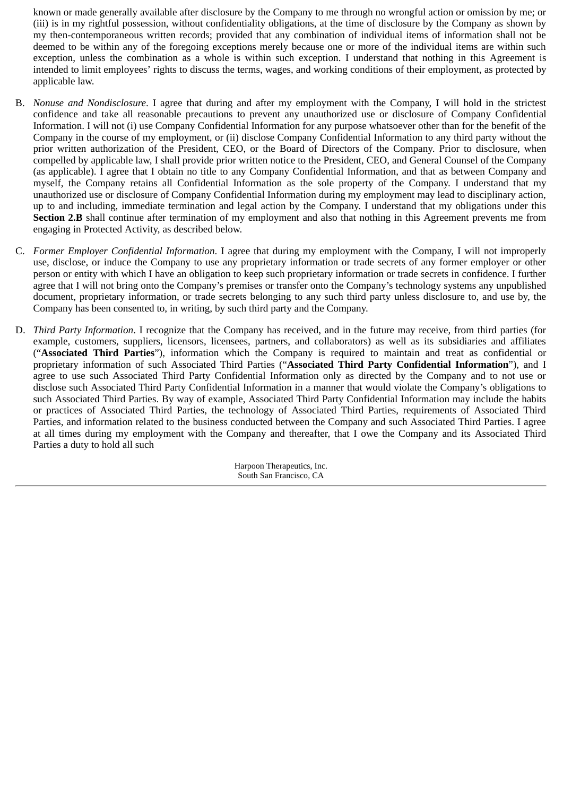known or made generally available after disclosure by the Company to me through no wrongful action or omission by me; or (iii) is in my rightful possession, without confidentiality obligations, at the time of disclosure by the Company as shown by my then-contemporaneous written records; provided that any combination of individual items of information shall not be deemed to be within any of the foregoing exceptions merely because one or more of the individual items are within such exception, unless the combination as a whole is within such exception. I understand that nothing in this Agreement is intended to limit employees' rights to discuss the terms, wages, and working conditions of their employment, as protected by applicable law.

- B. *Nonuse and Nondisclosure*. I agree that during and after my employment with the Company, I will hold in the strictest confidence and take all reasonable precautions to prevent any unauthorized use or disclosure of Company Confidential Information. I will not (i) use Company Confidential Information for any purpose whatsoever other than for the benefit of the Company in the course of my employment, or (ii) disclose Company Confidential Information to any third party without the prior written authorization of the President, CEO, or the Board of Directors of the Company. Prior to disclosure, when compelled by applicable law, I shall provide prior written notice to the President, CEO, and General Counsel of the Company (as applicable). I agree that I obtain no title to any Company Confidential Information, and that as between Company and myself, the Company retains all Confidential Information as the sole property of the Company. I understand that my unauthorized use or disclosure of Company Confidential Information during my employment may lead to disciplinary action, up to and including, immediate termination and legal action by the Company. I understand that my obligations under this **Section 2.B** shall continue after termination of my employment and also that nothing in this Agreement prevents me from engaging in Protected Activity, as described below.
- C. *Former Employer Confidential Information*. I agree that during my employment with the Company, I will not improperly use, disclose, or induce the Company to use any proprietary information or trade secrets of any former employer or other person or entity with which I have an obligation to keep such proprietary information or trade secrets in confidence. I further agree that I will not bring onto the Company's premises or transfer onto the Company's technology systems any unpublished document, proprietary information, or trade secrets belonging to any such third party unless disclosure to, and use by, the Company has been consented to, in writing, by such third party and the Company.
- D. *Third Party Information*. I recognize that the Company has received, and in the future may receive, from third parties (for example, customers, suppliers, licensors, licensees, partners, and collaborators) as well as its subsidiaries and affiliates ("**Associated Third Parties**"), information which the Company is required to maintain and treat as confidential or proprietary information of such Associated Third Parties ("**Associated Third Party Confidential Information**"), and I agree to use such Associated Third Party Confidential Information only as directed by the Company and to not use or disclose such Associated Third Party Confidential Information in a manner that would violate the Company's obligations to such Associated Third Parties. By way of example, Associated Third Party Confidential Information may include the habits or practices of Associated Third Parties, the technology of Associated Third Parties, requirements of Associated Third Parties, and information related to the business conducted between the Company and such Associated Third Parties. I agree at all times during my employment with the Company and thereafter, that I owe the Company and its Associated Third Parties a duty to hold all such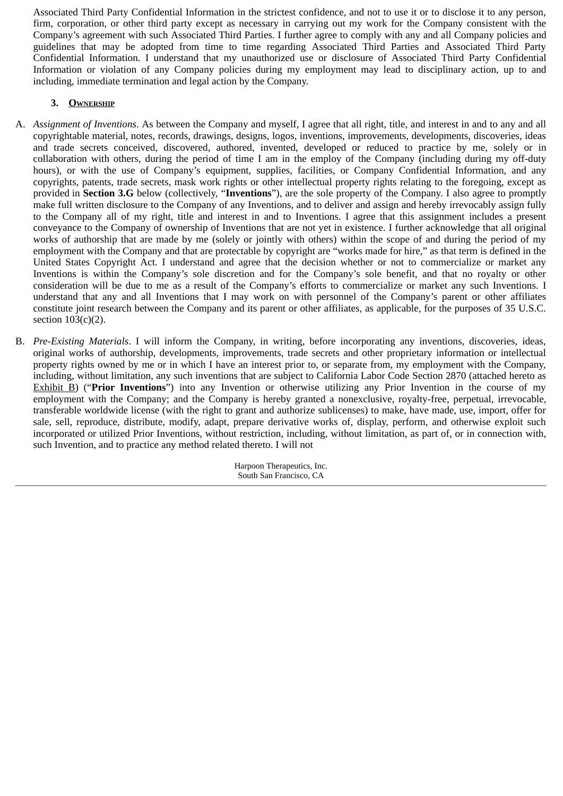Associated Third Party Confidential Information in the strictest confidence, and not to use it or to disclose it to any person, firm, corporation, or other third party except as necessary in carrying out my work for the Company consistent with the Company's agreement with such Associated Third Parties. I further agree to comply with any and all Company policies and guidelines that may be adopted from time to time regarding Associated Third Parties and Associated Third Party Confidential Information. I understand that my unauthorized use or disclosure of Associated Third Party Confidential Information or violation of any Company policies during my employment may lead to disciplinary action, up to and including, immediate termination and legal action by the Company.

# **3. OWNERSHIP**

- A. *Assignment of Inventions*. As between the Company and myself, I agree that all right, title, and interest in and to any and all copyrightable material, notes, records, drawings, designs, logos, inventions, improvements, developments, discoveries, ideas and trade secrets conceived, discovered, authored, invented, developed or reduced to practice by me, solely or in collaboration with others, during the period of time I am in the employ of the Company (including during my off-duty hours), or with the use of Company's equipment, supplies, facilities, or Company Confidential Information, and any copyrights, patents, trade secrets, mask work rights or other intellectual property rights relating to the foregoing, except as provided in **Section 3.G** below (collectively, "**Inventions**"), are the sole property of the Company. I also agree to promptly make full written disclosure to the Company of any Inventions, and to deliver and assign and hereby irrevocably assign fully to the Company all of my right, title and interest in and to Inventions. I agree that this assignment includes a present conveyance to the Company of ownership of Inventions that are not yet in existence. I further acknowledge that all original works of authorship that are made by me (solely or jointly with others) within the scope of and during the period of my employment with the Company and that are protectable by copyright are "works made for hire," as that term is defined in the United States Copyright Act. I understand and agree that the decision whether or not to commercialize or market any Inventions is within the Company's sole discretion and for the Company's sole benefit, and that no royalty or other consideration will be due to me as a result of the Company's efforts to commercialize or market any such Inventions. I understand that any and all Inventions that I may work on with personnel of the Company's parent or other affiliates constitute joint research between the Company and its parent or other affiliates, as applicable, for the purposes of 35 U.S.C. section  $103(c)(2)$ .
- B. *Pre-Existing Materials*. I will inform the Company, in writing, before incorporating any inventions, discoveries, ideas, original works of authorship, developments, improvements, trade secrets and other proprietary information or intellectual property rights owned by me or in which I have an interest prior to, or separate from, my employment with the Company, including, without limitation, any such inventions that are subject to California Labor Code Section 2870 (attached hereto as Exhibit B) ("**Prior Inventions**") into any Invention or otherwise utilizing any Prior Invention in the course of my employment with the Company; and the Company is hereby granted a nonexclusive, royalty-free, perpetual, irrevocable, transferable worldwide license (with the right to grant and authorize sublicenses) to make, have made, use, import, offer for sale, sell, reproduce, distribute, modify, adapt, prepare derivative works of, display, perform, and otherwise exploit such incorporated or utilized Prior Inventions, without restriction, including, without limitation, as part of, or in connection with, such Invention, and to practice any method related thereto. I will not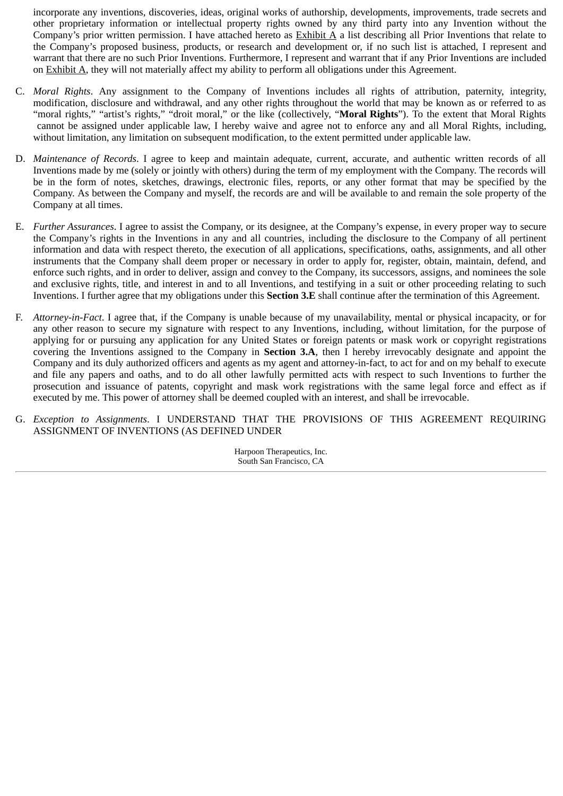incorporate any inventions, discoveries, ideas, original works of authorship, developments, improvements, trade secrets and other proprietary information or intellectual property rights owned by any third party into any Invention without the Company's prior written permission. I have attached hereto as  $Exhibit A$  a list describing all Prior Inventions that relate to the Company's proposed business, products, or research and development or, if no such list is attached, I represent and warrant that there are no such Prior Inventions. Furthermore, I represent and warrant that if any Prior Inventions are included on Exhibit A, they will not materially affect my ability to perform all obligations under this Agreement.

- C. *Moral Rights*. Any assignment to the Company of Inventions includes all rights of attribution, paternity, integrity, modification, disclosure and withdrawal, and any other rights throughout the world that may be known as or referred to as "moral rights," "artist's rights," "droit moral," or the like (collectively, "**Moral Rights**"). To the extent that Moral Rights cannot be assigned under applicable law, I hereby waive and agree not to enforce any and all Moral Rights, including, without limitation, any limitation on subsequent modification, to the extent permitted under applicable law.
- D. *Maintenance of Records*. I agree to keep and maintain adequate, current, accurate, and authentic written records of all Inventions made by me (solely or jointly with others) during the term of my employment with the Company. The records will be in the form of notes, sketches, drawings, electronic files, reports, or any other format that may be specified by the Company. As between the Company and myself, the records are and will be available to and remain the sole property of the Company at all times.
- E. *Further Assurances*. I agree to assist the Company, or its designee, at the Company's expense, in every proper way to secure the Company's rights in the Inventions in any and all countries, including the disclosure to the Company of all pertinent information and data with respect thereto, the execution of all applications, specifications, oaths, assignments, and all other instruments that the Company shall deem proper or necessary in order to apply for, register, obtain, maintain, defend, and enforce such rights, and in order to deliver, assign and convey to the Company, its successors, assigns, and nominees the sole and exclusive rights, title, and interest in and to all Inventions, and testifying in a suit or other proceeding relating to such Inventions. I further agree that my obligations under this **Section 3.E** shall continue after the termination of this Agreement.
- F. *Attorney-in-Fact*. I agree that, if the Company is unable because of my unavailability, mental or physical incapacity, or for any other reason to secure my signature with respect to any Inventions, including, without limitation, for the purpose of applying for or pursuing any application for any United States or foreign patents or mask work or copyright registrations covering the Inventions assigned to the Company in **Section 3.A**, then I hereby irrevocably designate and appoint the Company and its duly authorized officers and agents as my agent and attorney-in-fact, to act for and on my behalf to execute and file any papers and oaths, and to do all other lawfully permitted acts with respect to such Inventions to further the prosecution and issuance of patents, copyright and mask work registrations with the same legal force and effect as if executed by me. This power of attorney shall be deemed coupled with an interest, and shall be irrevocable.
- G. *Exception to Assignments*. I UNDERSTAND THAT THE PROVISIONS OF THIS AGREEMENT REQUIRING ASSIGNMENT OF INVENTIONS (AS DEFINED UNDER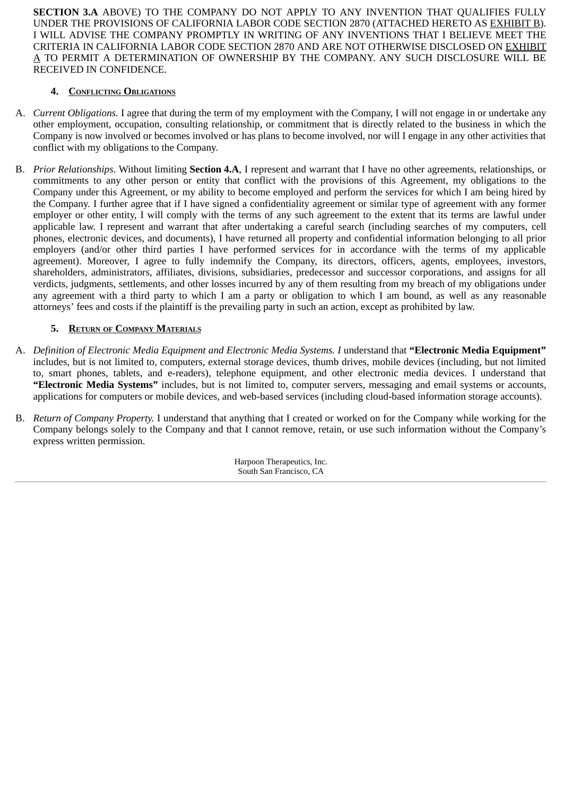**SECTION 3.A** ABOVE) TO THE COMPANY DO NOT APPLY TO ANY INVENTION THAT QUALIFIES FULLY UNDER THE PROVISIONS OF CALIFORNIA LABOR CODE SECTION 2870 (ATTACHED HERETO AS EXHIBIT B). I WILL ADVISE THE COMPANY PROMPTLY IN WRITING OF ANY INVENTIONS THAT I BELIEVE MEET THE CRITERIA IN CALIFORNIA LABOR CODE SECTION 2870 AND ARE NOT OTHERWISE DISCLOSED ON EXHIBIT A TO PERMIT A DETERMINATION OF OWNERSHIP BY THE COMPANY. ANY SUCH DISCLOSURE WILL BE RECEIVED IN CONFIDENCE.

# **4. CONFLICTING OBLIGATIONS**

- A. *Current Obligations.* I agree that during the term of my employment with the Company, I will not engage in or undertake any other employment, occupation, consulting relationship, or commitment that is directly related to the business in which the Company is now involved or becomes involved or has plans to become involved, nor will I engage in any other activities that conflict with my obligations to the Company.
- B. *Prior Relationships*. Without limiting **Section 4.A**, I represent and warrant that I have no other agreements, relationships, or commitments to any other person or entity that conflict with the provisions of this Agreement, my obligations to the Company under this Agreement, or my ability to become employed and perform the services for which I am being hired by the Company. I further agree that if I have signed a confidentiality agreement or similar type of agreement with any former employer or other entity, I will comply with the terms of any such agreement to the extent that its terms are lawful under applicable law. I represent and warrant that after undertaking a careful search (including searches of my computers, cell phones, electronic devices, and documents), I have returned all property and confidential information belonging to all prior employers (and/or other third parties I have performed services for in accordance with the terms of my applicable agreement). Moreover, I agree to fully indemnify the Company, its directors, officers, agents, employees, investors, shareholders, administrators, affiliates, divisions, subsidiaries, predecessor and successor corporations, and assigns for all verdicts, judgments, settlements, and other losses incurred by any of them resulting from my breach of my obligations under any agreement with a third party to which I am a party or obligation to which I am bound, as well as any reasonable attorneys' fees and costs if the plaintiff is the prevailing party in such an action, except as prohibited by law.

# **5. RETURN OF COMPANY MATERIALS**

- A. *Definition of Electronic Media Equipment and Electronic Media Systems. I* understand that **"Electronic Media Equipment"** includes, but is not limited to, computers, external storage devices, thumb drives, mobile devices (including, but not limited to, smart phones, tablets, and e-readers), telephone equipment, and other electronic media devices. I understand that **"Electronic Media Systems"** includes, but is not limited to, computer servers, messaging and email systems or accounts, applications for computers or mobile devices, and web-based services (including cloud-based information storage accounts).
- B. *Return of Company Property.* I understand that anything that I created or worked on for the Company while working for the Company belongs solely to the Company and that I cannot remove, retain, or use such information without the Company's express written permission.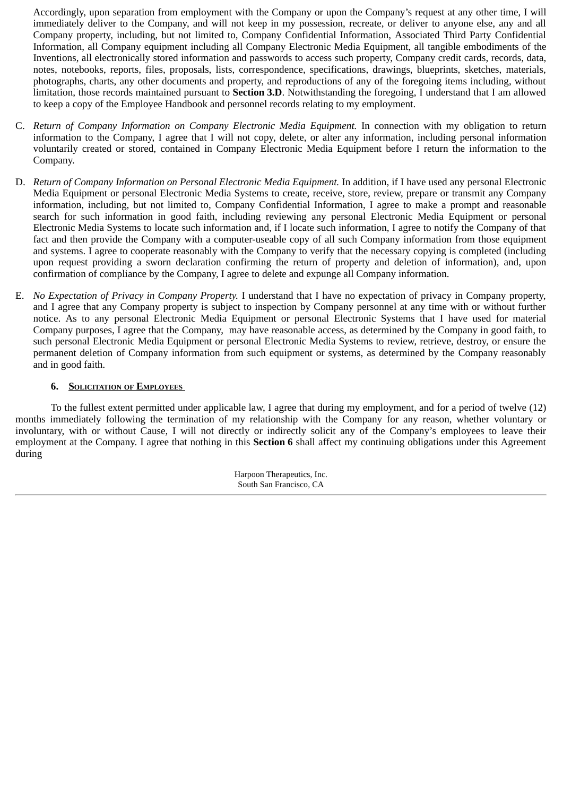Accordingly, upon separation from employment with the Company or upon the Company's request at any other time, I will immediately deliver to the Company, and will not keep in my possession, recreate, or deliver to anyone else, any and all Company property, including, but not limited to, Company Confidential Information, Associated Third Party Confidential Information, all Company equipment including all Company Electronic Media Equipment, all tangible embodiments of the Inventions, all electronically stored information and passwords to access such property, Company credit cards, records, data, notes, notebooks, reports, files, proposals, lists, correspondence, specifications, drawings, blueprints, sketches, materials, photographs, charts, any other documents and property, and reproductions of any of the foregoing items including, without limitation, those records maintained pursuant to **Section 3.D**. Notwithstanding the foregoing, I understand that I am allowed to keep a copy of the Employee Handbook and personnel records relating to my employment.

- C. *Return of Company Information on Company Electronic Media Equipment.* In connection with my obligation to return information to the Company, I agree that I will not copy, delete, or alter any information, including personal information voluntarily created or stored, contained in Company Electronic Media Equipment before I return the information to the Company.
- D. *Return of Company Information on Personal Electronic Media Equipment.* In addition, if I have used any personal Electronic Media Equipment or personal Electronic Media Systems to create, receive, store, review, prepare or transmit any Company information, including, but not limited to, Company Confidential Information, I agree to make a prompt and reasonable search for such information in good faith, including reviewing any personal Electronic Media Equipment or personal Electronic Media Systems to locate such information and, if I locate such information, I agree to notify the Company of that fact and then provide the Company with a computer-useable copy of all such Company information from those equipment and systems. I agree to cooperate reasonably with the Company to verify that the necessary copying is completed (including upon request providing a sworn declaration confirming the return of property and deletion of information), and, upon confirmation of compliance by the Company, I agree to delete and expunge all Company information.
- E. *No Expectation of Privacy in Company Property.* I understand that I have no expectation of privacy in Company property, and I agree that any Company property is subject to inspection by Company personnel at any time with or without further notice. As to any personal Electronic Media Equipment or personal Electronic Systems that I have used for material Company purposes, I agree that the Company, may have reasonable access, as determined by the Company in good faith, to such personal Electronic Media Equipment or personal Electronic Media Systems to review, retrieve, destroy, or ensure the permanent deletion of Company information from such equipment or systems, as determined by the Company reasonably and in good faith.

# **6. SOLICITATION OF EMPLOYEES**

To the fullest extent permitted under applicable law, I agree that during my employment, and for a period of twelve (12) months immediately following the termination of my relationship with the Company for any reason, whether voluntary or involuntary, with or without Cause, I will not directly or indirectly solicit any of the Company's employees to leave their employment at the Company. I agree that nothing in this **Section 6** shall affect my continuing obligations under this Agreement during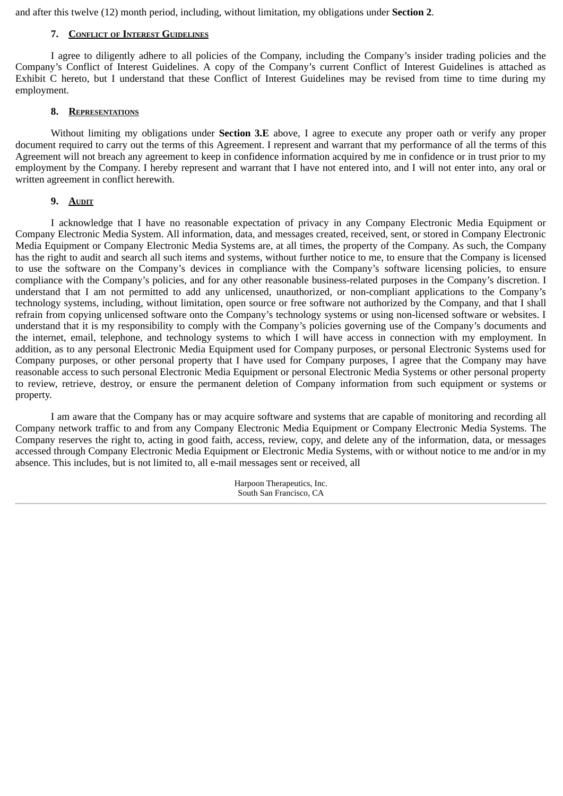and after this twelve (12) month period, including, without limitation, my obligations under **Section 2**.

### **7. CONFLICT OF INTEREST GUIDELINES**

I agree to diligently adhere to all policies of the Company, including the Company's insider trading policies and the Company's Conflict of Interest Guidelines. A copy of the Company's current Conflict of Interest Guidelines is attached as Exhibit C hereto, but I understand that these Conflict of Interest Guidelines may be revised from time to time during my employment.

### **8. REPRESENTATIONS**

Without limiting my obligations under **Section 3.E** above, I agree to execute any proper oath or verify any proper document required to carry out the terms of this Agreement. I represent and warrant that my performance of all the terms of this Agreement will not breach any agreement to keep in confidence information acquired by me in confidence or in trust prior to my employment by the Company. I hereby represent and warrant that I have not entered into, and I will not enter into, any oral or written agreement in conflict herewith.

### **9. AUDIT**

I acknowledge that I have no reasonable expectation of privacy in any Company Electronic Media Equipment or Company Electronic Media System. All information, data, and messages created, received, sent, or stored in Company Electronic Media Equipment or Company Electronic Media Systems are, at all times, the property of the Company. As such, the Company has the right to audit and search all such items and systems, without further notice to me, to ensure that the Company is licensed to use the software on the Company's devices in compliance with the Company's software licensing policies, to ensure compliance with the Company's policies, and for any other reasonable business-related purposes in the Company's discretion. I understand that I am not permitted to add any unlicensed, unauthorized, or non-compliant applications to the Company's technology systems, including, without limitation, open source or free software not authorized by the Company, and that I shall refrain from copying unlicensed software onto the Company's technology systems or using non-licensed software or websites. I understand that it is my responsibility to comply with the Company's policies governing use of the Company's documents and the internet, email, telephone, and technology systems to which I will have access in connection with my employment. In addition, as to any personal Electronic Media Equipment used for Company purposes, or personal Electronic Systems used for Company purposes, or other personal property that I have used for Company purposes, I agree that the Company may have reasonable access to such personal Electronic Media Equipment or personal Electronic Media Systems or other personal property to review, retrieve, destroy, or ensure the permanent deletion of Company information from such equipment or systems or property.

I am aware that the Company has or may acquire software and systems that are capable of monitoring and recording all Company network traffic to and from any Company Electronic Media Equipment or Company Electronic Media Systems. The Company reserves the right to, acting in good faith, access, review, copy, and delete any of the information, data, or messages accessed through Company Electronic Media Equipment or Electronic Media Systems, with or without notice to me and/or in my absence. This includes, but is not limited to, all e-mail messages sent or received, all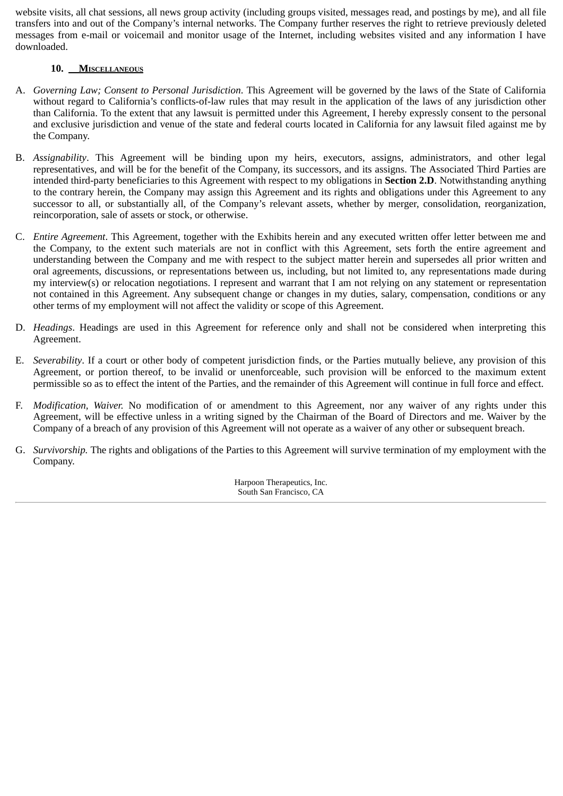website visits, all chat sessions, all news group activity (including groups visited, messages read, and postings by me), and all file transfers into and out of the Company's internal networks. The Company further reserves the right to retrieve previously deleted messages from e-mail or voicemail and monitor usage of the Internet, including websites visited and any information I have downloaded.

# **10. MISCELLANEOUS**

- A. *Governing Law; Consent to Personal Jurisdiction*. This Agreement will be governed by the laws of the State of California without regard to California's conflicts-of-law rules that may result in the application of the laws of any jurisdiction other than California. To the extent that any lawsuit is permitted under this Agreement, I hereby expressly consent to the personal and exclusive jurisdiction and venue of the state and federal courts located in California for any lawsuit filed against me by the Company.
- B. *Assignability*. This Agreement will be binding upon my heirs, executors, assigns, administrators, and other legal representatives, and will be for the benefit of the Company, its successors, and its assigns. The Associated Third Parties are intended third-party beneficiaries to this Agreement with respect to my obligations in **Section 2.D**. Notwithstanding anything to the contrary herein, the Company may assign this Agreement and its rights and obligations under this Agreement to any successor to all, or substantially all, of the Company's relevant assets, whether by merger, consolidation, reorganization, reincorporation, sale of assets or stock, or otherwise.
- C. *Entire Agreement*. This Agreement, together with the Exhibits herein and any executed written offer letter between me and the Company, to the extent such materials are not in conflict with this Agreement, sets forth the entire agreement and understanding between the Company and me with respect to the subject matter herein and supersedes all prior written and oral agreements, discussions, or representations between us, including, but not limited to, any representations made during my interview(s) or relocation negotiations. I represent and warrant that I am not relying on any statement or representation not contained in this Agreement. Any subsequent change or changes in my duties, salary, compensation, conditions or any other terms of my employment will not affect the validity or scope of this Agreement.
- D. *Headings*. Headings are used in this Agreement for reference only and shall not be considered when interpreting this Agreement.
- E. *Severability*. If a court or other body of competent jurisdiction finds, or the Parties mutually believe, any provision of this Agreement, or portion thereof, to be invalid or unenforceable, such provision will be enforced to the maximum extent permissible so as to effect the intent of the Parties, and the remainder of this Agreement will continue in full force and effect.
- F. *Modification, Waiver.* No modification of or amendment to this Agreement, nor any waiver of any rights under this Agreement, will be effective unless in a writing signed by the Chairman of the Board of Directors and me. Waiver by the Company of a breach of any provision of this Agreement will not operate as a waiver of any other or subsequent breach.
- G. *Survivorship.* The rights and obligations of the Parties to this Agreement will survive termination of my employment with the Company.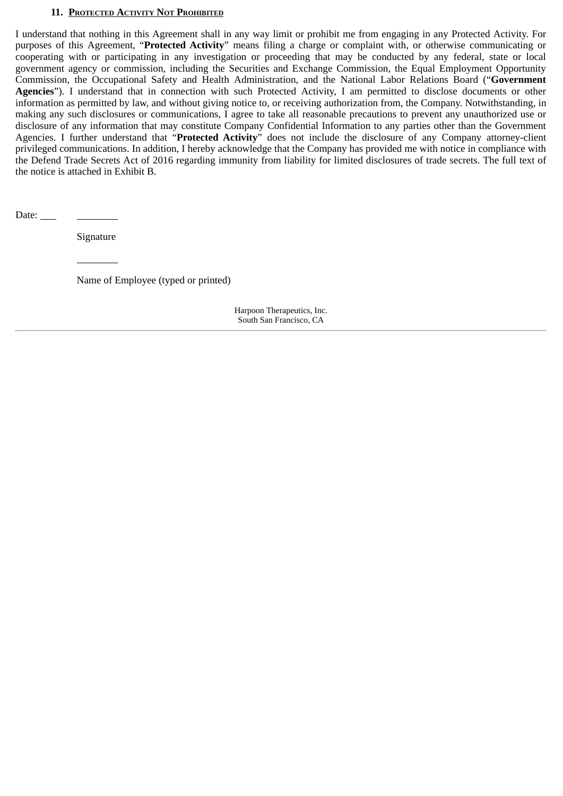# **11. PROTECTED ACTIVITY NOT PROHIBITED**

I understand that nothing in this Agreement shall in any way limit or prohibit me from engaging in any Protected Activity. For purposes of this Agreement, "**Protected Activity**" means filing a charge or complaint with, or otherwise communicating or cooperating with or participating in any investigation or proceeding that may be conducted by any federal, state or local government agency or commission, including the Securities and Exchange Commission, the Equal Employment Opportunity Commission, the Occupational Safety and Health Administration, and the National Labor Relations Board ("**Government Agencies**"). I understand that in connection with such Protected Activity, I am permitted to disclose documents or other information as permitted by law, and without giving notice to, or receiving authorization from, the Company. Notwithstanding, in making any such disclosures or communications, I agree to take all reasonable precautions to prevent any unauthorized use or disclosure of any information that may constitute Company Confidential Information to any parties other than the Government Agencies. I further understand that "**Protected Activity**" does not include the disclosure of any Company attorney-client privileged communications. In addition, I hereby acknowledge that the Company has provided me with notice in compliance with the Defend Trade Secrets Act of 2016 regarding immunity from liability for limited disclosures of trade secrets. The full text of the notice is attached in Exhibit B.

Date:

Signature

Name of Employee (typed or printed)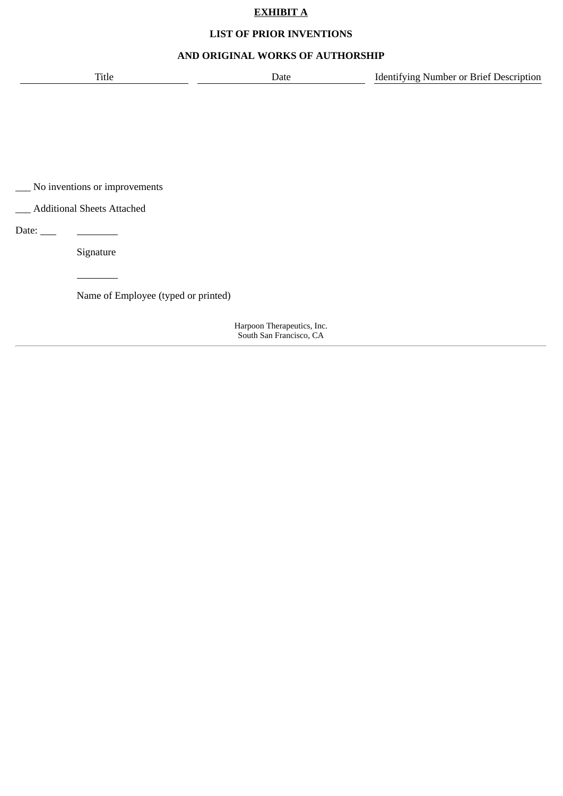# **EXHIBIT A**

# **LIST OF PRIOR INVENTIONS**

# **AND ORIGINAL WORKS OF AUTHORSHIP**

| ⊥itle | _____ | Jescription<br>rdentitvir<br>nher or Kriet-<br>חווטו<br>TVINO |
|-------|-------|---------------------------------------------------------------|
|       |       |                                                               |

\_\_\_ No inventions or improvements

\_\_\_ Additional Sheets Attached

Date:

Signature

Name of Employee (typed or printed)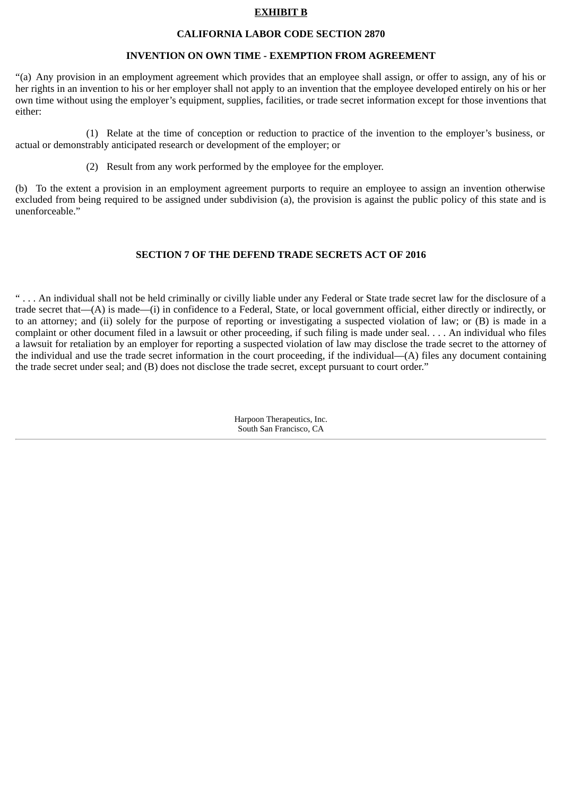## **EXHIBIT B**

### **CALIFORNIA LABOR CODE SECTION 2870**

### **INVENTION ON OWN TIME - EXEMPTION FROM AGREEMENT**

"(a) Any provision in an employment agreement which provides that an employee shall assign, or offer to assign, any of his or her rights in an invention to his or her employer shall not apply to an invention that the employee developed entirely on his or her own time without using the employer's equipment, supplies, facilities, or trade secret information except for those inventions that either:

(1) Relate at the time of conception or reduction to practice of the invention to the employer's business, or actual or demonstrably anticipated research or development of the employer; or

(2) Result from any work performed by the employee for the employer.

(b) To the extent a provision in an employment agreement purports to require an employee to assign an invention otherwise excluded from being required to be assigned under subdivision (a), the provision is against the public policy of this state and is unenforceable."

# **SECTION 7 OF THE DEFEND TRADE SECRETS ACT OF 2016**

" . . . An individual shall not be held criminally or civilly liable under any Federal or State trade secret law for the disclosure of a trade secret that—(A) is made—(i) in confidence to a Federal, State, or local government official, either directly or indirectly, or to an attorney; and (ii) solely for the purpose of reporting or investigating a suspected violation of law; or (B) is made in a complaint or other document filed in a lawsuit or other proceeding, if such filing is made under seal. . . . An individual who files a lawsuit for retaliation by an employer for reporting a suspected violation of law may disclose the trade secret to the attorney of the individual and use the trade secret information in the court proceeding, if the individual—(A) files any document containing the trade secret under seal; and (B) does not disclose the trade secret, except pursuant to court order."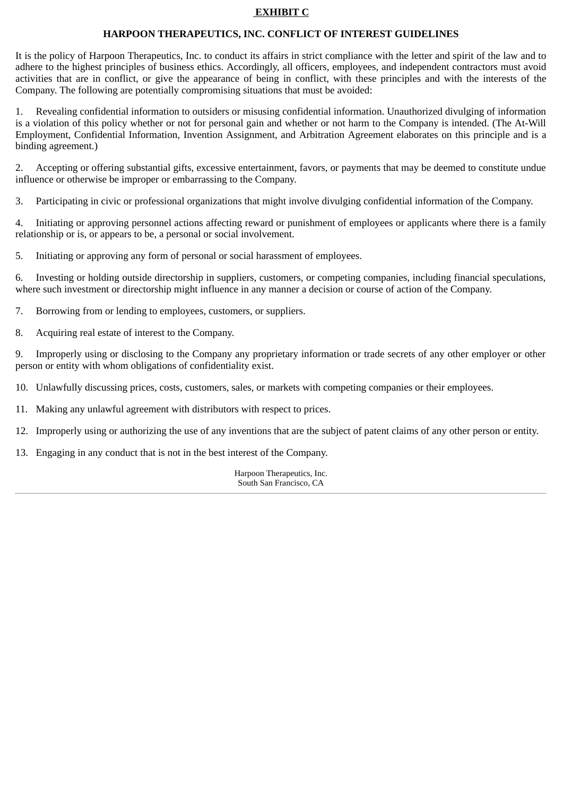# **EXHIBIT C**

### **HARPOON THERAPEUTICS, INC. CONFLICT OF INTEREST GUIDELINES**

It is the policy of Harpoon Therapeutics, Inc. to conduct its affairs in strict compliance with the letter and spirit of the law and to adhere to the highest principles of business ethics. Accordingly, all officers, employees, and independent contractors must avoid activities that are in conflict, or give the appearance of being in conflict, with these principles and with the interests of the Company. The following are potentially compromising situations that must be avoided:

1. Revealing confidential information to outsiders or misusing confidential information. Unauthorized divulging of information is a violation of this policy whether or not for personal gain and whether or not harm to the Company is intended. (The At-Will Employment, Confidential Information, Invention Assignment, and Arbitration Agreement elaborates on this principle and is a binding agreement.)

2. Accepting or offering substantial gifts, excessive entertainment, favors, or payments that may be deemed to constitute undue influence or otherwise be improper or embarrassing to the Company.

3. Participating in civic or professional organizations that might involve divulging confidential information of the Company.

4. Initiating or approving personnel actions affecting reward or punishment of employees or applicants where there is a family relationship or is, or appears to be, a personal or social involvement.

5. Initiating or approving any form of personal or social harassment of employees.

6. Investing or holding outside directorship in suppliers, customers, or competing companies, including financial speculations, where such investment or directorship might influence in any manner a decision or course of action of the Company.

7. Borrowing from or lending to employees, customers, or suppliers.

8. Acquiring real estate of interest to the Company.

9. Improperly using or disclosing to the Company any proprietary information or trade secrets of any other employer or other person or entity with whom obligations of confidentiality exist.

10. Unlawfully discussing prices, costs, customers, sales, or markets with competing companies or their employees.

- 11. Making any unlawful agreement with distributors with respect to prices.
- 12. Improperly using or authorizing the use of any inventions that are the subject of patent claims of any other person or entity.
- 13. Engaging in any conduct that is not in the best interest of the Company.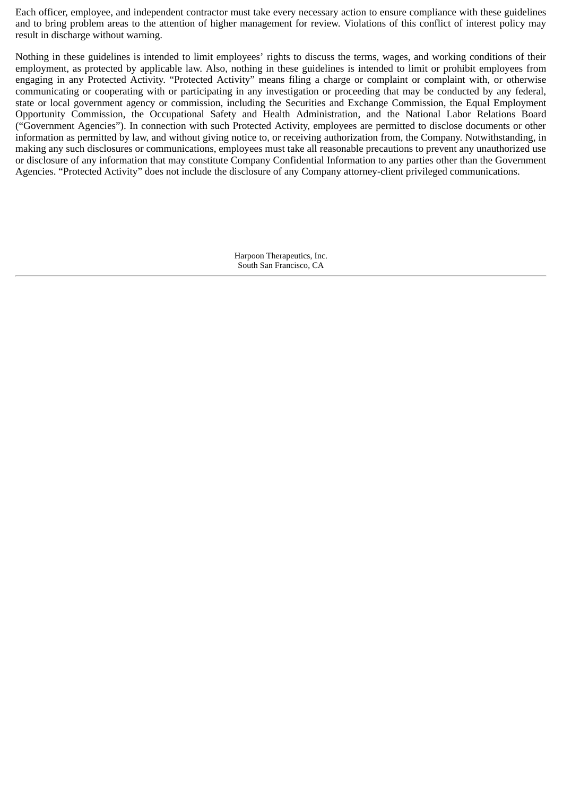Each officer, employee, and independent contractor must take every necessary action to ensure compliance with these guidelines and to bring problem areas to the attention of higher management for review. Violations of this conflict of interest policy may result in discharge without warning.

Nothing in these guidelines is intended to limit employees' rights to discuss the terms, wages, and working conditions of their employment, as protected by applicable law. Also, nothing in these guidelines is intended to limit or prohibit employees from engaging in any Protected Activity. "Protected Activity" means filing a charge or complaint or complaint with, or otherwise communicating or cooperating with or participating in any investigation or proceeding that may be conducted by any federal, state or local government agency or commission, including the Securities and Exchange Commission, the Equal Employment Opportunity Commission, the Occupational Safety and Health Administration, and the National Labor Relations Board ("Government Agencies"). In connection with such Protected Activity, employees are permitted to disclose documents or other information as permitted by law, and without giving notice to, or receiving authorization from, the Company. Notwithstanding, in making any such disclosures or communications, employees must take all reasonable precautions to prevent any unauthorized use or disclosure of any information that may constitute Company Confidential Information to any parties other than the Government Agencies. "Protected Activity" does not include the disclosure of any Company attorney-client privileged communications.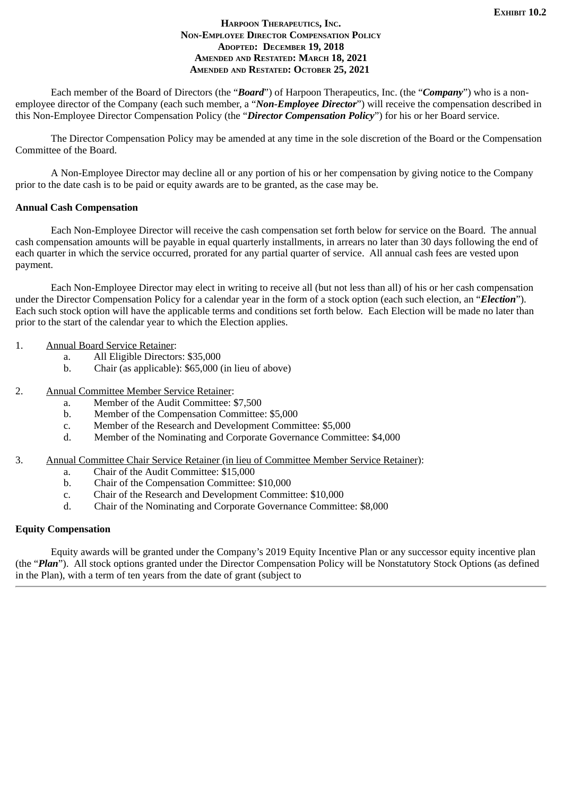### **HARPOON THERAPEUTICS, INC. NON-EMPLOYEE DIRECTOR COMPENSATION POLICY ADOPTED: DECEMBER 19, 2018 AMENDED AND RESTATED: MARCH 18, 2021 AMENDED AND RESTATED: OCTOBER 25, 2021**

<span id="page-105-0"></span>Each member of the Board of Directors (the "*Board*") of Harpoon Therapeutics, Inc. (the "*Company*") who is a nonemployee director of the Company (each such member, a "*Non-Employee Director*") will receive the compensation described in this Non-Employee Director Compensation Policy (the "*Director Compensation Policy*") for his or her Board service.

The Director Compensation Policy may be amended at any time in the sole discretion of the Board or the Compensation Committee of the Board.

A Non-Employee Director may decline all or any portion of his or her compensation by giving notice to the Company prior to the date cash is to be paid or equity awards are to be granted, as the case may be.

# **Annual Cash Compensation**

Each Non-Employee Director will receive the cash compensation set forth below for service on the Board. The annual cash compensation amounts will be payable in equal quarterly installments, in arrears no later than 30 days following the end of each quarter in which the service occurred, prorated for any partial quarter of service. All annual cash fees are vested upon payment.

Each Non-Employee Director may elect in writing to receive all (but not less than all) of his or her cash compensation under the Director Compensation Policy for a calendar year in the form of a stock option (each such election, an "*Election*"). Each such stock option will have the applicable terms and conditions set forth below. Each Election will be made no later than prior to the start of the calendar year to which the Election applies.

- 1. Annual Board Service Retainer:
	- a. All Eligible Directors: \$35,000
	- b. Chair (as applicable): \$65,000 (in lieu of above)
- 2. Annual Committee Member Service Retainer:
	- a. Member of the Audit Committee: \$7,500
	- b. Member of the Compensation Committee: \$5,000
	- c. Member of the Research and Development Committee: \$5,000
	- d. Member of the Nominating and Corporate Governance Committee: \$4,000
- 3. Annual Committee Chair Service Retainer (in lieu of Committee Member Service Retainer):
	- a. Chair of the Audit Committee: \$15,000
	- b. Chair of the Compensation Committee: \$10,000
	- c. Chair of the Research and Development Committee: \$10,000
	- d. Chair of the Nominating and Corporate Governance Committee: \$8,000

# **Equity Compensation**

Equity awards will be granted under the Company's 2019 Equity Incentive Plan or any successor equity incentive plan (the "*Plan*"). All stock options granted under the Director Compensation Policy will be Nonstatutory Stock Options (as defined in the Plan), with a term of ten years from the date of grant (subject to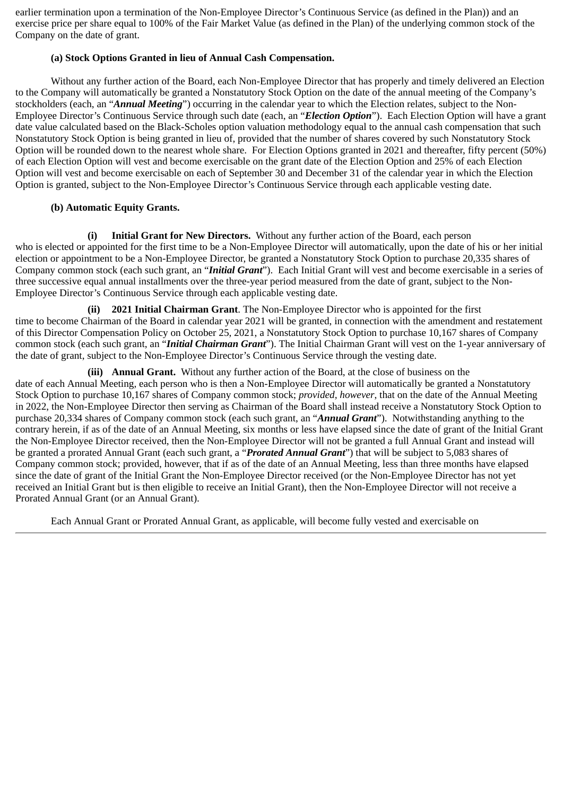earlier termination upon a termination of the Non-Employee Director's Continuous Service (as defined in the Plan)) and an exercise price per share equal to 100% of the Fair Market Value (as defined in the Plan) of the underlying common stock of the Company on the date of grant.

# **(a) Stock Options Granted in lieu of Annual Cash Compensation.**

Without any further action of the Board, each Non-Employee Director that has properly and timely delivered an Election to the Company will automatically be granted a Nonstatutory Stock Option on the date of the annual meeting of the Company's stockholders (each, an "*Annual Meeting*") occurring in the calendar year to which the Election relates, subject to the Non-Employee Director's Continuous Service through such date (each, an "*Election Option*"). Each Election Option will have a grant date value calculated based on the Black-Scholes option valuation methodology equal to the annual cash compensation that such Nonstatutory Stock Option is being granted in lieu of, provided that the number of shares covered by such Nonstatutory Stock Option will be rounded down to the nearest whole share. For Election Options granted in 2021 and thereafter, fifty percent (50%) of each Election Option will vest and become exercisable on the grant date of the Election Option and 25% of each Election Option will vest and become exercisable on each of September 30 and December 31 of the calendar year in which the Election Option is granted, subject to the Non-Employee Director's Continuous Service through each applicable vesting date.

# **(b) Automatic Equity Grants.**

**(i) Initial Grant for New Directors.** Without any further action of the Board, each person who is elected or appointed for the first time to be a Non-Employee Director will automatically, upon the date of his or her initial election or appointment to be a Non-Employee Director, be granted a Nonstatutory Stock Option to purchase 20,335 shares of Company common stock (each such grant, an "*Initial Grant*"). Each Initial Grant will vest and become exercisable in a series of three successive equal annual installments over the three-year period measured from the date of grant, subject to the Non-Employee Director's Continuous Service through each applicable vesting date.

**(ii) 2021 Initial Chairman Grant**. The Non-Employee Director who is appointed for the first time to become Chairman of the Board in calendar year 2021 will be granted, in connection with the amendment and restatement of this Director Compensation Policy on October 25, 2021, a Nonstatutory Stock Option to purchase 10,167 shares of Company common stock (each such grant, an "*Initial Chairman Grant*"). The Initial Chairman Grant will vest on the 1-year anniversary of the date of grant, subject to the Non-Employee Director's Continuous Service through the vesting date.

**(iii) Annual Grant.** Without any further action of the Board, at the close of business on the date of each Annual Meeting, each person who is then a Non-Employee Director will automatically be granted a Nonstatutory Stock Option to purchase 10,167 shares of Company common stock; *provided, however*, that on the date of the Annual Meeting in 2022, the Non-Employee Director then serving as Chairman of the Board shall instead receive a Nonstatutory Stock Option to purchase 20,334 shares of Company common stock (each such grant, an "*Annual Grant*"). Notwithstanding anything to the contrary herein, if as of the date of an Annual Meeting, six months or less have elapsed since the date of grant of the Initial Grant the Non-Employee Director received, then the Non-Employee Director will not be granted a full Annual Grant and instead will be granted a prorated Annual Grant (each such grant, a "*Prorated Annual Grant*") that will be subject to 5,083 shares of Company common stock; provided, however, that if as of the date of an Annual Meeting, less than three months have elapsed since the date of grant of the Initial Grant the Non-Employee Director received (or the Non-Employee Director has not yet received an Initial Grant but is then eligible to receive an Initial Grant), then the Non-Employee Director will not receive a Prorated Annual Grant (or an Annual Grant).

Each Annual Grant or Prorated Annual Grant, as applicable, will become fully vested and exercisable on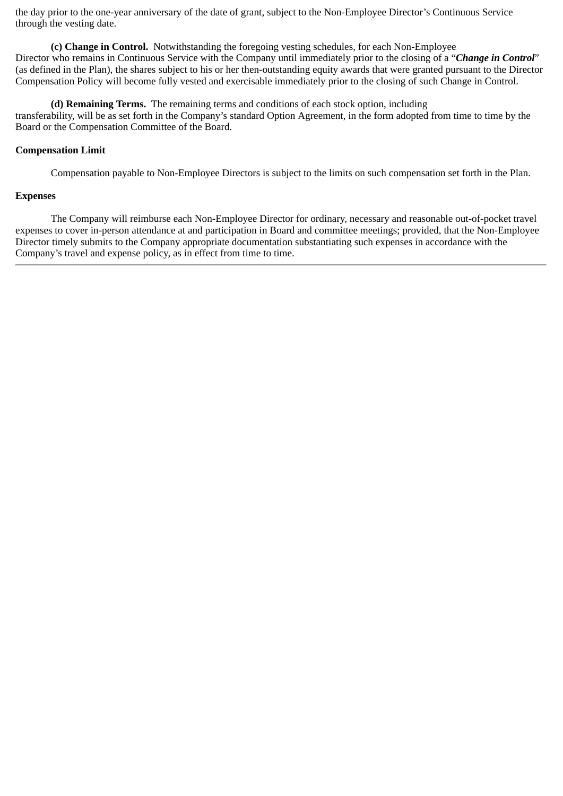the day prior to the one-year anniversary of the date of grant, subject to the Non-Employee Director's Continuous Service through the vesting date.

**(c) Change in Control.** Notwithstanding the foregoing vesting schedules, for each Non-Employee Director who remains in Continuous Service with the Company until immediately prior to the closing of a "*Change in Control*" (as defined in the Plan), the shares subject to his or her then-outstanding equity awards that were granted pursuant to the Director Compensation Policy will become fully vested and exercisable immediately prior to the closing of such Change in Control.

**(d) Remaining Terms.** The remaining terms and conditions of each stock option, including transferability, will be as set forth in the Company's standard Option Agreement, in the form adopted from time to time by the Board or the Compensation Committee of the Board.

# **Compensation Limit**

Compensation payable to Non-Employee Directors is subject to the limits on such compensation set forth in the Plan.

## **Expenses**

The Company will reimburse each Non-Employee Director for ordinary, necessary and reasonable out-of-pocket travel expenses to cover in-person attendance at and participation in Board and committee meetings; provided, that the Non-Employee Director timely submits to the Company appropriate documentation substantiating such expenses in accordance with the Company's travel and expense policy, as in effect from time to time.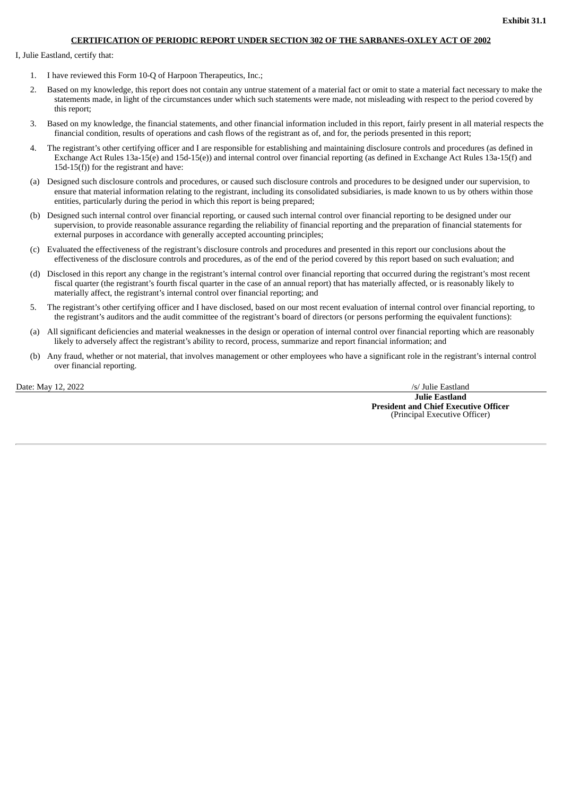## **CERTIFICATION OF PERIODIC REPORT UNDER SECTION 302 OF THE SARBANES-OXLEY ACT OF 2002**

I, Julie Eastland, certify that:

- 1. I have reviewed this Form 10-Q of Harpoon Therapeutics, Inc.;
- 2. Based on my knowledge, this report does not contain any untrue statement of a material fact or omit to state a material fact necessary to make the statements made, in light of the circumstances under which such statements were made, not misleading with respect to the period covered by this report;
- 3. Based on my knowledge, the financial statements, and other financial information included in this report, fairly present in all material respects the financial condition, results of operations and cash flows of the registrant as of, and for, the periods presented in this report;
- 4. The registrant's other certifying officer and I are responsible for establishing and maintaining disclosure controls and procedures (as defined in Exchange Act Rules 13a-15(e) and 15d-15(e)) and internal control over financial reporting (as defined in Exchange Act Rules 13a-15(f) and 15d-15 $(f)$ ) for the registrant and have:
- (a) Designed such disclosure controls and procedures, or caused such disclosure controls and procedures to be designed under our supervision, to ensure that material information relating to the registrant, including its consolidated subsidiaries, is made known to us by others within those entities, particularly during the period in which this report is being prepared;
- (b) Designed such internal control over financial reporting, or caused such internal control over financial reporting to be designed under our supervision, to provide reasonable assurance regarding the reliability of financial reporting and the preparation of financial statements for external purposes in accordance with generally accepted accounting principles;
- (c) Evaluated the effectiveness of the registrant's disclosure controls and procedures and presented in this report our conclusions about the effectiveness of the disclosure controls and procedures, as of the end of the period covered by this report based on such evaluation; and
- (d) Disclosed in this report any change in the registrant's internal control over financial reporting that occurred during the registrant's most recent fiscal quarter (the registrant's fourth fiscal quarter in the case of an annual report) that has materially affected, or is reasonably likely to materially affect, the registrant's internal control over financial reporting; and
- 5. The registrant's other certifying officer and I have disclosed, based on our most recent evaluation of internal control over financial reporting, to the registrant's auditors and the audit committee of the registrant's board of directors (or persons performing the equivalent functions):
- (a) All significant deficiencies and material weaknesses in the design or operation of internal control over financial reporting which are reasonably likely to adversely affect the registrant's ability to record, process, summarize and report financial information; and
- (b) Any fraud, whether or not material, that involves management or other employees who have a significant role in the registrant's internal control over financial reporting.

Date: May 12, 2022 /s/ Julie Eastland **Julie Eastland President and Chief Executive Officer** (Principal Executive Officer)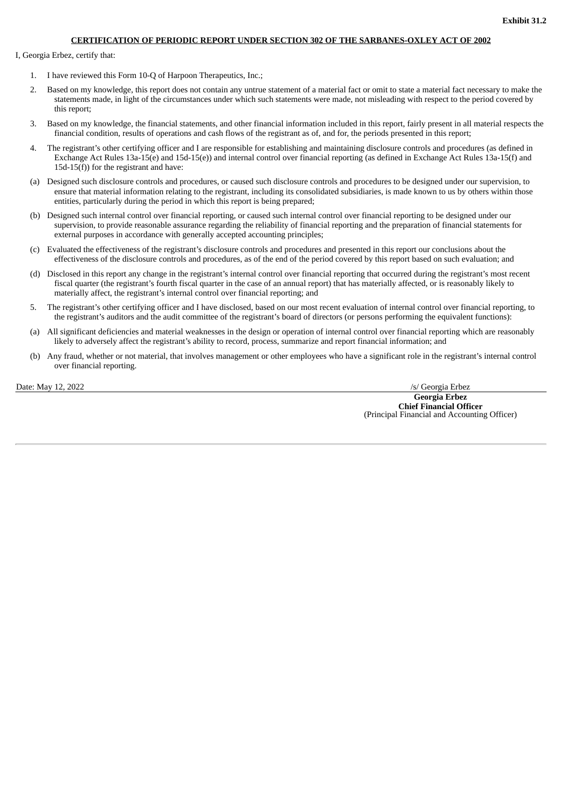## **CERTIFICATION OF PERIODIC REPORT UNDER SECTION 302 OF THE SARBANES-OXLEY ACT OF 2002**

I, Georgia Erbez, certify that:

- 1. I have reviewed this Form 10-Q of Harpoon Therapeutics, Inc.;
- 2. Based on my knowledge, this report does not contain any untrue statement of a material fact or omit to state a material fact necessary to make the statements made, in light of the circumstances under which such statements were made, not misleading with respect to the period covered by this report;
- 3. Based on my knowledge, the financial statements, and other financial information included in this report, fairly present in all material respects the financial condition, results of operations and cash flows of the registrant as of, and for, the periods presented in this report;
- 4. The registrant's other certifying officer and I are responsible for establishing and maintaining disclosure controls and procedures (as defined in Exchange Act Rules 13a-15(e) and 15d-15(e)) and internal control over financial reporting (as defined in Exchange Act Rules 13a-15(f) and 15d-15 $(f)$ ) for the registrant and have:
- (a) Designed such disclosure controls and procedures, or caused such disclosure controls and procedures to be designed under our supervision, to ensure that material information relating to the registrant, including its consolidated subsidiaries, is made known to us by others within those entities, particularly during the period in which this report is being prepared;
- (b) Designed such internal control over financial reporting, or caused such internal control over financial reporting to be designed under our supervision, to provide reasonable assurance regarding the reliability of financial reporting and the preparation of financial statements for external purposes in accordance with generally accepted accounting principles;
- (c) Evaluated the effectiveness of the registrant's disclosure controls and procedures and presented in this report our conclusions about the effectiveness of the disclosure controls and procedures, as of the end of the period covered by this report based on such evaluation; and
- (d) Disclosed in this report any change in the registrant's internal control over financial reporting that occurred during the registrant's most recent fiscal quarter (the registrant's fourth fiscal quarter in the case of an annual report) that has materially affected, or is reasonably likely to materially affect, the registrant's internal control over financial reporting; and
- 5. The registrant's other certifying officer and I have disclosed, based on our most recent evaluation of internal control over financial reporting, to the registrant's auditors and the audit committee of the registrant's board of directors (or persons performing the equivalent functions):
- (a) All significant deficiencies and material weaknesses in the design or operation of internal control over financial reporting which are reasonably likely to adversely affect the registrant's ability to record, process, summarize and report financial information; and
- (b) Any fraud, whether or not material, that involves management or other employees who have a significant role in the registrant's internal control over financial reporting.

Date: May 12, 2022 /s/ Georgia Erbez

**Georgia Erbez Chief Financial Officer** (Principal Financial and Accounting Officer)